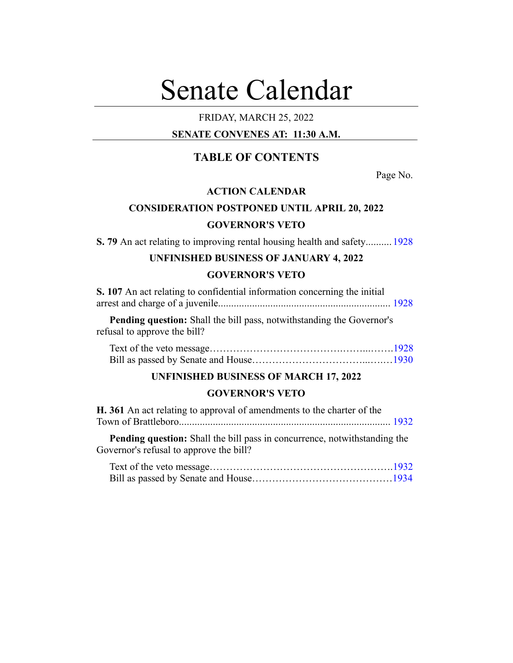# Senate Calendar

# FRIDAY, MARCH 25, 2022

# **SENATE CONVENES AT: 11:30 A.M.**

# **TABLE OF CONTENTS**

Page No.

# **ACTION CALENDAR**

# **CONSIDERATION POSTPONED UNTIL APRIL 20, 2022**

## **GOVERNOR'S VETO**

**S. 79** An act relating to improving rental housing health and safety.......... [1928](#page-4-0)

# **UNFINISHED BUSINESS OF JANUARY 4, 2022 GOVERNOR'S VETO**

| S. 107 An act relating to confidential information concerning the initial |  |
|---------------------------------------------------------------------------|--|
|                                                                           |  |

**Pending question:** Shall the bill pass, notwithstanding the Governor's refusal to approve the bill?

## **UNFINISHED BUSINESS OF MARCH 17, 2022**

## **GOVERNOR'S VETO**

| H. 361 An act relating to approval of amendments to the charter of the |  |
|------------------------------------------------------------------------|--|
|                                                                        |  |
|                                                                        |  |

**Pending question:** Shall the bill pass in concurrence, notwithstanding the Governor's refusal to approve the bill?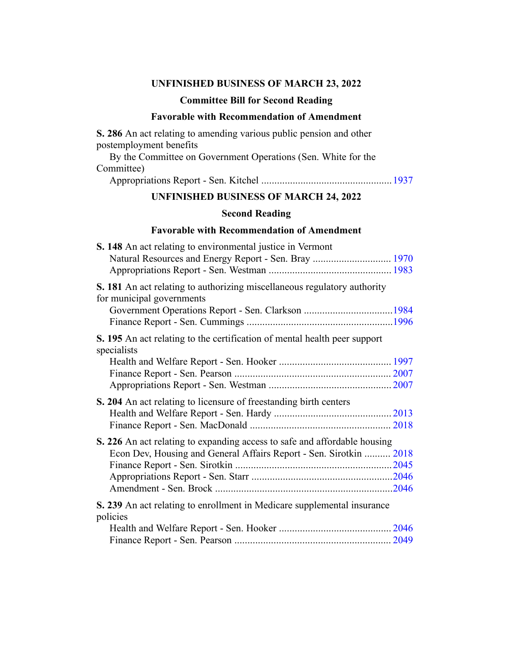## **UNFINISHED BUSINESS OF MARCH 23, 2022**

## **Committee Bill for Second Reading**

## **Favorable with Recommendation of Amendment**

**S. 286** An act relating to amending various public pension and other postemployment benefits

By the Committee on Government Operations (Sen. White for the Committee)

Appropriations Report - Sen. Kitchel ..................................................[1937](#page-13-0)

# **UNFINISHED BUSINESS OF MARCH 24, 2022**

## **Second Reading**

## **Favorable with Recommendation of Amendment**

| S. 148 An act relating to environmental justice in Vermont<br>Natural Resources and Energy Report - Sen. Bray  1970 |  |
|---------------------------------------------------------------------------------------------------------------------|--|
| S. 181 An act relating to authorizing miscellaneous regulatory authority<br>for municipal governments               |  |
|                                                                                                                     |  |
| S. 195 An act relating to the certification of mental health peer support<br>specialists                            |  |
|                                                                                                                     |  |
|                                                                                                                     |  |
|                                                                                                                     |  |
| S. 204 An act relating to licensure of freestanding birth centers                                                   |  |
|                                                                                                                     |  |
|                                                                                                                     |  |
| S. 226 An act relating to expanding access to safe and affordable housing                                           |  |
| Econ Dev, Housing and General Affairs Report - Sen. Sirotkin  2018                                                  |  |
|                                                                                                                     |  |
|                                                                                                                     |  |
|                                                                                                                     |  |
| S. 239 An act relating to enrollment in Medicare supplemental insurance<br>policies                                 |  |
|                                                                                                                     |  |
|                                                                                                                     |  |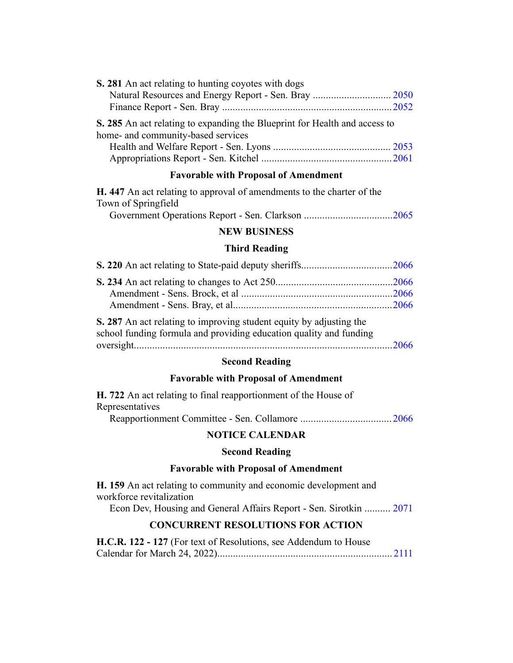| S. 281 An act relating to hunting coyotes with dogs                                                              |  |
|------------------------------------------------------------------------------------------------------------------|--|
|                                                                                                                  |  |
|                                                                                                                  |  |
| S. 285 An act relating to expanding the Blueprint for Health and access to<br>home- and community-based services |  |
|                                                                                                                  |  |
|                                                                                                                  |  |

## **Favorable with Proposal of Amendment**

| <b>H.</b> 447 An act relating to approval of amendments to the charter of the |  |  |  |  |  |
|-------------------------------------------------------------------------------|--|--|--|--|--|
| Town of Springfield                                                           |  |  |  |  |  |
| $\sim$ $\sim$ $\sim$ $\sim$                                                   |  |  |  |  |  |

Government Operations Report - Sen. Clarkson ..................................[2065](#page-141-0)

## **NEW BUSINESS**

## **Third Reading**

**S. 287** An act relating to improving student equity by adjusting the school funding formula and providing education quality and funding oversight...................................................................................................[2066](#page-142-2)

# **Second Reading**

## **Favorable with Proposal of Amendment**

**H. 722** An act relating to final reapportionment of the House of Representatives

Reapportionment Committee - Sen. Collamore ................................... [2066](#page-142-3)

## **NOTICE CALENDAR**

## **Second Reading**

## **Favorable with Proposal of Amendment**

**H. 159** An act relating to community and economic development and workforce revitalization

Econ Dev, Housing and General Affairs Report - Sen. Sirotkin .......... [2071](#page-147-0)

# **CONCURRENT RESOLUTIONS FOR ACTION**

**H.C.R. 122 - 127** (For text of Resolutions, see Addendum to House Calendar for March 24, 2022)................................................................... [2111](#page-187-0)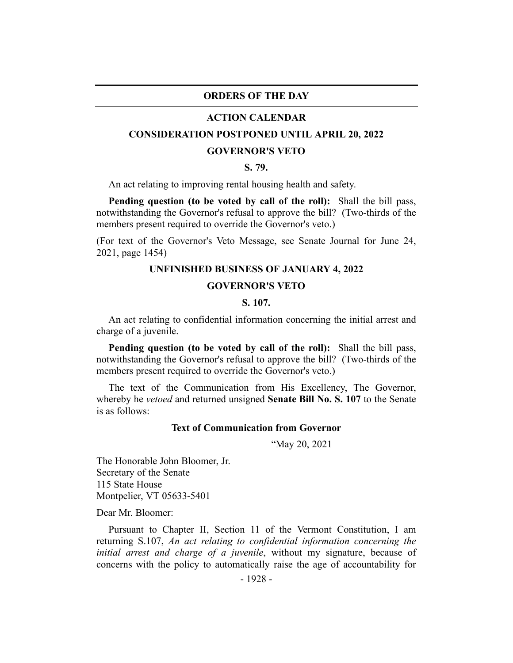## **ORDERS OF THE DAY**

#### **ACTION CALENDAR**

## <span id="page-4-0"></span>**CONSIDERATION POSTPONED UNTIL APRIL 20, 2022**

#### **GOVERNOR'S VETO**

## **S. 79.**

An act relating to improving rental housing health and safety.

**Pending question (to be voted by call of the roll):** Shall the bill pass, notwithstanding the Governor's refusal to approve the bill? (Two-thirds of the members present required to override the Governor's veto.)

<span id="page-4-1"></span>(For text of the Governor's Veto Message, see Senate Journal for June 24, 2021, page 1454)

## **UNFINISHED BUSINESS OF JANUARY 4, 2022**

#### **GOVERNOR'S VETO**

#### **S. 107.**

An act relating to confidential information concerning the initial arrest and charge of a juvenile.

**Pending question (to be voted by call of the roll):** Shall the bill pass, notwithstanding the Governor's refusal to approve the bill? (Two-thirds of the members present required to override the Governor's veto.)

The text of the Communication from His Excellency, The Governor, whereby he *vetoed* and returned unsigned **Senate Bill No. S. 107** to the Senate is as follows:

## **Text of Communication from Governor**

"May 20, 2021

The Honorable John Bloomer, Jr. Secretary of the Senate 115 State House Montpelier, VT 05633-5401

Dear Mr. Bloomer:

Pursuant to Chapter II, Section 11 of the Vermont Constitution, I am returning S.107, *An act relating to confidential information concerning the initial arrest and charge of a juvenile*, without my signature, because of concerns with the policy to automatically raise the age of accountability for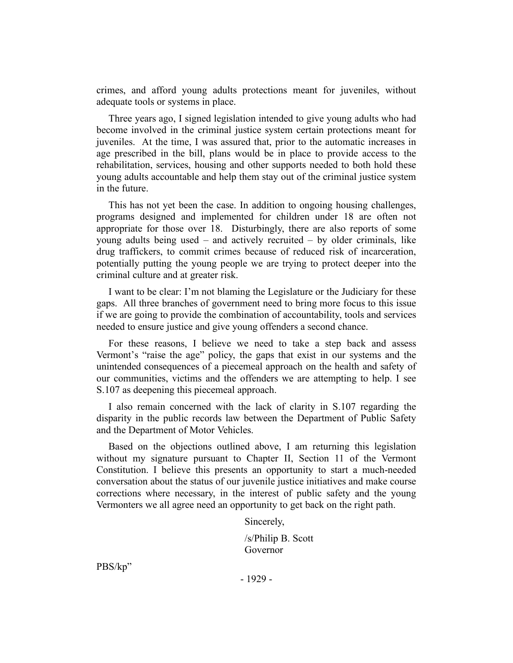crimes, and afford young adults protections meant for juveniles, without adequate tools or systems in place.

Three years ago, I signed legislation intended to give young adults who had become involved in the criminal justice system certain protections meant for juveniles. At the time, I was assured that, prior to the automatic increases in age prescribed in the bill, plans would be in place to provide access to the rehabilitation, services, housing and other supports needed to both hold these young adults accountable and help them stay out of the criminal justice system in the future.

This has not yet been the case. In addition to ongoing housing challenges, programs designed and implemented for children under 18 are often not appropriate for those over 18. Disturbingly, there are also reports of some young adults being used – and actively recruited – by older criminals, like drug traffickers, to commit crimes because of reduced risk of incarceration, potentially putting the young people we are trying to protect deeper into the criminal culture and at greater risk.

I want to be clear: I'm not blaming the Legislature or the Judiciary for these gaps. All three branches of government need to bring more focus to this issue if we are going to provide the combination of accountability, tools and services needed to ensure justice and give young offenders a second chance.

For these reasons, I believe we need to take a step back and assess Vermont's "raise the age" policy, the gaps that exist in our systems and the unintended consequences of a piecemeal approach on the health and safety of our communities, victims and the offenders we are attempting to help. I see S.107 as deepening this piecemeal approach.

I also remain concerned with the lack of clarity in S.107 regarding the disparity in the public records law between the Department of Public Safety and the Department of Motor Vehicles.

Based on the objections outlined above, I am returning this legislation without my signature pursuant to Chapter II, Section 11 of the Vermont Constitution. I believe this presents an opportunity to start a much-needed conversation about the status of our juvenile justice initiatives and make course corrections where necessary, in the interest of public safety and the young Vermonters we all agree need an opportunity to get back on the right path.

Sincerely,

/s/Philip B. Scott Governor

PBS/kp"

- 1929 -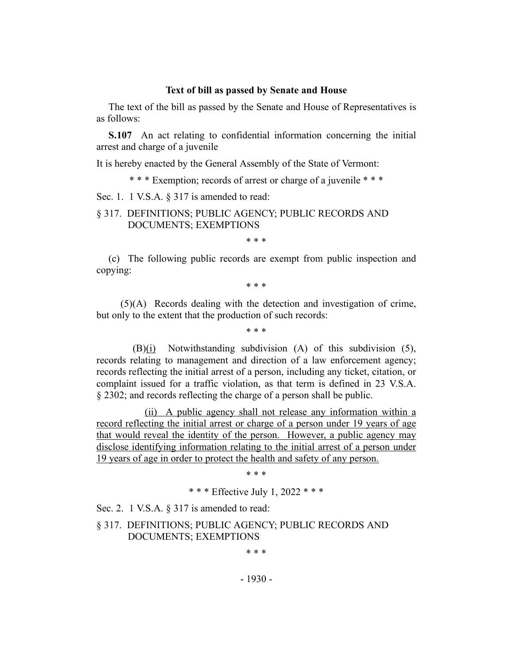#### **Text of bill as passed by Senate and House**

The text of the bill as passed by the Senate and House of Representatives is as follows:

**S.107** An act relating to confidential information concerning the initial arrest and charge of a juvenile

It is hereby enacted by the General Assembly of the State of Vermont:

\* \* \* Exemption; records of arrest or charge of a juvenile \* \* \*

Sec. 1. 1 V.S.A. § 317 is amended to read:

## § 317. DEFINITIONS; PUBLIC AGENCY; PUBLIC RECORDS AND DOCUMENTS; EXEMPTIONS

\* \* \*

(c) The following public records are exempt from public inspection and copying:

\* \* \*

(5)(A) Records dealing with the detection and investigation of crime, but only to the extent that the production of such records:

\* \* \*

(B)(i) Notwithstanding subdivision (A) of this subdivision (5), records relating to management and direction of a law enforcement agency; records reflecting the initial arrest of a person, including any ticket, citation, or complaint issued for a traffic violation, as that term is defined in 23 V.S.A. § 2302; and records reflecting the charge of a person shall be public.

(ii) A public agency shall not release any information within a record reflecting the initial arrest or charge of a person under 19 years of age that would reveal the identity of the person. However, a public agency may disclose identifying information relating to the initial arrest of a person under 19 years of age in order to protect the health and safety of any person.

\* \* \*

\* \* \* Effective July 1, 2022 \* \* \*

Sec. 2. 1 V.S.A. § 317 is amended to read:

§ 317. DEFINITIONS; PUBLIC AGENCY; PUBLIC RECORDS AND DOCUMENTS; EXEMPTIONS

\* \* \*

- 1930 -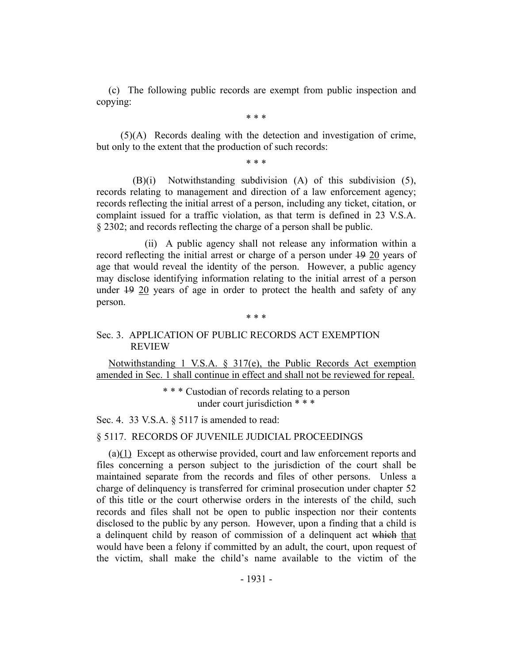(c) The following public records are exempt from public inspection and copying:

\* \* \*

(5)(A) Records dealing with the detection and investigation of crime, but only to the extent that the production of such records:

\* \* \*

(B)(i) Notwithstanding subdivision (A) of this subdivision (5), records relating to management and direction of a law enforcement agency; records reflecting the initial arrest of a person, including any ticket, citation, or complaint issued for a traffic violation, as that term is defined in 23 V.S.A. § 2302; and records reflecting the charge of a person shall be public.

(ii) A public agency shall not release any information within a record reflecting the initial arrest or charge of a person under 19 20 years of age that would reveal the identity of the person. However, a public agency may disclose identifying information relating to the initial arrest of a person under 19 20 years of age in order to protect the health and safety of any person.

#### \* \* \*

## Sec. 3. APPLICATION OF PUBLIC RECORDS ACT EXEMPTION REVIEW

Notwithstanding 1 V.S.A. § 317(e), the Public Records Act exemption amended in Sec. 1 shall continue in effect and shall not be reviewed for repeal.

> \* \* \* Custodian of records relating to a person under court jurisdiction \* \* \*

Sec. 4. 33 V.S.A. § 5117 is amended to read:

## § 5117. RECORDS OF JUVENILE JUDICIAL PROCEEDINGS

(a)(1) Except as otherwise provided, court and law enforcement reports and files concerning a person subject to the jurisdiction of the court shall be maintained separate from the records and files of other persons. Unless a charge of delinquency is transferred for criminal prosecution under chapter 52 of this title or the court otherwise orders in the interests of the child, such records and files shall not be open to public inspection nor their contents disclosed to the public by any person. However, upon a finding that a child is a delinquent child by reason of commission of a delinquent act which that would have been a felony if committed by an adult, the court, upon request of the victim, shall make the child's name available to the victim of the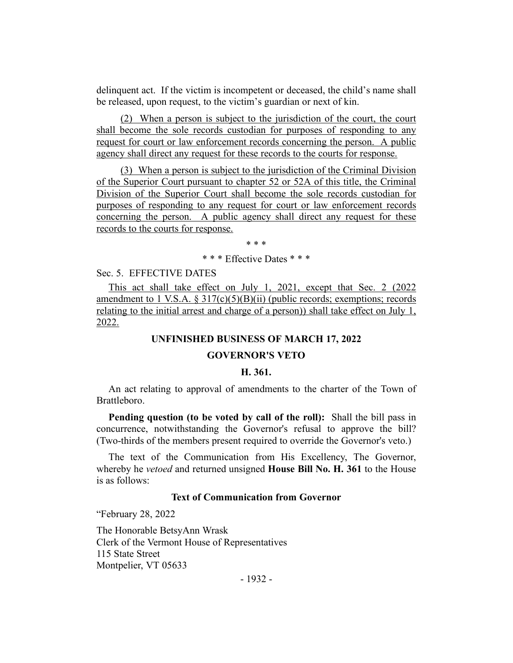delinquent act. If the victim is incompetent or deceased, the child's name shall be released, upon request, to the victim's guardian or next of kin.

(2) When a person is subject to the jurisdiction of the court, the court shall become the sole records custodian for purposes of responding to any request for court or law enforcement records concerning the person. A public agency shall direct any request for these records to the courts for response.

(3) When a person is subject to the jurisdiction of the Criminal Division of the Superior Court pursuant to chapter 52 or 52A of this title, the Criminal Division of the Superior Court shall become the sole records custodian for purposes of responding to any request for court or law enforcement records concerning the person. A public agency shall direct any request for these records to the courts for response.

\* \* \*

\* \* \* Effective Dates \* \* \*

Sec. 5. EFFECTIVE DATES

This act shall take effect on July 1, 2021, except that Sec. 2 (2022) amendment to 1 V.S.A.  $\S 317(c)(5)(B)(ii)$  (public records; exemptions; records relating to the initial arrest and charge of a person)) shall take effect on July 1, 2022.

## **UNFINISHED BUSINESS OF MARCH 17, 2022**

#### **GOVERNOR'S VETO**

## **H. 361.**

<span id="page-8-0"></span>An act relating to approval of amendments to the charter of the Town of Brattleboro.

**Pending question (to be voted by call of the roll):** Shall the bill pass in concurrence, notwithstanding the Governor's refusal to approve the bill? (Two-thirds of the members present required to override the Governor's veto.)

The text of the Communication from His Excellency, The Governor, whereby he *vetoed* and returned unsigned **House Bill No. H. 361** to the House is as follows:

## **Text of Communication from Governor**

"February 28, 2022

The Honorable BetsyAnn Wrask Clerk of the Vermont House of Representatives 115 State Street Montpelier, VT 05633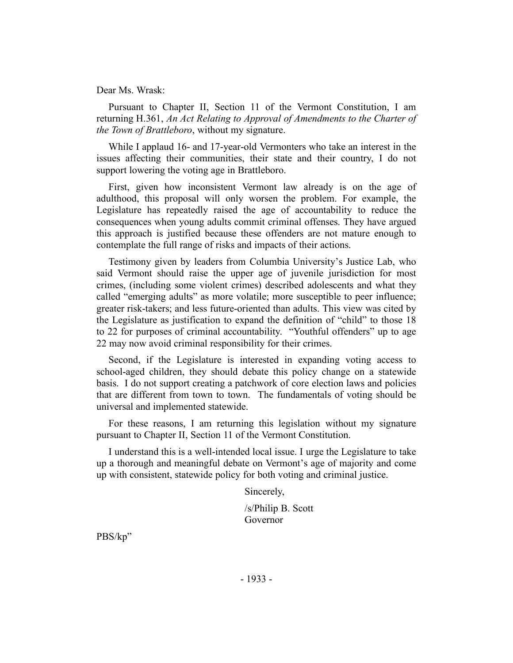Dear Ms. Wrask:

Pursuant to Chapter II, Section 11 of the Vermont Constitution, I am returning H.361, *An Act Relating to Approval of Amendments to the Charter of the Town of Brattleboro*, without my signature.

While I applaud 16- and 17-year-old Vermonters who take an interest in the issues affecting their communities, their state and their country, I do not support lowering the voting age in Brattleboro.

First, given how inconsistent Vermont law already is on the age of adulthood, this proposal will only worsen the problem. For example, the Legislature has repeatedly raised the age of accountability to reduce the consequences when young adults commit criminal offenses. They have argued this approach is justified because these offenders are not mature enough to contemplate the full range of risks and impacts of their actions.

Testimony given by leaders from Columbia University's Justice Lab, who said Vermont should raise the upper age of juvenile jurisdiction for most crimes, (including some violent crimes) described adolescents and what they called "emerging adults" as more volatile; more susceptible to peer influence; greater risk-takers; and less future-oriented than adults. This view was cited by the Legislature as justification to expand the definition of "child" to those 18 to 22 for purposes of criminal accountability. "Youthful offenders" up to age 22 may now avoid criminal responsibility for their crimes.

Second, if the Legislature is interested in expanding voting access to school-aged children, they should debate this policy change on a statewide basis. I do not support creating a patchwork of core election laws and policies that are different from town to town. The fundamentals of voting should be universal and implemented statewide.

For these reasons, I am returning this legislation without my signature pursuant to Chapter II, Section 11 of the Vermont Constitution.

I understand this is a well-intended local issue. I urge the Legislature to take up a thorough and meaningful debate on Vermont's age of majority and come up with consistent, statewide policy for both voting and criminal justice.

Sincerely,

/s/Philip B. Scott Governor

PBS/kp"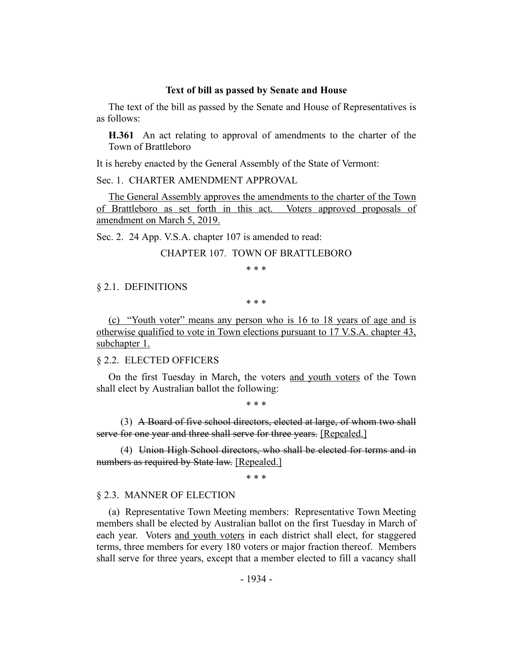#### **Text of bill as passed by Senate and House**

The text of the bill as passed by the Senate and House of Representatives is as follows:

**H.361** An act relating to approval of amendments to the charter of the Town of Brattleboro

It is hereby enacted by the General Assembly of the State of Vermont:

Sec. 1. CHARTER AMENDMENT APPROVAL

The General Assembly approves the amendments to the charter of the Town of Brattleboro as set forth in this act. Voters approved proposals of amendment on March 5, 2019.

Sec. 2. 24 App. V.S.A. chapter 107 is amended to read:

## CHAPTER 107. TOWN OF BRATTLEBORO

\* \* \*

#### § 2.1. DEFINITIONS

\* \* \*

(c) "Youth voter" means any person who is 16 to 18 years of age and is otherwise qualified to vote in Town elections pursuant to 17 V.S.A. chapter 43, subchapter 1.

§ 2.2. ELECTED OFFICERS

On the first Tuesday in March, the voters and youth voters of the Town shall elect by Australian ballot the following:

\* \* \*

(3) A Board of five school directors, elected at large, of whom two shall serve for one year and three shall serve for three years. [Repealed.]

(4) Union High School directors, who shall be elected for terms and in numbers as required by State law. [Repealed.]

\* \* \*

#### § 2.3. MANNER OF ELECTION

(a) Representative Town Meeting members: Representative Town Meeting members shall be elected by Australian ballot on the first Tuesday in March of each year. Voters and youth voters in each district shall elect, for staggered terms, three members for every 180 voters or major fraction thereof. Members shall serve for three years, except that a member elected to fill a vacancy shall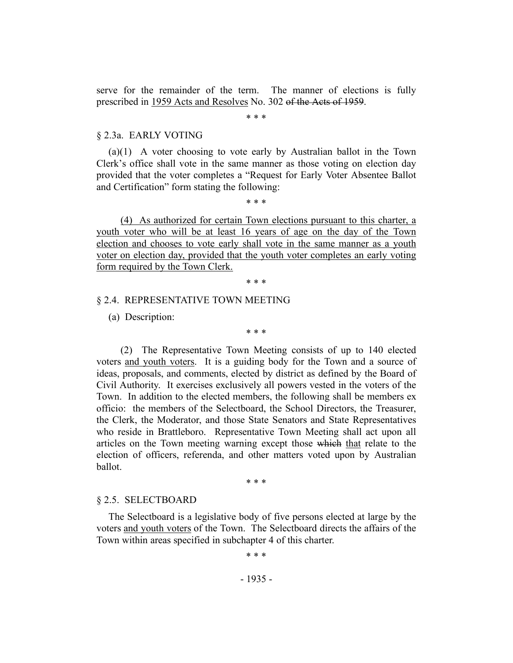serve for the remainder of the term. The manner of elections is fully prescribed in 1959 Acts and Resolves No. 302 of the Acts of 1959.

\* \* \*

#### § 2.3a. EARLY VOTING

(a)(1) A voter choosing to vote early by Australian ballot in the Town Clerk's office shall vote in the same manner as those voting on election day provided that the voter completes a "Request for Early Voter Absentee Ballot and Certification" form stating the following:

\* \* \*

(4) As authorized for certain Town elections pursuant to this charter, a youth voter who will be at least 16 years of age on the day of the Town election and chooses to vote early shall vote in the same manner as a youth voter on election day, provided that the youth voter completes an early voting form required by the Town Clerk.

\* \* \*

## § 2.4. REPRESENTATIVE TOWN MEETING

(a) Description:

\* \* \*

(2) The Representative Town Meeting consists of up to 140 elected voters and youth voters. It is a guiding body for the Town and a source of ideas, proposals, and comments, elected by district as defined by the Board of Civil Authority. It exercises exclusively all powers vested in the voters of the Town. In addition to the elected members, the following shall be members ex officio: the members of the Selectboard, the School Directors, the Treasurer, the Clerk, the Moderator, and those State Senators and State Representatives who reside in Brattleboro. Representative Town Meeting shall act upon all articles on the Town meeting warning except those which that relate to the election of officers, referenda, and other matters voted upon by Australian ballot.

\* \* \*

#### § 2.5. SELECTBOARD

The Selectboard is a legislative body of five persons elected at large by the voters and youth voters of the Town. The Selectboard directs the affairs of the Town within areas specified in subchapter 4 of this charter.

\* \* \*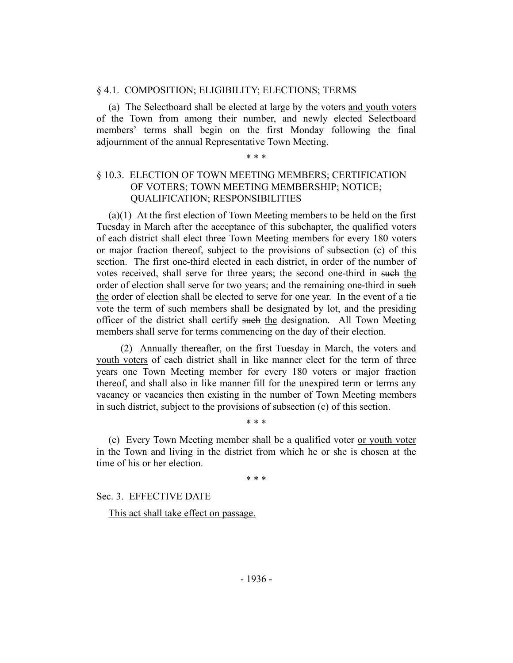#### § 4.1. COMPOSITION; ELIGIBILITY; ELECTIONS; TERMS

(a) The Selectboard shall be elected at large by the voters and youth voters of the Town from among their number, and newly elected Selectboard members' terms shall begin on the first Monday following the final adjournment of the annual Representative Town Meeting.

## \* \* \*

## § 10.3. ELECTION OF TOWN MEETING MEMBERS; CERTIFICATION OF VOTERS; TOWN MEETING MEMBERSHIP; NOTICE; QUALIFICATION; RESPONSIBILITIES

(a)(1) At the first election of Town Meeting members to be held on the first Tuesday in March after the acceptance of this subchapter, the qualified voters of each district shall elect three Town Meeting members for every 180 voters or major fraction thereof, subject to the provisions of subsection (c) of this section. The first one-third elected in each district, in order of the number of votes received, shall serve for three years; the second one-third in such the order of election shall serve for two years; and the remaining one-third in such the order of election shall be elected to serve for one year. In the event of a tie vote the term of such members shall be designated by lot, and the presiding officer of the district shall certify such the designation. All Town Meeting members shall serve for terms commencing on the day of their election.

(2) Annually thereafter, on the first Tuesday in March, the voters and youth voters of each district shall in like manner elect for the term of three years one Town Meeting member for every 180 voters or major fraction thereof, and shall also in like manner fill for the unexpired term or terms any vacancy or vacancies then existing in the number of Town Meeting members in such district, subject to the provisions of subsection (c) of this section.

(e) Every Town Meeting member shall be a qualified voter or youth voter in the Town and living in the district from which he or she is chosen at the time of his or her election.

\* \* \*

\* \* \*

Sec. 3. EFFECTIVE DATE

This act shall take effect on passage.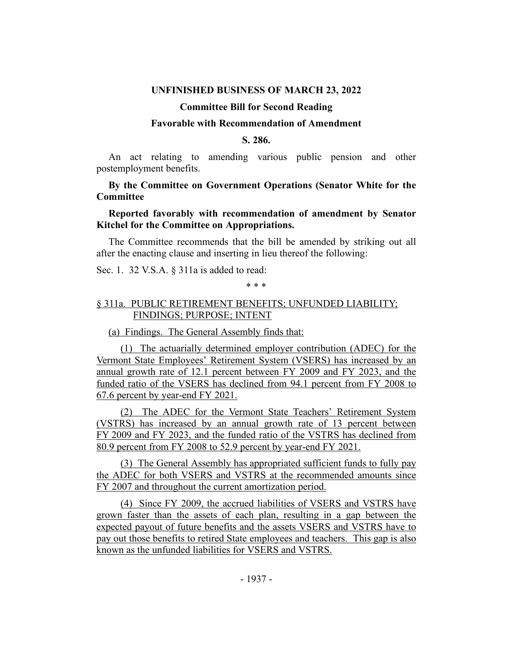## **UNFINISHED BUSINESS OF MARCH 23, 2022**

## **Committee Bill for Second Reading**

## **Favorable with Recommendation of Amendment**

## **S. 286.**

<span id="page-13-0"></span>An act relating to amending various public pension and other postemployment benefits.

## **By the Committee on Government Operations (Senator White for the Committee**

## **Reported favorably with recommendation of amendment by Senator Kitchel for the Committee on Appropriations.**

The Committee recommends that the bill be amended by striking out all after the enacting clause and inserting in lieu thereof the following:

Sec. 1. 32 V.S.A. § 311a is added to read:

\* \* \*

# § 311a. PUBLIC RETIREMENT BENEFITS; UNFUNDED LIABILITY; FINDINGS; PURPOSE; INTENT

(a) Findings. The General Assembly finds that:

(1) The actuarially determined employer contribution (ADEC) for the Vermont State Employees' Retirement System (VSERS) has increased by an annual growth rate of 12.1 percent between FY 2009 and FY 2023, and the funded ratio of the VSERS has declined from 94.1 percent from FY 2008 to 67.6 percent by year-end FY 2021.

(2) The ADEC for the Vermont State Teachers' Retirement System (VSTRS) has increased by an annual growth rate of 13 percent between FY 2009 and FY 2023, and the funded ratio of the VSTRS has declined from 80.9 percent from FY 2008 to 52.9 percent by year-end FY 2021.

(3) The General Assembly has appropriated sufficient funds to fully pay the ADEC for both VSERS and VSTRS at the recommended amounts since FY 2007 and throughout the current amortization period.

(4) Since FY 2009, the accrued liabilities of VSERS and VSTRS have grown faster than the assets of each plan, resulting in a gap between the expected payout of future benefits and the assets VSERS and VSTRS have to pay out those benefits to retired State employees and teachers. This gap is also known as the unfunded liabilities for VSERS and VSTRS.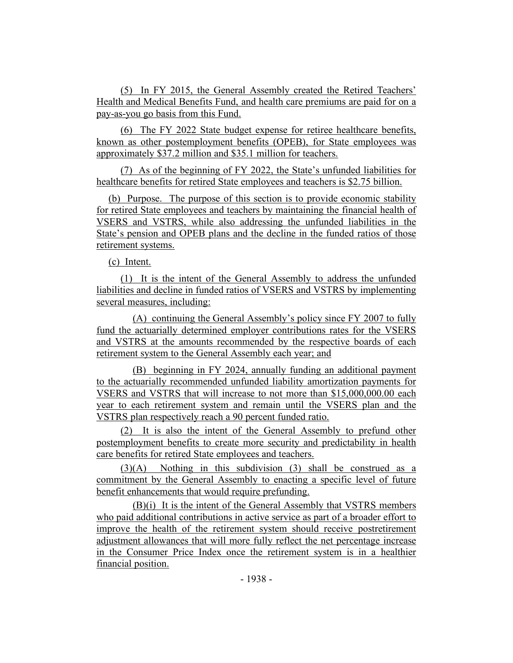(5) In FY 2015, the General Assembly created the Retired Teachers' Health and Medical Benefits Fund, and health care premiums are paid for on a pay-as-you go basis from this Fund.

(6) The FY 2022 State budget expense for retiree healthcare benefits, known as other postemployment benefits (OPEB), for State employees was approximately \$37.2 million and \$35.1 million for teachers.

(7) As of the beginning of FY 2022, the State's unfunded liabilities for healthcare benefits for retired State employees and teachers is \$2.75 billion.

(b) Purpose. The purpose of this section is to provide economic stability for retired State employees and teachers by maintaining the financial health of VSERS and VSTRS, while also addressing the unfunded liabilities in the State's pension and OPEB plans and the decline in the funded ratios of those retirement systems.

(c) Intent.

(1) It is the intent of the General Assembly to address the unfunded liabilities and decline in funded ratios of VSERS and VSTRS by implementing several measures, including:

(A) continuing the General Assembly's policy since FY 2007 to fully fund the actuarially determined employer contributions rates for the VSERS and VSTRS at the amounts recommended by the respective boards of each retirement system to the General Assembly each year; and

(B) beginning in FY 2024, annually funding an additional payment to the actuarially recommended unfunded liability amortization payments for VSERS and VSTRS that will increase to not more than \$15,000,000.00 each year to each retirement system and remain until the VSERS plan and the VSTRS plan respectively reach a 90 percent funded ratio.

(2) It is also the intent of the General Assembly to prefund other postemployment benefits to create more security and predictability in health care benefits for retired State employees and teachers.

(3)(A) Nothing in this subdivision (3) shall be construed as a commitment by the General Assembly to enacting a specific level of future benefit enhancements that would require prefunding.

(B)(i) It is the intent of the General Assembly that VSTRS members who paid additional contributions in active service as part of a broader effort to improve the health of the retirement system should receive postretirement adjustment allowances that will more fully reflect the net percentage increase in the Consumer Price Index once the retirement system is in a healthier financial position.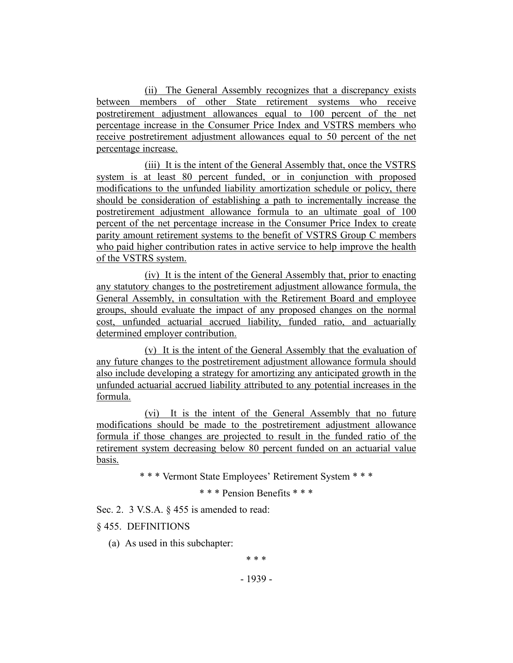(ii) The General Assembly recognizes that a discrepancy exists between members of other State retirement systems who receive postretirement adjustment allowances equal to 100 percent of the net percentage increase in the Consumer Price Index and VSTRS members who receive postretirement adjustment allowances equal to 50 percent of the net percentage increase.

(iii) It is the intent of the General Assembly that, once the VSTRS system is at least 80 percent funded, or in conjunction with proposed modifications to the unfunded liability amortization schedule or policy, there should be consideration of establishing a path to incrementally increase the postretirement adjustment allowance formula to an ultimate goal of 100 percent of the net percentage increase in the Consumer Price Index to create parity amount retirement systems to the benefit of VSTRS Group C members who paid higher contribution rates in active service to help improve the health of the VSTRS system.

(iv) It is the intent of the General Assembly that, prior to enacting any statutory changes to the postretirement adjustment allowance formula, the General Assembly, in consultation with the Retirement Board and employee groups, should evaluate the impact of any proposed changes on the normal cost, unfunded actuarial accrued liability, funded ratio, and actuarially determined employer contribution.

(v) It is the intent of the General Assembly that the evaluation of any future changes to the postretirement adjustment allowance formula should also include developing a strategy for amortizing any anticipated growth in the unfunded actuarial accrued liability attributed to any potential increases in the formula.

(vi) It is the intent of the General Assembly that no future modifications should be made to the postretirement adjustment allowance formula if those changes are projected to result in the funded ratio of the retirement system decreasing below 80 percent funded on an actuarial value basis.

\* \* \* Vermont State Employees' Retirement System \* \* \*

\* \* \* Pension Benefits \* \* \*

Sec. 2. 3 V.S.A. § 455 is amended to read:

## § 455. DEFINITIONS

(a) As used in this subchapter:

\* \* \*

- 1939 -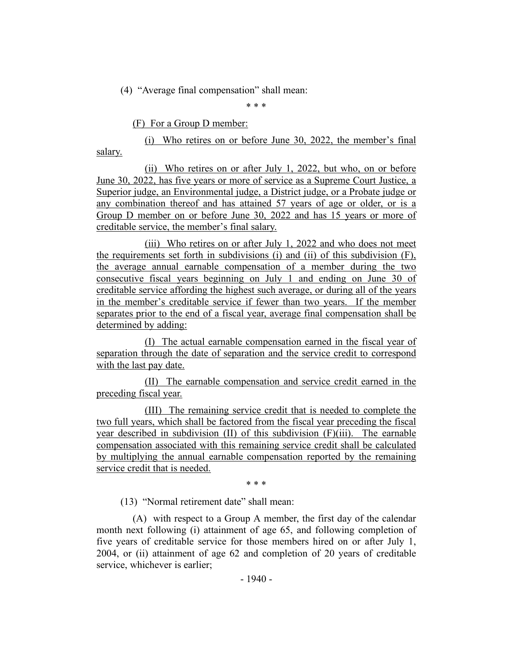(4) "Average final compensation" shall mean:

\* \* \*

(F) For a Group D member:

(i) Who retires on or before June 30, 2022, the member's final salary.

(ii) Who retires on or after July 1, 2022, but who, on or before June 30, 2022, has five years or more of service as a Supreme Court Justice, a Superior judge, an Environmental judge, a District judge, or a Probate judge or any combination thereof and has attained 57 years of age or older, or is a Group D member on or before June 30, 2022 and has 15 years or more of creditable service, the member's final salary.

(iii) Who retires on or after July 1, 2022 and who does not meet the requirements set forth in subdivisions (i) and (ii) of this subdivision (F), the average annual earnable compensation of a member during the two consecutive fiscal years beginning on July 1 and ending on June 30 of creditable service affording the highest such average, or during all of the years in the member's creditable service if fewer than two years. If the member separates prior to the end of a fiscal year, average final compensation shall be determined by adding:

(I) The actual earnable compensation earned in the fiscal year of separation through the date of separation and the service credit to correspond with the last pay date.

(II) The earnable compensation and service credit earned in the preceding fiscal year.

(III) The remaining service credit that is needed to complete the two full years, which shall be factored from the fiscal year preceding the fiscal year described in subdivision (II) of this subdivision (F)(iii). The earnable compensation associated with this remaining service credit shall be calculated by multiplying the annual earnable compensation reported by the remaining service credit that is needed.

\* \* \*

(13) "Normal retirement date" shall mean:

(A) with respect to a Group A member, the first day of the calendar month next following (i) attainment of age 65, and following completion of five years of creditable service for those members hired on or after July 1, 2004, or (ii) attainment of age 62 and completion of 20 years of creditable service, whichever is earlier;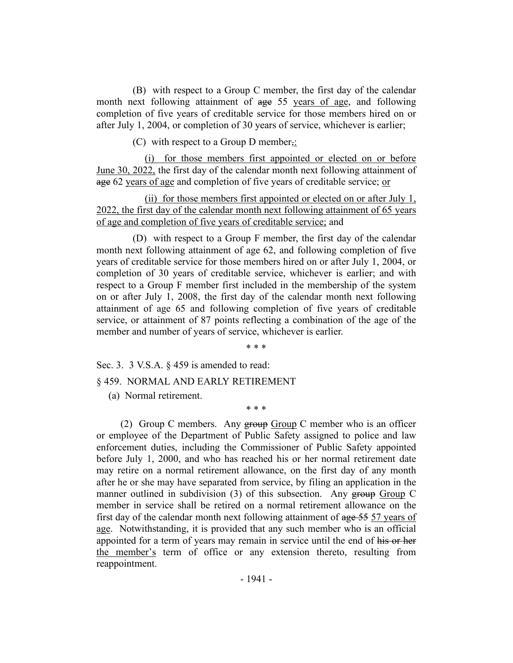(B) with respect to a Group C member, the first day of the calendar month next following attainment of age 55 years of age, and following completion of five years of creditable service for those members hired on or after July 1, 2004, or completion of 30 years of service, whichever is earlier;

(C) with respect to a Group D member<sub>7</sub>:

(i) for those members first appointed or elected on or before June 30, 2022, the first day of the calendar month next following attainment of age 62 years of age and completion of five years of creditable service; or

(ii) for those members first appointed or elected on or after July 1, 2022, the first day of the calendar month next following attainment of 65 years of age and completion of five years of creditable service; and

(D) with respect to a Group F member, the first day of the calendar month next following attainment of age 62, and following completion of five years of creditable service for those members hired on or after July 1, 2004, or completion of 30 years of creditable service, whichever is earlier; and with respect to a Group F member first included in the membership of the system on or after July 1, 2008, the first day of the calendar month next following attainment of age 65 and following completion of five years of creditable service, or attainment of 87 points reflecting a combination of the age of the member and number of years of service, whichever is earlier.

\* \* \*

\* \* \*

Sec. 3. 3 V.S.A. § 459 is amended to read:

§ 459. NORMAL AND EARLY RETIREMENT

(a) Normal retirement.

(2) Group C members. Any group Group C member who is an officer or employee of the Department of Public Safety assigned to police and law enforcement duties, including the Commissioner of Public Safety appointed before July 1, 2000, and who has reached his or her normal retirement date may retire on a normal retirement allowance, on the first day of any month after he or she may have separated from service, by filing an application in the manner outlined in subdivision (3) of this subsection. Any group Group C member in service shall be retired on a normal retirement allowance on the first day of the calendar month next following attainment of age 55 57 years of age. Notwithstanding, it is provided that any such member who is an official appointed for a term of years may remain in service until the end of his or her the member's term of office or any extension thereto, resulting from reappointment.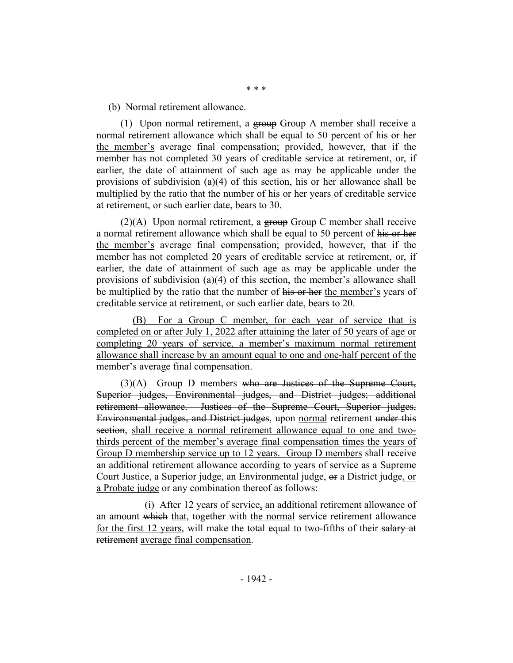(b) Normal retirement allowance.

(1) Upon normal retirement, a  $g_{\text{foup}}$   $G_{\text{foup}}$  A member shall receive a normal retirement allowance which shall be equal to 50 percent of his or her the member's average final compensation; provided, however, that if the member has not completed 30 years of creditable service at retirement, or, if earlier, the date of attainment of such age as may be applicable under the provisions of subdivision (a)(4) of this section, his or her allowance shall be multiplied by the ratio that the number of his or her years of creditable service at retirement, or such earlier date, bears to 30.

 $(2)(A)$  Upon normal retirement, a group Group C member shall receive a normal retirement allowance which shall be equal to 50 percent of his or her the member's average final compensation; provided, however, that if the member has not completed 20 years of creditable service at retirement, or, if earlier, the date of attainment of such age as may be applicable under the provisions of subdivision (a)(4) of this section, the member's allowance shall be multiplied by the ratio that the number of his or her the member's years of creditable service at retirement, or such earlier date, bears to 20.

(B) For a Group C member, for each year of service that is completed on or after July 1, 2022 after attaining the later of 50 years of age or completing 20 years of service, a member's maximum normal retirement allowance shall increase by an amount equal to one and one-half percent of the member's average final compensation.

(3)(A) Group D members who are Justices of the Supreme Court, Superior judges, Environmental judges, and District judges; additional retirement allowance. Justices of the Supreme Court, Superior judges, Environmental judges, and District judges, upon normal retirement under this section, shall receive a normal retirement allowance equal to one and twothirds percent of the member's average final compensation times the years of Group D membership service up to 12 years. Group D members shall receive an additional retirement allowance according to years of service as a Supreme Court Justice, a Superior judge, an Environmental judge, or a District judge, or a Probate judge or any combination thereof as follows:

(i) After 12 years of service, an additional retirement allowance of an amount which that, together with the normal service retirement allowance for the first 12 years, will make the total equal to two-fifths of their salary at retirement average final compensation.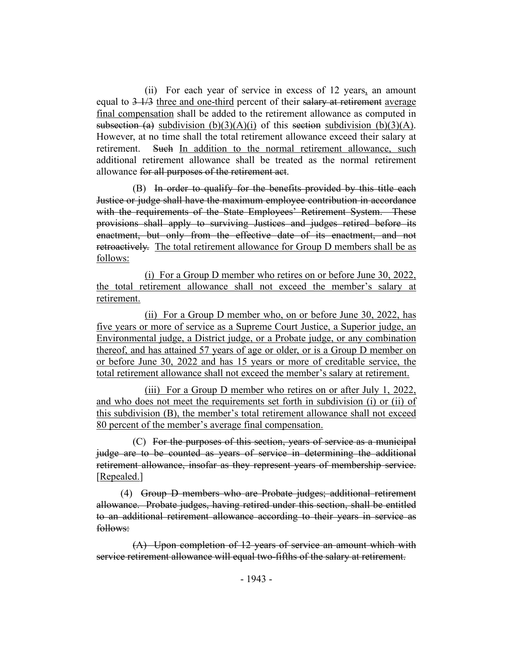(ii) For each year of service in excess of 12 years, an amount equal to  $3\frac{1}{3}$  three and one-third percent of their salary at retirement average final compensation shall be added to the retirement allowance as computed in subsection (a) subdivision (b)(3)(A)(i) of this section subdivision (b)(3)(A). However, at no time shall the total retirement allowance exceed their salary at retirement. Such In addition to the normal retirement allowance, such additional retirement allowance shall be treated as the normal retirement allowance for all purposes of the retirement act.

(B) In order to qualify for the benefits provided by this title each Justice or judge shall have the maximum employee contribution in accordance with the requirements of the State Employees' Retirement System. These provisions shall apply to surviving Justices and judges retired before its enactment, but only from the effective date of its enactment, and not retroactively. The total retirement allowance for Group D members shall be as follows:

(i) For a Group D member who retires on or before June 30, 2022, the total retirement allowance shall not exceed the member's salary at retirement.

(ii) For a Group D member who, on or before June 30, 2022, has five years or more of service as a Supreme Court Justice, a Superior judge, an Environmental judge, a District judge, or a Probate judge, or any combination thereof, and has attained 57 years of age or older, or is a Group D member on or before June 30, 2022 and has 15 years or more of creditable service, the total retirement allowance shall not exceed the member's salary at retirement.

(iii) For a Group D member who retires on or after July 1, 2022, and who does not meet the requirements set forth in subdivision (i) or (ii) of this subdivision (B), the member's total retirement allowance shall not exceed 80 percent of the member's average final compensation.

(C) For the purposes of this section, years of service as a municipal judge are to be counted as years of service in determining the additional retirement allowance, insofar as they represent years of membership service. [Repealed.]

(4) Group D members who are Probate judges; additional retirement allowance. Probate judges, having retired under this section, shall be entitled to an additional retirement allowance according to their years in service as follows:

(A) Upon completion of 12 years of service an amount which with service retirement allowance will equal two-fifths of the salary at retirement.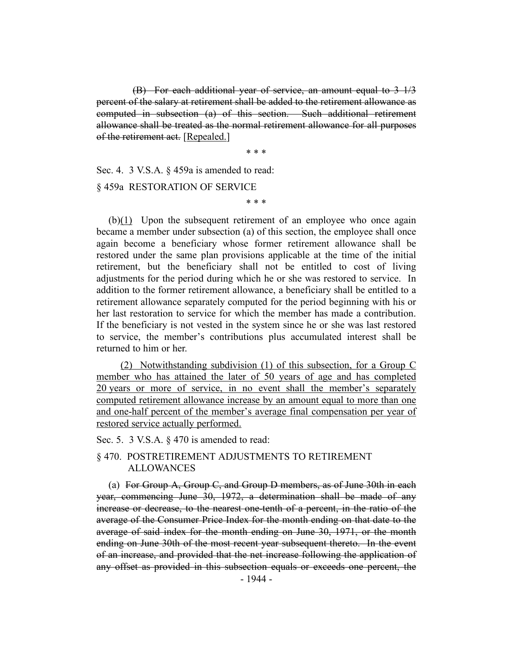(B) For each additional year of service, an amount equal to 3 1/3 percent of the salary at retirement shall be added to the retirement allowance as computed in subsection (a) of this section. Such additional retirement allowance shall be treated as the normal retirement allowance for all purposes of the retirement act. [Repealed.]

\* \* \*

Sec. 4. 3 V.S.A. § 459a is amended to read:

§ 459a RESTORATION OF SERVICE

\* \* \*

(b)(1) Upon the subsequent retirement of an employee who once again became a member under subsection (a) of this section, the employee shall once again become a beneficiary whose former retirement allowance shall be restored under the same plan provisions applicable at the time of the initial retirement, but the beneficiary shall not be entitled to cost of living adjustments for the period during which he or she was restored to service. In addition to the former retirement allowance, a beneficiary shall be entitled to a retirement allowance separately computed for the period beginning with his or her last restoration to service for which the member has made a contribution. If the beneficiary is not vested in the system since he or she was last restored to service, the member's contributions plus accumulated interest shall be returned to him or her.

(2) Notwithstanding subdivision (1) of this subsection, for a Group C member who has attained the later of 50 years of age and has completed 20 years or more of service, in no event shall the member's separately computed retirement allowance increase by an amount equal to more than one and one-half percent of the member's average final compensation per year of restored service actually performed.

## Sec. 5. 3 V.S.A. § 470 is amended to read:

## § 470. POSTRETIREMENT ADJUSTMENTS TO RETIREMENT ALLOWANCES

(a) For Group A, Group C, and Group D members, as of June 30th in each year, commencing June 30, 1972, a determination shall be made of any increase or decrease, to the nearest one-tenth of a percent, in the ratio of the average of the Consumer Price Index for the month ending on that date to the average of said index for the month ending on June 30, 1971, or the month ending on June 30th of the most recent year subsequent thereto. In the event of an increase, and provided that the net increase following the application of any offset as provided in this subsection equals or exceeds one percent, the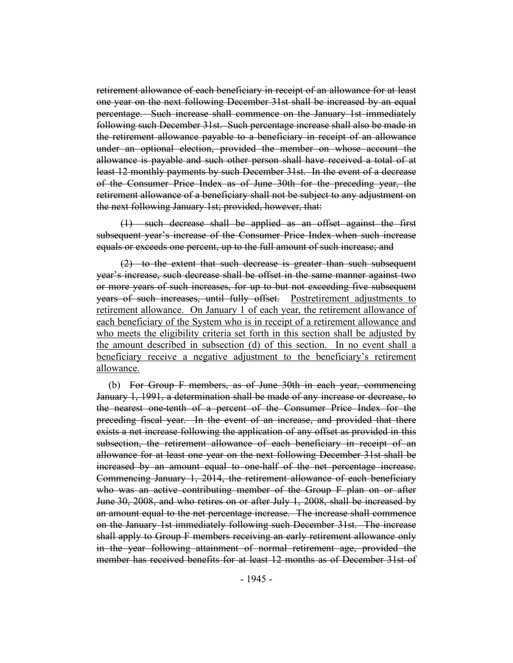retirement allowance of each beneficiary in receipt of an allowance for at least one year on the next following December 31st shall be increased by an equal percentage. Such increase shall commence on the January 1st immediately following such December 31st. Such percentage increase shall also be made in the retirement allowance payable to a beneficiary in receipt of an allowance under an optional election, provided the member on whose account the allowance is payable and such other person shall have received a total of at least 12 monthly payments by such December 31st. In the event of a decrease of the Consumer Price Index as of June 30th for the preceding year, the retirement allowance of a beneficiary shall not be subject to any adjustment on the next following January 1st; provided, however, that:

(1) such decrease shall be applied as an offset against the first subsequent year's increase of the Consumer Price Index when such increase equals or exceeds one percent, up to the full amount of such increase; and

(2) to the extent that such decrease is greater than such subsequent year's increase, such decrease shall be offset in the same manner against two or more years of such increases, for up to but not exceeding five subsequent years of such increases, until fully offset. Postretirement adjustments to retirement allowance. On January 1 of each year, the retirement allowance of each beneficiary of the System who is in receipt of a retirement allowance and who meets the eligibility criteria set forth in this section shall be adjusted by the amount described in subsection (d) of this section. In no event shall a beneficiary receive a negative adjustment to the beneficiary's retirement allowance.

(b) For Group F members, as of June 30th in each year, commencing January 1, 1991, a determination shall be made of any increase or decrease, to the nearest one-tenth of a percent of the Consumer Price Index for the preceding fiscal year. In the event of an increase, and provided that there exists a net increase following the application of any offset as provided in this subsection, the retirement allowance of each beneficiary in receipt of an allowance for at least one year on the next following December 31st shall be increased by an amount equal to one-half of the net percentage increase. Commencing January 1, 2014, the retirement allowance of each beneficiary who was an active contributing member of the Group F plan on or after June 30, 2008, and who retires on or after July 1, 2008, shall be increased by an amount equal to the net percentage increase. The increase shall commence on the January 1st immediately following such December 31st. The increase shall apply to Group F members receiving an early retirement allowance only in the year following attainment of normal retirement age, provided the member has received benefits for at least 12 months as of December 31st of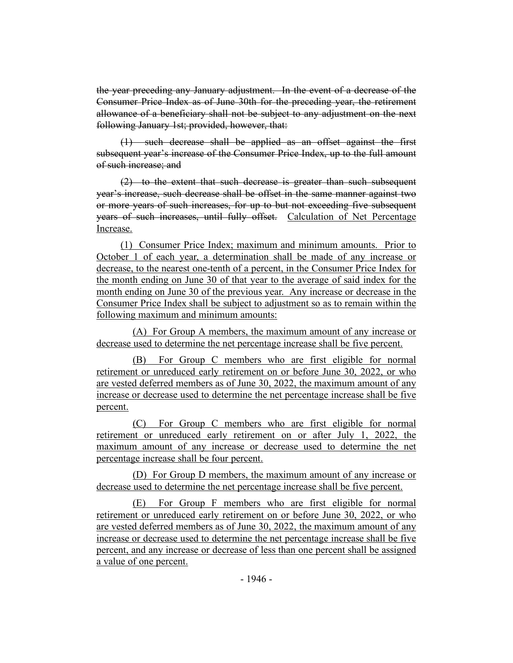the year preceding any January adjustment. In the event of a decrease of the Consumer Price Index as of June 30th for the preceding year, the retirement allowance of a beneficiary shall not be subject to any adjustment on the next following January 1st; provided, however, that:

(1) such decrease shall be applied as an offset against the first subsequent year's increase of the Consumer Price Index, up to the full amount of such increase; and

(2) to the extent that such decrease is greater than such subsequent year's increase, such decrease shall be offset in the same manner against two or more years of such increases, for up to but not exceeding five subsequent years of such increases, until fully offset. Calculation of Net Percentage Increase.

(1) Consumer Price Index; maximum and minimum amounts. Prior to October 1 of each year, a determination shall be made of any increase or decrease, to the nearest one-tenth of a percent, in the Consumer Price Index for the month ending on June 30 of that year to the average of said index for the month ending on June 30 of the previous year. Any increase or decrease in the Consumer Price Index shall be subject to adjustment so as to remain within the following maximum and minimum amounts:

(A) For Group A members, the maximum amount of any increase or decrease used to determine the net percentage increase shall be five percent.

(B) For Group C members who are first eligible for normal retirement or unreduced early retirement on or before June 30, 2022, or who are vested deferred members as of June 30, 2022, the maximum amount of any increase or decrease used to determine the net percentage increase shall be five percent.

(C) For Group C members who are first eligible for normal retirement or unreduced early retirement on or after July 1, 2022, the maximum amount of any increase or decrease used to determine the net percentage increase shall be four percent.

(D) For Group D members, the maximum amount of any increase or decrease used to determine the net percentage increase shall be five percent.

(E) For Group F members who are first eligible for normal retirement or unreduced early retirement on or before June 30, 2022, or who are vested deferred members as of June 30, 2022, the maximum amount of any increase or decrease used to determine the net percentage increase shall be five percent, and any increase or decrease of less than one percent shall be assigned a value of one percent.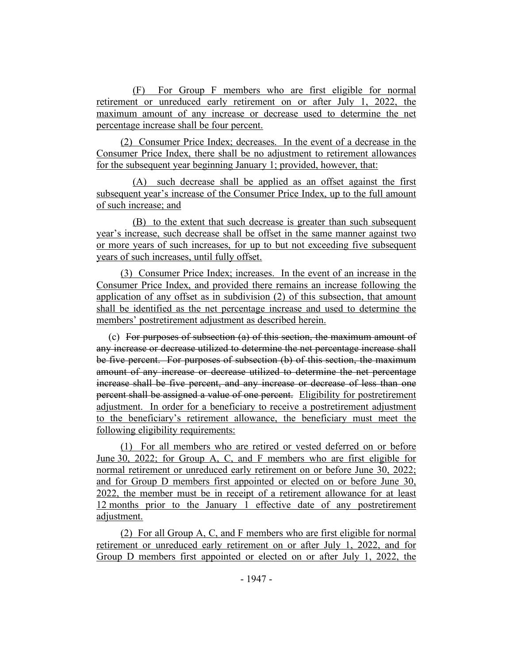(F) For Group F members who are first eligible for normal retirement or unreduced early retirement on or after July 1, 2022, the maximum amount of any increase or decrease used to determine the net percentage increase shall be four percent.

(2) Consumer Price Index; decreases. In the event of a decrease in the Consumer Price Index, there shall be no adjustment to retirement allowances for the subsequent year beginning January 1; provided, however, that:

(A) such decrease shall be applied as an offset against the first subsequent year's increase of the Consumer Price Index, up to the full amount of such increase; and

(B) to the extent that such decrease is greater than such subsequent year's increase, such decrease shall be offset in the same manner against two or more years of such increases, for up to but not exceeding five subsequent years of such increases, until fully offset.

(3) Consumer Price Index; increases. In the event of an increase in the Consumer Price Index, and provided there remains an increase following the application of any offset as in subdivision (2) of this subsection, that amount shall be identified as the net percentage increase and used to determine the members' postretirement adjustment as described herein.

(c) For purposes of subsection (a) of this section, the maximum amount of any increase or decrease utilized to determine the net percentage increase shall be five percent. For purposes of subsection (b) of this section, the maximum amount of any increase or decrease utilized to determine the net percentage increase shall be five percent, and any increase or decrease of less than one percent shall be assigned a value of one percent. Eligibility for postretirement adjustment. In order for a beneficiary to receive a postretirement adjustment to the beneficiary's retirement allowance, the beneficiary must meet the following eligibility requirements:

(1) For all members who are retired or vested deferred on or before June 30, 2022; for Group A, C, and F members who are first eligible for normal retirement or unreduced early retirement on or before June 30, 2022; and for Group D members first appointed or elected on or before June 30, 2022, the member must be in receipt of a retirement allowance for at least 12 months prior to the January 1 effective date of any postretirement adjustment.

(2) For all Group A, C, and F members who are first eligible for normal retirement or unreduced early retirement on or after July 1, 2022, and for Group D members first appointed or elected on or after July 1, 2022, the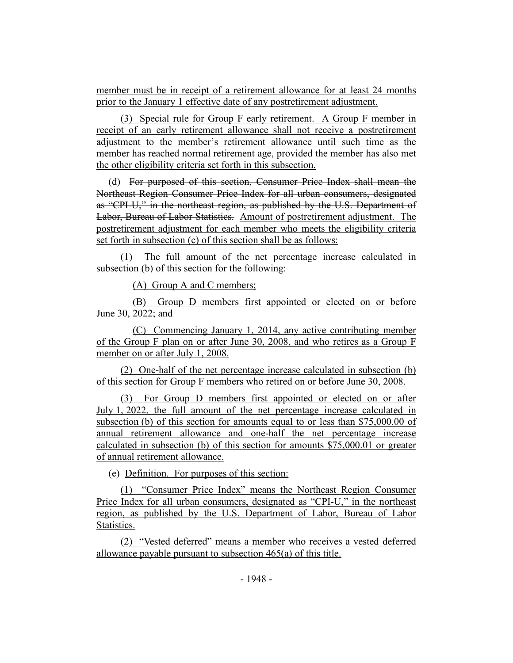member must be in receipt of a retirement allowance for at least 24 months prior to the January 1 effective date of any postretirement adjustment.

(3) Special rule for Group F early retirement. A Group F member in receipt of an early retirement allowance shall not receive a postretirement adjustment to the member's retirement allowance until such time as the member has reached normal retirement age, provided the member has also met the other eligibility criteria set forth in this subsection.

(d) For purposed of this section, Consumer Price Index shall mean the Northeast Region Consumer Price Index for all urban consumers, designated as "CPI-U," in the northeast region, as published by the U.S. Department of Labor, Bureau of Labor Statistics. Amount of postretirement adjustment. The postretirement adjustment for each member who meets the eligibility criteria set forth in subsection (c) of this section shall be as follows:

(1) The full amount of the net percentage increase calculated in subsection (b) of this section for the following:

(A) Group A and C members;

(B) Group D members first appointed or elected on or before June 30, 2022; and

(C) Commencing January 1, 2014, any active contributing member of the Group F plan on or after June 30, 2008, and who retires as a Group F member on or after July 1, 2008.

(2) One-half of the net percentage increase calculated in subsection (b) of this section for Group F members who retired on or before June 30, 2008.

(3) For Group D members first appointed or elected on or after July 1, 2022, the full amount of the net percentage increase calculated in subsection (b) of this section for amounts equal to or less than \$75,000.00 of annual retirement allowance and one-half the net percentage increase calculated in subsection (b) of this section for amounts \$75,000.01 or greater of annual retirement allowance.

(e) Definition. For purposes of this section:

(1) "Consumer Price Index" means the Northeast Region Consumer Price Index for all urban consumers, designated as "CPI-U," in the northeast region, as published by the U.S. Department of Labor, Bureau of Labor Statistics.

(2) "Vested deferred" means a member who receives a vested deferred allowance payable pursuant to subsection 465(a) of this title.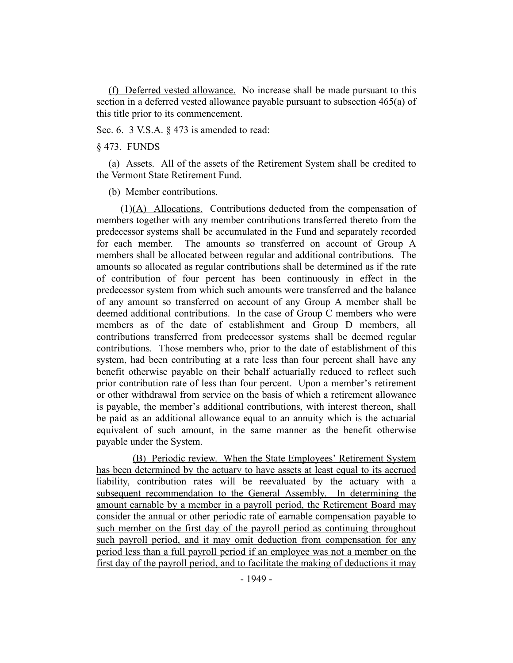(f) Deferred vested allowance. No increase shall be made pursuant to this section in a deferred vested allowance payable pursuant to subsection 465(a) of this title prior to its commencement.

Sec. 6. 3 V.S.A.  $\&$  473 is amended to read:

§ 473. FUNDS

(a) Assets. All of the assets of the Retirement System shall be credited to the Vermont State Retirement Fund.

(b) Member contributions.

(1)(A) Allocations. Contributions deducted from the compensation of members together with any member contributions transferred thereto from the predecessor systems shall be accumulated in the Fund and separately recorded for each member. The amounts so transferred on account of Group A members shall be allocated between regular and additional contributions. The amounts so allocated as regular contributions shall be determined as if the rate of contribution of four percent has been continuously in effect in the predecessor system from which such amounts were transferred and the balance of any amount so transferred on account of any Group A member shall be deemed additional contributions. In the case of Group C members who were members as of the date of establishment and Group D members, all contributions transferred from predecessor systems shall be deemed regular contributions. Those members who, prior to the date of establishment of this system, had been contributing at a rate less than four percent shall have any benefit otherwise payable on their behalf actuarially reduced to reflect such prior contribution rate of less than four percent. Upon a member's retirement or other withdrawal from service on the basis of which a retirement allowance is payable, the member's additional contributions, with interest thereon, shall be paid as an additional allowance equal to an annuity which is the actuarial equivalent of such amount, in the same manner as the benefit otherwise payable under the System.

(B) Periodic review. When the State Employees' Retirement System has been determined by the actuary to have assets at least equal to its accrued liability, contribution rates will be reevaluated by the actuary with a subsequent recommendation to the General Assembly. In determining the amount earnable by a member in a payroll period, the Retirement Board may consider the annual or other periodic rate of earnable compensation payable to such member on the first day of the payroll period as continuing throughout such payroll period, and it may omit deduction from compensation for any period less than a full payroll period if an employee was not a member on the first day of the payroll period, and to facilitate the making of deductions it may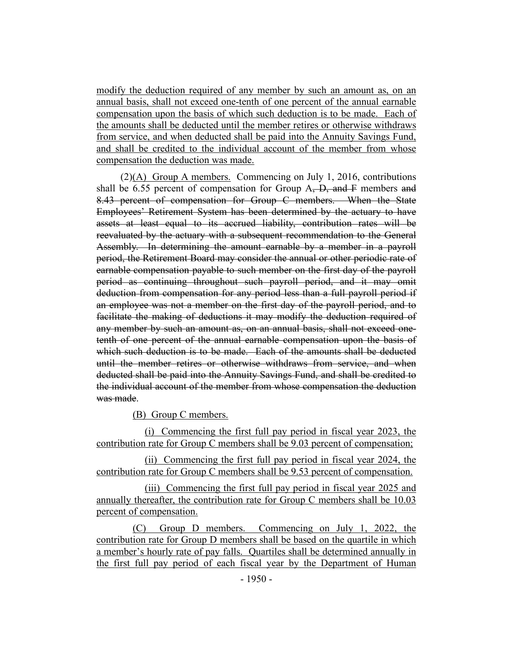modify the deduction required of any member by such an amount as, on an annual basis, shall not exceed one-tenth of one percent of the annual earnable compensation upon the basis of which such deduction is to be made. Each of the amounts shall be deducted until the member retires or otherwise withdraws from service, and when deducted shall be paid into the Annuity Savings Fund, and shall be credited to the individual account of the member from whose compensation the deduction was made.

(2)(A) Group A members. Commencing on July 1, 2016, contributions shall be 6.55 percent of compensation for Group  $A$ ,  $D$ , and  $F$  members and 8.43 percent of compensation for Group C members. When the State Employees' Retirement System has been determined by the actuary to have assets at least equal to its accrued liability, contribution rates will be reevaluated by the actuary with a subsequent recommendation to the General Assembly. In determining the amount earnable by a member in a payroll period, the Retirement Board may consider the annual or other periodic rate of earnable compensation payable to such member on the first day of the payroll period as continuing throughout such payroll period, and it may omit deduction from compensation for any period less than a full payroll period if an employee was not a member on the first day of the payroll period, and to facilitate the making of deductions it may modify the deduction required of any member by such an amount as, on an annual basis, shall not exceed onetenth of one percent of the annual earnable compensation upon the basis of which such deduction is to be made. Each of the amounts shall be deducted until the member retires or otherwise withdraws from service, and when deducted shall be paid into the Annuity Savings Fund, and shall be credited to the individual account of the member from whose compensation the deduction was made.

(B) Group C members.

(i) Commencing the first full pay period in fiscal year 2023, the contribution rate for Group C members shall be 9.03 percent of compensation;

(ii) Commencing the first full pay period in fiscal year 2024, the contribution rate for Group C members shall be 9.53 percent of compensation.

(iii) Commencing the first full pay period in fiscal year 2025 and annually thereafter, the contribution rate for Group C members shall be 10.03 percent of compensation.

(C) Group D members. Commencing on July 1, 2022, the contribution rate for Group D members shall be based on the quartile in which a member's hourly rate of pay falls. Quartiles shall be determined annually in the first full pay period of each fiscal year by the Department of Human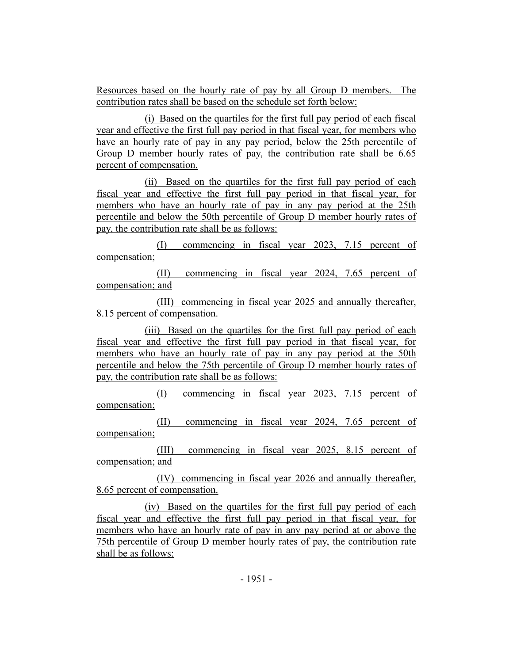Resources based on the hourly rate of pay by all Group D members. The contribution rates shall be based on the schedule set forth below:

(i) Based on the quartiles for the first full pay period of each fiscal year and effective the first full pay period in that fiscal year, for members who have an hourly rate of pay in any pay period, below the 25th percentile of Group D member hourly rates of pay, the contribution rate shall be 6.65 percent of compensation.

(ii) Based on the quartiles for the first full pay period of each fiscal year and effective the first full pay period in that fiscal year, for members who have an hourly rate of pay in any pay period at the 25th percentile and below the 50th percentile of Group D member hourly rates of pay, the contribution rate shall be as follows:

(I) commencing in fiscal year 2023, 7.15 percent of compensation;

(II) commencing in fiscal year 2024, 7.65 percent of compensation; and

(III) commencing in fiscal year 2025 and annually thereafter, 8.15 percent of compensation.

(iii) Based on the quartiles for the first full pay period of each fiscal year and effective the first full pay period in that fiscal year, for members who have an hourly rate of pay in any pay period at the 50th percentile and below the 75th percentile of Group D member hourly rates of pay, the contribution rate shall be as follows:

(I) commencing in fiscal year 2023, 7.15 percent of compensation;

(II) commencing in fiscal year 2024, 7.65 percent of compensation;

(III) commencing in fiscal year 2025, 8.15 percent of compensation; and

(IV) commencing in fiscal year 2026 and annually thereafter, 8.65 percent of compensation.

(iv) Based on the quartiles for the first full pay period of each fiscal year and effective the first full pay period in that fiscal year, for members who have an hourly rate of pay in any pay period at or above the 75th percentile of Group D member hourly rates of pay, the contribution rate shall be as follows: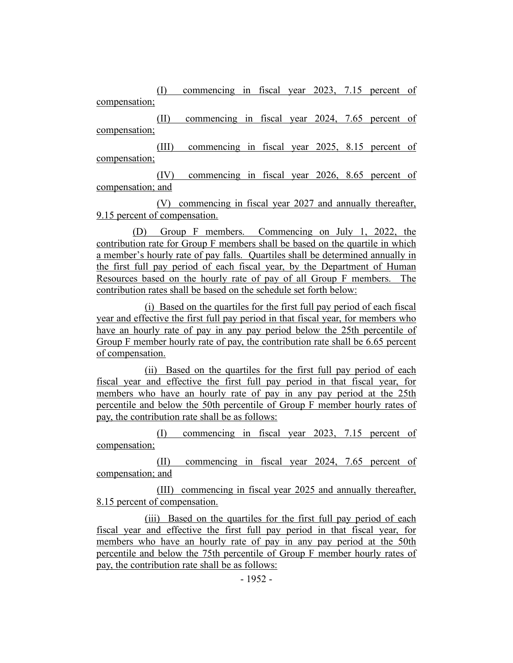(I) commencing in fiscal year 2023, 7.15 percent of compensation;

(II) commencing in fiscal year 2024, 7.65 percent of compensation;

(III) commencing in fiscal year 2025, 8.15 percent of compensation;

(IV) commencing in fiscal year 2026, 8.65 percent of compensation; and

(V) commencing in fiscal year 2027 and annually thereafter, 9.15 percent of compensation.

(D) Group F members. Commencing on July 1, 2022, the contribution rate for Group F members shall be based on the quartile in which a member's hourly rate of pay falls. Quartiles shall be determined annually in the first full pay period of each fiscal year, by the Department of Human Resources based on the hourly rate of pay of all Group F members. The contribution rates shall be based on the schedule set forth below:

(i) Based on the quartiles for the first full pay period of each fiscal year and effective the first full pay period in that fiscal year, for members who have an hourly rate of pay in any pay period below the 25th percentile of Group F member hourly rate of pay, the contribution rate shall be 6.65 percent of compensation.

(ii) Based on the quartiles for the first full pay period of each fiscal year and effective the first full pay period in that fiscal year, for members who have an hourly rate of pay in any pay period at the 25th percentile and below the 50th percentile of Group F member hourly rates of pay, the contribution rate shall be as follows:

(I) commencing in fiscal year 2023, 7.15 percent of compensation;

(II) commencing in fiscal year 2024, 7.65 percent of compensation; and

(III) commencing in fiscal year 2025 and annually thereafter, 8.15 percent of compensation.

(iii) Based on the quartiles for the first full pay period of each fiscal year and effective the first full pay period in that fiscal year, for members who have an hourly rate of pay in any pay period at the 50th percentile and below the 75th percentile of Group F member hourly rates of pay, the contribution rate shall be as follows: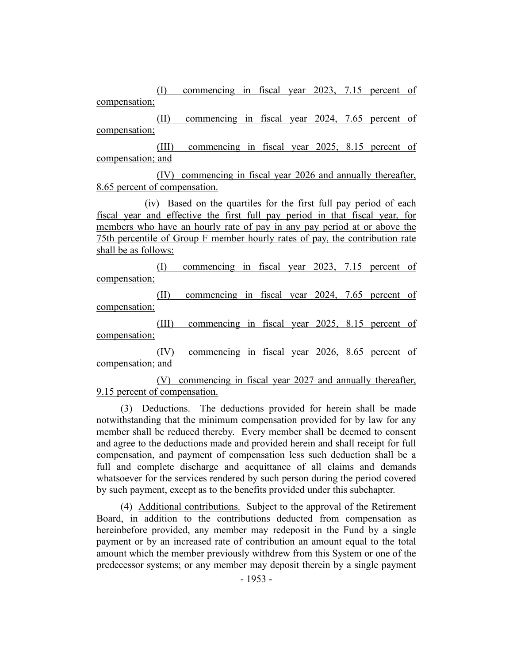(I) commencing in fiscal year 2023, 7.15 percent of compensation;

(II) commencing in fiscal year 2024, 7.65 percent of compensation;

(III) commencing in fiscal year 2025, 8.15 percent of compensation; and

(IV) commencing in fiscal year 2026 and annually thereafter, 8.65 percent of compensation.

(iv) Based on the quartiles for the first full pay period of each fiscal year and effective the first full pay period in that fiscal year, for members who have an hourly rate of pay in any pay period at or above the 75th percentile of Group F member hourly rates of pay, the contribution rate shall be as follows:

(I) commencing in fiscal year 2023, 7.15 percent of compensation;

(II) commencing in fiscal year 2024, 7.65 percent of compensation;

(III) commencing in fiscal year 2025, 8.15 percent of compensation;

(IV) commencing in fiscal year 2026, 8.65 percent of compensation; and

(V) commencing in fiscal year 2027 and annually thereafter, 9.15 percent of compensation.

(3) Deductions. The deductions provided for herein shall be made notwithstanding that the minimum compensation provided for by law for any member shall be reduced thereby. Every member shall be deemed to consent and agree to the deductions made and provided herein and shall receipt for full compensation, and payment of compensation less such deduction shall be a full and complete discharge and acquittance of all claims and demands whatsoever for the services rendered by such person during the period covered by such payment, except as to the benefits provided under this subchapter.

(4) Additional contributions. Subject to the approval of the Retirement Board, in addition to the contributions deducted from compensation as hereinbefore provided, any member may redeposit in the Fund by a single payment or by an increased rate of contribution an amount equal to the total amount which the member previously withdrew from this System or one of the predecessor systems; or any member may deposit therein by a single payment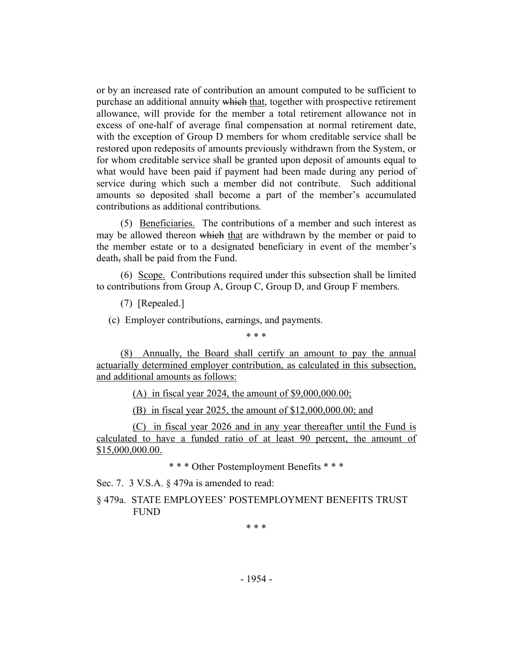or by an increased rate of contribution an amount computed to be sufficient to purchase an additional annuity which that, together with prospective retirement allowance, will provide for the member a total retirement allowance not in excess of one-half of average final compensation at normal retirement date, with the exception of Group D members for whom creditable service shall be restored upon redeposits of amounts previously withdrawn from the System, or for whom creditable service shall be granted upon deposit of amounts equal to what would have been paid if payment had been made during any period of service during which such a member did not contribute. Such additional amounts so deposited shall become a part of the member's accumulated contributions as additional contributions.

(5) Beneficiaries. The contributions of a member and such interest as may be allowed thereon which that are withdrawn by the member or paid to the member estate or to a designated beneficiary in event of the member's death, shall be paid from the Fund.

(6) Scope. Contributions required under this subsection shall be limited to contributions from Group A, Group C, Group D, and Group F members.

(7) [Repealed.]

(c) Employer contributions, earnings, and payments.

\* \* \*

(8) Annually, the Board shall certify an amount to pay the annual actuarially determined employer contribution, as calculated in this subsection, and additional amounts as follows:

(A) in fiscal year 2024, the amount of \$9,000,000.00;

(B) in fiscal year 2025, the amount of \$12,000,000.00; and

(C) in fiscal year 2026 and in any year thereafter until the Fund is calculated to have a funded ratio of at least 90 percent, the amount of \$15,000,000.00.

\* \* \* Other Postemployment Benefits \* \* \*

Sec. 7. 3 V.S.A. § 479a is amended to read:

§ 479a. STATE EMPLOYEES' POSTEMPLOYMENT BENEFITS TRUST FUND

\* \* \*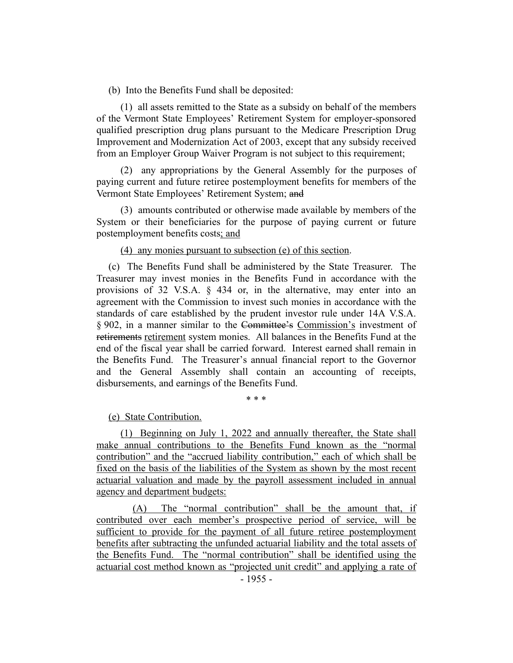(b) Into the Benefits Fund shall be deposited:

(1) all assets remitted to the State as a subsidy on behalf of the members of the Vermont State Employees' Retirement System for employer-sponsored qualified prescription drug plans pursuant to the Medicare Prescription Drug Improvement and Modernization Act of 2003, except that any subsidy received from an Employer Group Waiver Program is not subject to this requirement;

(2) any appropriations by the General Assembly for the purposes of paying current and future retiree postemployment benefits for members of the Vermont State Employees' Retirement System; and

(3) amounts contributed or otherwise made available by members of the System or their beneficiaries for the purpose of paying current or future postemployment benefits costs; and

(4) any monies pursuant to subsection (e) of this section.

(c) The Benefits Fund shall be administered by the State Treasurer. The Treasurer may invest monies in the Benefits Fund in accordance with the provisions of 32 V.S.A. § 434 or, in the alternative, may enter into an agreement with the Commission to invest such monies in accordance with the standards of care established by the prudent investor rule under 14A V.S.A. § 902, in a manner similar to the Committee's Commission's investment of retirements retirement system monies. All balances in the Benefits Fund at the end of the fiscal year shall be carried forward. Interest earned shall remain in the Benefits Fund. The Treasurer's annual financial report to the Governor and the General Assembly shall contain an accounting of receipts, disbursements, and earnings of the Benefits Fund.

\* \* \*

(e) State Contribution.

(1) Beginning on July 1, 2022 and annually thereafter, the State shall make annual contributions to the Benefits Fund known as the "normal contribution" and the "accrued liability contribution," each of which shall be fixed on the basis of the liabilities of the System as shown by the most recent actuarial valuation and made by the payroll assessment included in annual agency and department budgets:

(A) The "normal contribution" shall be the amount that, if contributed over each member's prospective period of service, will be sufficient to provide for the payment of all future retiree postemployment benefits after subtracting the unfunded actuarial liability and the total assets of the Benefits Fund. The "normal contribution" shall be identified using the actuarial cost method known as "projected unit credit" and applying a rate of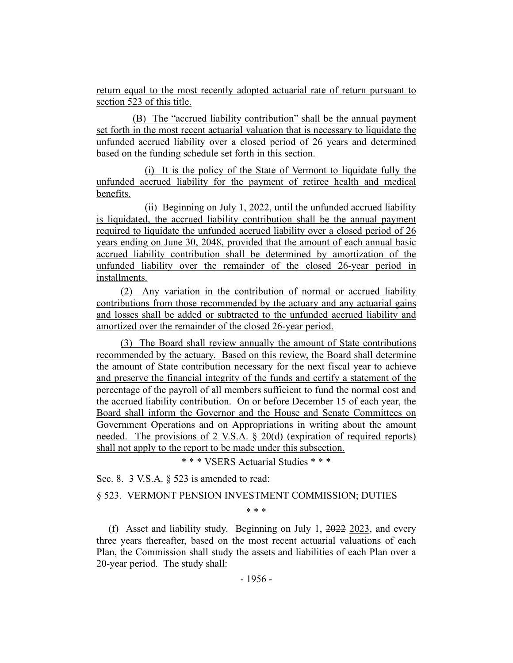return equal to the most recently adopted actuarial rate of return pursuant to section 523 of this title.

(B) The "accrued liability contribution" shall be the annual payment set forth in the most recent actuarial valuation that is necessary to liquidate the unfunded accrued liability over a closed period of 26 years and determined based on the funding schedule set forth in this section.

(i) It is the policy of the State of Vermont to liquidate fully the unfunded accrued liability for the payment of retiree health and medical benefits.

(ii) Beginning on July 1, 2022, until the unfunded accrued liability is liquidated, the accrued liability contribution shall be the annual payment required to liquidate the unfunded accrued liability over a closed period of 26 years ending on June 30, 2048, provided that the amount of each annual basic accrued liability contribution shall be determined by amortization of the unfunded liability over the remainder of the closed 26-year period in installments.

(2) Any variation in the contribution of normal or accrued liability contributions from those recommended by the actuary and any actuarial gains and losses shall be added or subtracted to the unfunded accrued liability and amortized over the remainder of the closed 26-year period.

(3) The Board shall review annually the amount of State contributions recommended by the actuary. Based on this review, the Board shall determine the amount of State contribution necessary for the next fiscal year to achieve and preserve the financial integrity of the funds and certify a statement of the percentage of the payroll of all members sufficient to fund the normal cost and the accrued liability contribution. On or before December 15 of each year, the Board shall inform the Governor and the House and Senate Committees on Government Operations and on Appropriations in writing about the amount needed. The provisions of 2 V.S.A. § 20(d) (expiration of required reports) shall not apply to the report to be made under this subsection.

\* \* \* VSERS Actuarial Studies \* \* \*

Sec. 8. 3 V.S.A. § 523 is amended to read:

§ 523. VERMONT PENSION INVESTMENT COMMISSION; DUTIES

\* \* \*

(f) Asset and liability study. Beginning on July 1, 2022 2023, and every three years thereafter, based on the most recent actuarial valuations of each Plan, the Commission shall study the assets and liabilities of each Plan over a 20-year period. The study shall: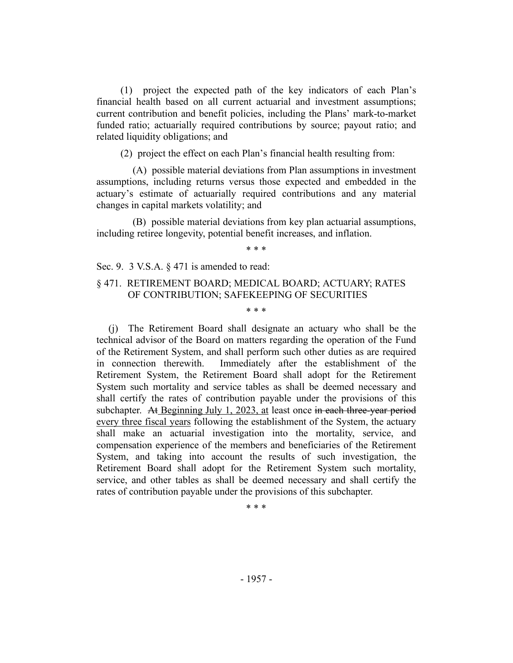(1) project the expected path of the key indicators of each Plan's financial health based on all current actuarial and investment assumptions; current contribution and benefit policies, including the Plans' mark-to-market funded ratio; actuarially required contributions by source; payout ratio; and related liquidity obligations; and

(2) project the effect on each Plan's financial health resulting from:

(A) possible material deviations from Plan assumptions in investment assumptions, including returns versus those expected and embedded in the actuary's estimate of actuarially required contributions and any material changes in capital markets volatility; and

(B) possible material deviations from key plan actuarial assumptions, including retiree longevity, potential benefit increases, and inflation.

\* \* \*

Sec. 9. 3 V.S.A. § 471 is amended to read:

## § 471. RETIREMENT BOARD; MEDICAL BOARD; ACTUARY; RATES OF CONTRIBUTION; SAFEKEEPING OF SECURITIES

\* \* \*

(j) The Retirement Board shall designate an actuary who shall be the technical advisor of the Board on matters regarding the operation of the Fund of the Retirement System, and shall perform such other duties as are required in connection therewith. Immediately after the establishment of the Retirement System, the Retirement Board shall adopt for the Retirement System such mortality and service tables as shall be deemed necessary and shall certify the rates of contribution payable under the provisions of this subchapter. At Beginning July 1, 2023, at least once in each three-year period every three fiscal years following the establishment of the System, the actuary shall make an actuarial investigation into the mortality, service, and compensation experience of the members and beneficiaries of the Retirement System, and taking into account the results of such investigation, the Retirement Board shall adopt for the Retirement System such mortality, service, and other tables as shall be deemed necessary and shall certify the rates of contribution payable under the provisions of this subchapter.

\* \* \*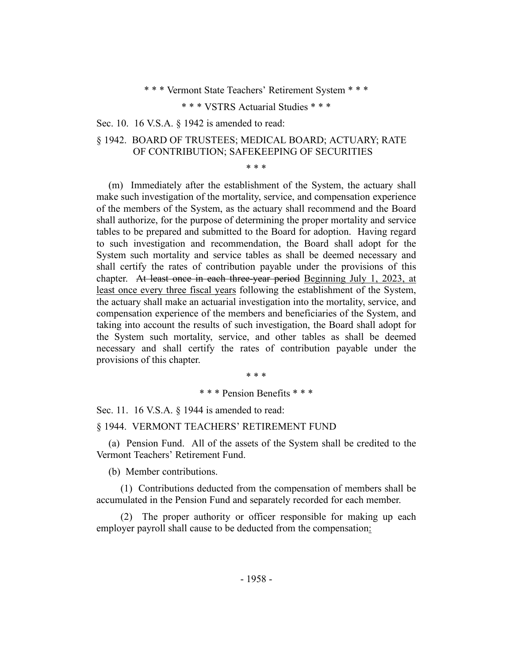\* \* \* Vermont State Teachers' Retirement System \* \* \*

\* \* \* VSTRS Actuarial Studies \* \* \*

Sec. 10. 16 V.S.A. § 1942 is amended to read:

# § 1942. BOARD OF TRUSTEES; MEDICAL BOARD; ACTUARY; RATE OF CONTRIBUTION; SAFEKEEPING OF SECURITIES

\* \* \*

(m) Immediately after the establishment of the System, the actuary shall make such investigation of the mortality, service, and compensation experience of the members of the System, as the actuary shall recommend and the Board shall authorize, for the purpose of determining the proper mortality and service tables to be prepared and submitted to the Board for adoption. Having regard to such investigation and recommendation, the Board shall adopt for the System such mortality and service tables as shall be deemed necessary and shall certify the rates of contribution payable under the provisions of this chapter. At least once in each three-year period Beginning July 1, 2023, at least once every three fiscal years following the establishment of the System, the actuary shall make an actuarial investigation into the mortality, service, and compensation experience of the members and beneficiaries of the System, and taking into account the results of such investigation, the Board shall adopt for the System such mortality, service, and other tables as shall be deemed necessary and shall certify the rates of contribution payable under the provisions of this chapter.

\* \* \*

# \* \* \* Pension Benefits \* \* \*

Sec. 11. 16 V.S.A. § 1944 is amended to read:

#### § 1944. VERMONT TEACHERS' RETIREMENT FUND

(a) Pension Fund. All of the assets of the System shall be credited to the Vermont Teachers' Retirement Fund.

(b) Member contributions.

(1) Contributions deducted from the compensation of members shall be accumulated in the Pension Fund and separately recorded for each member.

(2) The proper authority or officer responsible for making up each employer payroll shall cause to be deducted from the compensation: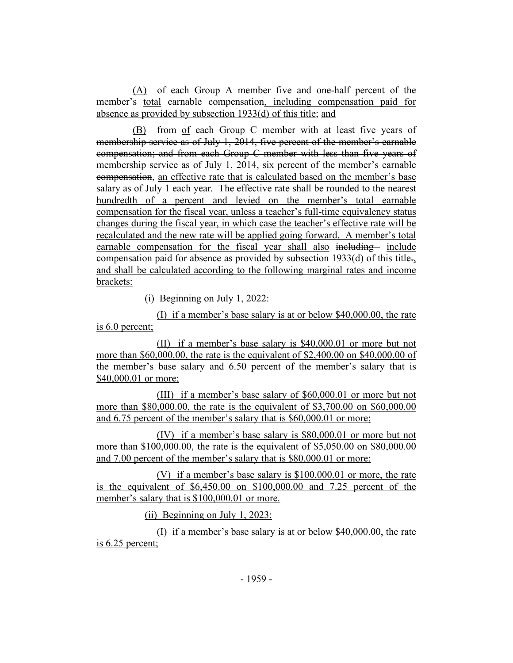(A) of each Group A member five and one-half percent of the member's total earnable compensation, including compensation paid for absence as provided by subsection 1933(d) of this title; and

(B) from of each Group C member with at least five years of membership service as of July 1, 2014, five percent of the member's earnable compensation; and from each Group C member with less than five years of membership service as of July 1, 2014, six percent of the member's earnable compensation, an effective rate that is calculated based on the member's base salary as of July 1 each year. The effective rate shall be rounded to the nearest hundredth of a percent and levied on the member's total earnable compensation for the fiscal year, unless a teacher's full-time equivalency status changes during the fiscal year, in which case the teacher's effective rate will be recalculated and the new rate will be applied going forward. A member's total earnable compensation for the fiscal year shall also including include compensation paid for absence as provided by subsection 1933(d) of this title., and shall be calculated according to the following marginal rates and income brackets:

(i) Beginning on July 1, 2022:

(I) if a member's base salary is at or below \$40,000.00, the rate is 6.0 percent;

(II) if a member's base salary is \$40,000.01 or more but not more than \$60,000.00, the rate is the equivalent of \$2,400.00 on \$40,000.00 of the member's base salary and 6.50 percent of the member's salary that is \$40,000.01 or more;

(III) if a member's base salary of \$60,000.01 or more but not more than \$80,000.00, the rate is the equivalent of \$3,700.00 on \$60,000.00 and 6.75 percent of the member's salary that is \$60,000.01 or more;

(IV) if a member's base salary is \$80,000.01 or more but not more than \$100,000.00, the rate is the equivalent of \$5,050.00 on \$80,000.00 and 7.00 percent of the member's salary that is \$80,000.01 or more;

(V) if a member's base salary is \$100,000.01 or more, the rate is the equivalent of \$6,450.00 on \$100,000.00 and 7.25 percent of the member's salary that is \$100,000.01 or more.

(ii) Beginning on July 1, 2023:

(I) if a member's base salary is at or below \$40,000.00, the rate is 6.25 percent;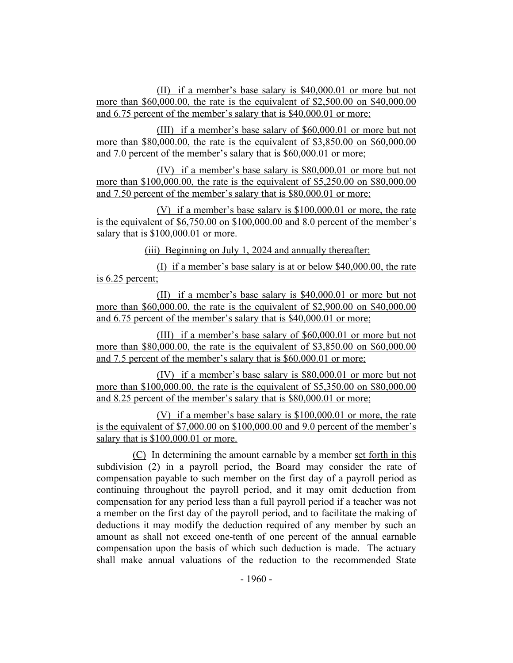(II) if a member's base salary is \$40,000.01 or more but not more than \$60,000.00, the rate is the equivalent of \$2,500.00 on \$40,000.00 and 6.75 percent of the member's salary that is \$40,000.01 or more;

(III) if a member's base salary of \$60,000.01 or more but not more than \$80,000.00, the rate is the equivalent of \$3,850.00 on \$60,000.00 and 7.0 percent of the member's salary that is \$60,000.01 or more;

(IV) if a member's base salary is \$80,000.01 or more but not more than \$100,000.00, the rate is the equivalent of \$5,250.00 on \$80,000.00 and 7.50 percent of the member's salary that is \$80,000.01 or more;

(V) if a member's base salary is \$100,000.01 or more, the rate is the equivalent of \$6,750.00 on \$100,000.00 and 8.0 percent of the member's salary that is  $$100,000.01$  or more.

(iii) Beginning on July 1, 2024 and annually thereafter:

(I) if a member's base salary is at or below \$40,000.00, the rate is 6.25 percent;

(II) if a member's base salary is \$40,000.01 or more but not more than \$60,000.00, the rate is the equivalent of \$2,900.00 on \$40,000.00 and 6.75 percent of the member's salary that is \$40,000.01 or more;

(III) if a member's base salary of \$60,000.01 or more but not more than \$80,000.00, the rate is the equivalent of \$3,850.00 on \$60,000.00 and 7.5 percent of the member's salary that is \$60,000.01 or more;

(IV) if a member's base salary is \$80,000.01 or more but not more than \$100,000.00, the rate is the equivalent of \$5,350.00 on \$80,000.00 and 8.25 percent of the member's salary that is \$80,000.01 or more;

(V) if a member's base salary is \$100,000.01 or more, the rate is the equivalent of \$7,000.00 on \$100,000.00 and 9.0 percent of the member's salary that is  $$100,000.01$  or more.

(C) In determining the amount earnable by a member set forth in this subdivision (2) in a payroll period, the Board may consider the rate of compensation payable to such member on the first day of a payroll period as continuing throughout the payroll period, and it may omit deduction from compensation for any period less than a full payroll period if a teacher was not a member on the first day of the payroll period, and to facilitate the making of deductions it may modify the deduction required of any member by such an amount as shall not exceed one-tenth of one percent of the annual earnable compensation upon the basis of which such deduction is made. The actuary shall make annual valuations of the reduction to the recommended State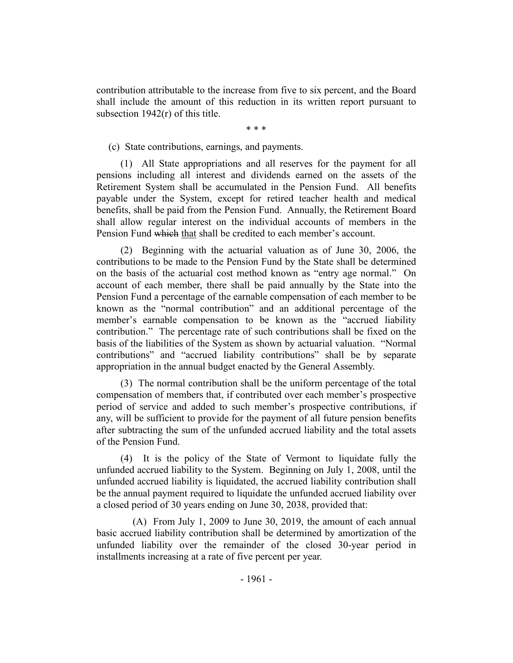contribution attributable to the increase from five to six percent, and the Board shall include the amount of this reduction in its written report pursuant to subsection 1942(r) of this title.

\* \* \*

(c) State contributions, earnings, and payments.

(1) All State appropriations and all reserves for the payment for all pensions including all interest and dividends earned on the assets of the Retirement System shall be accumulated in the Pension Fund. All benefits payable under the System, except for retired teacher health and medical benefits, shall be paid from the Pension Fund. Annually, the Retirement Board shall allow regular interest on the individual accounts of members in the Pension Fund which that shall be credited to each member's account.

(2) Beginning with the actuarial valuation as of June 30, 2006, the contributions to be made to the Pension Fund by the State shall be determined on the basis of the actuarial cost method known as "entry age normal." On account of each member, there shall be paid annually by the State into the Pension Fund a percentage of the earnable compensation of each member to be known as the "normal contribution" and an additional percentage of the member's earnable compensation to be known as the "accrued liability contribution." The percentage rate of such contributions shall be fixed on the basis of the liabilities of the System as shown by actuarial valuation. "Normal contributions" and "accrued liability contributions" shall be by separate appropriation in the annual budget enacted by the General Assembly.

(3) The normal contribution shall be the uniform percentage of the total compensation of members that, if contributed over each member's prospective period of service and added to such member's prospective contributions, if any, will be sufficient to provide for the payment of all future pension benefits after subtracting the sum of the unfunded accrued liability and the total assets of the Pension Fund.

(4) It is the policy of the State of Vermont to liquidate fully the unfunded accrued liability to the System. Beginning on July 1, 2008, until the unfunded accrued liability is liquidated, the accrued liability contribution shall be the annual payment required to liquidate the unfunded accrued liability over a closed period of 30 years ending on June 30, 2038, provided that:

(A) From July 1, 2009 to June 30, 2019, the amount of each annual basic accrued liability contribution shall be determined by amortization of the unfunded liability over the remainder of the closed 30-year period in installments increasing at a rate of five percent per year.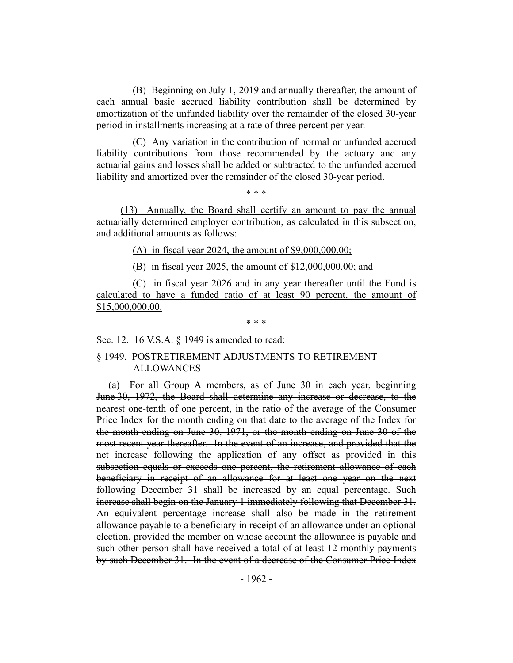(B) Beginning on July 1, 2019 and annually thereafter, the amount of each annual basic accrued liability contribution shall be determined by amortization of the unfunded liability over the remainder of the closed 30-year period in installments increasing at a rate of three percent per year.

(C) Any variation in the contribution of normal or unfunded accrued liability contributions from those recommended by the actuary and any actuarial gains and losses shall be added or subtracted to the unfunded accrued liability and amortized over the remainder of the closed 30-year period.

\* \* \*

(13) Annually, the Board shall certify an amount to pay the annual actuarially determined employer contribution, as calculated in this subsection, and additional amounts as follows:

(A) in fiscal year 2024, the amount of  $$9,000,000.00;$ 

(B) in fiscal year 2025, the amount of \$12,000,000.00; and

(C) in fiscal year 2026 and in any year thereafter until the Fund is calculated to have a funded ratio of at least 90 percent, the amount of \$15,000,000.00.

\* \* \*

#### Sec. 12. 16 V.S.A. § 1949 is amended to read:

#### § 1949. POSTRETIREMENT ADJUSTMENTS TO RETIREMENT ALLOWANCES

(a) For all Group A members, as of June 30 in each year, beginning June 30, 1972, the Board shall determine any increase or decrease, to the nearest one-tenth of one percent, in the ratio of the average of the Consumer Price Index for the month ending on that date to the average of the Index for the month ending on June 30, 1971, or the month ending on June 30 of the most recent year thereafter. In the event of an increase, and provided that the net increase following the application of any offset as provided in this subsection equals or exceeds one percent, the retirement allowance of each beneficiary in receipt of an allowance for at least one year on the next following December 31 shall be increased by an equal percentage. Such increase shall begin on the January 1 immediately following that December 31. An equivalent percentage increase shall also be made in the retirement allowance payable to a beneficiary in receipt of an allowance under an optional election, provided the member on whose account the allowance is payable and such other person shall have received a total of at least 12 monthly payments by such December 31. In the event of a decrease of the Consumer Price Index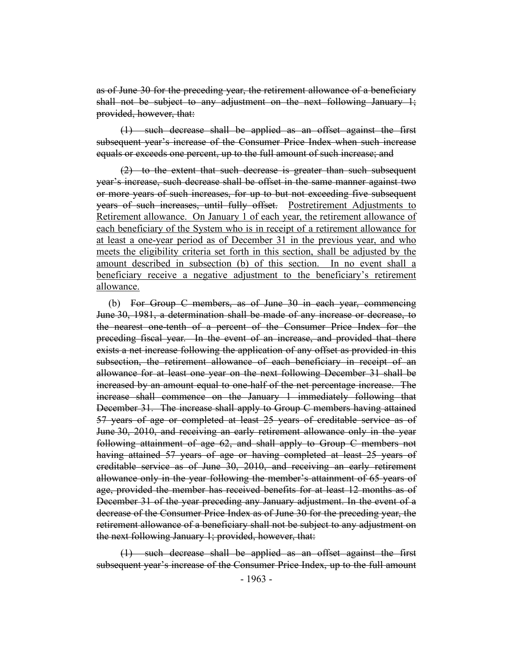as of June 30 for the preceding year, the retirement allowance of a beneficiary shall not be subject to any adjustment on the next following January 1; provided, however, that:

(1) such decrease shall be applied as an offset against the first subsequent year's increase of the Consumer Price Index when such increase equals or exceeds one percent, up to the full amount of such increase; and

(2) to the extent that such decrease is greater than such subsequent year's increase, such decrease shall be offset in the same manner against two or more years of such increases, for up to but not exceeding five subsequent years of such increases, until fully offset. Postretirement Adjustments to Retirement allowance. On January 1 of each year, the retirement allowance of each beneficiary of the System who is in receipt of a retirement allowance for at least a one-year period as of December 31 in the previous year, and who meets the eligibility criteria set forth in this section, shall be adjusted by the amount described in subsection (b) of this section. In no event shall a beneficiary receive a negative adjustment to the beneficiary's retirement allowance.

(b) For Group C members, as of June 30 in each year, commencing June 30, 1981, a determination shall be made of any increase or decrease, to the nearest one-tenth of a percent of the Consumer Price Index for the preceding fiscal year. In the event of an increase, and provided that there exists a net increase following the application of any offset as provided in this subsection, the retirement allowance of each beneficiary in receipt of an allowance for at least one year on the next following December 31 shall be increased by an amount equal to one-half of the net percentage increase. The increase shall commence on the January 1 immediately following that December 31. The increase shall apply to Group C members having attained 57 years of age or completed at least 25 years of creditable service as of June 30, 2010, and receiving an early retirement allowance only in the year following attainment of age 62, and shall apply to Group C members not having attained 57 years of age or having completed at least 25 years of creditable service as of June 30, 2010, and receiving an early retirement allowance only in the year following the member's attainment of 65 years of age, provided the member has received benefits for at least 12 months as of December 31 of the year preceding any January adjustment. In the event of a decrease of the Consumer Price Index as of June 30 for the preceding year, the retirement allowance of a beneficiary shall not be subject to any adjustment on the next following January 1; provided, however, that:

(1) such decrease shall be applied as an offset against the first subsequent year's increase of the Consumer Price Index, up to the full amount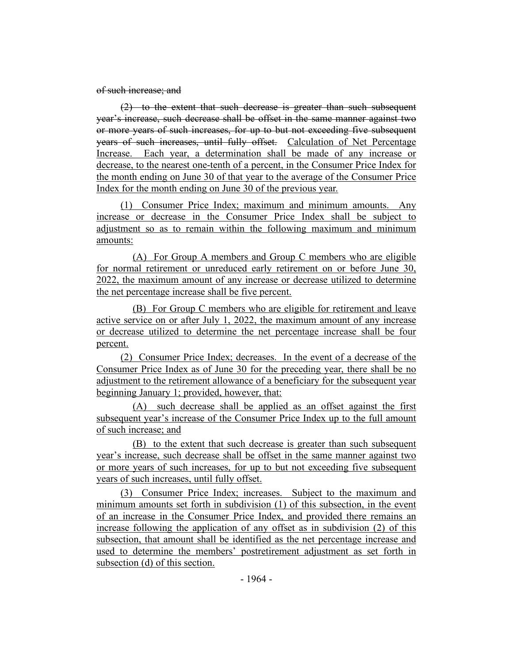of such increase; and

(2) to the extent that such decrease is greater than such subsequent year's increase, such decrease shall be offset in the same manner against two or more years of such increases, for up to but not exceeding five subsequent years of such increases, until fully offset. Calculation of Net Percentage Increase. Each year, a determination shall be made of any increase or decrease, to the nearest one-tenth of a percent, in the Consumer Price Index for the month ending on June 30 of that year to the average of the Consumer Price Index for the month ending on June 30 of the previous year.

(1) Consumer Price Index; maximum and minimum amounts. Any increase or decrease in the Consumer Price Index shall be subject to adjustment so as to remain within the following maximum and minimum amounts:

(A) For Group A members and Group C members who are eligible for normal retirement or unreduced early retirement on or before June 30, 2022, the maximum amount of any increase or decrease utilized to determine the net percentage increase shall be five percent.

(B) For Group C members who are eligible for retirement and leave active service on or after July 1, 2022, the maximum amount of any increase or decrease utilized to determine the net percentage increase shall be four percent.

(2) Consumer Price Index; decreases. In the event of a decrease of the Consumer Price Index as of June 30 for the preceding year, there shall be no adjustment to the retirement allowance of a beneficiary for the subsequent year beginning January 1; provided, however, that:

(A) such decrease shall be applied as an offset against the first subsequent year's increase of the Consumer Price Index up to the full amount of such increase; and

(B) to the extent that such decrease is greater than such subsequent year's increase, such decrease shall be offset in the same manner against two or more years of such increases, for up to but not exceeding five subsequent years of such increases, until fully offset.

(3) Consumer Price Index; increases. Subject to the maximum and minimum amounts set forth in subdivision (1) of this subsection, in the event of an increase in the Consumer Price Index, and provided there remains an increase following the application of any offset as in subdivision (2) of this subsection, that amount shall be identified as the net percentage increase and used to determine the members' postretirement adjustment as set forth in subsection (d) of this section.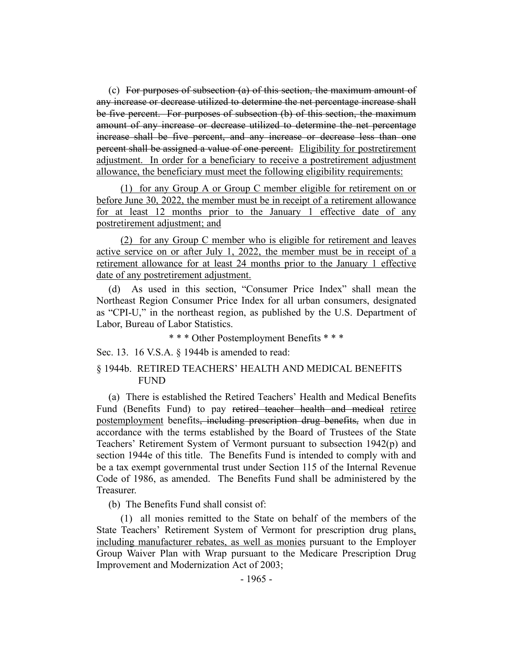(c) For purposes of subsection (a) of this section, the maximum amount of any increase or decrease utilized to determine the net percentage increase shall be five percent. For purposes of subsection (b) of this section, the maximum amount of any increase or decrease utilized to determine the net percentage increase shall be five percent, and any increase or decrease less than one percent shall be assigned a value of one percent. Eligibility for postretirement adjustment. In order for a beneficiary to receive a postretirement adjustment allowance, the beneficiary must meet the following eligibility requirements:

(1) for any Group A or Group C member eligible for retirement on or before June 30, 2022, the member must be in receipt of a retirement allowance for at least 12 months prior to the January 1 effective date of any postretirement adjustment; and

(2) for any Group C member who is eligible for retirement and leaves active service on or after July 1, 2022, the member must be in receipt of a retirement allowance for at least 24 months prior to the January 1 effective date of any postretirement adjustment.

(d) As used in this section, "Consumer Price Index" shall mean the Northeast Region Consumer Price Index for all urban consumers, designated as "CPI-U," in the northeast region, as published by the U.S. Department of Labor, Bureau of Labor Statistics.

\* \* \* Other Postemployment Benefits \* \* \*

Sec. 13. 16 V.S.A. § 1944b is amended to read:

#### § 1944b. RETIRED TEACHERS' HEALTH AND MEDICAL BENEFITS FUND

(a) There is established the Retired Teachers' Health and Medical Benefits Fund (Benefits Fund) to pay retired teacher health and medical retiree postemployment benefits, including prescription drug benefits, when due in accordance with the terms established by the Board of Trustees of the State Teachers' Retirement System of Vermont pursuant to subsection 1942(p) and section 1944e of this title. The Benefits Fund is intended to comply with and be a tax exempt governmental trust under Section 115 of the Internal Revenue Code of 1986, as amended. The Benefits Fund shall be administered by the Treasurer.

(b) The Benefits Fund shall consist of:

(1) all monies remitted to the State on behalf of the members of the State Teachers' Retirement System of Vermont for prescription drug plans, including manufacturer rebates, as well as monies pursuant to the Employer Group Waiver Plan with Wrap pursuant to the Medicare Prescription Drug Improvement and Modernization Act of 2003;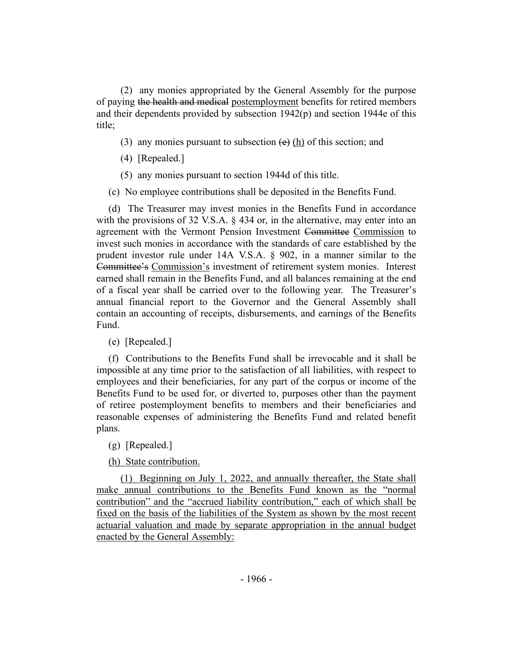(2) any monies appropriated by the General Assembly for the purpose of paying the health and medical postemployment benefits for retired members and their dependents provided by subsection 1942(p) and section 1944e of this title;

- (3) any monies pursuant to subsection  $(e)$  (h) of this section; and
- (4) [Repealed.]
- (5) any monies pursuant to section 1944d of this title.
- (c) No employee contributions shall be deposited in the Benefits Fund.

(d) The Treasurer may invest monies in the Benefits Fund in accordance with the provisions of 32 V.S.A. § 434 or, in the alternative, may enter into an agreement with the Vermont Pension Investment Committee Commission to invest such monies in accordance with the standards of care established by the prudent investor rule under 14A V.S.A. § 902, in a manner similar to the Committee's Commission's investment of retirement system monies. Interest earned shall remain in the Benefits Fund, and all balances remaining at the end of a fiscal year shall be carried over to the following year. The Treasurer's annual financial report to the Governor and the General Assembly shall contain an accounting of receipts, disbursements, and earnings of the Benefits Fund.

(e) [Repealed.]

(f) Contributions to the Benefits Fund shall be irrevocable and it shall be impossible at any time prior to the satisfaction of all liabilities, with respect to employees and their beneficiaries, for any part of the corpus or income of the Benefits Fund to be used for, or diverted to, purposes other than the payment of retiree postemployment benefits to members and their beneficiaries and reasonable expenses of administering the Benefits Fund and related benefit plans.

(g) [Repealed.]

(h) State contribution.

(1) Beginning on July 1, 2022, and annually thereafter, the State shall make annual contributions to the Benefits Fund known as the "normal contribution" and the "accrued liability contribution," each of which shall be fixed on the basis of the liabilities of the System as shown by the most recent actuarial valuation and made by separate appropriation in the annual budget enacted by the General Assembly: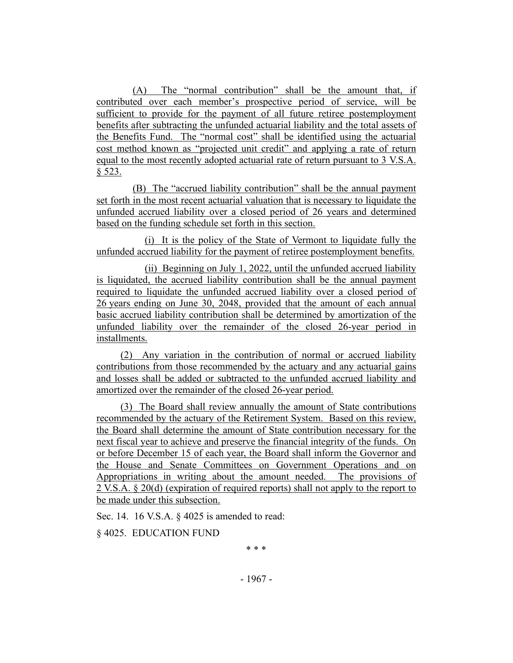(A) The "normal contribution" shall be the amount that, if contributed over each member's prospective period of service, will be sufficient to provide for the payment of all future retiree postemployment benefits after subtracting the unfunded actuarial liability and the total assets of the Benefits Fund. The "normal cost" shall be identified using the actuarial cost method known as "projected unit credit" and applying a rate of return equal to the most recently adopted actuarial rate of return pursuant to 3 V.S.A. § 523.

(B) The "accrued liability contribution" shall be the annual payment set forth in the most recent actuarial valuation that is necessary to liquidate the unfunded accrued liability over a closed period of 26 years and determined based on the funding schedule set forth in this section.

(i) It is the policy of the State of Vermont to liquidate fully the unfunded accrued liability for the payment of retiree postemployment benefits.

(ii) Beginning on July 1, 2022, until the unfunded accrued liability is liquidated, the accrued liability contribution shall be the annual payment required to liquidate the unfunded accrued liability over a closed period of 26 years ending on June 30, 2048, provided that the amount of each annual basic accrued liability contribution shall be determined by amortization of the unfunded liability over the remainder of the closed 26-year period in installments.

(2) Any variation in the contribution of normal or accrued liability contributions from those recommended by the actuary and any actuarial gains and losses shall be added or subtracted to the unfunded accrued liability and amortized over the remainder of the closed 26-year period.

(3) The Board shall review annually the amount of State contributions recommended by the actuary of the Retirement System. Based on this review, the Board shall determine the amount of State contribution necessary for the next fiscal year to achieve and preserve the financial integrity of the funds. On or before December 15 of each year, the Board shall inform the Governor and the House and Senate Committees on Government Operations and on Appropriations in writing about the amount needed. The provisions of 2 V.S.A. § 20(d) (expiration of required reports) shall not apply to the report to be made under this subsection.

Sec. 14. 16 V.S.A. § 4025 is amended to read:

§ 4025. EDUCATION FUND

\* \* \*

- 1967 -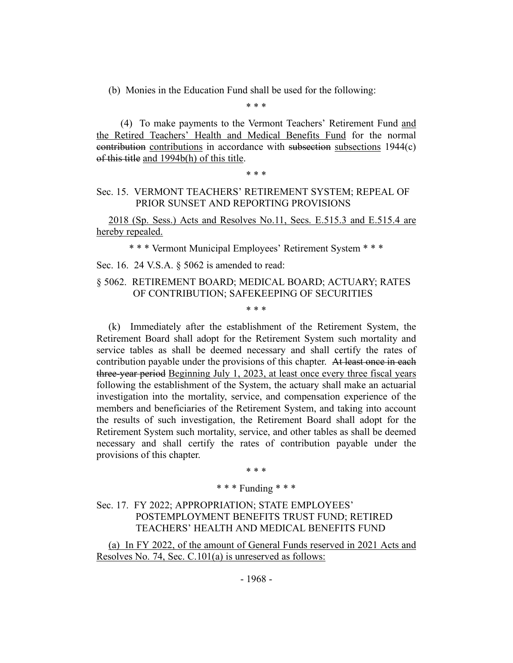(b) Monies in the Education Fund shall be used for the following:

\* \* \*

(4) To make payments to the Vermont Teachers' Retirement Fund and the Retired Teachers' Health and Medical Benefits Fund for the normal contribution contributions in accordance with subsection subsections 1944(c) of this title and 1994b(h) of this title.

#### \* \* \*

#### Sec. 15. VERMONT TEACHERS' RETIREMENT SYSTEM; REPEAL OF PRIOR SUNSET AND REPORTING PROVISIONS

2018 (Sp. Sess.) Acts and Resolves No.11, Secs. E.515.3 and E.515.4 are hereby repealed.

\* \* \* Vermont Municipal Employees' Retirement System \* \* \*

Sec. 16. 24 V.S.A. § 5062 is amended to read:

## § 5062. RETIREMENT BOARD; MEDICAL BOARD; ACTUARY; RATES OF CONTRIBUTION; SAFEKEEPING OF SECURITIES

\* \* \*

(k) Immediately after the establishment of the Retirement System, the Retirement Board shall adopt for the Retirement System such mortality and service tables as shall be deemed necessary and shall certify the rates of contribution payable under the provisions of this chapter. At least once in each three-year period Beginning July 1, 2023, at least once every three fiscal years following the establishment of the System, the actuary shall make an actuarial investigation into the mortality, service, and compensation experience of the members and beneficiaries of the Retirement System, and taking into account the results of such investigation, the Retirement Board shall adopt for the Retirement System such mortality, service, and other tables as shall be deemed necessary and shall certify the rates of contribution payable under the provisions of this chapter.

\* \* \*

#### \* \* \* Funding \* \* \*

Sec. 17. FY 2022; APPROPRIATION; STATE EMPLOYEES' POSTEMPLOYMENT BENEFITS TRUST FUND; RETIRED TEACHERS' HEALTH AND MEDICAL BENEFITS FUND

(a) In FY 2022, of the amount of General Funds reserved in 2021 Acts and Resolves No. 74, Sec. C.101(a) is unreserved as follows: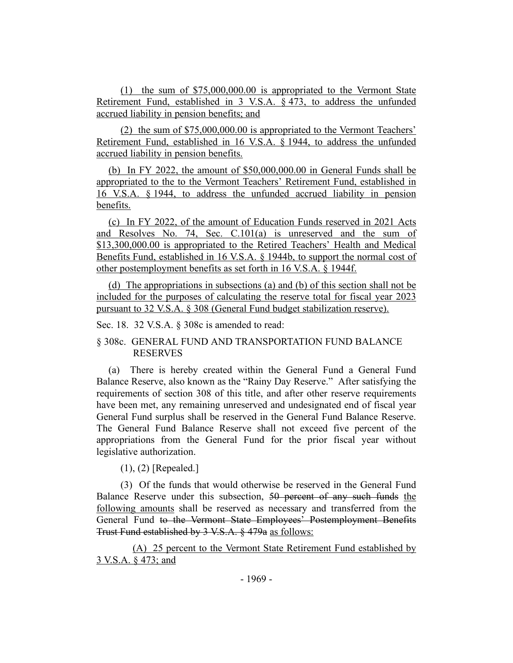(1) the sum of \$75,000,000.00 is appropriated to the Vermont State Retirement Fund, established in 3 V.S.A. § 473, to address the unfunded accrued liability in pension benefits; and

(2) the sum of \$75,000,000.00 is appropriated to the Vermont Teachers' Retirement Fund, established in 16 V.S.A. § 1944, to address the unfunded accrued liability in pension benefits.

(b) In FY 2022, the amount of \$50,000,000.00 in General Funds shall be appropriated to the to the Vermont Teachers' Retirement Fund, established in 16 V.S.A. § 1944, to address the unfunded accrued liability in pension benefits.

(c) In FY 2022, of the amount of Education Funds reserved in 2021 Acts and Resolves No. 74, Sec. C.101(a) is unreserved and the sum of \$13,300,000.00 is appropriated to the Retired Teachers' Health and Medical Benefits Fund, established in 16 V.S.A. § 1944b, to support the normal cost of other postemployment benefits as set forth in 16 V.S.A. § 1944f.

(d) The appropriations in subsections (a) and (b) of this section shall not be included for the purposes of calculating the reserve total for fiscal year 2023 pursuant to 32 V.S.A. § 308 (General Fund budget stabilization reserve).

Sec. 18. 32 V.S.A. § 308c is amended to read:

## § 308c. GENERAL FUND AND TRANSPORTATION FUND BALANCE RESERVES

(a) There is hereby created within the General Fund a General Fund Balance Reserve, also known as the "Rainy Day Reserve." After satisfying the requirements of section 308 of this title, and after other reserve requirements have been met, any remaining unreserved and undesignated end of fiscal year General Fund surplus shall be reserved in the General Fund Balance Reserve. The General Fund Balance Reserve shall not exceed five percent of the appropriations from the General Fund for the prior fiscal year without legislative authorization.

(1), (2) [Repealed.]

(3) Of the funds that would otherwise be reserved in the General Fund Balance Reserve under this subsection, 50 percent of any such funds the following amounts shall be reserved as necessary and transferred from the General Fund to the Vermont State Employees' Postemployment Benefits Trust Fund established by 3 V.S.A. § 479a as follows:

(A) 25 percent to the Vermont State Retirement Fund established by 3 V.S.A. § 473; and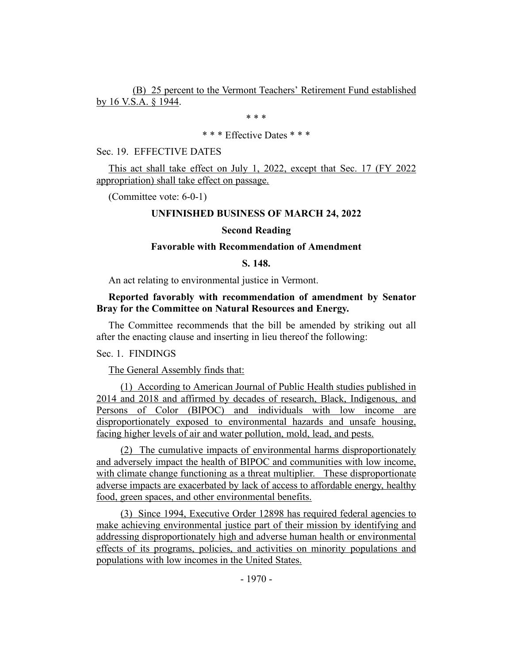(B) 25 percent to the Vermont Teachers' Retirement Fund established by 16 V.S.A. § 1944.

\* \* \*

#### \* \* \* Effective Dates \* \* \*

#### Sec. 19. EFFECTIVE DATES

This act shall take effect on July 1, 2022, except that Sec. 17 (FY 2022 appropriation) shall take effect on passage.

(Committee vote: 6-0-1)

#### **UNFINISHED BUSINESS OF MARCH 24, 2022**

#### **Second Reading**

#### **Favorable with Recommendation of Amendment**

#### **S. 148.**

An act relating to environmental justice in Vermont.

## **Reported favorably with recommendation of amendment by Senator Bray for the Committee on Natural Resources and Energy.**

The Committee recommends that the bill be amended by striking out all after the enacting clause and inserting in lieu thereof the following:

Sec. 1. FINDINGS

The General Assembly finds that:

(1) According to American Journal of Public Health studies published in 2014 and 2018 and affirmed by decades of research, Black, Indigenous, and Persons of Color (BIPOC) and individuals with low income are disproportionately exposed to environmental hazards and unsafe housing, facing higher levels of air and water pollution, mold, lead, and pests.

(2) The cumulative impacts of environmental harms disproportionately and adversely impact the health of BIPOC and communities with low income, with climate change functioning as a threat multiplier. These disproportionate adverse impacts are exacerbated by lack of access to affordable energy, healthy food, green spaces, and other environmental benefits.

(3) Since 1994, Executive Order 12898 has required federal agencies to make achieving environmental justice part of their mission by identifying and addressing disproportionately high and adverse human health or environmental effects of its programs, policies, and activities on minority populations and populations with low incomes in the United States.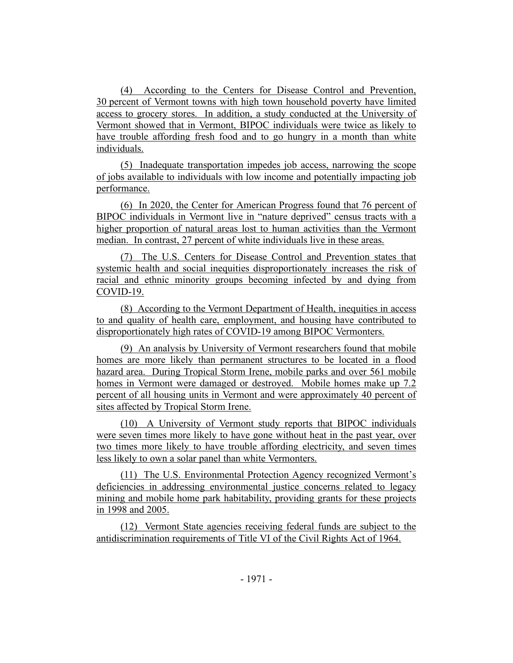(4) According to the Centers for Disease Control and Prevention, 30 percent of Vermont towns with high town household poverty have limited access to grocery stores. In addition, a study conducted at the University of Vermont showed that in Vermont, BIPOC individuals were twice as likely to have trouble affording fresh food and to go hungry in a month than white individuals.

(5) Inadequate transportation impedes job access, narrowing the scope of jobs available to individuals with low income and potentially impacting job performance.

(6) In 2020, the Center for American Progress found that 76 percent of BIPOC individuals in Vermont live in "nature deprived" census tracts with a higher proportion of natural areas lost to human activities than the Vermont median. In contrast, 27 percent of white individuals live in these areas.

(7) The U.S. Centers for Disease Control and Prevention states that systemic health and social inequities disproportionately increases the risk of racial and ethnic minority groups becoming infected by and dying from COVID-19.

(8) According to the Vermont Department of Health, inequities in access to and quality of health care, employment, and housing have contributed to disproportionately high rates of COVID-19 among BIPOC Vermonters.

(9) An analysis by University of Vermont researchers found that mobile homes are more likely than permanent structures to be located in a flood hazard area. During Tropical Storm Irene, mobile parks and over 561 mobile homes in Vermont were damaged or destroyed. Mobile homes make up 7.2 percent of all housing units in Vermont and were approximately 40 percent of sites affected by Tropical Storm Irene.

(10) A University of Vermont study reports that BIPOC individuals were seven times more likely to have gone without heat in the past year, over two times more likely to have trouble affording electricity, and seven times less likely to own a solar panel than white Vermonters.

(11) The U.S. Environmental Protection Agency recognized Vermont's deficiencies in addressing environmental justice concerns related to legacy mining and mobile home park habitability, providing grants for these projects in 1998 and 2005.

(12) Vermont State agencies receiving federal funds are subject to the antidiscrimination requirements of Title VI of the Civil Rights Act of 1964.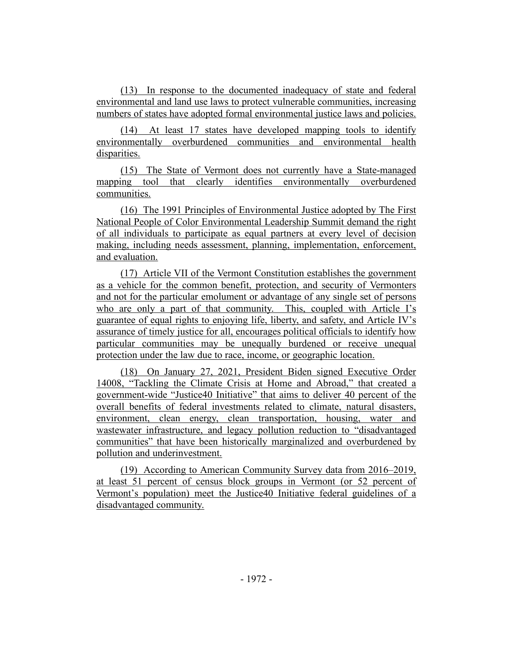(13) In response to the documented inadequacy of state and federal environmental and land use laws to protect vulnerable communities, increasing numbers of states have adopted formal environmental justice laws and policies.

(14) At least 17 states have developed mapping tools to identify environmentally overburdened communities and environmental health disparities.

(15) The State of Vermont does not currently have a State-managed mapping tool that clearly identifies environmentally overburdened communities.

(16) The 1991 Principles of Environmental Justice adopted by The First National People of Color Environmental Leadership Summit demand the right of all individuals to participate as equal partners at every level of decision making, including needs assessment, planning, implementation, enforcement, and evaluation.

(17) Article VII of the Vermont Constitution establishes the government as a vehicle for the common benefit, protection, and security of Vermonters and not for the particular emolument or advantage of any single set of persons who are only a part of that community. This, coupled with Article I's guarantee of equal rights to enjoying life, liberty, and safety, and Article IV's assurance of timely justice for all, encourages political officials to identify how particular communities may be unequally burdened or receive unequal protection under the law due to race, income, or geographic location.

(18) On January 27, 2021, President Biden signed Executive Order 14008, "Tackling the Climate Crisis at Home and Abroad," that created a government-wide "Justice40 Initiative" that aims to deliver 40 percent of the overall benefits of federal investments related to climate, natural disasters, environment, clean energy, clean transportation, housing, water and wastewater infrastructure, and legacy pollution reduction to "disadvantaged communities" that have been historically marginalized and overburdened by pollution and underinvestment.

(19) According to American Community Survey data from 2016–2019, at least 51 percent of census block groups in Vermont (or 52 percent of Vermont's population) meet the Justice40 Initiative federal guidelines of a disadvantaged community.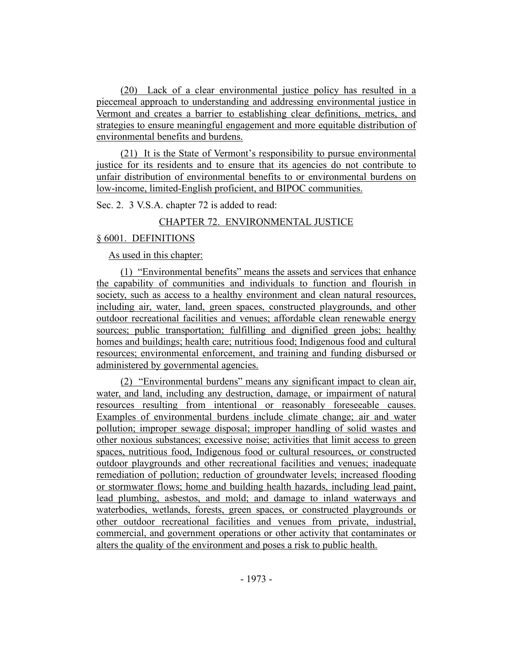(20) Lack of a clear environmental justice policy has resulted in a piecemeal approach to understanding and addressing environmental justice in Vermont and creates a barrier to establishing clear definitions, metrics, and strategies to ensure meaningful engagement and more equitable distribution of environmental benefits and burdens.

(21) It is the State of Vermont's responsibility to pursue environmental justice for its residents and to ensure that its agencies do not contribute to unfair distribution of environmental benefits to or environmental burdens on low-income, limited-English proficient, and BIPOC communities.

Sec. 2. 3 V.S.A. chapter 72 is added to read:

## CHAPTER 72. ENVIRONMENTAL JUSTICE

## § 6001. DEFINITIONS

As used in this chapter:

(1) "Environmental benefits" means the assets and services that enhance the capability of communities and individuals to function and flourish in society, such as access to a healthy environment and clean natural resources, including air, water, land, green spaces, constructed playgrounds, and other outdoor recreational facilities and venues; affordable clean renewable energy sources; public transportation; fulfilling and dignified green jobs; healthy homes and buildings; health care; nutritious food; Indigenous food and cultural resources; environmental enforcement, and training and funding disbursed or administered by governmental agencies.

(2) "Environmental burdens" means any significant impact to clean air, water, and land, including any destruction, damage, or impairment of natural resources resulting from intentional or reasonably foreseeable causes. Examples of environmental burdens include climate change; air and water pollution; improper sewage disposal; improper handling of solid wastes and other noxious substances; excessive noise; activities that limit access to green spaces, nutritious food, Indigenous food or cultural resources, or constructed outdoor playgrounds and other recreational facilities and venues; inadequate remediation of pollution; reduction of groundwater levels; increased flooding or stormwater flows; home and building health hazards, including lead paint, lead plumbing, asbestos, and mold; and damage to inland waterways and waterbodies, wetlands, forests, green spaces, or constructed playgrounds or other outdoor recreational facilities and venues from private, industrial, commercial, and government operations or other activity that contaminates or alters the quality of the environment and poses a risk to public health.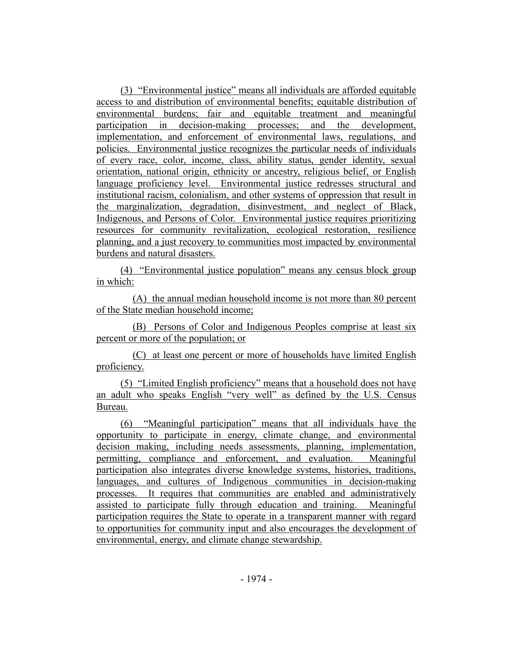(3) "Environmental justice" means all individuals are afforded equitable access to and distribution of environmental benefits; equitable distribution of environmental burdens; fair and equitable treatment and meaningful participation in decision-making processes; and the development, implementation, and enforcement of environmental laws, regulations, and policies. Environmental justice recognizes the particular needs of individuals of every race, color, income, class, ability status, gender identity, sexual orientation, national origin, ethnicity or ancestry, religious belief, or English language proficiency level. Environmental justice redresses structural and institutional racism, colonialism, and other systems of oppression that result in the marginalization, degradation, disinvestment, and neglect of Black, Indigenous, and Persons of Color. Environmental justice requires prioritizing resources for community revitalization, ecological restoration, resilience planning, and a just recovery to communities most impacted by environmental burdens and natural disasters.

(4) "Environmental justice population" means any census block group in which:

(A) the annual median household income is not more than 80 percent of the State median household income;

(B) Persons of Color and Indigenous Peoples comprise at least six percent or more of the population; or

(C) at least one percent or more of households have limited English proficiency.

(5) "Limited English proficiency" means that a household does not have an adult who speaks English "very well" as defined by the U.S. Census Bureau.

(6) "Meaningful participation" means that all individuals have the opportunity to participate in energy, climate change, and environmental decision making, including needs assessments, planning, implementation, permitting, compliance and enforcement, and evaluation. Meaningful participation also integrates diverse knowledge systems, histories, traditions, languages, and cultures of Indigenous communities in decision-making processes. It requires that communities are enabled and administratively assisted to participate fully through education and training. Meaningful participation requires the State to operate in a transparent manner with regard to opportunities for community input and also encourages the development of environmental, energy, and climate change stewardship.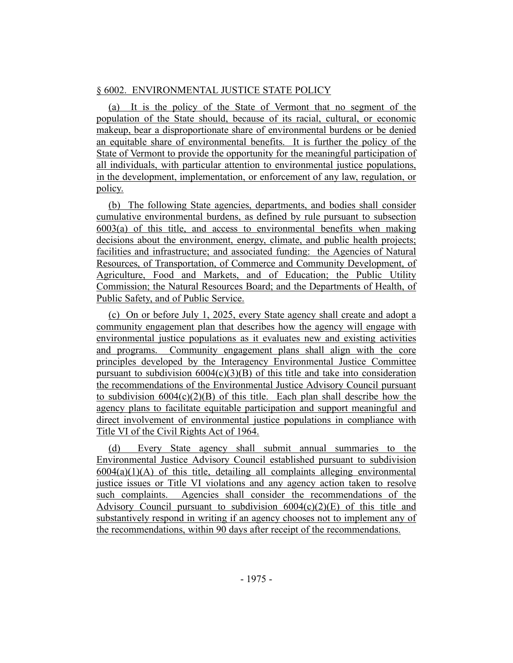## § 6002. ENVIRONMENTAL JUSTICE STATE POLICY

(a) It is the policy of the State of Vermont that no segment of the population of the State should, because of its racial, cultural, or economic makeup, bear a disproportionate share of environmental burdens or be denied an equitable share of environmental benefits. It is further the policy of the State of Vermont to provide the opportunity for the meaningful participation of all individuals, with particular attention to environmental justice populations, in the development, implementation, or enforcement of any law, regulation, or policy.

(b) The following State agencies, departments, and bodies shall consider cumulative environmental burdens, as defined by rule pursuant to subsection 6003(a) of this title, and access to environmental benefits when making decisions about the environment, energy, climate, and public health projects; facilities and infrastructure; and associated funding: the Agencies of Natural Resources, of Transportation, of Commerce and Community Development, of Agriculture, Food and Markets, and of Education; the Public Utility Commission; the Natural Resources Board; and the Departments of Health, of Public Safety, and of Public Service.

(c) On or before July 1, 2025, every State agency shall create and adopt a community engagement plan that describes how the agency will engage with environmental justice populations as it evaluates new and existing activities and programs. Community engagement plans shall align with the core principles developed by the Interagency Environmental Justice Committee pursuant to subdivision  $6004(c)(3)(B)$  of this title and take into consideration the recommendations of the Environmental Justice Advisory Council pursuant to subdivision  $6004(c)(2)(B)$  of this title. Each plan shall describe how the agency plans to facilitate equitable participation and support meaningful and direct involvement of environmental justice populations in compliance with Title VI of the Civil Rights Act of 1964.

(d) Every State agency shall submit annual summaries to the Environmental Justice Advisory Council established pursuant to subdivision  $6004(a)(1)(A)$  of this title, detailing all complaints alleging environmental justice issues or Title VI violations and any agency action taken to resolve such complaints. Agencies shall consider the recommendations of the Advisory Council pursuant to subdivision  $6004(c)(2)(E)$  of this title and substantively respond in writing if an agency chooses not to implement any of the recommendations, within 90 days after receipt of the recommendations.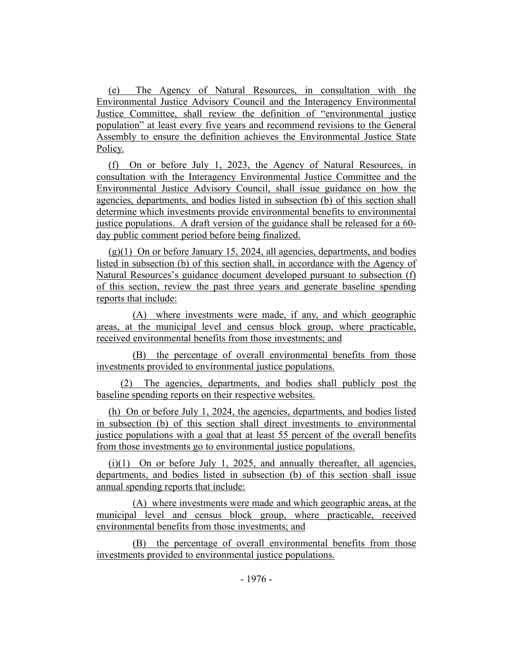(e) The Agency of Natural Resources, in consultation with the Environmental Justice Advisory Council and the Interagency Environmental Justice Committee, shall review the definition of "environmental justice population" at least every five years and recommend revisions to the General Assembly to ensure the definition achieves the Environmental Justice State Policy.

(f) On or before July 1, 2023, the Agency of Natural Resources, in consultation with the Interagency Environmental Justice Committee and the Environmental Justice Advisory Council, shall issue guidance on how the agencies, departments, and bodies listed in subsection (b) of this section shall determine which investments provide environmental benefits to environmental justice populations. A draft version of the guidance shall be released for a 60 day public comment period before being finalized.

 $(g)(1)$  On or before January 15, 2024, all agencies, departments, and bodies listed in subsection (b) of this section shall, in accordance with the Agency of Natural Resources's guidance document developed pursuant to subsection (f) of this section, review the past three years and generate baseline spending reports that include:

(A) where investments were made, if any, and which geographic areas, at the municipal level and census block group, where practicable, received environmental benefits from those investments; and

(B) the percentage of overall environmental benefits from those investments provided to environmental justice populations.

(2) The agencies, departments, and bodies shall publicly post the baseline spending reports on their respective websites.

(h) On or before July 1, 2024, the agencies, departments, and bodies listed in subsection (b) of this section shall direct investments to environmental justice populations with a goal that at least 55 percent of the overall benefits from those investments go to environmental justice populations.

 $(i)(1)$  On or before July 1, 2025, and annually thereafter, all agencies, departments, and bodies listed in subsection (b) of this section shall issue annual spending reports that include:

(A) where investments were made and which geographic areas, at the municipal level and census block group, where practicable, received environmental benefits from those investments; and

(B) the percentage of overall environmental benefits from those investments provided to environmental justice populations.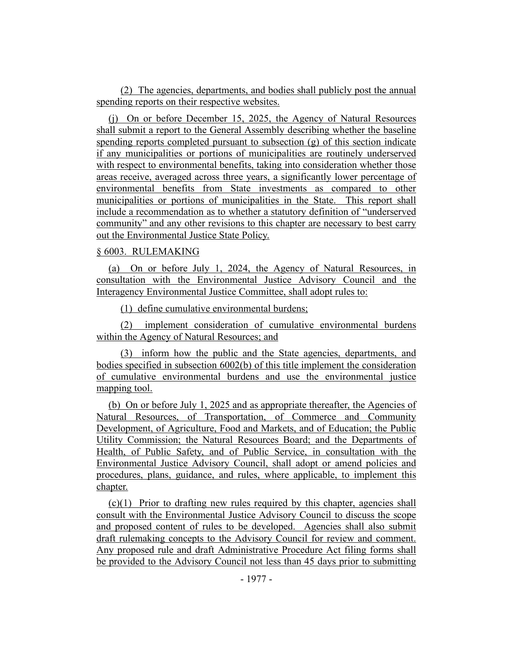(2) The agencies, departments, and bodies shall publicly post the annual spending reports on their respective websites.

(j) On or before December 15, 2025, the Agency of Natural Resources shall submit a report to the General Assembly describing whether the baseline spending reports completed pursuant to subsection (g) of this section indicate if any municipalities or portions of municipalities are routinely underserved with respect to environmental benefits, taking into consideration whether those areas receive, averaged across three years, a significantly lower percentage of environmental benefits from State investments as compared to other municipalities or portions of municipalities in the State. This report shall include a recommendation as to whether a statutory definition of "underserved community" and any other revisions to this chapter are necessary to best carry out the Environmental Justice State Policy.

#### § 6003. RULEMAKING

(a) On or before July 1, 2024, the Agency of Natural Resources, in consultation with the Environmental Justice Advisory Council and the Interagency Environmental Justice Committee, shall adopt rules to:

(1) define cumulative environmental burdens;

(2) implement consideration of cumulative environmental burdens within the Agency of Natural Resources; and

(3) inform how the public and the State agencies, departments, and bodies specified in subsection 6002(b) of this title implement the consideration of cumulative environmental burdens and use the environmental justice mapping tool.

(b) On or before July 1, 2025 and as appropriate thereafter, the Agencies of Natural Resources, of Transportation, of Commerce and Community Development, of Agriculture, Food and Markets, and of Education; the Public Utility Commission; the Natural Resources Board; and the Departments of Health, of Public Safety, and of Public Service, in consultation with the Environmental Justice Advisory Council, shall adopt or amend policies and procedures, plans, guidance, and rules, where applicable, to implement this chapter.

(c)(1) Prior to drafting new rules required by this chapter, agencies shall consult with the Environmental Justice Advisory Council to discuss the scope and proposed content of rules to be developed. Agencies shall also submit draft rulemaking concepts to the Advisory Council for review and comment. Any proposed rule and draft Administrative Procedure Act filing forms shall be provided to the Advisory Council not less than 45 days prior to submitting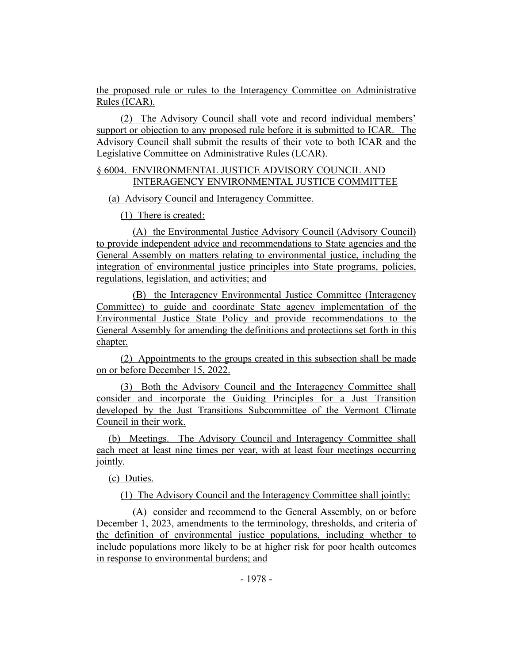the proposed rule or rules to the Interagency Committee on Administrative Rules (ICAR).

(2) The Advisory Council shall vote and record individual members' support or objection to any proposed rule before it is submitted to ICAR. The Advisory Council shall submit the results of their vote to both ICAR and the Legislative Committee on Administrative Rules (LCAR).

## § 6004. ENVIRONMENTAL JUSTICE ADVISORY COUNCIL AND INTERAGENCY ENVIRONMENTAL JUSTICE COMMITTEE

## (a) Advisory Council and Interagency Committee.

(1) There is created:

(A) the Environmental Justice Advisory Council (Advisory Council) to provide independent advice and recommendations to State agencies and the General Assembly on matters relating to environmental justice, including the integration of environmental justice principles into State programs, policies, regulations, legislation, and activities; and

(B) the Interagency Environmental Justice Committee (Interagency Committee) to guide and coordinate State agency implementation of the Environmental Justice State Policy and provide recommendations to the General Assembly for amending the definitions and protections set forth in this chapter.

(2) Appointments to the groups created in this subsection shall be made on or before December 15, 2022.

(3) Both the Advisory Council and the Interagency Committee shall consider and incorporate the Guiding Principles for a Just Transition developed by the Just Transitions Subcommittee of the Vermont Climate Council in their work.

(b) Meetings. The Advisory Council and Interagency Committee shall each meet at least nine times per year, with at least four meetings occurring jointly.

(c) Duties.

(1) The Advisory Council and the Interagency Committee shall jointly:

(A) consider and recommend to the General Assembly, on or before December 1, 2023, amendments to the terminology, thresholds, and criteria of the definition of environmental justice populations, including whether to include populations more likely to be at higher risk for poor health outcomes in response to environmental burdens; and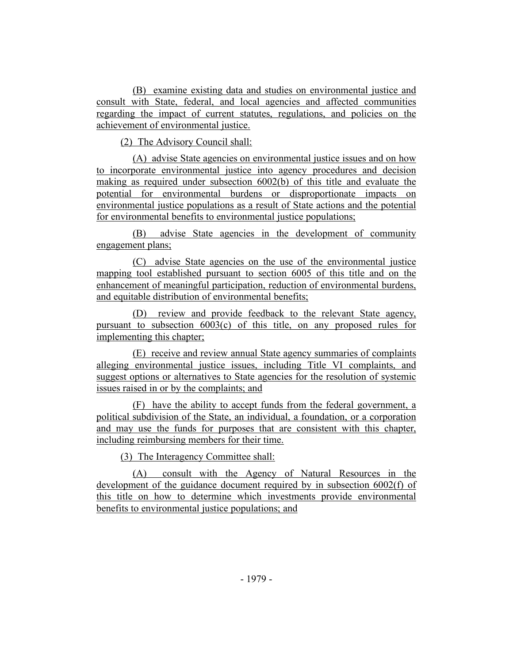(B) examine existing data and studies on environmental justice and consult with State, federal, and local agencies and affected communities regarding the impact of current statutes, regulations, and policies on the achievement of environmental justice.

(2) The Advisory Council shall:

(A) advise State agencies on environmental justice issues and on how to incorporate environmental justice into agency procedures and decision making as required under subsection 6002(b) of this title and evaluate the potential for environmental burdens or disproportionate impacts on environmental justice populations as a result of State actions and the potential for environmental benefits to environmental justice populations;

(B) advise State agencies in the development of community engagement plans;

(C) advise State agencies on the use of the environmental justice mapping tool established pursuant to section 6005 of this title and on the enhancement of meaningful participation, reduction of environmental burdens, and equitable distribution of environmental benefits;

(D) review and provide feedback to the relevant State agency, pursuant to subsection 6003(c) of this title, on any proposed rules for implementing this chapter;

(E) receive and review annual State agency summaries of complaints alleging environmental justice issues, including Title VI complaints, and suggest options or alternatives to State agencies for the resolution of systemic issues raised in or by the complaints; and

(F) have the ability to accept funds from the federal government, a political subdivision of the State, an individual, a foundation, or a corporation and may use the funds for purposes that are consistent with this chapter, including reimbursing members for their time.

(3) The Interagency Committee shall:

(A) consult with the Agency of Natural Resources in the development of the guidance document required by in subsection 6002(f) of this title on how to determine which investments provide environmental benefits to environmental justice populations; and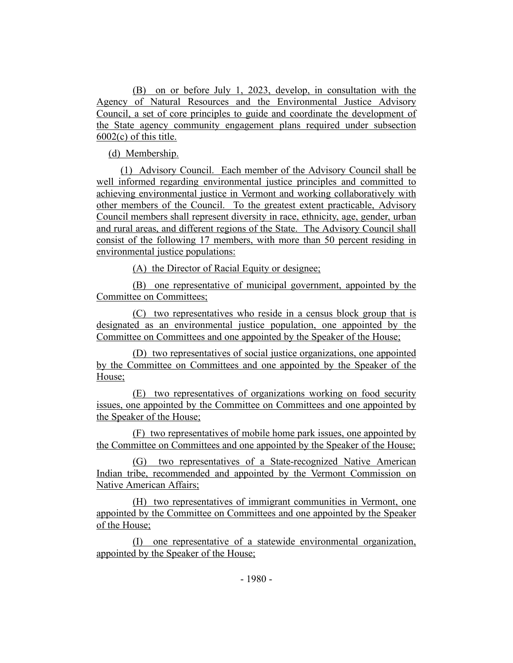(B) on or before July 1, 2023, develop, in consultation with the Agency of Natural Resources and the Environmental Justice Advisory Council, a set of core principles to guide and coordinate the development of the State agency community engagement plans required under subsection 6002(c) of this title.

(d) Membership.

(1) Advisory Council. Each member of the Advisory Council shall be well informed regarding environmental justice principles and committed to achieving environmental justice in Vermont and working collaboratively with other members of the Council. To the greatest extent practicable, Advisory Council members shall represent diversity in race, ethnicity, age, gender, urban and rural areas, and different regions of the State. The Advisory Council shall consist of the following 17 members, with more than 50 percent residing in environmental justice populations:

(A) the Director of Racial Equity or designee;

(B) one representative of municipal government, appointed by the Committee on Committees;

(C) two representatives who reside in a census block group that is designated as an environmental justice population, one appointed by the Committee on Committees and one appointed by the Speaker of the House;

(D) two representatives of social justice organizations, one appointed by the Committee on Committees and one appointed by the Speaker of the House;

(E) two representatives of organizations working on food security issues, one appointed by the Committee on Committees and one appointed by the Speaker of the House;

(F) two representatives of mobile home park issues, one appointed by the Committee on Committees and one appointed by the Speaker of the House;

(G) two representatives of a State-recognized Native American Indian tribe, recommended and appointed by the Vermont Commission on Native American Affairs;

(H) two representatives of immigrant communities in Vermont, one appointed by the Committee on Committees and one appointed by the Speaker of the House;

(I) one representative of a statewide environmental organization, appointed by the Speaker of the House;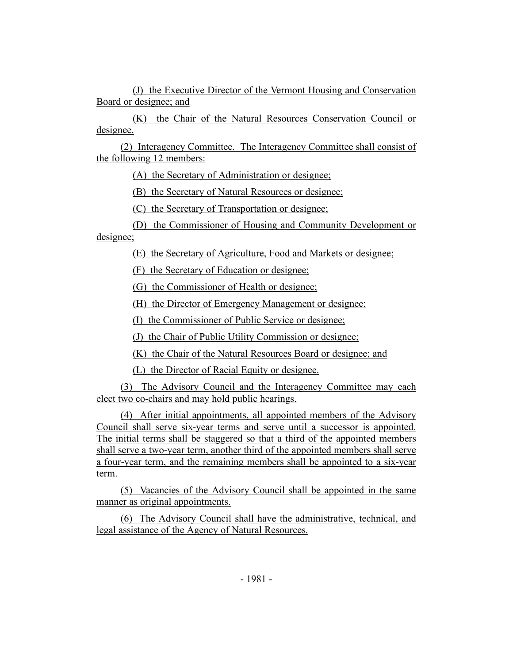(J) the Executive Director of the Vermont Housing and Conservation Board or designee; and

(K) the Chair of the Natural Resources Conservation Council or designee.

(2) Interagency Committee. The Interagency Committee shall consist of the following 12 members:

(A) the Secretary of Administration or designee;

(B) the Secretary of Natural Resources or designee;

(C) the Secretary of Transportation or designee;

(D) the Commissioner of Housing and Community Development or designee;

(E) the Secretary of Agriculture, Food and Markets or designee;

(F) the Secretary of Education or designee;

(G) the Commissioner of Health or designee;

(H) the Director of Emergency Management or designee;

(I) the Commissioner of Public Service or designee;

(J) the Chair of Public Utility Commission or designee;

(K) the Chair of the Natural Resources Board or designee; and

(L) the Director of Racial Equity or designee.

(3) The Advisory Council and the Interagency Committee may each elect two co-chairs and may hold public hearings.

(4) After initial appointments, all appointed members of the Advisory Council shall serve six-year terms and serve until a successor is appointed. The initial terms shall be staggered so that a third of the appointed members shall serve a two-year term, another third of the appointed members shall serve a four-year term, and the remaining members shall be appointed to a six-year term.

(5) Vacancies of the Advisory Council shall be appointed in the same manner as original appointments.

(6) The Advisory Council shall have the administrative, technical, and legal assistance of the Agency of Natural Resources.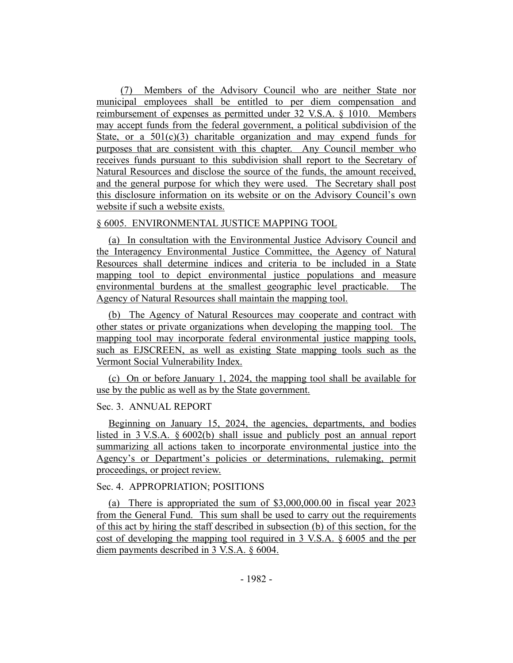(7) Members of the Advisory Council who are neither State nor municipal employees shall be entitled to per diem compensation and reimbursement of expenses as permitted under 32 V.S.A. § 1010. Members may accept funds from the federal government, a political subdivision of the State, or a  $501(c)(3)$  charitable organization and may expend funds for purposes that are consistent with this chapter. Any Council member who receives funds pursuant to this subdivision shall report to the Secretary of Natural Resources and disclose the source of the funds, the amount received, and the general purpose for which they were used. The Secretary shall post this disclosure information on its website or on the Advisory Council's own website if such a website exists.

## § 6005. ENVIRONMENTAL JUSTICE MAPPING TOOL

(a) In consultation with the Environmental Justice Advisory Council and the Interagency Environmental Justice Committee, the Agency of Natural Resources shall determine indices and criteria to be included in a State mapping tool to depict environmental justice populations and measure environmental burdens at the smallest geographic level practicable. The Agency of Natural Resources shall maintain the mapping tool.

(b) The Agency of Natural Resources may cooperate and contract with other states or private organizations when developing the mapping tool. The mapping tool may incorporate federal environmental justice mapping tools, such as EJSCREEN, as well as existing State mapping tools such as the Vermont Social Vulnerability Index.

(c) On or before January 1, 2024, the mapping tool shall be available for use by the public as well as by the State government.

## Sec. 3. ANNUAL REPORT

Beginning on January 15, 2024, the agencies, departments, and bodies listed in 3 V.S.A. § 6002(b) shall issue and publicly post an annual report summarizing all actions taken to incorporate environmental justice into the Agency's or Department's policies or determinations, rulemaking, permit proceedings, or project review.

## Sec. 4. APPROPRIATION; POSITIONS

(a) There is appropriated the sum of \$3,000,000.00 in fiscal year 2023 from the General Fund. This sum shall be used to carry out the requirements of this act by hiring the staff described in subsection (b) of this section, for the cost of developing the mapping tool required in 3 V.S.A. § 6005 and the per diem payments described in 3 V.S.A. § 6004.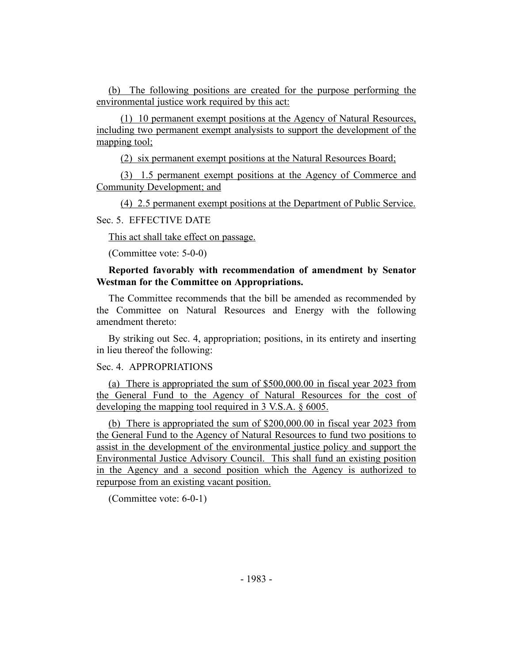(b) The following positions are created for the purpose performing the environmental justice work required by this act:

(1) 10 permanent exempt positions at the Agency of Natural Resources, including two permanent exempt analysists to support the development of the mapping tool;

(2) six permanent exempt positions at the Natural Resources Board;

(3) 1.5 permanent exempt positions at the Agency of Commerce and Community Development; and

(4) 2.5 permanent exempt positions at the Department of Public Service.

#### Sec. 5. EFFECTIVE DATE

This act shall take effect on passage.

(Committee vote: 5-0-0)

#### **Reported favorably with recommendation of amendment by Senator Westman for the Committee on Appropriations.**

The Committee recommends that the bill be amended as recommended by the Committee on Natural Resources and Energy with the following amendment thereto:

By striking out Sec. 4, appropriation; positions, in its entirety and inserting in lieu thereof the following:

## Sec. 4. APPROPRIATIONS

(a) There is appropriated the sum of \$500,000.00 in fiscal year 2023 from the General Fund to the Agency of Natural Resources for the cost of developing the mapping tool required in 3 V.S.A. § 6005.

(b) There is appropriated the sum of \$200,000.00 in fiscal year 2023 from the General Fund to the Agency of Natural Resources to fund two positions to assist in the development of the environmental justice policy and support the Environmental Justice Advisory Council. This shall fund an existing position in the Agency and a second position which the Agency is authorized to repurpose from an existing vacant position.

(Committee vote: 6-0-1)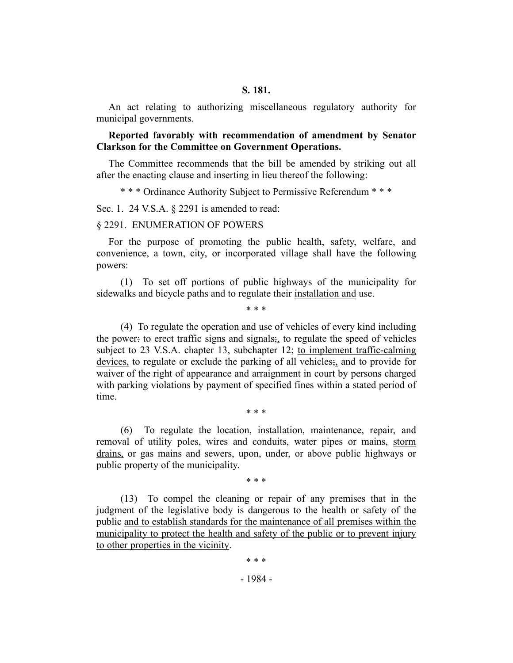An act relating to authorizing miscellaneous regulatory authority for municipal governments.

#### **Reported favorably with recommendation of amendment by Senator Clarkson for the Committee on Government Operations.**

The Committee recommends that the bill be amended by striking out all after the enacting clause and inserting in lieu thereof the following:

\* \* \* Ordinance Authority Subject to Permissive Referendum \* \* \*

Sec. 1. 24 V.S.A. § 2291 is amended to read:

#### § 2291. ENUMERATION OF POWERS

For the purpose of promoting the public health, safety, welfare, and convenience, a town, city, or incorporated village shall have the following powers:

(1) To set off portions of public highways of the municipality for sidewalks and bicycle paths and to regulate their installation and use.

\* \* \*

(4) To regulate the operation and use of vehicles of every kind including the power: to erect traffic signs and signals;, to regulate the speed of vehicles subject to 23 V.S.A. chapter 13, subchapter 12; to implement traffic-calming devices, to regulate or exclude the parking of all vehicles;, and to provide for waiver of the right of appearance and arraignment in court by persons charged with parking violations by payment of specified fines within a stated period of time.

\* \* \*

(6) To regulate the location, installation, maintenance, repair, and removal of utility poles, wires and conduits, water pipes or mains, storm drains, or gas mains and sewers, upon, under, or above public highways or public property of the municipality.

\* \* \*

(13) To compel the cleaning or repair of any premises that in the judgment of the legislative body is dangerous to the health or safety of the public and to establish standards for the maintenance of all premises within the municipality to protect the health and safety of the public or to prevent injury to other properties in the vicinity.

# \* \* \*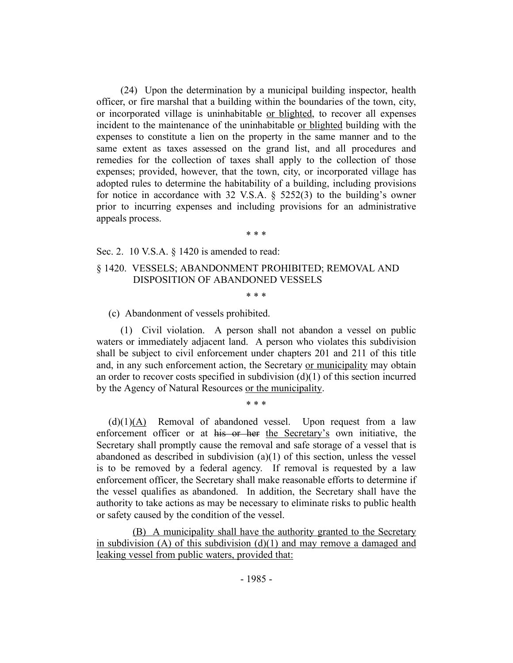(24) Upon the determination by a municipal building inspector, health officer, or fire marshal that a building within the boundaries of the town, city, or incorporated village is uninhabitable or blighted, to recover all expenses incident to the maintenance of the uninhabitable or blighted building with the expenses to constitute a lien on the property in the same manner and to the same extent as taxes assessed on the grand list, and all procedures and remedies for the collection of taxes shall apply to the collection of those expenses; provided, however, that the town, city, or incorporated village has adopted rules to determine the habitability of a building, including provisions for notice in accordance with 32 V.S.A. § 5252(3) to the building's owner prior to incurring expenses and including provisions for an administrative appeals process.

\* \* \*

Sec. 2. 10 V.S.A. § 1420 is amended to read:

#### § 1420. VESSELS; ABANDONMENT PROHIBITED; REMOVAL AND DISPOSITION OF ABANDONED VESSELS

\* \* \*

(c) Abandonment of vessels prohibited.

(1) Civil violation. A person shall not abandon a vessel on public waters or immediately adjacent land. A person who violates this subdivision shall be subject to civil enforcement under chapters 201 and 211 of this title and, in any such enforcement action, the Secretary or municipality may obtain an order to recover costs specified in subdivision  $(d)(1)$  of this section incurred by the Agency of Natural Resources or the municipality.

\* \* \*

 $(d)(1)(A)$  Removal of abandoned vessel. Upon request from a law enforcement officer or at his or her the Secretary's own initiative, the Secretary shall promptly cause the removal and safe storage of a vessel that is abandoned as described in subdivision (a)(1) of this section, unless the vessel is to be removed by a federal agency. If removal is requested by a law enforcement officer, the Secretary shall make reasonable efforts to determine if the vessel qualifies as abandoned. In addition, the Secretary shall have the authority to take actions as may be necessary to eliminate risks to public health or safety caused by the condition of the vessel.

(B) A municipality shall have the authority granted to the Secretary in subdivision  $(A)$  of this subdivision  $(d)(1)$  and may remove a damaged and leaking vessel from public waters, provided that: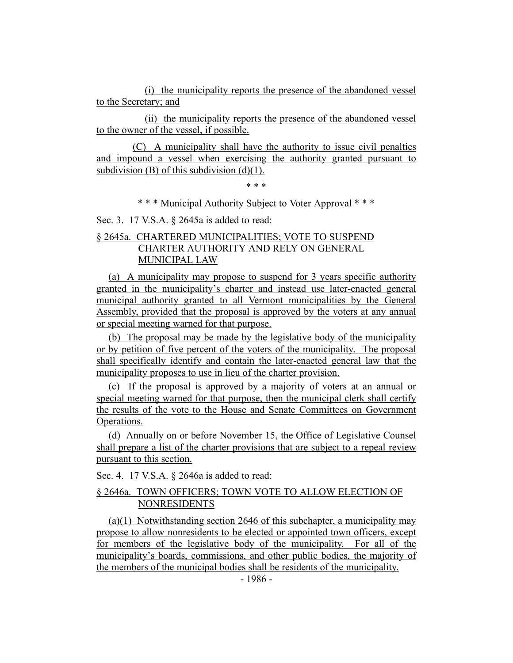(i) the municipality reports the presence of the abandoned vessel to the Secretary; and

(ii) the municipality reports the presence of the abandoned vessel to the owner of the vessel, if possible.

(C) A municipality shall have the authority to issue civil penalties and impound a vessel when exercising the authority granted pursuant to subdivision (B) of this subdivision  $(d)(1)$ .

\* \* \*

\* \* \* Municipal Authority Subject to Voter Approval \* \* \*

Sec. 3. 17 V.S.A. § 2645a is added to read:

## § 2645a. CHARTERED MUNICIPALITIES; VOTE TO SUSPEND CHARTER AUTHORITY AND RELY ON GENERAL MUNICIPAL LAW

(a) A municipality may propose to suspend for 3 years specific authority granted in the municipality's charter and instead use later-enacted general municipal authority granted to all Vermont municipalities by the General Assembly, provided that the proposal is approved by the voters at any annual or special meeting warned for that purpose.

(b) The proposal may be made by the legislative body of the municipality or by petition of five percent of the voters of the municipality. The proposal shall specifically identify and contain the later-enacted general law that the municipality proposes to use in lieu of the charter provision.

(c) If the proposal is approved by a majority of voters at an annual or special meeting warned for that purpose, then the municipal clerk shall certify the results of the vote to the House and Senate Committees on Government Operations.

(d) Annually on or before November 15, the Office of Legislative Counsel shall prepare a list of the charter provisions that are subject to a repeal review pursuant to this section.

Sec. 4. 17 V.S.A. § 2646a is added to read:

## § 2646a. TOWN OFFICERS; TOWN VOTE TO ALLOW ELECTION OF NONRESIDENTS

(a)(1) Notwithstanding section 2646 of this subchapter, a municipality may propose to allow nonresidents to be elected or appointed town officers, except for members of the legislative body of the municipality. For all of the municipality's boards, commissions, and other public bodies, the majority of the members of the municipal bodies shall be residents of the municipality.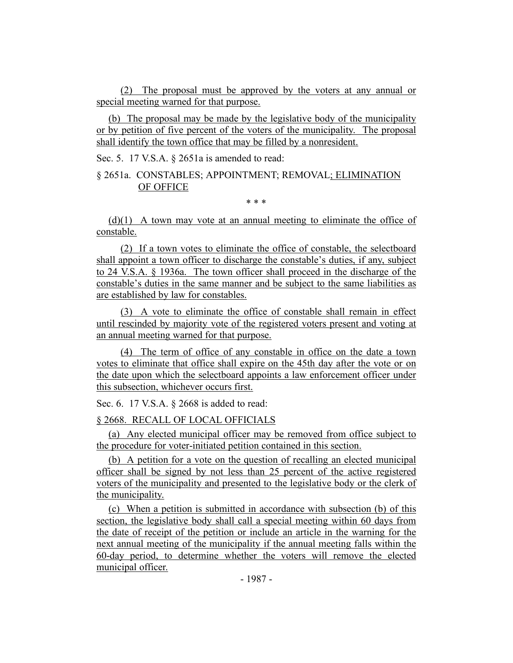(2) The proposal must be approved by the voters at any annual or special meeting warned for that purpose.

(b) The proposal may be made by the legislative body of the municipality or by petition of five percent of the voters of the municipality. The proposal shall identify the town office that may be filled by a nonresident.

Sec. 5. 17 V.S.A. § 2651a is amended to read:

## § 2651a. CONSTABLES; APPOINTMENT; REMOVAL; ELIMINATION OF OFFICE

\* \* \*

 $(d)(1)$  A town may vote at an annual meeting to eliminate the office of constable.

(2) If a town votes to eliminate the office of constable, the selectboard shall appoint a town officer to discharge the constable's duties, if any, subject to 24 V.S.A. § 1936a. The town officer shall proceed in the discharge of the constable's duties in the same manner and be subject to the same liabilities as are established by law for constables.

(3) A vote to eliminate the office of constable shall remain in effect until rescinded by majority vote of the registered voters present and voting at an annual meeting warned for that purpose.

(4) The term of office of any constable in office on the date a town votes to eliminate that office shall expire on the 45th day after the vote or on the date upon which the selectboard appoints a law enforcement officer under this subsection, whichever occurs first.

Sec. 6. 17 V.S.A. § 2668 is added to read:

§ 2668. RECALL OF LOCAL OFFICIALS

(a) Any elected municipal officer may be removed from office subject to the procedure for voter-initiated petition contained in this section.

(b) A petition for a vote on the question of recalling an elected municipal officer shall be signed by not less than 25 percent of the active registered voters of the municipality and presented to the legislative body or the clerk of the municipality.

(c) When a petition is submitted in accordance with subsection (b) of this section, the legislative body shall call a special meeting within 60 days from the date of receipt of the petition or include an article in the warning for the next annual meeting of the municipality if the annual meeting falls within the 60-day period, to determine whether the voters will remove the elected municipal officer.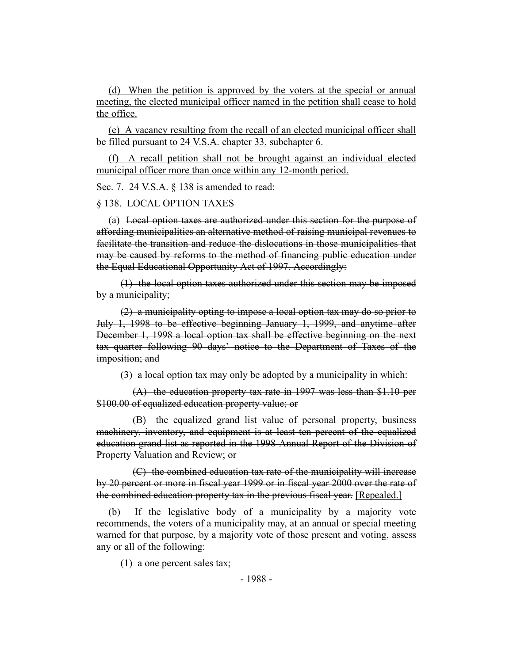(d) When the petition is approved by the voters at the special or annual meeting, the elected municipal officer named in the petition shall cease to hold the office.

(e) A vacancy resulting from the recall of an elected municipal officer shall be filled pursuant to 24 V.S.A. chapter 33, subchapter 6.

(f) A recall petition shall not be brought against an individual elected municipal officer more than once within any 12-month period.

Sec. 7. 24 V.S.A. § 138 is amended to read:

§ 138. LOCAL OPTION TAXES

(a) Local option taxes are authorized under this section for the purpose of affording municipalities an alternative method of raising municipal revenues to facilitate the transition and reduce the dislocations in those municipalities that may be caused by reforms to the method of financing public education under the Equal Educational Opportunity Act of 1997. Accordingly:

(1) the local option taxes authorized under this section may be imposed by a municipality;

(2) a municipality opting to impose a local option tax may do so prior to July 1, 1998 to be effective beginning January 1, 1999, and anytime after December 1, 1998 a local option tax shall be effective beginning on the next tax quarter following 90 days' notice to the Department of Taxes of the imposition; and

(3) a local option tax may only be adopted by a municipality in which:

(A) the education property tax rate in 1997 was less than \$1.10 per \$100.00 of equalized education property value; or

(B) the equalized grand list value of personal property, business machinery, inventory, and equipment is at least ten percent of the equalized education grand list as reported in the 1998 Annual Report of the Division of Property Valuation and Review; or

(C) the combined education tax rate of the municipality will increase by 20 percent or more in fiscal year 1999 or in fiscal year 2000 over the rate of the combined education property tax in the previous fiscal year. [Repealed.]

(b) If the legislative body of a municipality by a majority vote recommends, the voters of a municipality may, at an annual or special meeting warned for that purpose, by a majority vote of those present and voting, assess any or all of the following:

(1) a one percent sales tax;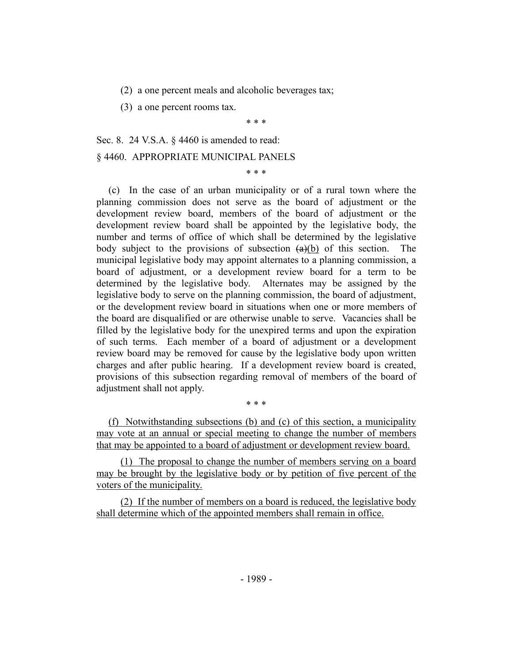(2) a one percent meals and alcoholic beverages tax;

(3) a one percent rooms tax.

\* \* \*

\* \* \*

Sec. 8. 24 V.S.A. § 4460 is amended to read: § 4460. APPROPRIATE MUNICIPAL PANELS

(c) In the case of an urban municipality or of a rural town where the planning commission does not serve as the board of adjustment or the development review board, members of the board of adjustment or the development review board shall be appointed by the legislative body, the number and terms of office of which shall be determined by the legislative body subject to the provisions of subsection  $(a)(b)$  of this section. The municipal legislative body may appoint alternates to a planning commission, a board of adjustment, or a development review board for a term to be determined by the legislative body. Alternates may be assigned by the legislative body to serve on the planning commission, the board of adjustment, or the development review board in situations when one or more members of the board are disqualified or are otherwise unable to serve. Vacancies shall be filled by the legislative body for the unexpired terms and upon the expiration of such terms. Each member of a board of adjustment or a development review board may be removed for cause by the legislative body upon written charges and after public hearing. If a development review board is created, provisions of this subsection regarding removal of members of the board of adjustment shall not apply.

(f) Notwithstanding subsections (b) and (c) of this section, a municipality may vote at an annual or special meeting to change the number of members that may be appointed to a board of adjustment or development review board.

\* \* \*

(1) The proposal to change the number of members serving on a board may be brought by the legislative body or by petition of five percent of the voters of the municipality.

(2) If the number of members on a board is reduced, the legislative body shall determine which of the appointed members shall remain in office.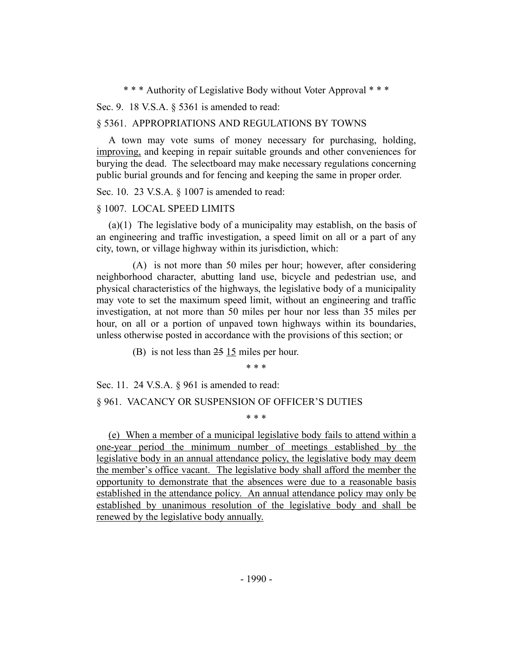\* \* \* Authority of Legislative Body without Voter Approval \* \* \*

Sec. 9. 18 V.S.A. § 5361 is amended to read:

#### § 5361. APPROPRIATIONS AND REGULATIONS BY TOWNS

A town may vote sums of money necessary for purchasing, holding, improving, and keeping in repair suitable grounds and other conveniences for burying the dead. The selectboard may make necessary regulations concerning public burial grounds and for fencing and keeping the same in proper order.

Sec. 10. 23 V.S.A. § 1007 is amended to read:

#### § 1007. LOCAL SPEED LIMITS

(a)(1) The legislative body of a municipality may establish, on the basis of an engineering and traffic investigation, a speed limit on all or a part of any city, town, or village highway within its jurisdiction, which:

(A) is not more than 50 miles per hour; however, after considering neighborhood character, abutting land use, bicycle and pedestrian use, and physical characteristics of the highways, the legislative body of a municipality may vote to set the maximum speed limit, without an engineering and traffic investigation, at not more than 50 miles per hour nor less than 35 miles per hour, on all or a portion of unpaved town highways within its boundaries, unless otherwise posted in accordance with the provisions of this section; or

(B) is not less than 25 15 miles per hour.

\* \* \*

Sec. 11. 24 V.S.A. § 961 is amended to read: § 961. VACANCY OR SUSPENSION OF OFFICER'S DUTIES

\* \* \*

(e) When a member of a municipal legislative body fails to attend within a one-year period the minimum number of meetings established by the legislative body in an annual attendance policy, the legislative body may deem the member's office vacant. The legislative body shall afford the member the opportunity to demonstrate that the absences were due to a reasonable basis established in the attendance policy. An annual attendance policy may only be established by unanimous resolution of the legislative body and shall be renewed by the legislative body annually.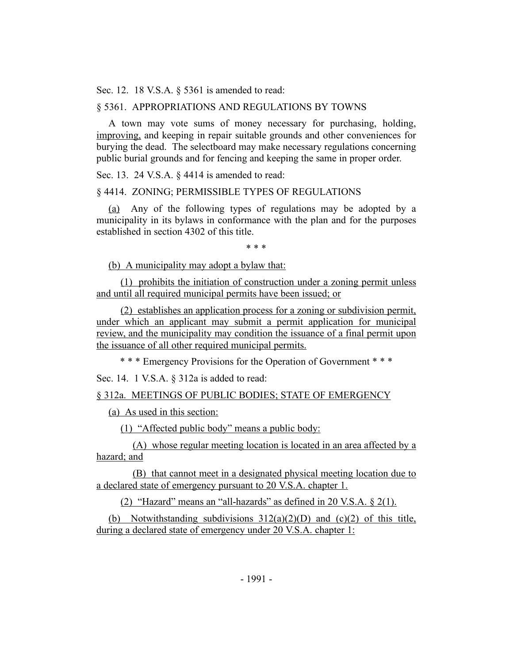Sec. 12. 18 V.S.A. § 5361 is amended to read:

## § 5361. APPROPRIATIONS AND REGULATIONS BY TOWNS

A town may vote sums of money necessary for purchasing, holding, improving, and keeping in repair suitable grounds and other conveniences for burying the dead. The selectboard may make necessary regulations concerning public burial grounds and for fencing and keeping the same in proper order.

Sec. 13. 24 V.S.A. § 4414 is amended to read:

#### § 4414. ZONING; PERMISSIBLE TYPES OF REGULATIONS

(a) Any of the following types of regulations may be adopted by a municipality in its bylaws in conformance with the plan and for the purposes established in section 4302 of this title.

\* \* \*

(b) A municipality may adopt a bylaw that:

(1) prohibits the initiation of construction under a zoning permit unless and until all required municipal permits have been issued; or

(2) establishes an application process for a zoning or subdivision permit, under which an applicant may submit a permit application for municipal review, and the municipality may condition the issuance of a final permit upon the issuance of all other required municipal permits.

\* \* \* Emergency Provisions for the Operation of Government \* \* \*

Sec. 14. 1 V.S.A. § 312a is added to read:

§ 312a. MEETINGS OF PUBLIC BODIES; STATE OF EMERGENCY

(a) As used in this section:

(1) "Affected public body" means a public body:

(A) whose regular meeting location is located in an area affected by a hazard; and

(B) that cannot meet in a designated physical meeting location due to a declared state of emergency pursuant to 20 V.S.A. chapter 1.

(2) "Hazard" means an "all-hazards" as defined in 20 V.S.A.  $\S$  2(1).

(b) Notwithstanding subdivisions  $312(a)(2)(D)$  and  $(c)(2)$  of this title, during a declared state of emergency under 20 V.S.A. chapter 1: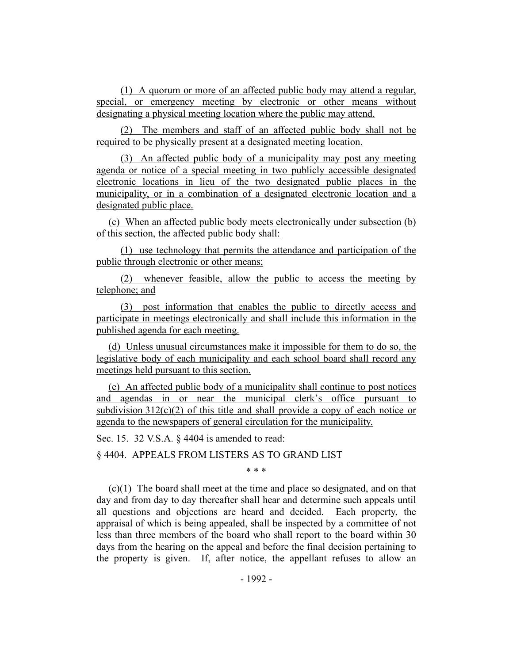(1) A quorum or more of an affected public body may attend a regular, special, or emergency meeting by electronic or other means without designating a physical meeting location where the public may attend.

(2) The members and staff of an affected public body shall not be required to be physically present at a designated meeting location.

(3) An affected public body of a municipality may post any meeting agenda or notice of a special meeting in two publicly accessible designated electronic locations in lieu of the two designated public places in the municipality, or in a combination of a designated electronic location and a designated public place.

(c) When an affected public body meets electronically under subsection (b) of this section, the affected public body shall:

(1) use technology that permits the attendance and participation of the public through electronic or other means;

(2) whenever feasible, allow the public to access the meeting by telephone; and

(3) post information that enables the public to directly access and participate in meetings electronically and shall include this information in the published agenda for each meeting.

(d) Unless unusual circumstances make it impossible for them to do so, the legislative body of each municipality and each school board shall record any meetings held pursuant to this section.

(e) An affected public body of a municipality shall continue to post notices and agendas in or near the municipal clerk's office pursuant to subdivision  $312(c)(2)$  of this title and shall provide a copy of each notice or agenda to the newspapers of general circulation for the municipality.

Sec. 15. 32 V.S.A. § 4404 is amended to read:

§ 4404. APPEALS FROM LISTERS AS TO GRAND LIST

\* \* \*

(c)(1) The board shall meet at the time and place so designated, and on that day and from day to day thereafter shall hear and determine such appeals until all questions and objections are heard and decided. Each property, the appraisal of which is being appealed, shall be inspected by a committee of not less than three members of the board who shall report to the board within 30 days from the hearing on the appeal and before the final decision pertaining to the property is given. If, after notice, the appellant refuses to allow an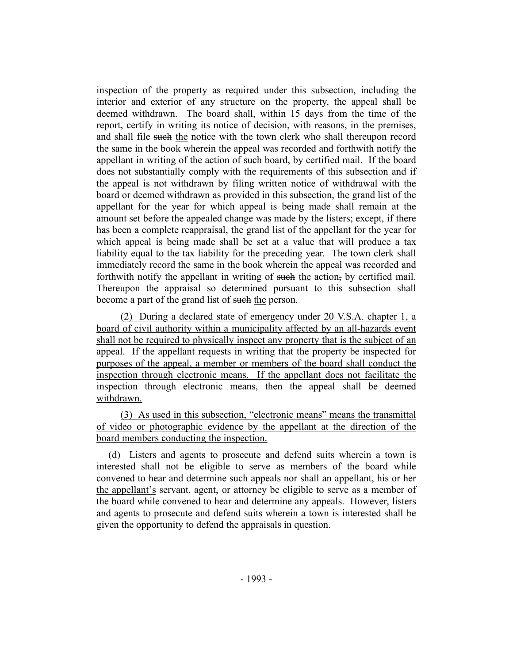inspection of the property as required under this subsection, including the interior and exterior of any structure on the property, the appeal shall be deemed withdrawn. The board shall, within 15 days from the time of the report, certify in writing its notice of decision, with reasons, in the premises, and shall file such the notice with the town clerk who shall thereupon record the same in the book wherein the appeal was recorded and forthwith notify the appellant in writing of the action of such board, by certified mail. If the board does not substantially comply with the requirements of this subsection and if the appeal is not withdrawn by filing written notice of withdrawal with the board or deemed withdrawn as provided in this subsection, the grand list of the appellant for the year for which appeal is being made shall remain at the amount set before the appealed change was made by the listers; except, if there has been a complete reappraisal, the grand list of the appellant for the year for which appeal is being made shall be set at a value that will produce a tax liability equal to the tax liability for the preceding year. The town clerk shall immediately record the same in the book wherein the appeal was recorded and forthwith notify the appellant in writing of such the action, by certified mail. Thereupon the appraisal so determined pursuant to this subsection shall become a part of the grand list of such the person.

(2) During a declared state of emergency under 20 V.S.A. chapter 1, a board of civil authority within a municipality affected by an all-hazards event shall not be required to physically inspect any property that is the subject of an appeal. If the appellant requests in writing that the property be inspected for purposes of the appeal, a member or members of the board shall conduct the inspection through electronic means. If the appellant does not facilitate the inspection through electronic means, then the appeal shall be deemed withdrawn.

(3) As used in this subsection, "electronic means" means the transmittal of video or photographic evidence by the appellant at the direction of the board members conducting the inspection.

(d) Listers and agents to prosecute and defend suits wherein a town is interested shall not be eligible to serve as members of the board while convened to hear and determine such appeals nor shall an appellant, his or her the appellant's servant, agent, or attorney be eligible to serve as a member of the board while convened to hear and determine any appeals. However, listers and agents to prosecute and defend suits wherein a town is interested shall be given the opportunity to defend the appraisals in question.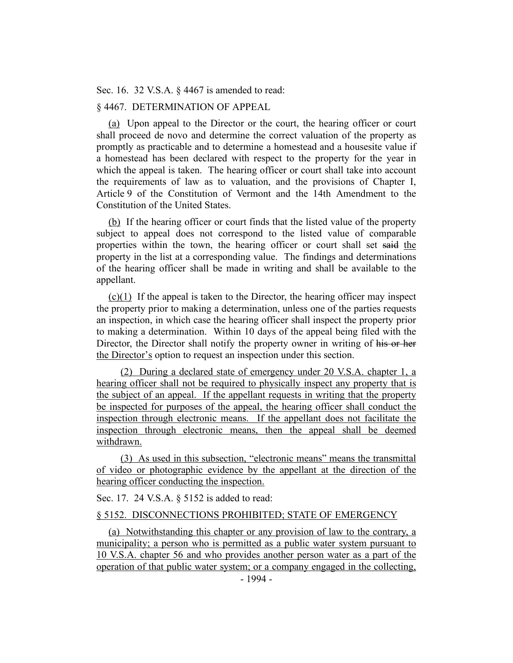Sec. 16. 32 V.S.A. § 4467 is amended to read:

## § 4467. DETERMINATION OF APPEAL

(a) Upon appeal to the Director or the court, the hearing officer or court shall proceed de novo and determine the correct valuation of the property as promptly as practicable and to determine a homestead and a housesite value if a homestead has been declared with respect to the property for the year in which the appeal is taken. The hearing officer or court shall take into account the requirements of law as to valuation, and the provisions of Chapter I, Article 9 of the Constitution of Vermont and the 14th Amendment to the Constitution of the United States.

(b) If the hearing officer or court finds that the listed value of the property subject to appeal does not correspond to the listed value of comparable properties within the town, the hearing officer or court shall set said the property in the list at a corresponding value. The findings and determinations of the hearing officer shall be made in writing and shall be available to the appellant.

(c)(1) If the appeal is taken to the Director, the hearing officer may inspect the property prior to making a determination, unless one of the parties requests an inspection, in which case the hearing officer shall inspect the property prior to making a determination. Within 10 days of the appeal being filed with the Director, the Director shall notify the property owner in writing of his or her the Director's option to request an inspection under this section.

(2) During a declared state of emergency under 20 V.S.A. chapter 1, a hearing officer shall not be required to physically inspect any property that is the subject of an appeal. If the appellant requests in writing that the property be inspected for purposes of the appeal, the hearing officer shall conduct the inspection through electronic means. If the appellant does not facilitate the inspection through electronic means, then the appeal shall be deemed withdrawn.

(3) As used in this subsection, "electronic means" means the transmittal of video or photographic evidence by the appellant at the direction of the hearing officer conducting the inspection.

Sec. 17. 24 V.S.A. § 5152 is added to read:

#### § 5152. DISCONNECTIONS PROHIBITED; STATE OF EMERGENCY

(a) Notwithstanding this chapter or any provision of law to the contrary, a municipality; a person who is permitted as a public water system pursuant to 10 V.S.A. chapter 56 and who provides another person water as a part of the operation of that public water system; or a company engaged in the collecting,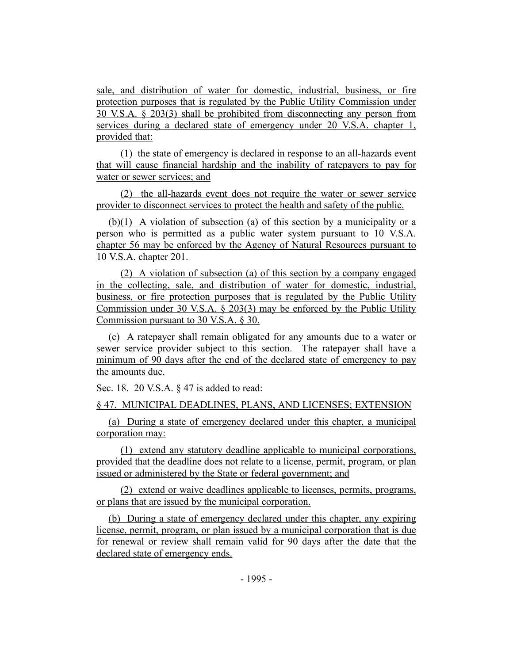sale, and distribution of water for domestic, industrial, business, or fire protection purposes that is regulated by the Public Utility Commission under 30 V.S.A. § 203(3) shall be prohibited from disconnecting any person from services during a declared state of emergency under 20 V.S.A. chapter 1, provided that:

(1) the state of emergency is declared in response to an all-hazards event that will cause financial hardship and the inability of ratepayers to pay for water or sewer services; and

(2) the all-hazards event does not require the water or sewer service provider to disconnect services to protect the health and safety of the public.

(b)(1) A violation of subsection (a) of this section by a municipality or a person who is permitted as a public water system pursuant to 10 V.S.A. chapter 56 may be enforced by the Agency of Natural Resources pursuant to 10 V.S.A. chapter 201.

(2) A violation of subsection (a) of this section by a company engaged in the collecting, sale, and distribution of water for domestic, industrial, business, or fire protection purposes that is regulated by the Public Utility Commission under 30 V.S.A. § 203(3) may be enforced by the Public Utility Commission pursuant to 30 V.S.A. § 30.

(c) A ratepayer shall remain obligated for any amounts due to a water or sewer service provider subject to this section. The ratepayer shall have a minimum of 90 days after the end of the declared state of emergency to pay the amounts due.

Sec. 18. 20 V.S.A. § 47 is added to read:

§ 47. MUNICIPAL DEADLINES, PLANS, AND LICENSES; EXTENSION

(a) During a state of emergency declared under this chapter, a municipal corporation may:

(1) extend any statutory deadline applicable to municipal corporations, provided that the deadline does not relate to a license, permit, program, or plan issued or administered by the State or federal government; and

(2) extend or waive deadlines applicable to licenses, permits, programs, or plans that are issued by the municipal corporation.

(b) During a state of emergency declared under this chapter, any expiring license, permit, program, or plan issued by a municipal corporation that is due for renewal or review shall remain valid for 90 days after the date that the declared state of emergency ends.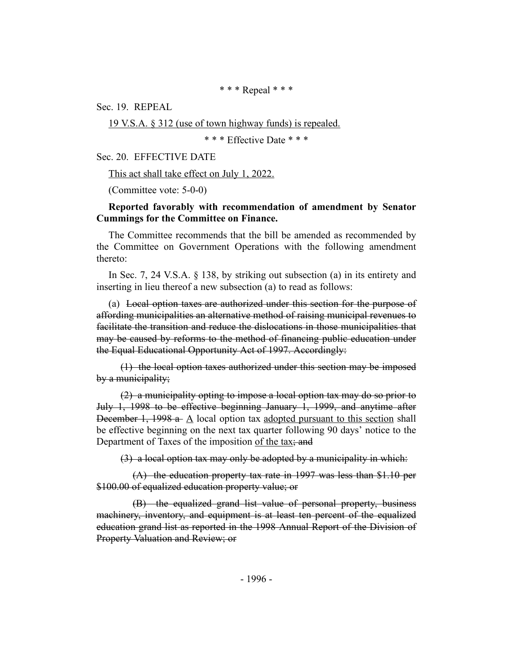\* \* \* Repeal \* \* \*

Sec. 19. REPEAL

19 V.S.A. § 312 (use of town highway funds) is repealed.

\* \* \* Effective Date \* \* \*

Sec. 20. EFFECTIVE DATE

This act shall take effect on July 1, 2022.

(Committee vote: 5-0-0)

#### **Reported favorably with recommendation of amendment by Senator Cummings for the Committee on Finance.**

The Committee recommends that the bill be amended as recommended by the Committee on Government Operations with the following amendment thereto:

In Sec. 7, 24 V.S.A. § 138, by striking out subsection (a) in its entirety and inserting in lieu thereof a new subsection (a) to read as follows:

(a) Local option taxes are authorized under this section for the purpose of affording municipalities an alternative method of raising municipal revenues to facilitate the transition and reduce the dislocations in those municipalities that may be caused by reforms to the method of financing public education under the Equal Educational Opportunity Act of 1997. Accordingly:

(1) the local option taxes authorized under this section may be imposed by a municipality;

(2) a municipality opting to impose a local option tax may do so prior to July 1, 1998 to be effective beginning January 1, 1999, and anytime after December 1, 1998 a- $\Delta$  local option tax adopted pursuant to this section shall be effective beginning on the next tax quarter following 90 days' notice to the Department of Taxes of the imposition of the tax; and

(3) a local option tax may only be adopted by a municipality in which:

(A) the education property tax rate in 1997 was less than \$1.10 per \$100.00 of equalized education property value; or

(B) the equalized grand list value of personal property, business machinery, inventory, and equipment is at least ten percent of the equalized education grand list as reported in the 1998 Annual Report of the Division of Property Valuation and Review; or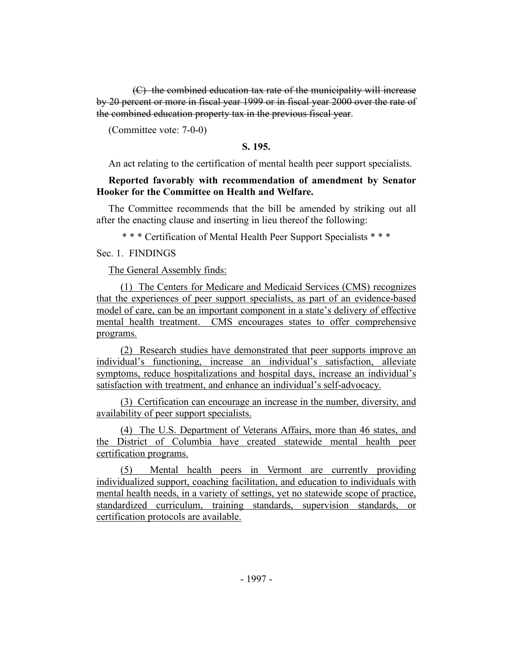(C) the combined education tax rate of the municipality will increase by 20 percent or more in fiscal year 1999 or in fiscal year 2000 over the rate of the combined education property tax in the previous fiscal year.

(Committee vote: 7-0-0)

### **S. 195.**

An act relating to the certification of mental health peer support specialists.

### **Reported favorably with recommendation of amendment by Senator Hooker for the Committee on Health and Welfare.**

The Committee recommends that the bill be amended by striking out all after the enacting clause and inserting in lieu thereof the following:

\* \* \* Certification of Mental Health Peer Support Specialists \* \* \*

### Sec. 1. FINDINGS

The General Assembly finds:

(1) The Centers for Medicare and Medicaid Services (CMS) recognizes that the experiences of peer support specialists, as part of an evidence-based model of care, can be an important component in a state's delivery of effective mental health treatment. CMS encourages states to offer comprehensive programs.

(2) Research studies have demonstrated that peer supports improve an individual's functioning, increase an individual's satisfaction, alleviate symptoms, reduce hospitalizations and hospital days, increase an individual's satisfaction with treatment, and enhance an individual's self-advocacy.

(3) Certification can encourage an increase in the number, diversity, and availability of peer support specialists.

(4) The U.S. Department of Veterans Affairs, more than 46 states, and the District of Columbia have created statewide mental health peer certification programs.

(5) Mental health peers in Vermont are currently providing individualized support, coaching facilitation, and education to individuals with mental health needs, in a variety of settings, yet no statewide scope of practice, standardized curriculum, training standards, supervision standards, or certification protocols are available.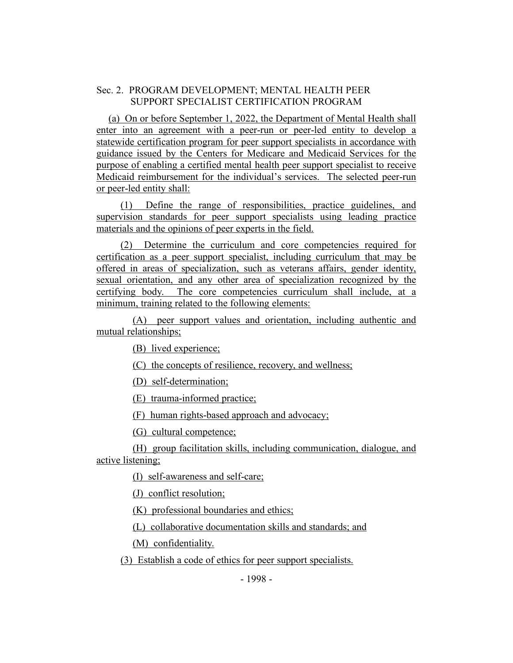### Sec. 2. PROGRAM DEVELOPMENT; MENTAL HEALTH PEER SUPPORT SPECIALIST CERTIFICATION PROGRAM

(a) On or before September 1, 2022, the Department of Mental Health shall enter into an agreement with a peer-run or peer-led entity to develop a statewide certification program for peer support specialists in accordance with guidance issued by the Centers for Medicare and Medicaid Services for the purpose of enabling a certified mental health peer support specialist to receive Medicaid reimbursement for the individual's services. The selected peer-run or peer-led entity shall:

(1) Define the range of responsibilities, practice guidelines, and supervision standards for peer support specialists using leading practice materials and the opinions of peer experts in the field.

(2) Determine the curriculum and core competencies required for certification as a peer support specialist, including curriculum that may be offered in areas of specialization, such as veterans affairs, gender identity, sexual orientation, and any other area of specialization recognized by the certifying body. The core competencies curriculum shall include, at a minimum, training related to the following elements:

(A) peer support values and orientation, including authentic and mutual relationships;

(B) lived experience;

(C) the concepts of resilience, recovery, and wellness;

(D) self-determination;

(E) trauma-informed practice;

(F) human rights-based approach and advocacy;

(G) cultural competence;

(H) group facilitation skills, including communication, dialogue, and active listening;

(I) self-awareness and self-care;

(J) conflict resolution;

(K) professional boundaries and ethics;

(L) collaborative documentation skills and standards; and

(M) confidentiality.

(3) Establish a code of ethics for peer support specialists.

- 1998 -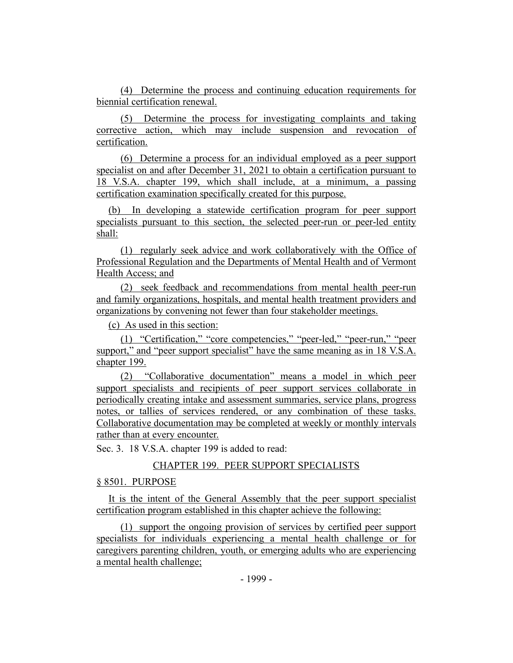(4) Determine the process and continuing education requirements for biennial certification renewal.

(5) Determine the process for investigating complaints and taking corrective action, which may include suspension and revocation of certification.

(6) Determine a process for an individual employed as a peer support specialist on and after December 31, 2021 to obtain a certification pursuant to 18 V.S.A. chapter 199, which shall include, at a minimum, a passing certification examination specifically created for this purpose.

(b) In developing a statewide certification program for peer support specialists pursuant to this section, the selected peer-run or peer-led entity shall:

(1) regularly seek advice and work collaboratively with the Office of Professional Regulation and the Departments of Mental Health and of Vermont Health Access; and

(2) seek feedback and recommendations from mental health peer-run and family organizations, hospitals, and mental health treatment providers and organizations by convening not fewer than four stakeholder meetings.

(c) As used in this section:

(1) "Certification," "core competencies," "peer-led," "peer-run," "peer support," and "peer support specialist" have the same meaning as in 18 V.S.A. chapter 199.

(2) "Collaborative documentation" means a model in which peer support specialists and recipients of peer support services collaborate in periodically creating intake and assessment summaries, service plans, progress notes, or tallies of services rendered, or any combination of these tasks. Collaborative documentation may be completed at weekly or monthly intervals rather than at every encounter.

Sec. 3. 18 V.S.A. chapter 199 is added to read:

# CHAPTER 199. PEER SUPPORT SPECIALISTS

### § 8501. PURPOSE

It is the intent of the General Assembly that the peer support specialist certification program established in this chapter achieve the following:

(1) support the ongoing provision of services by certified peer support specialists for individuals experiencing a mental health challenge or for caregivers parenting children, youth, or emerging adults who are experiencing a mental health challenge;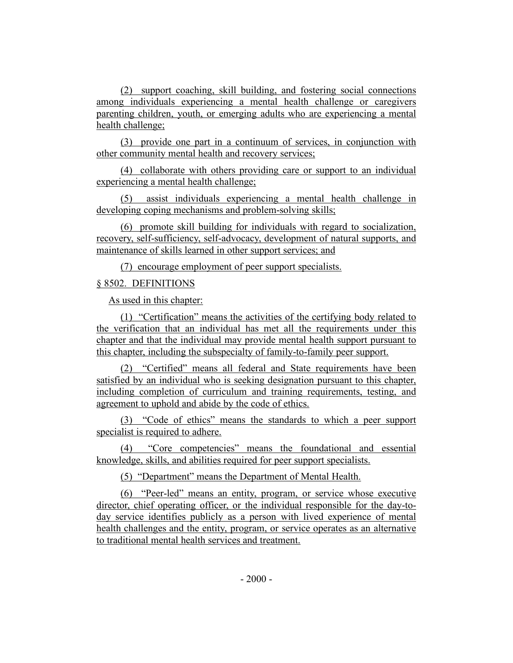(2) support coaching, skill building, and fostering social connections among individuals experiencing a mental health challenge or caregivers parenting children, youth, or emerging adults who are experiencing a mental health challenge;

(3) provide one part in a continuum of services, in conjunction with other community mental health and recovery services;

(4) collaborate with others providing care or support to an individual experiencing a mental health challenge;

(5) assist individuals experiencing a mental health challenge in developing coping mechanisms and problem-solving skills;

(6) promote skill building for individuals with regard to socialization, recovery, self-sufficiency, self-advocacy, development of natural supports, and maintenance of skills learned in other support services; and

(7) encourage employment of peer support specialists.

## § 8502. DEFINITIONS

As used in this chapter:

(1) "Certification" means the activities of the certifying body related to the verification that an individual has met all the requirements under this chapter and that the individual may provide mental health support pursuant to this chapter, including the subspecialty of family-to-family peer support.

(2) "Certified" means all federal and State requirements have been satisfied by an individual who is seeking designation pursuant to this chapter, including completion of curriculum and training requirements, testing, and agreement to uphold and abide by the code of ethics.

(3) "Code of ethics" means the standards to which a peer support specialist is required to adhere.

(4) "Core competencies" means the foundational and essential knowledge, skills, and abilities required for peer support specialists.

(5) "Department" means the Department of Mental Health.

(6) "Peer-led" means an entity, program, or service whose executive director, chief operating officer, or the individual responsible for the day-today service identifies publicly as a person with lived experience of mental health challenges and the entity, program, or service operates as an alternative to traditional mental health services and treatment.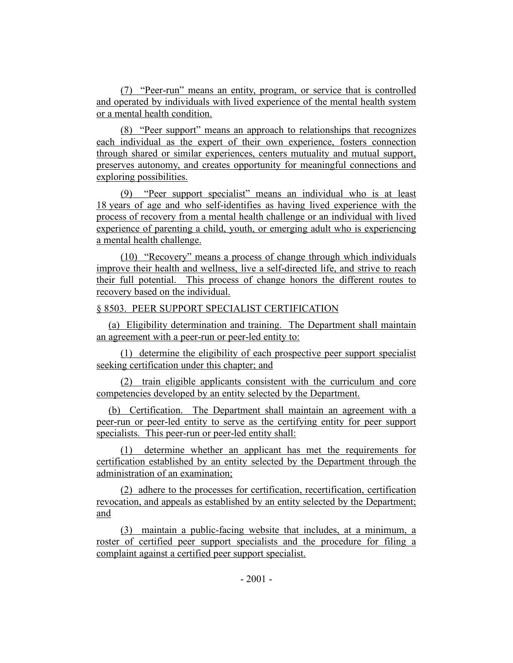(7) "Peer-run" means an entity, program, or service that is controlled and operated by individuals with lived experience of the mental health system or a mental health condition.

(8) "Peer support" means an approach to relationships that recognizes each individual as the expert of their own experience, fosters connection through shared or similar experiences, centers mutuality and mutual support, preserves autonomy, and creates opportunity for meaningful connections and exploring possibilities.

(9) "Peer support specialist" means an individual who is at least 18 years of age and who self-identifies as having lived experience with the process of recovery from a mental health challenge or an individual with lived experience of parenting a child, youth, or emerging adult who is experiencing a mental health challenge.

(10) "Recovery" means a process of change through which individuals improve their health and wellness, live a self-directed life, and strive to reach their full potential. This process of change honors the different routes to recovery based on the individual.

# § 8503. PEER SUPPORT SPECIALIST CERTIFICATION

(a) Eligibility determination and training. The Department shall maintain an agreement with a peer-run or peer-led entity to:

(1) determine the eligibility of each prospective peer support specialist seeking certification under this chapter; and

(2) train eligible applicants consistent with the curriculum and core competencies developed by an entity selected by the Department.

(b) Certification. The Department shall maintain an agreement with a peer-run or peer-led entity to serve as the certifying entity for peer support specialists. This peer-run or peer-led entity shall:

(1) determine whether an applicant has met the requirements for certification established by an entity selected by the Department through the administration of an examination;

(2) adhere to the processes for certification, recertification, certification revocation, and appeals as established by an entity selected by the Department; and

(3) maintain a public-facing website that includes, at a minimum, a roster of certified peer support specialists and the procedure for filing a complaint against a certified peer support specialist.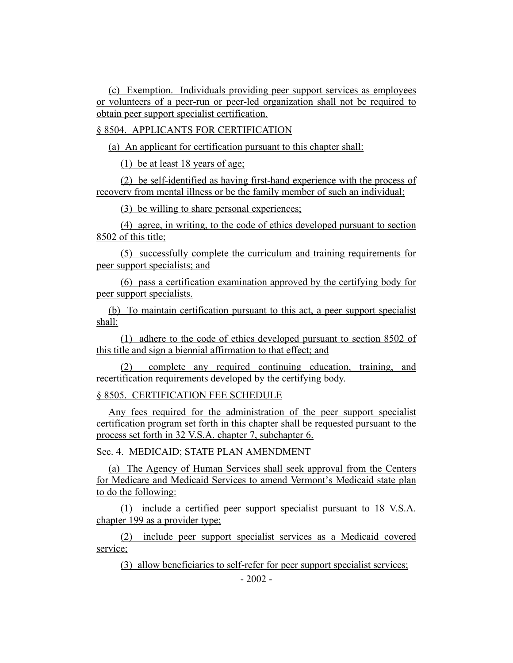(c) Exemption. Individuals providing peer support services as employees or volunteers of a peer-run or peer-led organization shall not be required to obtain peer support specialist certification.

§ 8504. APPLICANTS FOR CERTIFICATION

(a) An applicant for certification pursuant to this chapter shall:

(1) be at least 18 years of age;

(2) be self-identified as having first-hand experience with the process of recovery from mental illness or be the family member of such an individual;

(3) be willing to share personal experiences;

(4) agree, in writing, to the code of ethics developed pursuant to section 8502 of this title;

(5) successfully complete the curriculum and training requirements for peer support specialists; and

(6) pass a certification examination approved by the certifying body for peer support specialists.

(b) To maintain certification pursuant to this act, a peer support specialist shall:

(1) adhere to the code of ethics developed pursuant to section 8502 of this title and sign a biennial affirmation to that effect; and

(2) complete any required continuing education, training, and recertification requirements developed by the certifying body.

§ 8505. CERTIFICATION FEE SCHEDULE

Any fees required for the administration of the peer support specialist certification program set forth in this chapter shall be requested pursuant to the process set forth in 32 V.S.A. chapter 7, subchapter 6.

Sec. 4. MEDICAID; STATE PLAN AMENDMENT

(a) The Agency of Human Services shall seek approval from the Centers for Medicare and Medicaid Services to amend Vermont's Medicaid state plan to do the following:

(1) include a certified peer support specialist pursuant to 18 V.S.A. chapter 199 as a provider type;

(2) include peer support specialist services as a Medicaid covered service;

(3) allow beneficiaries to self-refer for peer support specialist services;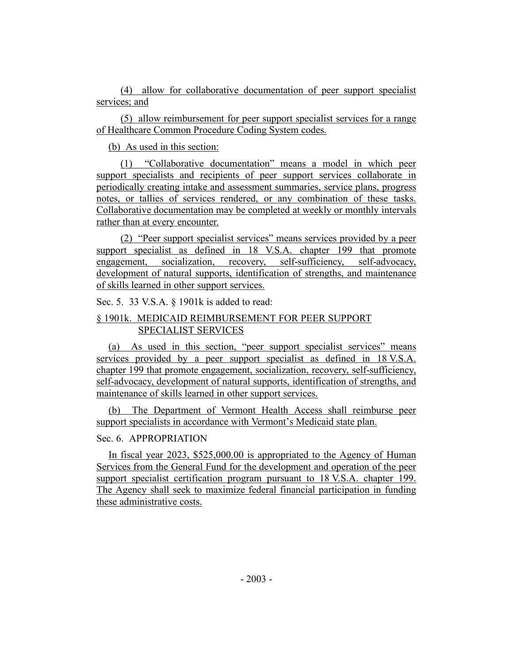(4) allow for collaborative documentation of peer support specialist services; and

(5) allow reimbursement for peer support specialist services for a range of Healthcare Common Procedure Coding System codes.

(b) As used in this section:

(1) "Collaborative documentation" means a model in which peer support specialists and recipients of peer support services collaborate in periodically creating intake and assessment summaries, service plans, progress notes, or tallies of services rendered, or any combination of these tasks. Collaborative documentation may be completed at weekly or monthly intervals rather than at every encounter.

(2) "Peer support specialist services" means services provided by a peer support specialist as defined in 18 V.S.A. chapter 199 that promote engagement, socialization, recovery, self-sufficiency, self-advocacy, development of natural supports, identification of strengths, and maintenance of skills learned in other support services.

Sec. 5. 33 V.S.A. § 1901k is added to read:

# § 1901k. MEDICAID REIMBURSEMENT FOR PEER SUPPORT SPECIALIST SERVICES

(a) As used in this section, "peer support specialist services" means services provided by a peer support specialist as defined in 18 V.S.A. chapter 199 that promote engagement, socialization, recovery, self-sufficiency, self-advocacy, development of natural supports, identification of strengths, and maintenance of skills learned in other support services.

(b) The Department of Vermont Health Access shall reimburse peer support specialists in accordance with Vermont's Medicaid state plan.

# Sec. 6. APPROPRIATION

In fiscal year 2023, \$525,000.00 is appropriated to the Agency of Human Services from the General Fund for the development and operation of the peer support specialist certification program pursuant to 18 V.S.A. chapter 199. The Agency shall seek to maximize federal financial participation in funding these administrative costs.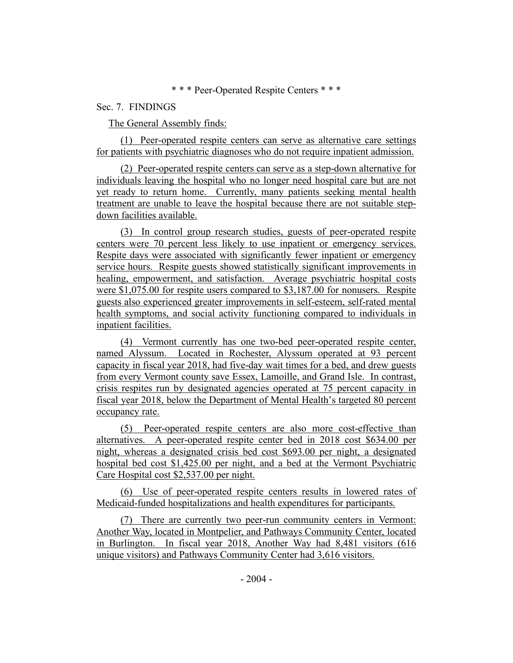### \* \* \* Peer-Operated Respite Centers \* \* \*

### Sec. 7. FINDINGS

### The General Assembly finds:

(1) Peer-operated respite centers can serve as alternative care settings for patients with psychiatric diagnoses who do not require inpatient admission.

(2) Peer-operated respite centers can serve as a step-down alternative for individuals leaving the hospital who no longer need hospital care but are not yet ready to return home. Currently, many patients seeking mental health treatment are unable to leave the hospital because there are not suitable stepdown facilities available.

(3) In control group research studies, guests of peer-operated respite centers were 70 percent less likely to use inpatient or emergency services. Respite days were associated with significantly fewer inpatient or emergency service hours. Respite guests showed statistically significant improvements in healing, empowerment, and satisfaction. Average psychiatric hospital costs were \$1,075.00 for respite users compared to \$3,187.00 for nonusers. Respite guests also experienced greater improvements in self-esteem, self-rated mental health symptoms, and social activity functioning compared to individuals in inpatient facilities.

(4) Vermont currently has one two-bed peer-operated respite center, named Alyssum. Located in Rochester, Alyssum operated at 93 percent capacity in fiscal year 2018, had five-day wait times for a bed, and drew guests from every Vermont county save Essex, Lamoille, and Grand Isle. In contrast, crisis respites run by designated agencies operated at 75 percent capacity in fiscal year 2018, below the Department of Mental Health's targeted 80 percent occupancy rate.

(5) Peer-operated respite centers are also more cost-effective than alternatives. A peer-operated respite center bed in 2018 cost \$634.00 per night, whereas a designated crisis bed cost \$693.00 per night, a designated hospital bed cost \$1,425.00 per night, and a bed at the Vermont Psychiatric Care Hospital cost \$2,537.00 per night.

(6) Use of peer-operated respite centers results in lowered rates of Medicaid-funded hospitalizations and health expenditures for participants.

(7) There are currently two peer-run community centers in Vermont: Another Way, located in Montpelier, and Pathways Community Center, located in Burlington. In fiscal year 2018, Another Way had 8,481 visitors (616 unique visitors) and Pathways Community Center had 3,616 visitors.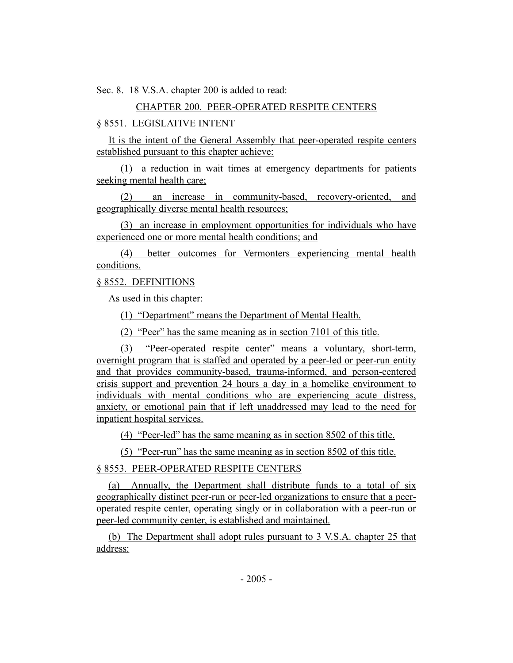Sec. 8. 18 V.S.A. chapter 200 is added to read:

## CHAPTER 200. PEER-OPERATED RESPITE CENTERS

### § 8551. LEGISLATIVE INTENT

It is the intent of the General Assembly that peer-operated respite centers established pursuant to this chapter achieve:

(1) a reduction in wait times at emergency departments for patients seeking mental health care;

(2) an increase in community-based, recovery-oriented, and geographically diverse mental health resources;

(3) an increase in employment opportunities for individuals who have experienced one or more mental health conditions; and

(4) better outcomes for Vermonters experiencing mental health conditions.

### § 8552. DEFINITIONS

As used in this chapter:

(1) "Department" means the Department of Mental Health.

(2) "Peer" has the same meaning as in section 7101 of this title.

(3) "Peer-operated respite center" means a voluntary, short-term, overnight program that is staffed and operated by a peer-led or peer-run entity and that provides community-based, trauma-informed, and person-centered crisis support and prevention 24 hours a day in a homelike environment to individuals with mental conditions who are experiencing acute distress, anxiety, or emotional pain that if left unaddressed may lead to the need for inpatient hospital services.

(4) "Peer-led" has the same meaning as in section 8502 of this title.

(5) "Peer-run" has the same meaning as in section 8502 of this title.

### § 8553. PEER-OPERATED RESPITE CENTERS

(a) Annually, the Department shall distribute funds to a total of six geographically distinct peer-run or peer-led organizations to ensure that a peeroperated respite center, operating singly or in collaboration with a peer-run or peer-led community center, is established and maintained.

(b) The Department shall adopt rules pursuant to 3 V.S.A. chapter 25 that address: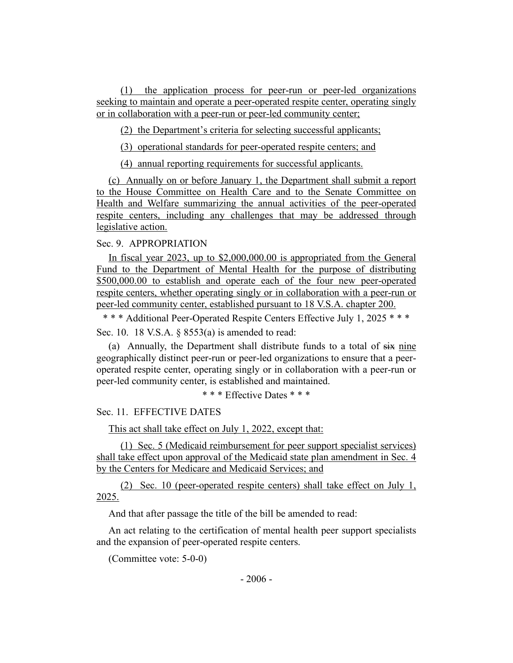(1) the application process for peer-run or peer-led organizations seeking to maintain and operate a peer-operated respite center, operating singly or in collaboration with a peer-run or peer-led community center;

(2) the Department's criteria for selecting successful applicants;

(3) operational standards for peer-operated respite centers; and

(4) annual reporting requirements for successful applicants.

(c) Annually on or before January 1, the Department shall submit a report to the House Committee on Health Care and to the Senate Committee on Health and Welfare summarizing the annual activities of the peer-operated respite centers, including any challenges that may be addressed through legislative action.

### Sec. 9. APPROPRIATION

In fiscal year 2023, up to \$2,000,000.00 is appropriated from the General Fund to the Department of Mental Health for the purpose of distributing \$500,000.00 to establish and operate each of the four new peer-operated respite centers, whether operating singly or in collaboration with a peer-run or peer-led community center, established pursuant to 18 V.S.A. chapter 200.

\* \* \* Additional Peer-Operated Respite Centers Effective July 1, 2025 \* \* \* Sec. 10. 18 V.S.A. § 8553(a) is amended to read:

(a) Annually, the Department shall distribute funds to a total of six nine geographically distinct peer-run or peer-led organizations to ensure that a peeroperated respite center, operating singly or in collaboration with a peer-run or peer-led community center, is established and maintained.

\* \* \* Effective Dates \* \* \*

Sec. 11. EFFECTIVE DATES

This act shall take effect on July 1, 2022, except that:

(1) Sec. 5 (Medicaid reimbursement for peer support specialist services) shall take effect upon approval of the Medicaid state plan amendment in Sec. 4 by the Centers for Medicare and Medicaid Services; and

(2) Sec. 10 (peer-operated respite centers) shall take effect on July 1, 2025.

And that after passage the title of the bill be amended to read:

An act relating to the certification of mental health peer support specialists and the expansion of peer-operated respite centers.

(Committee vote: 5-0-0)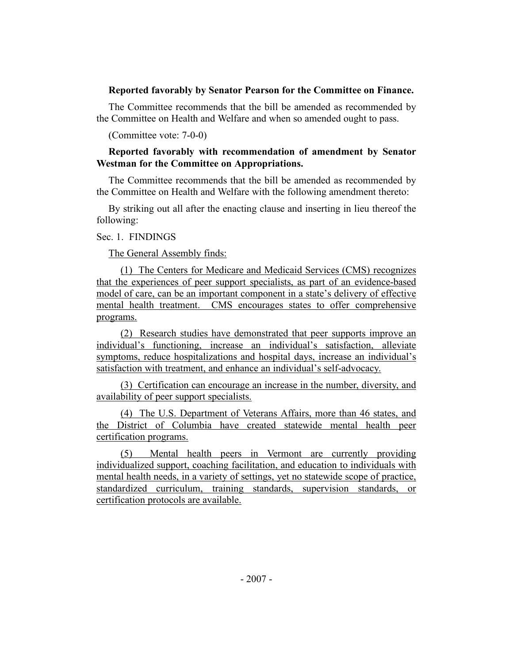### **Reported favorably by Senator Pearson for the Committee on Finance.**

The Committee recommends that the bill be amended as recommended by the Committee on Health and Welfare and when so amended ought to pass.

(Committee vote: 7-0-0)

## **Reported favorably with recommendation of amendment by Senator Westman for the Committee on Appropriations.**

The Committee recommends that the bill be amended as recommended by the Committee on Health and Welfare with the following amendment thereto:

By striking out all after the enacting clause and inserting in lieu thereof the following:

### Sec. 1. FINDINGS

The General Assembly finds:

(1) The Centers for Medicare and Medicaid Services (CMS) recognizes that the experiences of peer support specialists, as part of an evidence-based model of care, can be an important component in a state's delivery of effective mental health treatment. CMS encourages states to offer comprehensive programs.

(2) Research studies have demonstrated that peer supports improve an individual's functioning, increase an individual's satisfaction, alleviate symptoms, reduce hospitalizations and hospital days, increase an individual's satisfaction with treatment, and enhance an individual's self-advocacy.

(3) Certification can encourage an increase in the number, diversity, and availability of peer support specialists.

(4) The U.S. Department of Veterans Affairs, more than 46 states, and the District of Columbia have created statewide mental health peer certification programs.

(5) Mental health peers in Vermont are currently providing individualized support, coaching facilitation, and education to individuals with mental health needs, in a variety of settings, yet no statewide scope of practice, standardized curriculum, training standards, supervision standards, or certification protocols are available.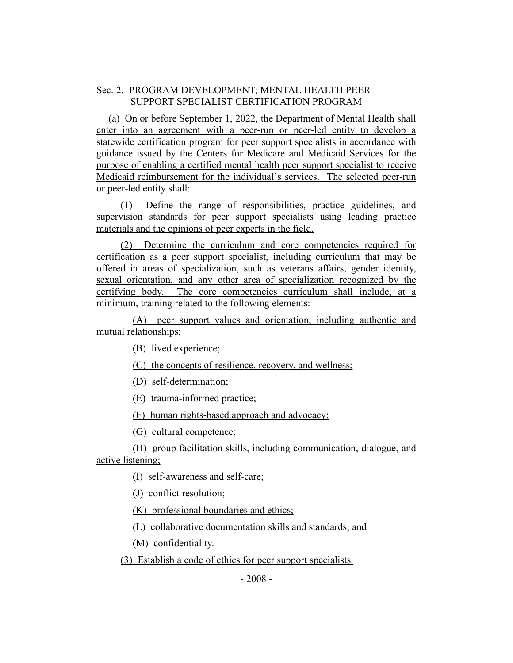### Sec. 2. PROGRAM DEVELOPMENT; MENTAL HEALTH PEER SUPPORT SPECIALIST CERTIFICATION PROGRAM

(a) On or before September 1, 2022, the Department of Mental Health shall enter into an agreement with a peer-run or peer-led entity to develop a statewide certification program for peer support specialists in accordance with guidance issued by the Centers for Medicare and Medicaid Services for the purpose of enabling a certified mental health peer support specialist to receive Medicaid reimbursement for the individual's services. The selected peer-run or peer-led entity shall:

(1) Define the range of responsibilities, practice guidelines, and supervision standards for peer support specialists using leading practice materials and the opinions of peer experts in the field.

(2) Determine the curriculum and core competencies required for certification as a peer support specialist, including curriculum that may be offered in areas of specialization, such as veterans affairs, gender identity, sexual orientation, and any other area of specialization recognized by the certifying body. The core competencies curriculum shall include, at a minimum, training related to the following elements:

(A) peer support values and orientation, including authentic and mutual relationships;

(B) lived experience;

(C) the concepts of resilience, recovery, and wellness;

(D) self-determination;

(E) trauma-informed practice;

(F) human rights-based approach and advocacy;

(G) cultural competence;

(H) group facilitation skills, including communication, dialogue, and active listening;

(I) self-awareness and self-care;

(J) conflict resolution;

(K) professional boundaries and ethics;

(L) collaborative documentation skills and standards; and

(M) confidentiality.

(3) Establish a code of ethics for peer support specialists.

- 2008 -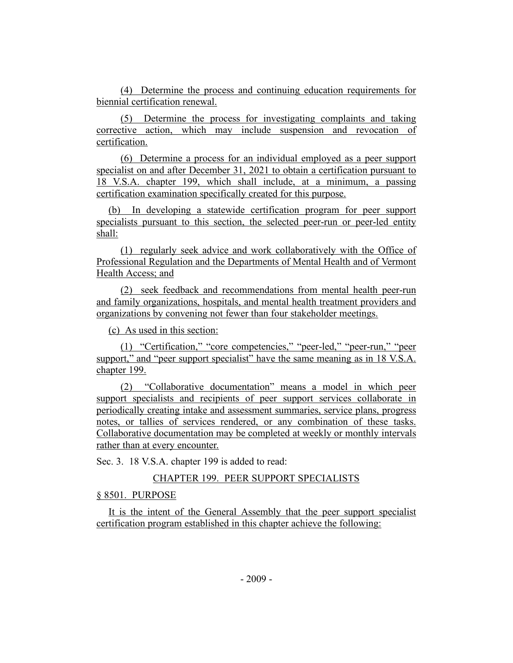(4) Determine the process and continuing education requirements for biennial certification renewal.

(5) Determine the process for investigating complaints and taking corrective action, which may include suspension and revocation of certification.

(6) Determine a process for an individual employed as a peer support specialist on and after December 31, 2021 to obtain a certification pursuant to 18 V.S.A. chapter 199, which shall include, at a minimum, a passing certification examination specifically created for this purpose.

(b) In developing a statewide certification program for peer support specialists pursuant to this section, the selected peer-run or peer-led entity shall:

(1) regularly seek advice and work collaboratively with the Office of Professional Regulation and the Departments of Mental Health and of Vermont Health Access; and

(2) seek feedback and recommendations from mental health peer-run and family organizations, hospitals, and mental health treatment providers and organizations by convening not fewer than four stakeholder meetings.

(c) As used in this section:

(1) "Certification," "core competencies," "peer-led," "peer-run," "peer support," and "peer support specialist" have the same meaning as in 18 V.S.A. chapter 199.

(2) "Collaborative documentation" means a model in which peer support specialists and recipients of peer support services collaborate in periodically creating intake and assessment summaries, service plans, progress notes, or tallies of services rendered, or any combination of these tasks. Collaborative documentation may be completed at weekly or monthly intervals rather than at every encounter.

Sec. 3. 18 V.S.A. chapter 199 is added to read:

# CHAPTER 199. PEER SUPPORT SPECIALISTS

§ 8501. PURPOSE

It is the intent of the General Assembly that the peer support specialist certification program established in this chapter achieve the following: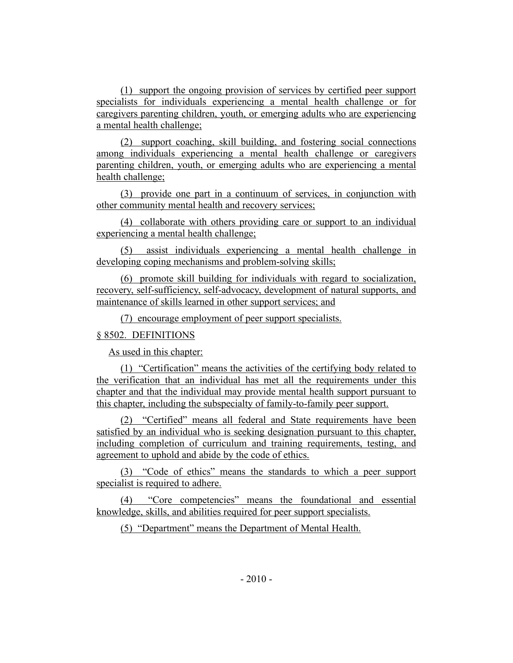(1) support the ongoing provision of services by certified peer support specialists for individuals experiencing a mental health challenge or for caregivers parenting children, youth, or emerging adults who are experiencing a mental health challenge;

(2) support coaching, skill building, and fostering social connections among individuals experiencing a mental health challenge or caregivers parenting children, youth, or emerging adults who are experiencing a mental health challenge;

(3) provide one part in a continuum of services, in conjunction with other community mental health and recovery services;

(4) collaborate with others providing care or support to an individual experiencing a mental health challenge;

(5) assist individuals experiencing a mental health challenge in developing coping mechanisms and problem-solving skills;

(6) promote skill building for individuals with regard to socialization, recovery, self-sufficiency, self-advocacy, development of natural supports, and maintenance of skills learned in other support services; and

(7) encourage employment of peer support specialists.

#### § 8502. DEFINITIONS

As used in this chapter:

(1) "Certification" means the activities of the certifying body related to the verification that an individual has met all the requirements under this chapter and that the individual may provide mental health support pursuant to this chapter, including the subspecialty of family-to-family peer support.

(2) "Certified" means all federal and State requirements have been satisfied by an individual who is seeking designation pursuant to this chapter, including completion of curriculum and training requirements, testing, and agreement to uphold and abide by the code of ethics.

(3) "Code of ethics" means the standards to which a peer support specialist is required to adhere.

(4) "Core competencies" means the foundational and essential knowledge, skills, and abilities required for peer support specialists.

(5) "Department" means the Department of Mental Health.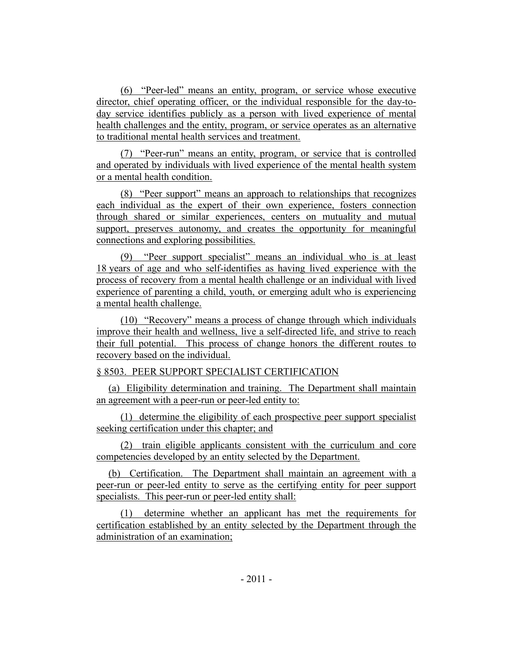(6) "Peer-led" means an entity, program, or service whose executive director, chief operating officer, or the individual responsible for the day-today service identifies publicly as a person with lived experience of mental health challenges and the entity, program, or service operates as an alternative to traditional mental health services and treatment.

(7) "Peer-run" means an entity, program, or service that is controlled and operated by individuals with lived experience of the mental health system or a mental health condition.

(8) "Peer support" means an approach to relationships that recognizes each individual as the expert of their own experience, fosters connection through shared or similar experiences, centers on mutuality and mutual support, preserves autonomy, and creates the opportunity for meaningful connections and exploring possibilities.

(9) "Peer support specialist" means an individual who is at least 18 years of age and who self-identifies as having lived experience with the process of recovery from a mental health challenge or an individual with lived experience of parenting a child, youth, or emerging adult who is experiencing a mental health challenge.

(10) "Recovery" means a process of change through which individuals improve their health and wellness, live a self-directed life, and strive to reach their full potential. This process of change honors the different routes to recovery based on the individual.

# § 8503. PEER SUPPORT SPECIALIST CERTIFICATION

(a) Eligibility determination and training. The Department shall maintain an agreement with a peer-run or peer-led entity to:

(1) determine the eligibility of each prospective peer support specialist seeking certification under this chapter; and

(2) train eligible applicants consistent with the curriculum and core competencies developed by an entity selected by the Department.

(b) Certification. The Department shall maintain an agreement with a peer-run or peer-led entity to serve as the certifying entity for peer support specialists. This peer-run or peer-led entity shall:

(1) determine whether an applicant has met the requirements for certification established by an entity selected by the Department through the administration of an examination;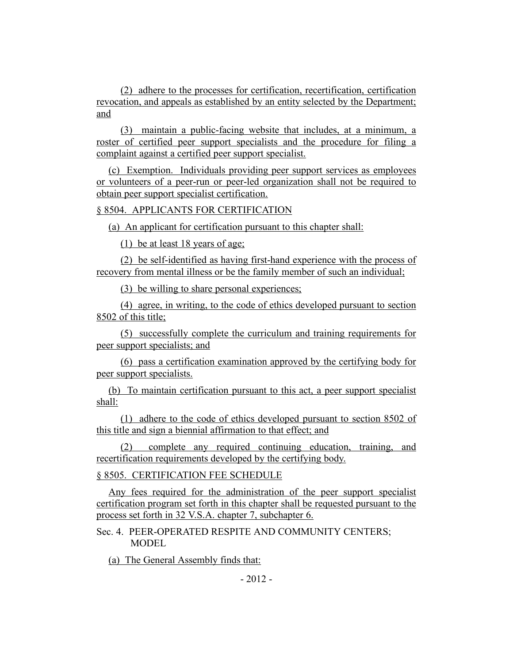(2) adhere to the processes for certification, recertification, certification revocation, and appeals as established by an entity selected by the Department; and

(3) maintain a public-facing website that includes, at a minimum, a roster of certified peer support specialists and the procedure for filing a complaint against a certified peer support specialist.

(c) Exemption. Individuals providing peer support services as employees or volunteers of a peer-run or peer-led organization shall not be required to obtain peer support specialist certification.

### § 8504. APPLICANTS FOR CERTIFICATION

(a) An applicant for certification pursuant to this chapter shall:

(1) be at least 18 years of age;

(2) be self-identified as having first-hand experience with the process of recovery from mental illness or be the family member of such an individual;

(3) be willing to share personal experiences;

(4) agree, in writing, to the code of ethics developed pursuant to section 8502 of this title;

(5) successfully complete the curriculum and training requirements for peer support specialists; and

(6) pass a certification examination approved by the certifying body for peer support specialists.

(b) To maintain certification pursuant to this act, a peer support specialist shall:

(1) adhere to the code of ethics developed pursuant to section 8502 of this title and sign a biennial affirmation to that effect; and

(2) complete any required continuing education, training, and recertification requirements developed by the certifying body.

§ 8505. CERTIFICATION FEE SCHEDULE

Any fees required for the administration of the peer support specialist certification program set forth in this chapter shall be requested pursuant to the process set forth in 32 V.S.A. chapter 7, subchapter 6.

Sec. 4. PEER-OPERATED RESPITE AND COMMUNITY CENTERS; **MODEL** 

(a) The General Assembly finds that: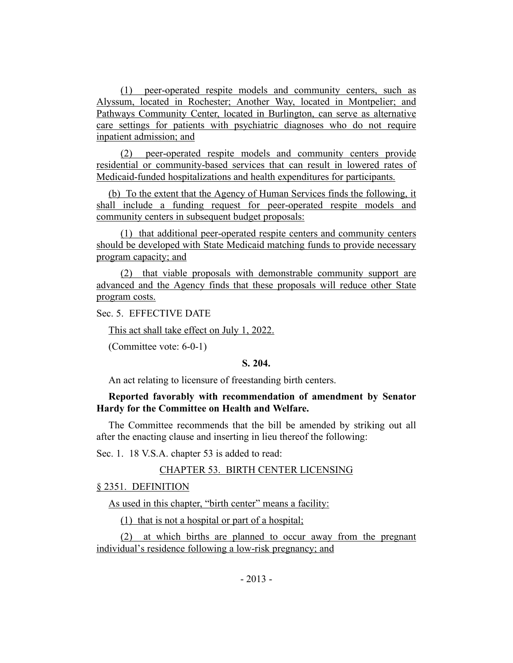(1) peer-operated respite models and community centers, such as Alyssum, located in Rochester; Another Way, located in Montpelier; and Pathways Community Center, located in Burlington, can serve as alternative care settings for patients with psychiatric diagnoses who do not require inpatient admission; and

(2) peer-operated respite models and community centers provide residential or community-based services that can result in lowered rates of Medicaid-funded hospitalizations and health expenditures for participants.

(b) To the extent that the Agency of Human Services finds the following, it shall include a funding request for peer-operated respite models and community centers in subsequent budget proposals:

(1) that additional peer-operated respite centers and community centers should be developed with State Medicaid matching funds to provide necessary program capacity; and

(2) that viable proposals with demonstrable community support are advanced and the Agency finds that these proposals will reduce other State program costs.

Sec. 5. EFFECTIVE DATE

This act shall take effect on July 1, 2022.

(Committee vote: 6-0-1)

### **S. 204.**

An act relating to licensure of freestanding birth centers.

## **Reported favorably with recommendation of amendment by Senator Hardy for the Committee on Health and Welfare.**

The Committee recommends that the bill be amended by striking out all after the enacting clause and inserting in lieu thereof the following:

Sec. 1. 18 V.S.A. chapter 53 is added to read:

### CHAPTER 53. BIRTH CENTER LICENSING

### § 2351. DEFINITION

As used in this chapter, "birth center" means a facility:

(1) that is not a hospital or part of a hospital;

(2) at which births are planned to occur away from the pregnant individual's residence following a low-risk pregnancy; and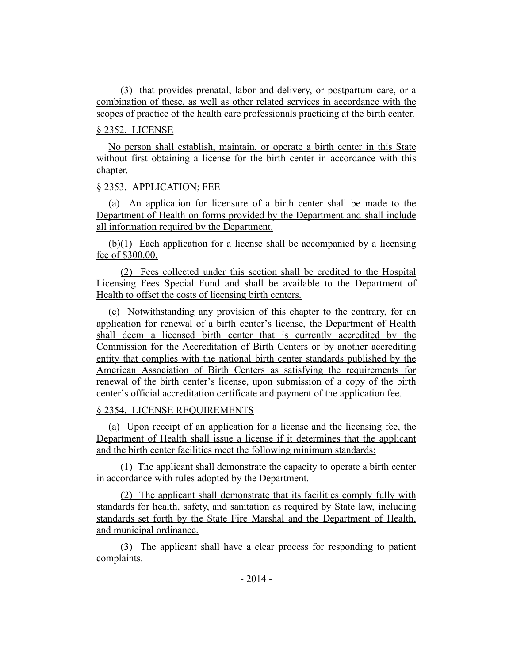(3) that provides prenatal, labor and delivery, or postpartum care, or a combination of these, as well as other related services in accordance with the scopes of practice of the health care professionals practicing at the birth center.

# § 2352. LICENSE

No person shall establish, maintain, or operate a birth center in this State without first obtaining a license for the birth center in accordance with this chapter.

# § 2353. APPLICATION; FEE

(a) An application for licensure of a birth center shall be made to the Department of Health on forms provided by the Department and shall include all information required by the Department.

(b)(1) Each application for a license shall be accompanied by a licensing fee of \$300.00.

(2) Fees collected under this section shall be credited to the Hospital Licensing Fees Special Fund and shall be available to the Department of Health to offset the costs of licensing birth centers.

(c) Notwithstanding any provision of this chapter to the contrary, for an application for renewal of a birth center's license, the Department of Health shall deem a licensed birth center that is currently accredited by the Commission for the Accreditation of Birth Centers or by another accrediting entity that complies with the national birth center standards published by the American Association of Birth Centers as satisfying the requirements for renewal of the birth center's license, upon submission of a copy of the birth center's official accreditation certificate and payment of the application fee.

# § 2354. LICENSE REQUIREMENTS

(a) Upon receipt of an application for a license and the licensing fee, the Department of Health shall issue a license if it determines that the applicant and the birth center facilities meet the following minimum standards:

(1) The applicant shall demonstrate the capacity to operate a birth center in accordance with rules adopted by the Department.

(2) The applicant shall demonstrate that its facilities comply fully with standards for health, safety, and sanitation as required by State law, including standards set forth by the State Fire Marshal and the Department of Health, and municipal ordinance.

(3) The applicant shall have a clear process for responding to patient complaints.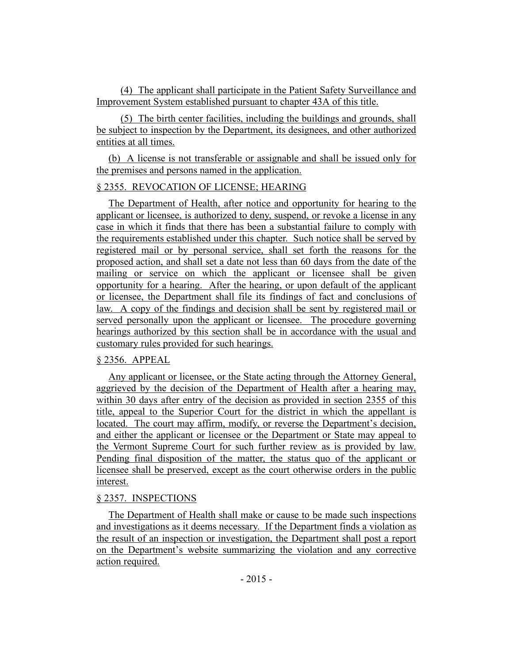(4) The applicant shall participate in the Patient Safety Surveillance and Improvement System established pursuant to chapter 43A of this title.

(5) The birth center facilities, including the buildings and grounds, shall be subject to inspection by the Department, its designees, and other authorized entities at all times.

(b) A license is not transferable or assignable and shall be issued only for the premises and persons named in the application.

### § 2355. REVOCATION OF LICENSE; HEARING

The Department of Health, after notice and opportunity for hearing to the applicant or licensee, is authorized to deny, suspend, or revoke a license in any case in which it finds that there has been a substantial failure to comply with the requirements established under this chapter. Such notice shall be served by registered mail or by personal service, shall set forth the reasons for the proposed action, and shall set a date not less than 60 days from the date of the mailing or service on which the applicant or licensee shall be given opportunity for a hearing. After the hearing, or upon default of the applicant or licensee, the Department shall file its findings of fact and conclusions of law. A copy of the findings and decision shall be sent by registered mail or served personally upon the applicant or licensee. The procedure governing hearings authorized by this section shall be in accordance with the usual and customary rules provided for such hearings.

### § 2356. APPEAL

Any applicant or licensee, or the State acting through the Attorney General, aggrieved by the decision of the Department of Health after a hearing may, within 30 days after entry of the decision as provided in section 2355 of this title, appeal to the Superior Court for the district in which the appellant is located. The court may affirm, modify, or reverse the Department's decision, and either the applicant or licensee or the Department or State may appeal to the Vermont Supreme Court for such further review as is provided by law. Pending final disposition of the matter, the status quo of the applicant or licensee shall be preserved, except as the court otherwise orders in the public interest.

### § 2357. INSPECTIONS

The Department of Health shall make or cause to be made such inspections and investigations as it deems necessary. If the Department finds a violation as the result of an inspection or investigation, the Department shall post a report on the Department's website summarizing the violation and any corrective action required.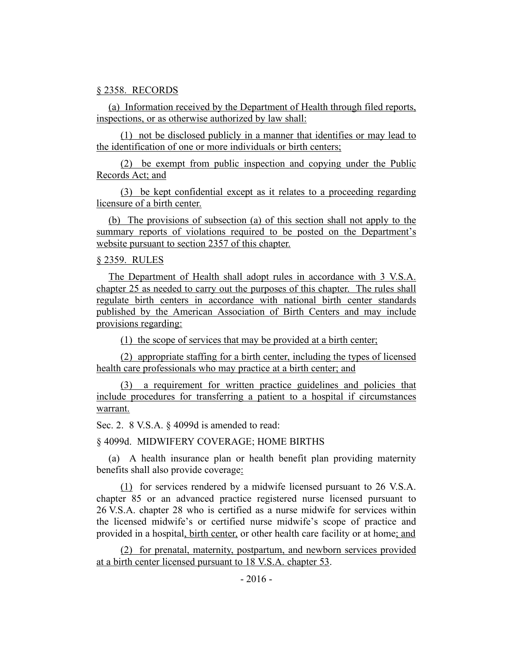#### § 2358. RECORDS

(a) Information received by the Department of Health through filed reports, inspections, or as otherwise authorized by law shall:

(1) not be disclosed publicly in a manner that identifies or may lead to the identification of one or more individuals or birth centers;

(2) be exempt from public inspection and copying under the Public Records Act; and

(3) be kept confidential except as it relates to a proceeding regarding licensure of a birth center.

(b) The provisions of subsection (a) of this section shall not apply to the summary reports of violations required to be posted on the Department's website pursuant to section 2357 of this chapter.

### § 2359. RULES

The Department of Health shall adopt rules in accordance with 3 V.S.A. chapter 25 as needed to carry out the purposes of this chapter. The rules shall regulate birth centers in accordance with national birth center standards published by the American Association of Birth Centers and may include provisions regarding:

(1) the scope of services that may be provided at a birth center;

(2) appropriate staffing for a birth center, including the types of licensed health care professionals who may practice at a birth center; and

(3) a requirement for written practice guidelines and policies that include procedures for transferring a patient to a hospital if circumstances warrant.

Sec. 2. 8 V.S.A. § 4099d is amended to read:

### § 4099d. MIDWIFERY COVERAGE; HOME BIRTHS

(a) A health insurance plan or health benefit plan providing maternity benefits shall also provide coverage:

(1) for services rendered by a midwife licensed pursuant to 26 V.S.A. chapter 85 or an advanced practice registered nurse licensed pursuant to 26 V.S.A. chapter 28 who is certified as a nurse midwife for services within the licensed midwife's or certified nurse midwife's scope of practice and provided in a hospital, birth center, or other health care facility or at home; and

(2) for prenatal, maternity, postpartum, and newborn services provided at a birth center licensed pursuant to 18 V.S.A. chapter 53.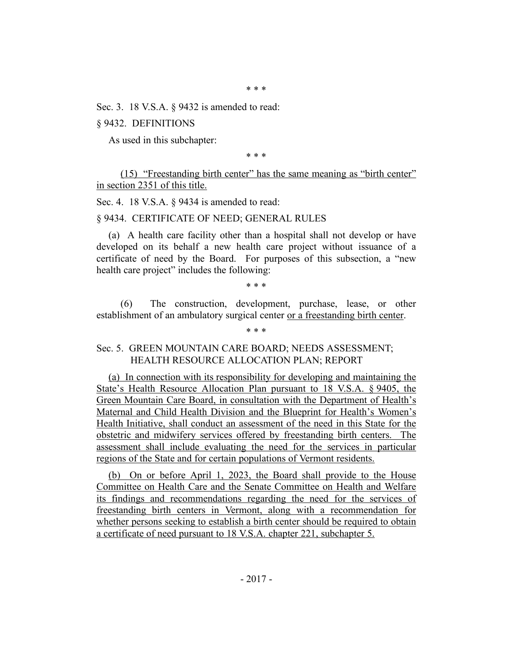\* \* \*

Sec. 3. 18 V.S.A. § 9432 is amended to read:

§ 9432. DEFINITIONS

As used in this subchapter:

\* \* \*

(15) "Freestanding birth center" has the same meaning as "birth center" in section 2351 of this title.

Sec. 4. 18 V.S.A. § 9434 is amended to read:

#### § 9434. CERTIFICATE OF NEED; GENERAL RULES

(a) A health care facility other than a hospital shall not develop or have developed on its behalf a new health care project without issuance of a certificate of need by the Board. For purposes of this subsection, a "new health care project" includes the following:

\* \* \*

(6) The construction, development, purchase, lease, or other establishment of an ambulatory surgical center or a freestanding birth center.

\* \* \*

### Sec. 5. GREEN MOUNTAIN CARE BOARD; NEEDS ASSESSMENT; HEALTH RESOURCE ALLOCATION PLAN; REPORT

(a) In connection with its responsibility for developing and maintaining the State's Health Resource Allocation Plan pursuant to 18 V.S.A. § 9405, the Green Mountain Care Board, in consultation with the Department of Health's Maternal and Child Health Division and the Blueprint for Health's Women's Health Initiative, shall conduct an assessment of the need in this State for the obstetric and midwifery services offered by freestanding birth centers. The assessment shall include evaluating the need for the services in particular regions of the State and for certain populations of Vermont residents.

(b) On or before April 1, 2023, the Board shall provide to the House Committee on Health Care and the Senate Committee on Health and Welfare its findings and recommendations regarding the need for the services of freestanding birth centers in Vermont, along with a recommendation for whether persons seeking to establish a birth center should be required to obtain a certificate of need pursuant to 18 V.S.A. chapter 221, subchapter 5.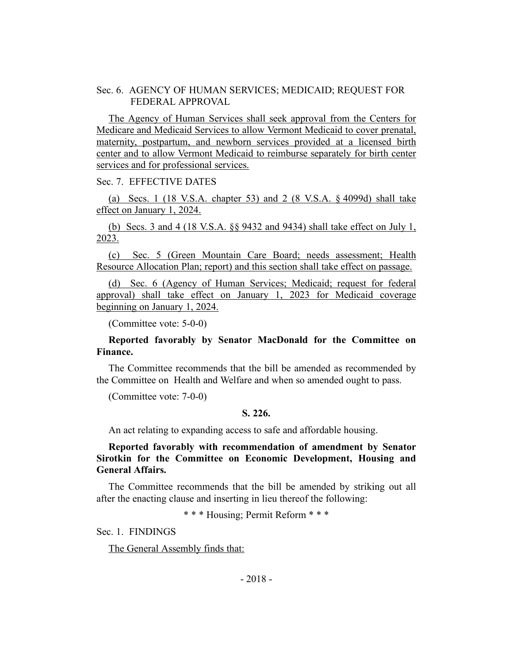Sec. 6. AGENCY OF HUMAN SERVICES; MEDICAID; REQUEST FOR FEDERAL APPROVAL

The Agency of Human Services shall seek approval from the Centers for Medicare and Medicaid Services to allow Vermont Medicaid to cover prenatal, maternity, postpartum, and newborn services provided at a licensed birth center and to allow Vermont Medicaid to reimburse separately for birth center services and for professional services.

Sec. 7. EFFECTIVE DATES

(a) Secs. 1 (18 V.S.A. chapter 53) and 2 (8 V.S.A. § 4099d) shall take effect on January 1, 2024.

(b) Secs. 3 and 4 (18 V.S.A. §§ 9432 and 9434) shall take effect on July 1, 2023.

(c) Sec. 5 (Green Mountain Care Board; needs assessment; Health Resource Allocation Plan; report) and this section shall take effect on passage.

(d) Sec. 6 (Agency of Human Services; Medicaid; request for federal approval) shall take effect on January 1, 2023 for Medicaid coverage beginning on January 1, 2024.

(Committee vote: 5-0-0)

### **Reported favorably by Senator MacDonald for the Committee on Finance.**

The Committee recommends that the bill be amended as recommended by the Committee on Health and Welfare and when so amended ought to pass.

(Committee vote: 7-0-0)

#### **S. 226.**

An act relating to expanding access to safe and affordable housing.

**Reported favorably with recommendation of amendment by Senator Sirotkin for the Committee on Economic Development, Housing and General Affairs.**

The Committee recommends that the bill be amended by striking out all after the enacting clause and inserting in lieu thereof the following:

\* \* \* Housing; Permit Reform \* \* \*

Sec. 1. FINDINGS

The General Assembly finds that: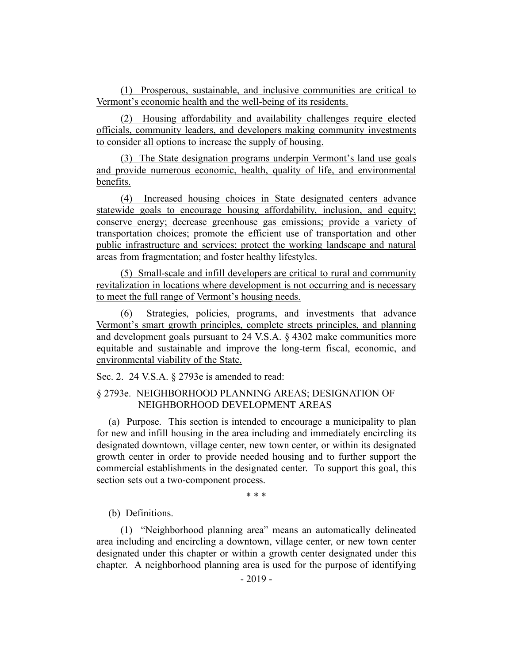(1) Prosperous, sustainable, and inclusive communities are critical to Vermont's economic health and the well-being of its residents.

(2) Housing affordability and availability challenges require elected officials, community leaders, and developers making community investments to consider all options to increase the supply of housing.

(3) The State designation programs underpin Vermont's land use goals and provide numerous economic, health, quality of life, and environmental benefits.

(4) Increased housing choices in State designated centers advance statewide goals to encourage housing affordability, inclusion, and equity; conserve energy; decrease greenhouse gas emissions; provide a variety of transportation choices; promote the efficient use of transportation and other public infrastructure and services; protect the working landscape and natural areas from fragmentation; and foster healthy lifestyles.

(5) Small-scale and infill developers are critical to rural and community revitalization in locations where development is not occurring and is necessary to meet the full range of Vermont's housing needs.

(6) Strategies, policies, programs, and investments that advance Vermont's smart growth principles, complete streets principles, and planning and development goals pursuant to 24 V.S.A. § 4302 make communities more equitable and sustainable and improve the long-term fiscal, economic, and environmental viability of the State.

Sec. 2. 24 V.S.A. § 2793e is amended to read:

### § 2793e. NEIGHBORHOOD PLANNING AREAS; DESIGNATION OF NEIGHBORHOOD DEVELOPMENT AREAS

(a) Purpose. This section is intended to encourage a municipality to plan for new and infill housing in the area including and immediately encircling its designated downtown, village center, new town center, or within its designated growth center in order to provide needed housing and to further support the commercial establishments in the designated center. To support this goal, this section sets out a two-component process.

\* \* \*

### (b) Definitions.

(1) "Neighborhood planning area" means an automatically delineated area including and encircling a downtown, village center, or new town center designated under this chapter or within a growth center designated under this chapter. A neighborhood planning area is used for the purpose of identifying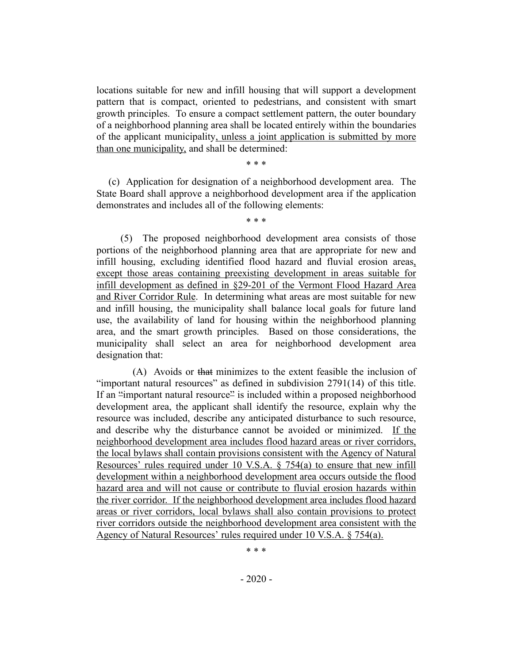locations suitable for new and infill housing that will support a development pattern that is compact, oriented to pedestrians, and consistent with smart growth principles. To ensure a compact settlement pattern, the outer boundary of a neighborhood planning area shall be located entirely within the boundaries of the applicant municipality, unless a joint application is submitted by more than one municipality, and shall be determined:

\* \* \*

(c) Application for designation of a neighborhood development area. The State Board shall approve a neighborhood development area if the application demonstrates and includes all of the following elements:

\* \* \*

(5) The proposed neighborhood development area consists of those portions of the neighborhood planning area that are appropriate for new and infill housing, excluding identified flood hazard and fluvial erosion areas, except those areas containing preexisting development in areas suitable for infill development as defined in §29-201 of the Vermont Flood Hazard Area and River Corridor Rule. In determining what areas are most suitable for new and infill housing, the municipality shall balance local goals for future land use, the availability of land for housing within the neighborhood planning area, and the smart growth principles. Based on those considerations, the municipality shall select an area for neighborhood development area designation that:

(A) Avoids or that minimizes to the extent feasible the inclusion of "important natural resources" as defined in subdivision 2791(14) of this title. If an "important natural resource" is included within a proposed neighborhood development area, the applicant shall identify the resource, explain why the resource was included, describe any anticipated disturbance to such resource, and describe why the disturbance cannot be avoided or minimized. If the neighborhood development area includes flood hazard areas or river corridors, the local bylaws shall contain provisions consistent with the Agency of Natural Resources' rules required under 10 V.S.A. § 754(a) to ensure that new infill development within a neighborhood development area occurs outside the flood hazard area and will not cause or contribute to fluvial erosion hazards within the river corridor. If the neighborhood development area includes flood hazard areas or river corridors, local bylaws shall also contain provisions to protect river corridors outside the neighborhood development area consistent with the Agency of Natural Resources' rules required under 10 V.S.A. § 754(a).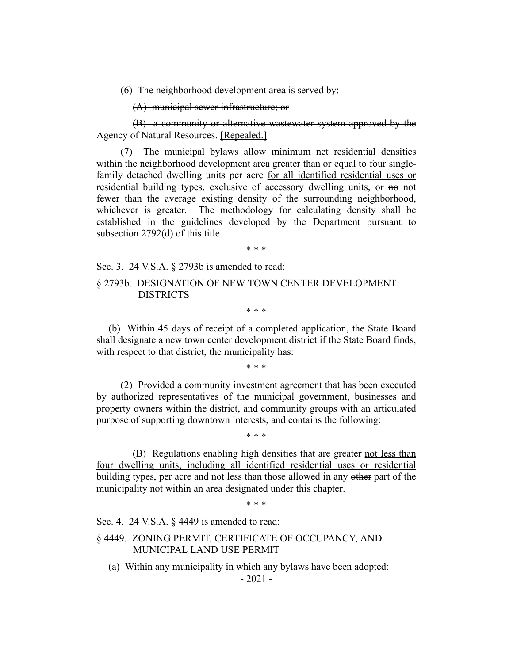$(6)$  The neighborhood development area is served by:

(A) municipal sewer infrastructure; or

(B) a community or alternative wastewater system approved by the Agency of Natural Resources. [Repealed.]

(7) The municipal bylaws allow minimum net residential densities within the neighborhood development area greater than or equal to four singlefamily detached dwelling units per acre for all identified residential uses or residential building types, exclusive of accessory dwelling units, or no not fewer than the average existing density of the surrounding neighborhood, whichever is greater. The methodology for calculating density shall be established in the guidelines developed by the Department pursuant to subsection 2792(d) of this title.

\* \* \*

Sec. 3. 24 V.S.A. § 2793b is amended to read:

### § 2793b. DESIGNATION OF NEW TOWN CENTER DEVELOPMENT DISTRICTS

\* \* \*

(b) Within 45 days of receipt of a completed application, the State Board shall designate a new town center development district if the State Board finds, with respect to that district, the municipality has:

\* \* \*

(2) Provided a community investment agreement that has been executed by authorized representatives of the municipal government, businesses and property owners within the district, and community groups with an articulated purpose of supporting downtown interests, and contains the following:

\* \* \*

(B) Regulations enabling high densities that are greater not less than four dwelling units, including all identified residential uses or residential building types, per acre and not less than those allowed in any other part of the municipality not within an area designated under this chapter.

\* \* \*

Sec. 4. 24 V.S.A. § 4449 is amended to read:

§ 4449. ZONING PERMIT, CERTIFICATE OF OCCUPANCY, AND MUNICIPAL LAND USE PERMIT

(a) Within any municipality in which any bylaws have been adopted:

- 2021 -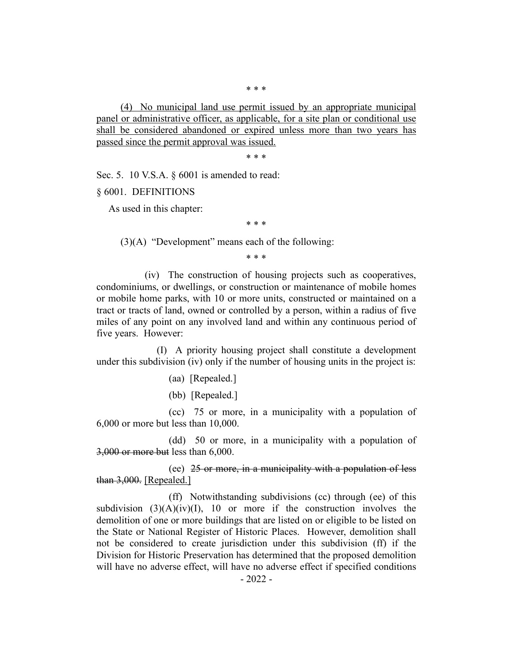(4) No municipal land use permit issued by an appropriate municipal panel or administrative officer, as applicable, for a site plan or conditional use shall be considered abandoned or expired unless more than two years has passed since the permit approval was issued.

\* \* \*

Sec. 5. 10 V.S.A. § 6001 is amended to read:

§ 6001. DEFINITIONS

As used in this chapter:

\* \* \*

(3)(A) "Development" means each of the following:

\* \* \*

(iv) The construction of housing projects such as cooperatives, condominiums, or dwellings, or construction or maintenance of mobile homes or mobile home parks, with 10 or more units, constructed or maintained on a tract or tracts of land, owned or controlled by a person, within a radius of five miles of any point on any involved land and within any continuous period of five years. However:

(I) A priority housing project shall constitute a development under this subdivision (iv) only if the number of housing units in the project is:

(aa) [Repealed.]

(bb) [Repealed.]

(cc) 75 or more, in a municipality with a population of 6,000 or more but less than 10,000.

(dd) 50 or more, in a municipality with a population of 3,000 or more but less than 6,000.

(ee) 25 or more, in a municipality with a population of less than 3,000. [Repealed.]

(ff) Notwithstanding subdivisions (cc) through (ee) of this subdivision  $(3)(A)(iv)(I)$ , 10 or more if the construction involves the demolition of one or more buildings that are listed on or eligible to be listed on the State or National Register of Historic Places. However, demolition shall not be considered to create jurisdiction under this subdivision (ff) if the Division for Historic Preservation has determined that the proposed demolition will have no adverse effect, will have no adverse effect if specified conditions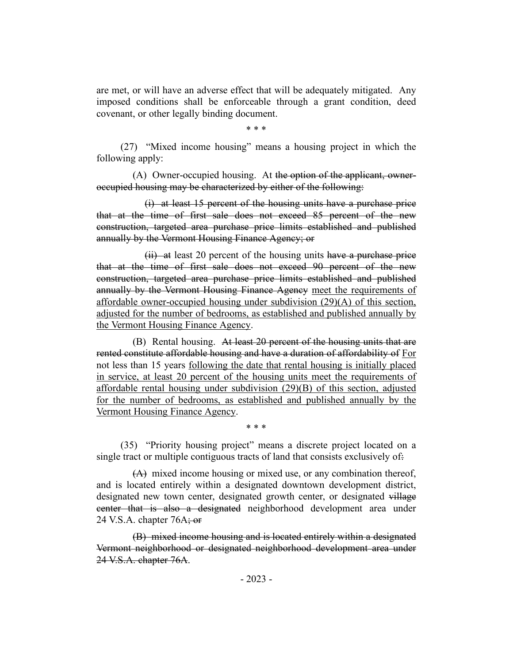are met, or will have an adverse effect that will be adequately mitigated. Any imposed conditions shall be enforceable through a grant condition, deed covenant, or other legally binding document.

\* \* \*

(27) "Mixed income housing" means a housing project in which the following apply:

(A) Owner-occupied housing. At the option of the applicant, owneroccupied housing may be characterized by either of the following:

(i) at least 15 percent of the housing units have a purchase price that at the time of first sale does not exceed 85 percent of the new construction, targeted area purchase price limits established and published annually by the Vermont Housing Finance Agency; or

 $(ii)$  at least 20 percent of the housing units have a purchase price that at the time of first sale does not exceed 90 percent of the new construction, targeted area purchase price limits established and published annually by the Vermont Housing Finance Agency meet the requirements of affordable owner-occupied housing under subdivision (29)(A) of this section, adiusted for the number of bedrooms, as established and published annually by the Vermont Housing Finance Agency.

(B) Rental housing. At least 20 percent of the housing units that are rented constitute affordable housing and have a duration of affordability of For not less than 15 years following the date that rental housing is initially placed in service, at least 20 percent of the housing units meet the requirements of affordable rental housing under subdivision (29)(B) of this section, adjusted for the number of bedrooms, as established and published annually by the Vermont Housing Finance Agency.

(35) "Priority housing project" means a discrete project located on a single tract or multiple contiguous tracts of land that consists exclusively of.

\* \* \*

(A) mixed income housing or mixed use, or any combination thereof, and is located entirely within a designated downtown development district, designated new town center, designated growth center, or designated village center that is also a designated neighborhood development area under 24 V.S.A. chapter  $76A$ ; or

(B) mixed income housing and is located entirely within a designated Vermont neighborhood or designated neighborhood development area under 24 V.S.A. chapter 76A.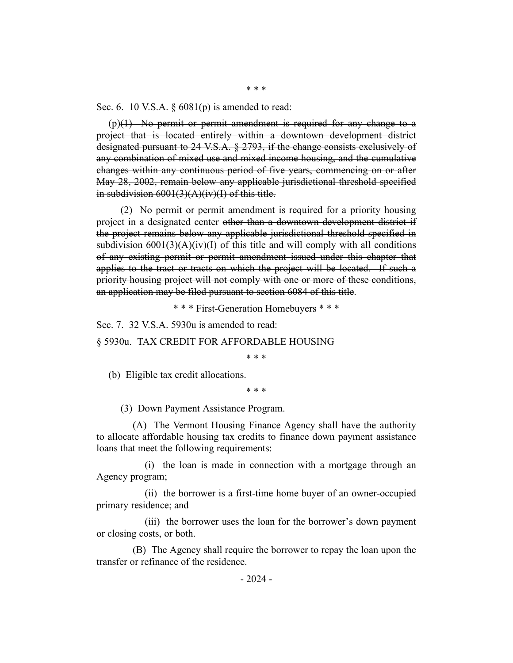Sec. 6. 10 V.S.A. § 6081(p) is amended to read:

 $(p)(1)$  No permit or permit amendment is required for any change to a project that is located entirely within a downtown development district designated pursuant to 24 V.S.A. § 2793, if the change consists exclusively of any combination of mixed use and mixed income housing, and the cumulative changes within any continuous period of five years, commencing on or after May 28, 2002, remain below any applicable jurisdictional threshold specified in subdivision  $6001(3)(A)(iv)(I)$  of this title.

(2) No permit or permit amendment is required for a priority housing project in a designated center other than a downtown development district if the project remains below any applicable jurisdictional threshold specified in subdivision  $6001(3)(A)(iv)(I)$  of this title and will comply with all conditions of any existing permit or permit amendment issued under this chapter that applies to the tract or tracts on which the project will be located. If such a priority housing project will not comply with one or more of these conditions, an application may be filed pursuant to section 6084 of this title.

\* \* \* First-Generation Homebuyers \* \* \*

Sec. 7. 32 V.S.A. 5930u is amended to read:

§ 5930u. TAX CREDIT FOR AFFORDABLE HOUSING

\* \* \*

(b) Eligible tax credit allocations.

\* \* \*

(3) Down Payment Assistance Program.

(A) The Vermont Housing Finance Agency shall have the authority to allocate affordable housing tax credits to finance down payment assistance loans that meet the following requirements:

(i) the loan is made in connection with a mortgage through an Agency program;

(ii) the borrower is a first-time home buyer of an owner-occupied primary residence; and

(iii) the borrower uses the loan for the borrower's down payment or closing costs, or both.

(B) The Agency shall require the borrower to repay the loan upon the transfer or refinance of the residence.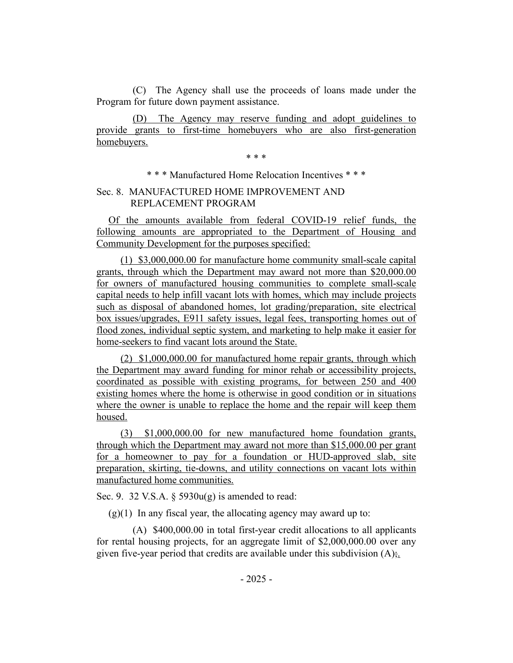(C) The Agency shall use the proceeds of loans made under the Program for future down payment assistance.

(D) The Agency may reserve funding and adopt guidelines to provide grants to first-time homebuyers who are also first-generation homebuyers.

\* \* \*

\* \* \* Manufactured Home Relocation Incentives \* \* \*

### Sec. 8. MANUFACTURED HOME IMPROVEMENT AND REPLACEMENT PROGRAM

Of the amounts available from federal COVID-19 relief funds, the following amounts are appropriated to the Department of Housing and Community Development for the purposes specified:

(1) \$3,000,000.00 for manufacture home community small-scale capital grants, through which the Department may award not more than \$20,000.00 for owners of manufactured housing communities to complete small-scale capital needs to help infill vacant lots with homes, which may include projects such as disposal of abandoned homes, lot grading/preparation, site electrical box issues/upgrades, E911 safety issues, legal fees, transporting homes out of flood zones, individual septic system, and marketing to help make it easier for home-seekers to find vacant lots around the State.

(2) \$1,000,000.00 for manufactured home repair grants, through which the Department may award funding for minor rehab or accessibility projects, coordinated as possible with existing programs, for between 250 and 400 existing homes where the home is otherwise in good condition or in situations where the owner is unable to replace the home and the repair will keep them housed.

(3) \$1,000,000.00 for new manufactured home foundation grants, through which the Department may award not more than \$15,000.00 per grant for a homeowner to pay for a foundation or HUD-approved slab, site preparation, skirting, tie-downs, and utility connections on vacant lots within manufactured home communities.

Sec. 9. 32 V.S.A.  $\S$  5930 $u(g)$  is amended to read:

 $(g)(1)$  In any fiscal year, the allocating agency may award up to:

(A) \$400,000.00 in total first-year credit allocations to all applicants for rental housing projects, for an aggregate limit of \$2,000,000.00 over any given five-year period that credits are available under this subdivision  $(A)$ ;.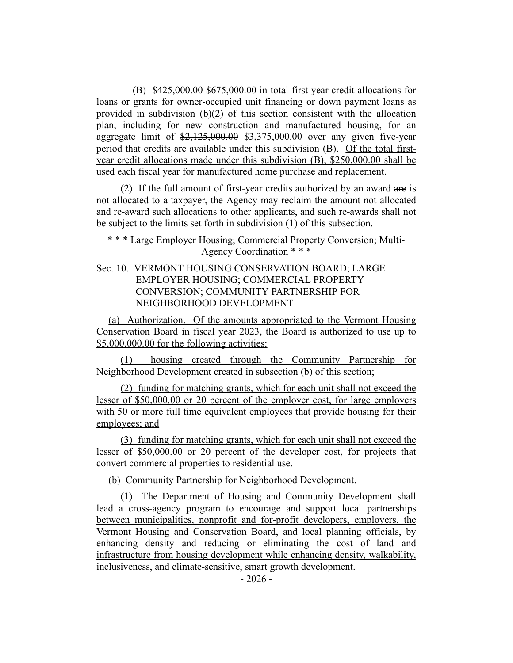(B) \$425,000.00 \$675,000.00 in total first-year credit allocations for loans or grants for owner-occupied unit financing or down payment loans as provided in subdivision (b)(2) of this section consistent with the allocation plan, including for new construction and manufactured housing, for an aggregate limit of  $\frac{$2,125,000.00}{$3,375,000.00}$  over any given five-year period that credits are available under this subdivision (B). Of the total firstyear credit allocations made under this subdivision (B), \$250,000.00 shall be used each fiscal year for manufactured home purchase and replacement.

(2) If the full amount of first-year credits authorized by an award are is not allocated to a taxpayer, the Agency may reclaim the amount not allocated and re-award such allocations to other applicants, and such re-awards shall not be subject to the limits set forth in subdivision (1) of this subsection.

- \* \* \* Large Employer Housing; Commercial Property Conversion; Multi-Agency Coordination \* \* \*
- Sec. 10. VERMONT HOUSING CONSERVATION BOARD; LARGE EMPLOYER HOUSING; COMMERCIAL PROPERTY CONVERSION; COMMUNITY PARTNERSHIP FOR NEIGHBORHOOD DEVELOPMENT

(a) Authorization. Of the amounts appropriated to the Vermont Housing Conservation Board in fiscal year 2023, the Board is authorized to use up to \$5,000,000.00 for the following activities:

(1) housing created through the Community Partnership for Neighborhood Development created in subsection (b) of this section;

(2) funding for matching grants, which for each unit shall not exceed the lesser of \$50,000.00 or 20 percent of the employer cost, for large employers with 50 or more full time equivalent employees that provide housing for their employees; and

(3) funding for matching grants, which for each unit shall not exceed the lesser of \$50,000.00 or 20 percent of the developer cost, for projects that convert commercial properties to residential use.

(b) Community Partnership for Neighborhood Development.

(1) The Department of Housing and Community Development shall lead a cross-agency program to encourage and support local partnerships between municipalities, nonprofit and for-profit developers, employers, the Vermont Housing and Conservation Board, and local planning officials, by enhancing density and reducing or eliminating the cost of land and infrastructure from housing development while enhancing density, walkability, inclusiveness, and climate-sensitive, smart growth development.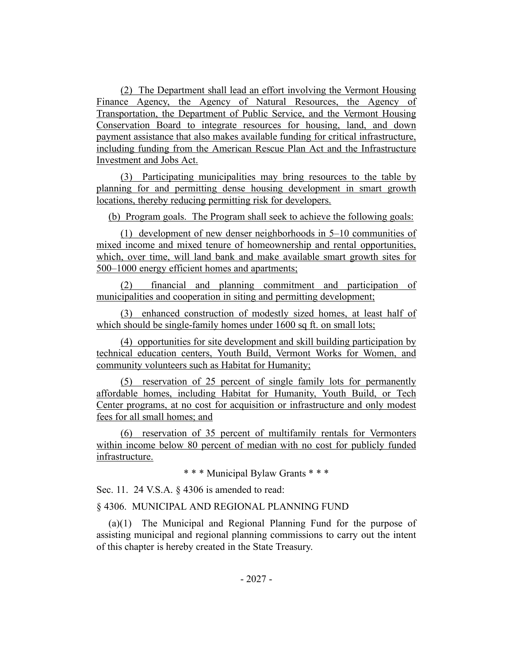(2) The Department shall lead an effort involving the Vermont Housing Finance Agency, the Agency of Natural Resources, the Agency of Transportation, the Department of Public Service, and the Vermont Housing Conservation Board to integrate resources for housing, land, and down payment assistance that also makes available funding for critical infrastructure, including funding from the American Rescue Plan Act and the Infrastructure Investment and Jobs Act.

(3) Participating municipalities may bring resources to the table by planning for and permitting dense housing development in smart growth locations, thereby reducing permitting risk for developers.

(b) Program goals. The Program shall seek to achieve the following goals:

(1) development of new denser neighborhoods in 5–10 communities of mixed income and mixed tenure of homeownership and rental opportunities, which, over time, will land bank and make available smart growth sites for 500–1000 energy efficient homes and apartments;

(2) financial and planning commitment and participation of municipalities and cooperation in siting and permitting development;

(3) enhanced construction of modestly sized homes, at least half of which should be single-family homes under 1600 sq ft. on small lots;

(4) opportunities for site development and skill building participation by technical education centers, Youth Build, Vermont Works for Women, and community volunteers such as Habitat for Humanity;

(5) reservation of 25 percent of single family lots for permanently affordable homes, including Habitat for Humanity, Youth Build, or Tech Center programs, at no cost for acquisition or infrastructure and only modest fees for all small homes; and

(6) reservation of 35 percent of multifamily rentals for Vermonters within income below 80 percent of median with no cost for publicly funded infrastructure.

\* \* \* Municipal Bylaw Grants \* \* \*

Sec. 11. 24 V.S.A. § 4306 is amended to read:

#### § 4306. MUNICIPAL AND REGIONAL PLANNING FUND

(a)(1) The Municipal and Regional Planning Fund for the purpose of assisting municipal and regional planning commissions to carry out the intent of this chapter is hereby created in the State Treasury.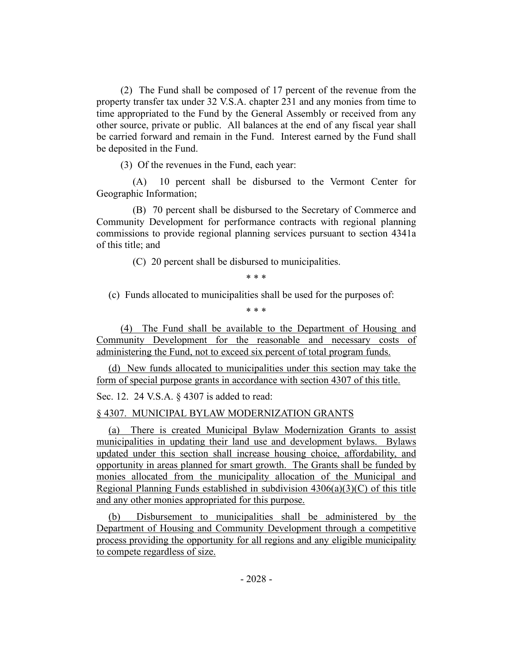(2) The Fund shall be composed of 17 percent of the revenue from the property transfer tax under 32 V.S.A. chapter 231 and any monies from time to time appropriated to the Fund by the General Assembly or received from any other source, private or public. All balances at the end of any fiscal year shall be carried forward and remain in the Fund. Interest earned by the Fund shall be deposited in the Fund.

(3) Of the revenues in the Fund, each year:

(A) 10 percent shall be disbursed to the Vermont Center for Geographic Information;

(B) 70 percent shall be disbursed to the Secretary of Commerce and Community Development for performance contracts with regional planning commissions to provide regional planning services pursuant to section 4341a of this title; and

(C) 20 percent shall be disbursed to municipalities.

\* \* \*

(c) Funds allocated to municipalities shall be used for the purposes of:

\* \* \*

(4) The Fund shall be available to the Department of Housing and Community Development for the reasonable and necessary costs of administering the Fund, not to exceed six percent of total program funds.

(d) New funds allocated to municipalities under this section may take the form of special purpose grants in accordance with section 4307 of this title.

Sec. 12. 24 V.S.A. § 4307 is added to read:

# § 4307. MUNICIPAL BYLAW MODERNIZATION GRANTS

(a) There is created Municipal Bylaw Modernization Grants to assist municipalities in updating their land use and development bylaws. Bylaws updated under this section shall increase housing choice, affordability, and opportunity in areas planned for smart growth. The Grants shall be funded by monies allocated from the municipality allocation of the Municipal and Regional Planning Funds established in subdivision 4306(a)(3)(C) of this title and any other monies appropriated for this purpose.

(b) Disbursement to municipalities shall be administered by the Department of Housing and Community Development through a competitive process providing the opportunity for all regions and any eligible municipality to compete regardless of size.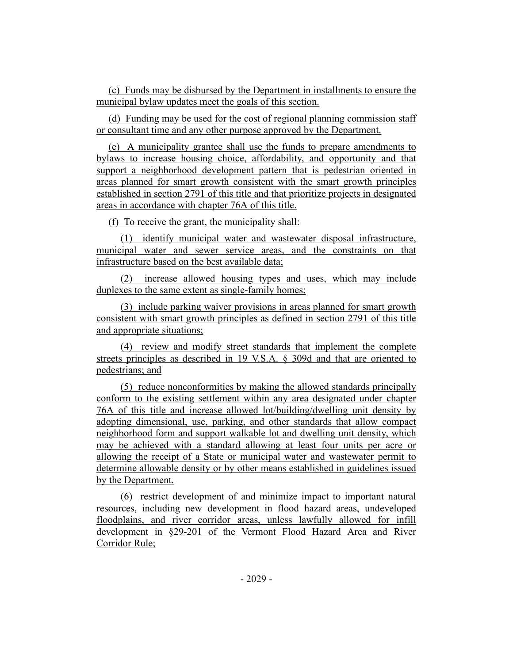(c) Funds may be disbursed by the Department in installments to ensure the municipal bylaw updates meet the goals of this section.

(d) Funding may be used for the cost of regional planning commission staff or consultant time and any other purpose approved by the Department.

(e) A municipality grantee shall use the funds to prepare amendments to bylaws to increase housing choice, affordability, and opportunity and that support a neighborhood development pattern that is pedestrian oriented in areas planned for smart growth consistent with the smart growth principles established in section 2791 of this title and that prioritize projects in designated areas in accordance with chapter 76A of this title.

(f) To receive the grant, the municipality shall:

(1) identify municipal water and wastewater disposal infrastructure, municipal water and sewer service areas, and the constraints on that infrastructure based on the best available data;

(2) increase allowed housing types and uses, which may include duplexes to the same extent as single-family homes;

(3) include parking waiver provisions in areas planned for smart growth consistent with smart growth principles as defined in section 2791 of this title and appropriate situations;

(4) review and modify street standards that implement the complete streets principles as described in 19 V.S.A. § 309d and that are oriented to pedestrians; and

(5) reduce nonconformities by making the allowed standards principally conform to the existing settlement within any area designated under chapter 76A of this title and increase allowed lot/building/dwelling unit density by adopting dimensional, use, parking, and other standards that allow compact neighborhood form and support walkable lot and dwelling unit density, which may be achieved with a standard allowing at least four units per acre or allowing the receipt of a State or municipal water and wastewater permit to determine allowable density or by other means established in guidelines issued by the Department.

(6) restrict development of and minimize impact to important natural resources, including new development in flood hazard areas, undeveloped floodplains, and river corridor areas, unless lawfully allowed for infill development in §29-201 of the Vermont Flood Hazard Area and River Corridor Rule;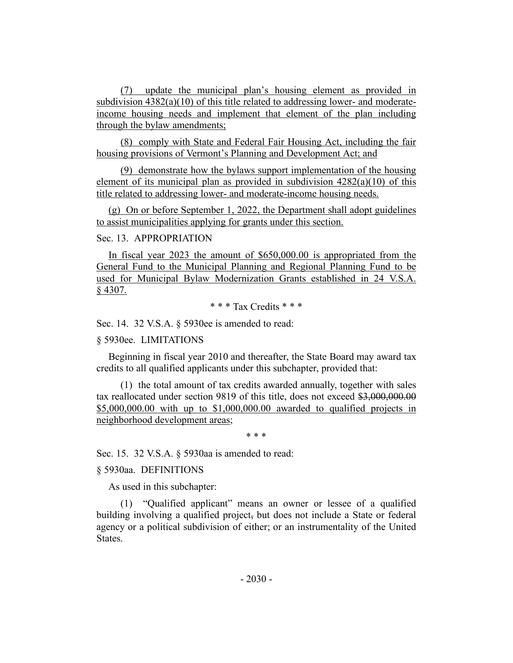(7) update the municipal plan's housing element as provided in subdivision 4382(a)(10) of this title related to addressing lower- and moderateincome housing needs and implement that element of the plan including through the bylaw amendments;

(8) comply with State and Federal Fair Housing Act, including the fair housing provisions of Vermont's Planning and Development Act; and

(9) demonstrate how the bylaws support implementation of the housing element of its municipal plan as provided in subdivision 4282(a)(10) of this title related to addressing lower- and moderate-income housing needs.

(g) On or before September 1, 2022, the Department shall adopt guidelines to assist municipalities applying for grants under this section.

### Sec. 13. APPROPRIATION

In fiscal year 2023 the amount of \$650,000.00 is appropriated from the General Fund to the Municipal Planning and Regional Planning Fund to be used for Municipal Bylaw Modernization Grants established in 24 V.S.A.  $§$  4307.

\* \* \* Tax Credits \* \* \*

Sec. 14. 32 V.S.A. § 5930ee is amended to read:

#### § 5930ee. LIMITATIONS

Beginning in fiscal year 2010 and thereafter, the State Board may award tax credits to all qualified applicants under this subchapter, provided that:

(1) the total amount of tax credits awarded annually, together with sales tax reallocated under section 9819 of this title, does not exceed \$3,000,000.00 \$5,000,000.00 with up to \$1,000,000.00 awarded to qualified projects in neighborhood development areas;

\* \* \*

Sec. 15. 32 V.S.A. § 5930aa is amended to read:

§ 5930aa. DEFINITIONS

As used in this subchapter:

(1) "Qualified applicant" means an owner or lessee of a qualified building involving a qualified project, but does not include a State or federal agency or a political subdivision of either; or an instrumentality of the United States.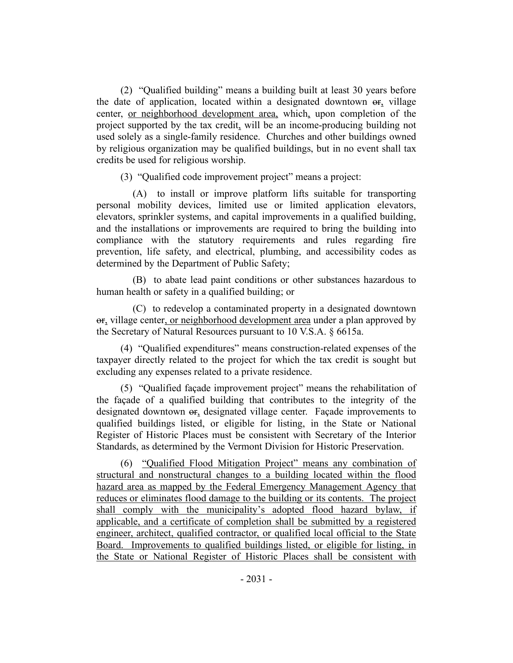(2) "Qualified building" means a building built at least 30 years before the date of application, located within a designated downtown or, village center, or neighborhood development area, which, upon completion of the project supported by the tax credit, will be an income-producing building not used solely as a single-family residence. Churches and other buildings owned by religious organization may be qualified buildings, but in no event shall tax credits be used for religious worship.

(3) "Qualified code improvement project" means a project:

(A) to install or improve platform lifts suitable for transporting personal mobility devices, limited use or limited application elevators, elevators, sprinkler systems, and capital improvements in a qualified building, and the installations or improvements are required to bring the building into compliance with the statutory requirements and rules regarding fire prevention, life safety, and electrical, plumbing, and accessibility codes as determined by the Department of Public Safety;

(B) to abate lead paint conditions or other substances hazardous to human health or safety in a qualified building; or

(C) to redevelop a contaminated property in a designated downtown or, village center, or neighborhood development area under a plan approved by the Secretary of Natural Resources pursuant to 10 V.S.A. § 6615a.

(4) "Qualified expenditures" means construction-related expenses of the taxpayer directly related to the project for which the tax credit is sought but excluding any expenses related to a private residence.

(5) "Qualified façade improvement project" means the rehabilitation of the façade of a qualified building that contributes to the integrity of the designated downtown or, designated village center. Façade improvements to qualified buildings listed, or eligible for listing, in the State or National Register of Historic Places must be consistent with Secretary of the Interior Standards, as determined by the Vermont Division for Historic Preservation.

(6) "Qualified Flood Mitigation Project" means any combination of structural and nonstructural changes to a building located within the flood hazard area as mapped by the Federal Emergency Management Agency that reduces or eliminates flood damage to the building or its contents. The project shall comply with the municipality's adopted flood hazard bylaw, if applicable, and a certificate of completion shall be submitted by a registered engineer, architect, qualified contractor, or qualified local official to the State Board. Improvements to qualified buildings listed, or eligible for listing, in the State or National Register of Historic Places shall be consistent with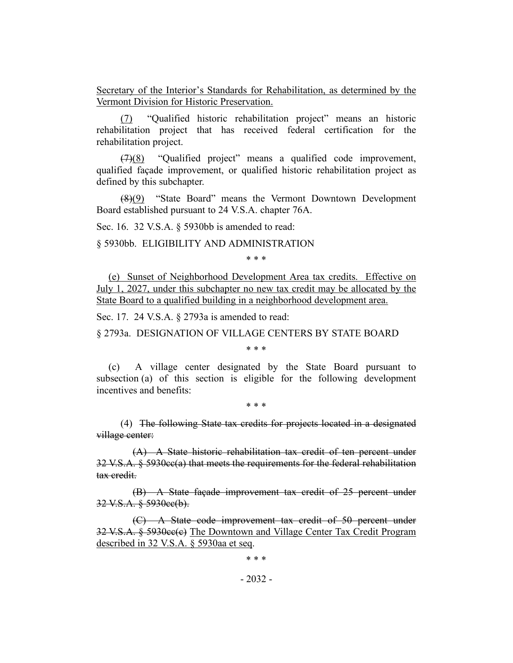Secretary of the Interior's Standards for Rehabilitation, as determined by the Vermont Division for Historic Preservation.

(7) "Qualified historic rehabilitation project" means an historic rehabilitation project that has received federal certification for the rehabilitation project.

(7)(8) "Qualified project" means a qualified code improvement, qualified façade improvement, or qualified historic rehabilitation project as defined by this subchapter.

(8)(9) "State Board" means the Vermont Downtown Development Board established pursuant to 24 V.S.A. chapter 76A.

Sec. 16. 32 V.S.A. § 5930bb is amended to read:

§ 5930bb. ELIGIBILITY AND ADMINISTRATION

\* \* \*

(e) Sunset of Neighborhood Development Area tax credits. Effective on July 1, 2027, under this subchapter no new tax credit may be allocated by the State Board to a qualified building in a neighborhood development area.

Sec. 17. 24 V.S.A. § 2793a is amended to read:

§ 2793a. DESIGNATION OF VILLAGE CENTERS BY STATE BOARD

\* \* \*

(c) A village center designated by the State Board pursuant to subsection (a) of this section is eligible for the following development incentives and benefits:

\* \* \*

(4) The following State tax credits for projects located in a designated village center:

(A) A State historic rehabilitation tax credit of ten percent under 32 V.S.A. § 5930cc(a) that meets the requirements for the federal rehabilitation tax credit.

(B) A State façade improvement tax credit of 25 percent under 32 V.S.A. § 5930cc(b).

(C) A State code improvement tax credit of 50 percent under 32 V.S.A. § 5930ee(e) The Downtown and Village Center Tax Credit Program described in 32 V.S.A. § 5930aa et seq.

\* \* \*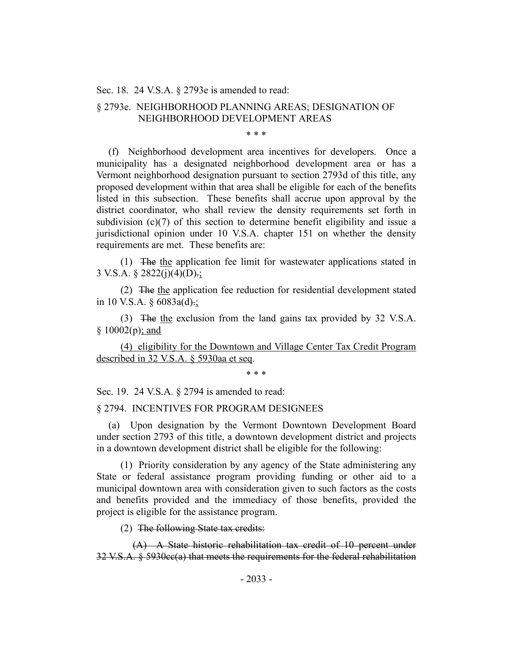Sec. 18. 24 V.S.A. § 2793e is amended to read:

# § 2793e. NEIGHBORHOOD PLANNING AREAS; DESIGNATION OF NEIGHBORHOOD DEVELOPMENT AREAS

\* \* \*

(f) Neighborhood development area incentives for developers. Once a municipality has a designated neighborhood development area or has a Vermont neighborhood designation pursuant to section 2793d of this title, any proposed development within that area shall be eligible for each of the benefits listed in this subsection. These benefits shall accrue upon approval by the district coordinator, who shall review the density requirements set forth in subdivision (c)(7) of this section to determine benefit eligibility and issue a jurisdictional opinion under 10 V.S.A. chapter 151 on whether the density requirements are met. These benefits are:

(1) The the application fee limit for wastewater applications stated in 3 V.S.A.  $\S$  2822(j)(4)(D).;

(2) The the application fee reduction for residential development stated in 10 V.S.A.  $\frac{6083a(d)}{7}$ ;

(3) The the exclusion from the land gains tax provided by 32 V.S.A.  $§ 10002(p); and$ 

(4) eligibility for the Downtown and Village Center Tax Credit Program described in 32 V.S.A. § 5930aa et seq.

\* \* \*

Sec. 19. 24 V.S.A. § 2794 is amended to read:

#### § 2794. INCENTIVES FOR PROGRAM DESIGNEES

(a) Upon designation by the Vermont Downtown Development Board under section 2793 of this title, a downtown development district and projects in a downtown development district shall be eligible for the following:

(1) Priority consideration by any agency of the State administering any State or federal assistance program providing funding or other aid to a municipal downtown area with consideration given to such factors as the costs and benefits provided and the immediacy of those benefits, provided the project is eligible for the assistance program.

(2) The following State tax credits:

(A) A State historic rehabilitation tax credit of 10 percent under 32 V.S.A. § 5930cc(a) that meets the requirements for the federal rehabilitation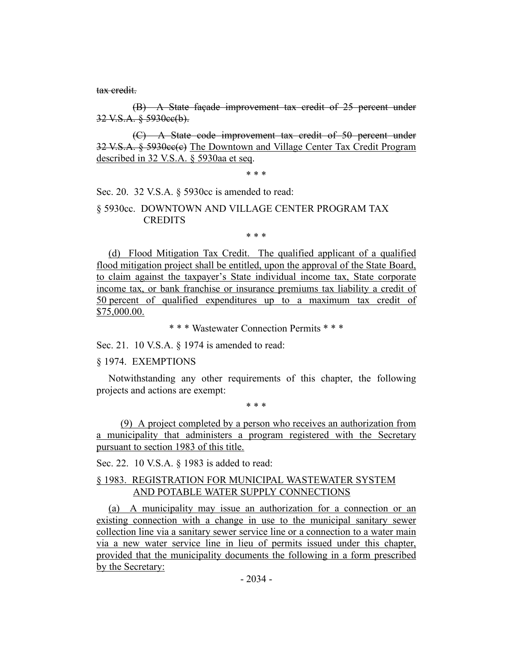tax credit.

(B) A State façade improvement tax credit of 25 percent under 32 V.S.A. § 5930cc(b).

(C) A State code improvement tax credit of 50 percent under 32 V.S.A. § 5930cc(c) The Downtown and Village Center Tax Credit Program described in 32 V.S.A. § 5930aa et seq.

\* \* \*

Sec. 20. 32 V.S.A. § 5930cc is amended to read:

## § 5930cc. DOWNTOWN AND VILLAGE CENTER PROGRAM TAX **CREDITS**

\* \* \*

(d) Flood Mitigation Tax Credit. The qualified applicant of a qualified flood mitigation project shall be entitled, upon the approval of the State Board, to claim against the taxpayer's State individual income tax, State corporate income tax, or bank franchise or insurance premiums tax liability a credit of 50 percent of qualified expenditures up to a maximum tax credit of \$75,000.00.

\* \* \* Wastewater Connection Permits \* \* \*

Sec. 21. 10 V.S.A. § 1974 is amended to read:

## § 1974. EXEMPTIONS

Notwithstanding any other requirements of this chapter, the following projects and actions are exempt:

\* \* \*

(9) A project completed by a person who receives an authorization from a municipality that administers a program registered with the Secretary pursuant to section 1983 of this title.

Sec. 22. 10 V.S.A. § 1983 is added to read:

## § 1983. REGISTRATION FOR MUNICIPAL WASTEWATER SYSTEM AND POTABLE WATER SUPPLY CONNECTIONS

(a) A municipality may issue an authorization for a connection or an existing connection with a change in use to the municipal sanitary sewer collection line via a sanitary sewer service line or a connection to a water main via a new water service line in lieu of permits issued under this chapter, provided that the municipality documents the following in a form prescribed by the Secretary: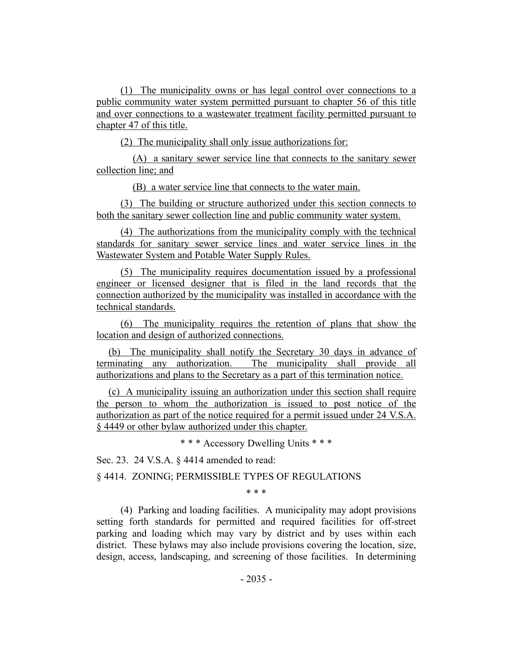(1) The municipality owns or has legal control over connections to a public community water system permitted pursuant to chapter 56 of this title and over connections to a wastewater treatment facility permitted pursuant to chapter 47 of this title.

(2) The municipality shall only issue authorizations for:

(A) a sanitary sewer service line that connects to the sanitary sewer collection line; and

(B) a water service line that connects to the water main.

(3) The building or structure authorized under this section connects to both the sanitary sewer collection line and public community water system.

(4) The authorizations from the municipality comply with the technical standards for sanitary sewer service lines and water service lines in the Wastewater System and Potable Water Supply Rules.

(5) The municipality requires documentation issued by a professional engineer or licensed designer that is filed in the land records that the connection authorized by the municipality was installed in accordance with the technical standards.

(6) The municipality requires the retention of plans that show the location and design of authorized connections.

(b) The municipality shall notify the Secretary 30 days in advance of terminating any authorization. The municipality shall provide all authorizations and plans to the Secretary as a part of this termination notice.

(c) A municipality issuing an authorization under this section shall require the person to whom the authorization is issued to post notice of the authorization as part of the notice required for a permit issued under 24 V.S.A. § 4449 or other bylaw authorized under this chapter.

\* \* \* Accessory Dwelling Units \* \* \*

Sec. 23. 24 V.S.A. § 4414 amended to read:

§ 4414. ZONING; PERMISSIBLE TYPES OF REGULATIONS

\* \* \*

(4) Parking and loading facilities. A municipality may adopt provisions setting forth standards for permitted and required facilities for off-street parking and loading which may vary by district and by uses within each district. These bylaws may also include provisions covering the location, size, design, access, landscaping, and screening of those facilities. In determining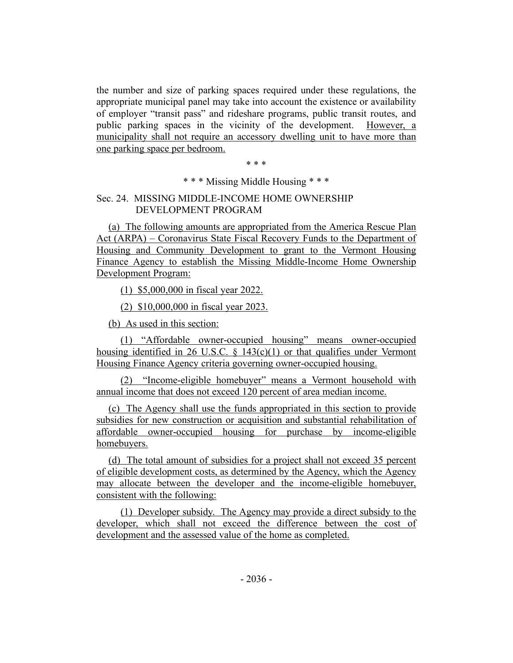the number and size of parking spaces required under these regulations, the appropriate municipal panel may take into account the existence or availability of employer "transit pass" and rideshare programs, public transit routes, and public parking spaces in the vicinity of the development. However, a municipality shall not require an accessory dwelling unit to have more than one parking space per bedroom.

\* \* \*

\* \* \* Missing Middle Housing \* \* \*

# Sec. 24. MISSING MIDDLE-INCOME HOME OWNERSHIP DEVELOPMENT PROGRAM

(a) The following amounts are appropriated from the America Rescue Plan Act (ARPA) – Coronavirus State Fiscal Recovery Funds to the Department of Housing and Community Development to grant to the Vermont Housing Finance Agency to establish the Missing Middle-Income Home Ownership Development Program:

(1) \$5,000,000 in fiscal year 2022.

(2) \$10,000,000 in fiscal year 2023.

(b) As used in this section:

(1) "Affordable owner-occupied housing" means owner-occupied housing identified in 26 U.S.C.  $\frac{143(c)(1)}{20}$  or that qualifies under Vermont Housing Finance Agency criteria governing owner-occupied housing.

(2) "Income-eligible homebuyer" means a Vermont household with annual income that does not exceed 120 percent of area median income.

(c) The Agency shall use the funds appropriated in this section to provide subsidies for new construction or acquisition and substantial rehabilitation of affordable owner-occupied housing for purchase by income-eligible homebuyers.

(d) The total amount of subsidies for a project shall not exceed 35 percent of eligible development costs, as determined by the Agency, which the Agency may allocate between the developer and the income-eligible homebuyer, consistent with the following:

(1) Developer subsidy. The Agency may provide a direct subsidy to the developer, which shall not exceed the difference between the cost of development and the assessed value of the home as completed.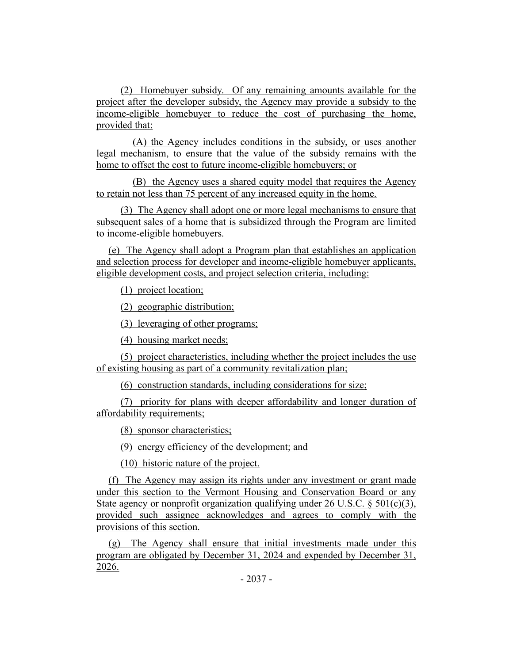(2) Homebuyer subsidy. Of any remaining amounts available for the project after the developer subsidy, the Agency may provide a subsidy to the income-eligible homebuyer to reduce the cost of purchasing the home, provided that:

(A) the Agency includes conditions in the subsidy, or uses another legal mechanism, to ensure that the value of the subsidy remains with the home to offset the cost to future income-eligible homebuyers; or

(B) the Agency uses a shared equity model that requires the Agency to retain not less than 75 percent of any increased equity in the home.

(3) The Agency shall adopt one or more legal mechanisms to ensure that subsequent sales of a home that is subsidized through the Program are limited to income-eligible homebuyers.

(e) The Agency shall adopt a Program plan that establishes an application and selection process for developer and income-eligible homebuyer applicants, eligible development costs, and project selection criteria, including:

(1) project location;

(2) geographic distribution;

(3) leveraging of other programs;

(4) housing market needs;

(5) project characteristics, including whether the project includes the use of existing housing as part of a community revitalization plan;

(6) construction standards, including considerations for size;

(7) priority for plans with deeper affordability and longer duration of affordability requirements;

(8) sponsor characteristics;

(9) energy efficiency of the development; and

(10) historic nature of the project.

(f) The Agency may assign its rights under any investment or grant made under this section to the Vermont Housing and Conservation Board or any State agency or nonprofit organization qualifying under 26 U.S.C.  $\S 501(c)(3)$ , provided such assignee acknowledges and agrees to comply with the provisions of this section.

(g) The Agency shall ensure that initial investments made under this program are obligated by December 31, 2024 and expended by December 31, 2026.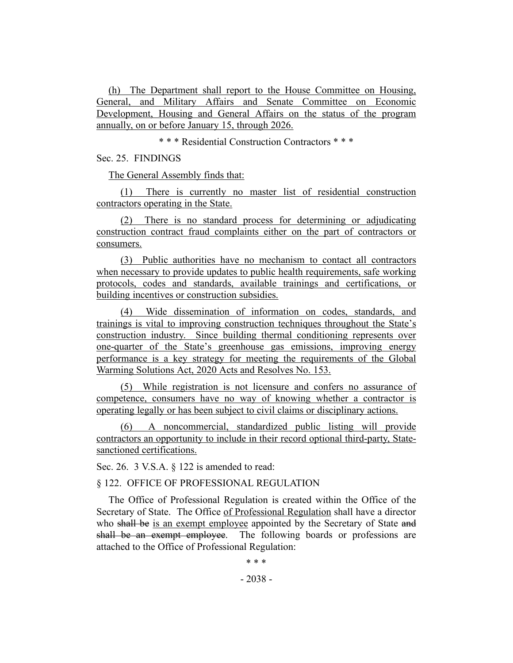(h) The Department shall report to the House Committee on Housing, General, and Military Affairs and Senate Committee on Economic Development, Housing and General Affairs on the status of the program annually, on or before January 15, through 2026.

\* \* \* Residential Construction Contractors \* \* \*

Sec. 25. FINDINGS

The General Assembly finds that:

(1) There is currently no master list of residential construction contractors operating in the State.

(2) There is no standard process for determining or adjudicating construction contract fraud complaints either on the part of contractors or consumers.

(3) Public authorities have no mechanism to contact all contractors when necessary to provide updates to public health requirements, safe working protocols, codes and standards, available trainings and certifications, or building incentives or construction subsidies.

(4) Wide dissemination of information on codes, standards, and trainings is vital to improving construction techniques throughout the State's construction industry. Since building thermal conditioning represents over one-quarter of the State's greenhouse gas emissions, improving energy performance is a key strategy for meeting the requirements of the Global Warming Solutions Act, 2020 Acts and Resolves No. 153.

(5) While registration is not licensure and confers no assurance of competence, consumers have no way of knowing whether a contractor is operating legally or has been subject to civil claims or disciplinary actions.

(6) A noncommercial, standardized public listing will provide contractors an opportunity to include in their record optional third-party, Statesanctioned certifications.

Sec. 26. 3 V.S.A. § 122 is amended to read:

## § 122. OFFICE OF PROFESSIONAL REGULATION

The Office of Professional Regulation is created within the Office of the Secretary of State. The Office of Professional Regulation shall have a director who shall be is an exempt employee appointed by the Secretary of State and shall be an exempt employee. The following boards or professions are attached to the Office of Professional Regulation:

\* \* \*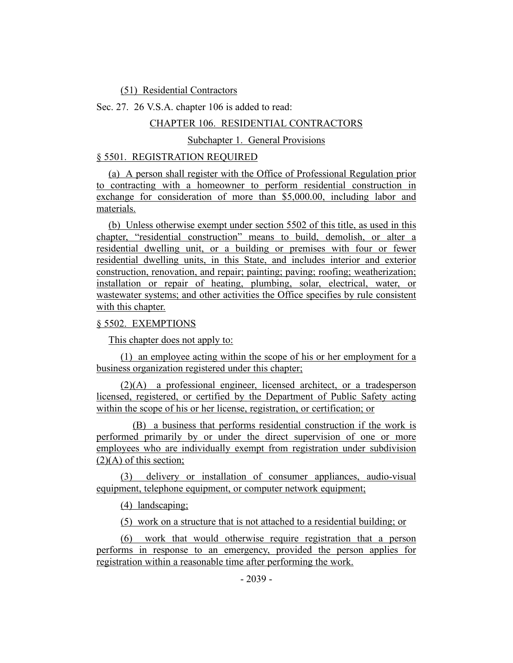(51) Residential Contractors

Sec. 27. 26 V.S.A. chapter 106 is added to read:

## CHAPTER 106. RESIDENTIAL CONTRACTORS

## Subchapter 1. General Provisions

# § 5501. REGISTRATION REQUIRED

(a) A person shall register with the Office of Professional Regulation prior to contracting with a homeowner to perform residential construction in exchange for consideration of more than \$5,000.00, including labor and materials.

(b) Unless otherwise exempt under section 5502 of this title, as used in this chapter, "residential construction" means to build, demolish, or alter a residential dwelling unit, or a building or premises with four or fewer residential dwelling units, in this State, and includes interior and exterior construction, renovation, and repair; painting; paving; roofing; weatherization; installation or repair of heating, plumbing, solar, electrical, water, or wastewater systems; and other activities the Office specifies by rule consistent with this chapter.

## § 5502. EXEMPTIONS

This chapter does not apply to:

(1) an employee acting within the scope of his or her employment for a business organization registered under this chapter;

(2)(A) a professional engineer, licensed architect, or a tradesperson licensed, registered, or certified by the Department of Public Safety acting within the scope of his or her license, registration, or certification; or

(B) a business that performs residential construction if the work is performed primarily by or under the direct supervision of one or more employees who are individually exempt from registration under subdivision  $(2)(A)$  of this section;

(3) delivery or installation of consumer appliances, audio-visual equipment, telephone equipment, or computer network equipment;

(4) landscaping;

(5) work on a structure that is not attached to a residential building; or

(6) work that would otherwise require registration that a person performs in response to an emergency, provided the person applies for registration within a reasonable time after performing the work.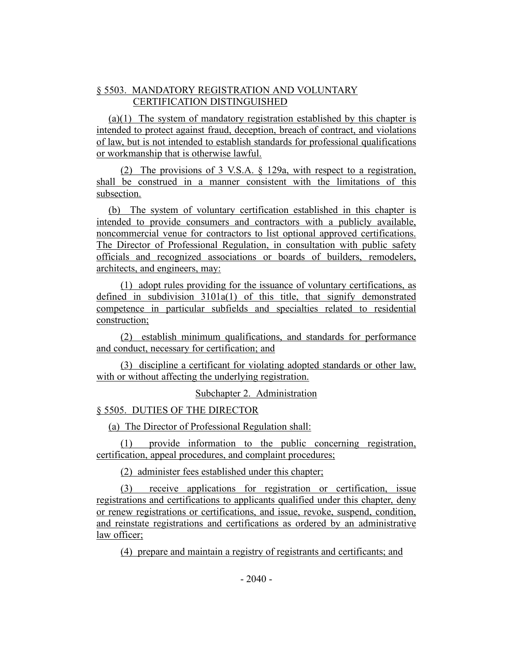# § 5503. MANDATORY REGISTRATION AND VOLUNTARY CERTIFICATION DISTINGUISHED

(a)(1) The system of mandatory registration established by this chapter is intended to protect against fraud, deception, breach of contract, and violations of law, but is not intended to establish standards for professional qualifications or workmanship that is otherwise lawful.

(2) The provisions of 3 V.S.A. § 129a, with respect to a registration, shall be construed in a manner consistent with the limitations of this subsection.

(b) The system of voluntary certification established in this chapter is intended to provide consumers and contractors with a publicly available, noncommercial venue for contractors to list optional approved certifications. The Director of Professional Regulation, in consultation with public safety officials and recognized associations or boards of builders, remodelers, architects, and engineers, may:

(1) adopt rules providing for the issuance of voluntary certifications, as defined in subdivision  $3101a(1)$  of this title, that signify demonstrated competence in particular subfields and specialties related to residential construction;

(2) establish minimum qualifications, and standards for performance and conduct, necessary for certification; and

(3) discipline a certificant for violating adopted standards or other law, with or without affecting the underlying registration.

Subchapter 2. Administration

# § 5505. DUTIES OF THE DIRECTOR

(a) The Director of Professional Regulation shall:

(1) provide information to the public concerning registration, certification, appeal procedures, and complaint procedures;

(2) administer fees established under this chapter;

(3) receive applications for registration or certification, issue registrations and certifications to applicants qualified under this chapter, deny or renew registrations or certifications, and issue, revoke, suspend, condition, and reinstate registrations and certifications as ordered by an administrative law officer;

(4) prepare and maintain a registry of registrants and certificants; and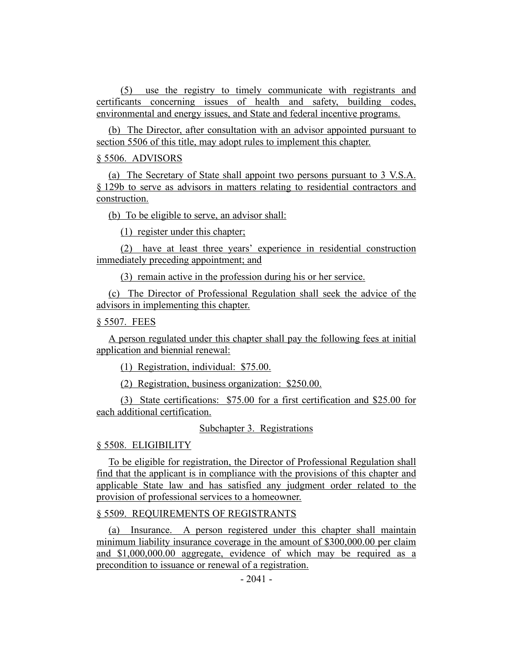(5) use the registry to timely communicate with registrants and certificants concerning issues of health and safety, building codes, environmental and energy issues, and State and federal incentive programs.

(b) The Director, after consultation with an advisor appointed pursuant to section 5506 of this title, may adopt rules to implement this chapter.

### § 5506. ADVISORS

(a) The Secretary of State shall appoint two persons pursuant to 3 V.S.A. § 129b to serve as advisors in matters relating to residential contractors and construction.

(b) To be eligible to serve, an advisor shall:

(1) register under this chapter;

(2) have at least three years' experience in residential construction immediately preceding appointment; and

(3) remain active in the profession during his or her service.

(c) The Director of Professional Regulation shall seek the advice of the advisors in implementing this chapter.

### § 5507. FEES

A person regulated under this chapter shall pay the following fees at initial application and biennial renewal:

(1) Registration, individual: \$75.00.

(2) Registration, business organization: \$250.00.

(3) State certifications: \$75.00 for a first certification and \$25.00 for each additional certification.

### Subchapter 3. Registrations

### § 5508. ELIGIBILITY

To be eligible for registration, the Director of Professional Regulation shall find that the applicant is in compliance with the provisions of this chapter and applicable State law and has satisfied any judgment order related to the provision of professional services to a homeowner.

## § 5509. REQUIREMENTS OF REGISTRANTS

(a) Insurance. A person registered under this chapter shall maintain minimum liability insurance coverage in the amount of \$300,000.00 per claim and \$1,000,000.00 aggregate, evidence of which may be required as a precondition to issuance or renewal of a registration.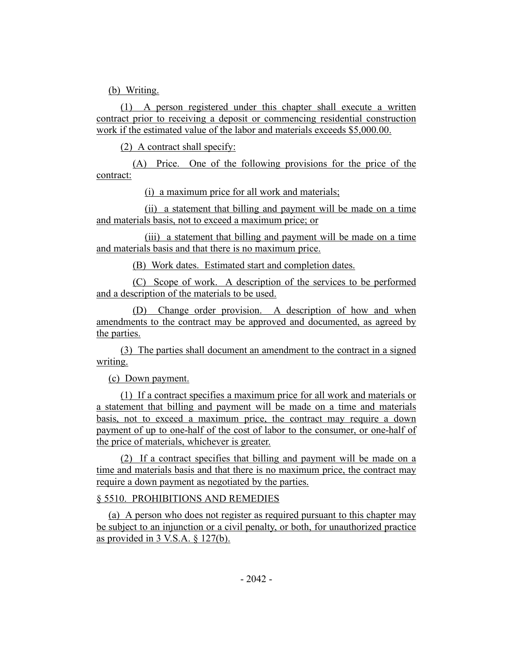(b) Writing.

(1) A person registered under this chapter shall execute a written contract prior to receiving a deposit or commencing residential construction work if the estimated value of the labor and materials exceeds \$5,000.00.

(2) A contract shall specify:

(A) Price. One of the following provisions for the price of the contract:

(i) a maximum price for all work and materials;

(ii) a statement that billing and payment will be made on a time and materials basis, not to exceed a maximum price; or

(iii) a statement that billing and payment will be made on a time and materials basis and that there is no maximum price.

(B) Work dates. Estimated start and completion dates.

(C) Scope of work. A description of the services to be performed and a description of the materials to be used.

(D) Change order provision. A description of how and when amendments to the contract may be approved and documented, as agreed by the parties.

(3) The parties shall document an amendment to the contract in a signed writing.

(c) Down payment.

(1) If a contract specifies a maximum price for all work and materials or a statement that billing and payment will be made on a time and materials basis, not to exceed a maximum price, the contract may require a down payment of up to one-half of the cost of labor to the consumer, or one-half of the price of materials, whichever is greater.

(2) If a contract specifies that billing and payment will be made on a time and materials basis and that there is no maximum price, the contract may require a down payment as negotiated by the parties.

# § 5510. PROHIBITIONS AND REMEDIES

(a) A person who does not register as required pursuant to this chapter may be subject to an injunction or a civil penalty, or both, for unauthorized practice as provided in 3 V.S.A. § 127(b).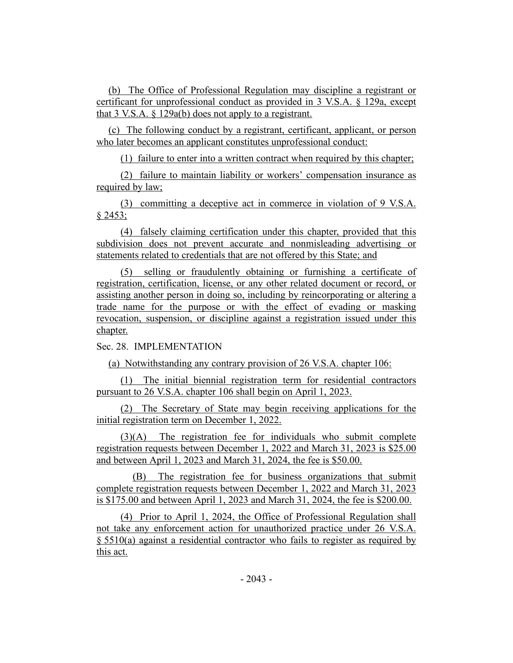(b) The Office of Professional Regulation may discipline a registrant or certificant for unprofessional conduct as provided in 3 V.S.A. § 129a, except that  $3$  V.S.A.  $\S$  129a(b) does not apply to a registrant.

(c) The following conduct by a registrant, certificant, applicant, or person who later becomes an applicant constitutes unprofessional conduct:

(1) failure to enter into a written contract when required by this chapter;

(2) failure to maintain liability or workers' compensation insurance as required by law;

(3) committing a deceptive act in commerce in violation of 9 V.S.A.  $§ 2453;$ 

(4) falsely claiming certification under this chapter, provided that this subdivision does not prevent accurate and nonmisleading advertising or statements related to credentials that are not offered by this State; and

(5) selling or fraudulently obtaining or furnishing a certificate of registration, certification, license, or any other related document or record, or assisting another person in doing so, including by reincorporating or altering a trade name for the purpose or with the effect of evading or masking revocation, suspension, or discipline against a registration issued under this chapter.

Sec. 28. IMPLEMENTATION

(a) Notwithstanding any contrary provision of 26 V.S.A. chapter 106:

(1) The initial biennial registration term for residential contractors pursuant to 26 V.S.A. chapter 106 shall begin on April 1, 2023.

(2) The Secretary of State may begin receiving applications for the initial registration term on December 1, 2022.

(3)(A) The registration fee for individuals who submit complete registration requests between December 1, 2022 and March 31, 2023 is \$25.00 and between April 1, 2023 and March 31, 2024, the fee is \$50.00.

(B) The registration fee for business organizations that submit complete registration requests between December 1, 2022 and March 31, 2023 is \$175.00 and between April 1, 2023 and March 31, 2024, the fee is \$200.00.

(4) Prior to April 1, 2024, the Office of Professional Regulation shall not take any enforcement action for unauthorized practice under 26 V.S.A. § 5510(a) against a residential contractor who fails to register as required by this act.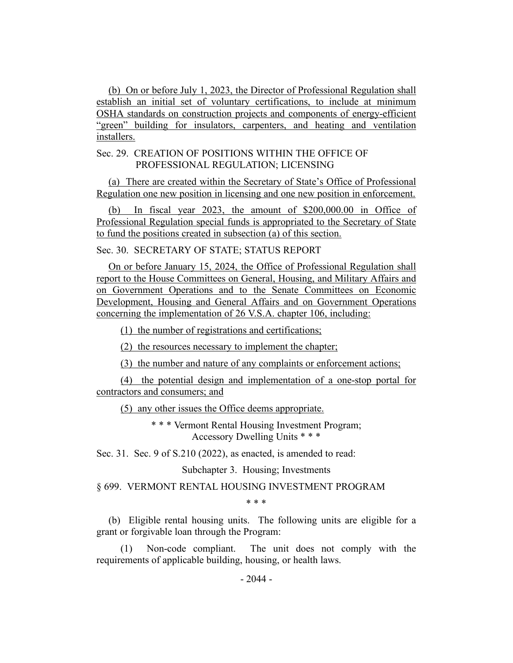(b) On or before July 1, 2023, the Director of Professional Regulation shall establish an initial set of voluntary certifications, to include at minimum OSHA standards on construction projects and components of energy-efficient "green" building for insulators, carpenters, and heating and ventilation installers.

### Sec. 29. CREATION OF POSITIONS WITHIN THE OFFICE OF PROFESSIONAL REGULATION; LICENSING

(a) There are created within the Secretary of State's Office of Professional Regulation one new position in licensing and one new position in enforcement.

(b) In fiscal year 2023, the amount of \$200,000.00 in Office of Professional Regulation special funds is appropriated to the Secretary of State to fund the positions created in subsection (a) of this section.

Sec. 30. SECRETARY OF STATE; STATUS REPORT

On or before January 15, 2024, the Office of Professional Regulation shall report to the House Committees on General, Housing, and Military Affairs and on Government Operations and to the Senate Committees on Economic Development, Housing and General Affairs and on Government Operations concerning the implementation of 26 V.S.A. chapter 106, including:

(1) the number of registrations and certifications;

(2) the resources necessary to implement the chapter;

(3) the number and nature of any complaints or enforcement actions;

(4) the potential design and implementation of a one-stop portal for contractors and consumers; and

(5) any other issues the Office deems appropriate.

\* \* \* Vermont Rental Housing Investment Program; Accessory Dwelling Units \* \* \*

Sec. 31. Sec. 9 of S.210 (2022), as enacted, is amended to read:

Subchapter 3. Housing; Investments

§ 699. VERMONT RENTAL HOUSING INVESTMENT PROGRAM

\* \* \*

(b) Eligible rental housing units. The following units are eligible for a grant or forgivable loan through the Program:

(1) Non-code compliant. The unit does not comply with the requirements of applicable building, housing, or health laws.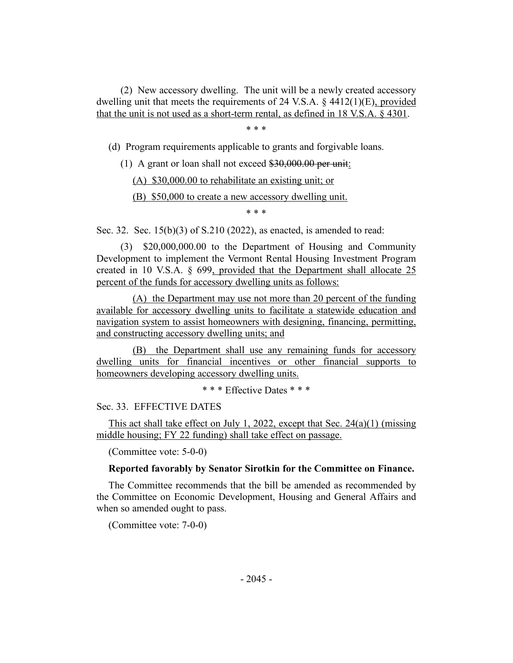(2) New accessory dwelling. The unit will be a newly created accessory dwelling unit that meets the requirements of 24 V.S.A.  $\&$  4412(1)(E), provided that the unit is not used as a short-term rental, as defined in 18 V.S.A. § 4301.

\* \* \*

(d) Program requirements applicable to grants and forgivable loans.

(1) A grant or loan shall not exceed  $$30,000.00$  per unit:

(A) \$30,000.00 to rehabilitate an existing unit; or

(B) \$50,000 to create a new accessory dwelling unit.

\* \* \*

Sec. 32. Sec. 15(b)(3) of S.210 (2022), as enacted, is amended to read:

(3) \$20,000,000.00 to the Department of Housing and Community Development to implement the Vermont Rental Housing Investment Program created in 10 V.S.A. § 699, provided that the Department shall allocate 25 percent of the funds for accessory dwelling units as follows:

(A) the Department may use not more than 20 percent of the funding available for accessory dwelling units to facilitate a statewide education and navigation system to assist homeowners with designing, financing, permitting, and constructing accessory dwelling units; and

(B) the Department shall use any remaining funds for accessory dwelling units for financial incentives or other financial supports to homeowners developing accessory dwelling units.

\* \* \* Effective Dates \* \* \*

Sec. 33. EFFECTIVE DATES

This act shall take effect on July 1, 2022, except that Sec.  $24(a)(1)$  (missing middle housing; FY 22 funding) shall take effect on passage.

(Committee vote: 5-0-0)

### **Reported favorably by Senator Sirotkin for the Committee on Finance.**

The Committee recommends that the bill be amended as recommended by the Committee on Economic Development, Housing and General Affairs and when so amended ought to pass.

(Committee vote: 7-0-0)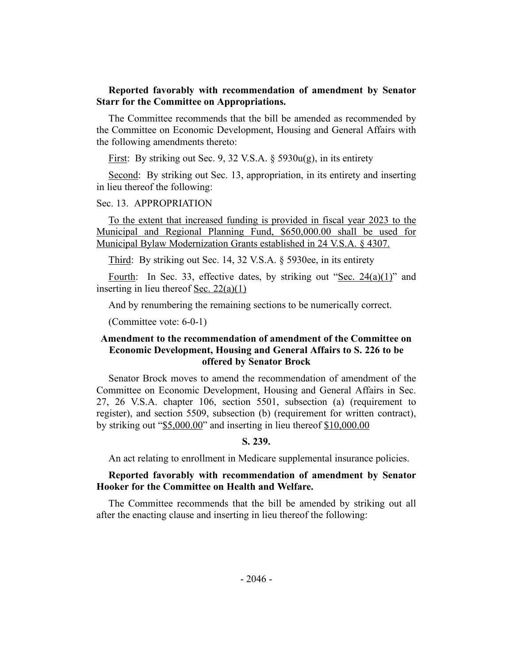### **Reported favorably with recommendation of amendment by Senator Starr for the Committee on Appropriations.**

The Committee recommends that the bill be amended as recommended by the Committee on Economic Development, Housing and General Affairs with the following amendments thereto:

<u>First</u>: By striking out Sec. 9, 32 V.S.A.  $\S$  5930u(g), in its entirety

Second: By striking out Sec. 13, appropriation, in its entirety and inserting in lieu thereof the following:

### Sec. 13. APPROPRIATION

To the extent that increased funding is provided in fiscal year 2023 to the Municipal and Regional Planning Fund, \$650,000.00 shall be used for Municipal Bylaw Modernization Grants established in 24 V.S.A. § 4307.

Third: By striking out Sec. 14, 32 V.S.A. § 5930ee, in its entirety

Fourth: In Sec. 33, effective dates, by striking out "Sec.  $24(a)(1)$ " and inserting in lieu thereof <u>Sec. 22(a)(1)</u>

And by renumbering the remaining sections to be numerically correct.

(Committee vote: 6-0-1)

## **Amendment to the recommendation of amendment of the Committee on Economic Development, Housing and General Affairs to S. 226 to be offered by Senator Brock**

Senator Brock moves to amend the recommendation of amendment of the Committee on Economic Development, Housing and General Affairs in Sec. 27, 26 V.S.A. chapter 106, section 5501, subsection (a) (requirement to register), and section 5509, subsection (b) (requirement for written contract), by striking out "\$5,000.00" and inserting in lieu thereof \$10,000.00

# **S. 239.**

An act relating to enrollment in Medicare supplemental insurance policies.

## **Reported favorably with recommendation of amendment by Senator Hooker for the Committee on Health and Welfare.**

The Committee recommends that the bill be amended by striking out all after the enacting clause and inserting in lieu thereof the following: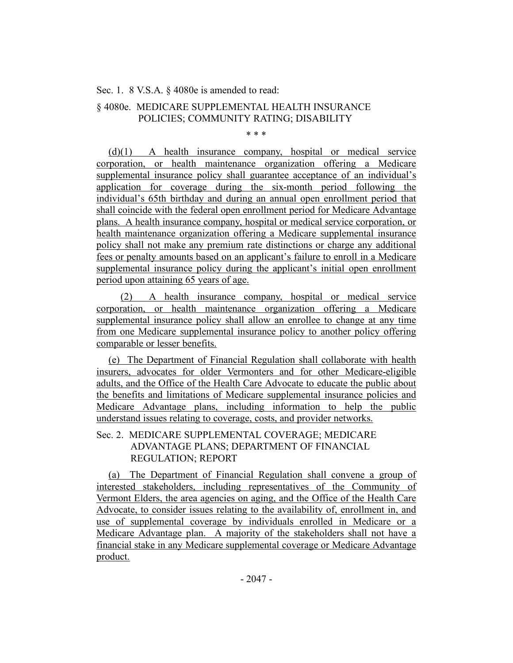Sec. 1. 8 V.S.A. § 4080e is amended to read:

# § 4080e. MEDICARE SUPPLEMENTAL HEALTH INSURANCE POLICIES; COMMUNITY RATING; DISABILITY

\* \* \*

(d)(1) A health insurance company, hospital or medical service corporation, or health maintenance organization offering a Medicare supplemental insurance policy shall guarantee acceptance of an individual's application for coverage during the six-month period following the individual's 65th birthday and during an annual open enrollment period that shall coincide with the federal open enrollment period for Medicare Advantage plans. A health insurance company, hospital or medical service corporation, or health maintenance organization offering a Medicare supplemental insurance policy shall not make any premium rate distinctions or charge any additional fees or penalty amounts based on an applicant's failure to enroll in a Medicare supplemental insurance policy during the applicant's initial open enrollment period upon attaining 65 years of age.

(2) A health insurance company, hospital or medical service corporation, or health maintenance organization offering a Medicare supplemental insurance policy shall allow an enrollee to change at any time from one Medicare supplemental insurance policy to another policy offering comparable or lesser benefits.

(e) The Department of Financial Regulation shall collaborate with health insurers, advocates for older Vermonters and for other Medicare-eligible adults, and the Office of the Health Care Advocate to educate the public about the benefits and limitations of Medicare supplemental insurance policies and Medicare Advantage plans, including information to help the public understand issues relating to coverage, costs, and provider networks.

# Sec. 2. MEDICARE SUPPLEMENTAL COVERAGE; MEDICARE ADVANTAGE PLANS; DEPARTMENT OF FINANCIAL REGULATION; REPORT

(a) The Department of Financial Regulation shall convene a group of interested stakeholders, including representatives of the Community of Vermont Elders, the area agencies on aging, and the Office of the Health Care Advocate, to consider issues relating to the availability of, enrollment in, and use of supplemental coverage by individuals enrolled in Medicare or a Medicare Advantage plan. A majority of the stakeholders shall not have a financial stake in any Medicare supplemental coverage or Medicare Advantage product.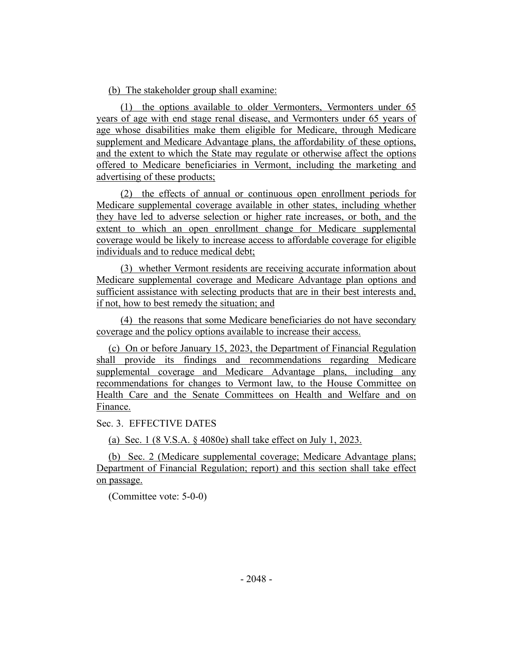(b) The stakeholder group shall examine:

(1) the options available to older Vermonters, Vermonters under 65 years of age with end stage renal disease, and Vermonters under 65 years of age whose disabilities make them eligible for Medicare, through Medicare supplement and Medicare Advantage plans, the affordability of these options, and the extent to which the State may regulate or otherwise affect the options offered to Medicare beneficiaries in Vermont, including the marketing and advertising of these products;

(2) the effects of annual or continuous open enrollment periods for Medicare supplemental coverage available in other states, including whether they have led to adverse selection or higher rate increases, or both, and the extent to which an open enrollment change for Medicare supplemental coverage would be likely to increase access to affordable coverage for eligible individuals and to reduce medical debt;

(3) whether Vermont residents are receiving accurate information about Medicare supplemental coverage and Medicare Advantage plan options and sufficient assistance with selecting products that are in their best interests and, if not, how to best remedy the situation; and

(4) the reasons that some Medicare beneficiaries do not have secondary coverage and the policy options available to increase their access.

(c) On or before January 15, 2023, the Department of Financial Regulation shall provide its findings and recommendations regarding Medicare supplemental coverage and Medicare Advantage plans, including any recommendations for changes to Vermont law, to the House Committee on Health Care and the Senate Committees on Health and Welfare and on Finance.

Sec. 3. EFFECTIVE DATES

(a) Sec. 1 (8 V.S.A. § 4080e) shall take effect on July 1, 2023.

(b) Sec. 2 (Medicare supplemental coverage; Medicare Advantage plans; Department of Financial Regulation; report) and this section shall take effect on passage.

(Committee vote: 5-0-0)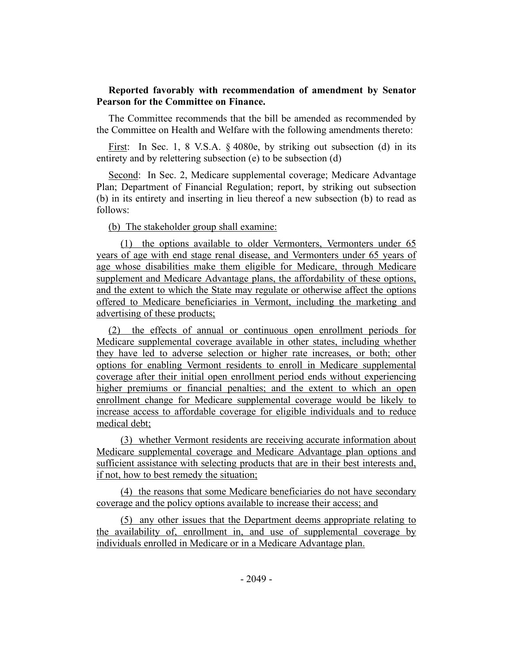## **Reported favorably with recommendation of amendment by Senator Pearson for the Committee on Finance.**

The Committee recommends that the bill be amended as recommended by the Committee on Health and Welfare with the following amendments thereto:

First: In Sec. 1, 8 V.S.A. § 4080e, by striking out subsection (d) in its entirety and by relettering subsection (e) to be subsection (d)

Second: In Sec. 2, Medicare supplemental coverage; Medicare Advantage Plan; Department of Financial Regulation; report, by striking out subsection (b) in its entirety and inserting in lieu thereof a new subsection (b) to read as follows:

### (b) The stakeholder group shall examine:

(1) the options available to older Vermonters, Vermonters under 65 years of age with end stage renal disease, and Vermonters under 65 years of age whose disabilities make them eligible for Medicare, through Medicare supplement and Medicare Advantage plans, the affordability of these options, and the extent to which the State may regulate or otherwise affect the options offered to Medicare beneficiaries in Vermont, including the marketing and advertising of these products;

(2) the effects of annual or continuous open enrollment periods for Medicare supplemental coverage available in other states, including whether they have led to adverse selection or higher rate increases, or both; other options for enabling Vermont residents to enroll in Medicare supplemental coverage after their initial open enrollment period ends without experiencing higher premiums or financial penalties; and the extent to which an open enrollment change for Medicare supplemental coverage would be likely to increase access to affordable coverage for eligible individuals and to reduce medical debt;

(3) whether Vermont residents are receiving accurate information about Medicare supplemental coverage and Medicare Advantage plan options and sufficient assistance with selecting products that are in their best interests and, if not, how to best remedy the situation;

(4) the reasons that some Medicare beneficiaries do not have secondary coverage and the policy options available to increase their access; and

(5) any other issues that the Department deems appropriate relating to the availability of, enrollment in, and use of supplemental coverage by individuals enrolled in Medicare or in a Medicare Advantage plan.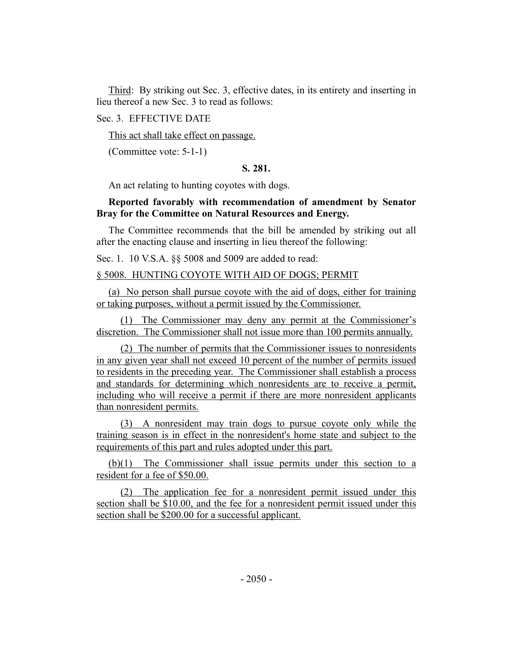Third: By striking out Sec. 3, effective dates, in its entirety and inserting in lieu thereof a new Sec. 3 to read as follows:

### Sec. 3. EFFECTIVE DATE

This act shall take effect on passage.

(Committee vote: 5-1-1)

## **S. 281.**

An act relating to hunting coyotes with dogs.

## **Reported favorably with recommendation of amendment by Senator Bray for the Committee on Natural Resources and Energy.**

The Committee recommends that the bill be amended by striking out all after the enacting clause and inserting in lieu thereof the following:

Sec. 1. 10 V.S.A. §§ 5008 and 5009 are added to read:

# § 5008. HUNTING COYOTE WITH AID OF DOGS; PERMIT

(a) No person shall pursue coyote with the aid of dogs, either for training or taking purposes, without a permit issued by the Commissioner.

(1) The Commissioner may deny any permit at the Commissioner's discretion. The Commissioner shall not issue more than 100 permits annually.

(2) The number of permits that the Commissioner issues to nonresidents in any given year shall not exceed 10 percent of the number of permits issued to residents in the preceding year. The Commissioner shall establish a process and standards for determining which nonresidents are to receive a permit, including who will receive a permit if there are more nonresident applicants than nonresident permits.

(3) A nonresident may train dogs to pursue coyote only while the training season is in effect in the nonresident's home state and subject to the requirements of this part and rules adopted under this part.

(b)(1) The Commissioner shall issue permits under this section to a resident for a fee of \$50.00.

(2) The application fee for a nonresident permit issued under this section shall be \$10.00, and the fee for a nonresident permit issued under this section shall be \$200.00 for a successful applicant.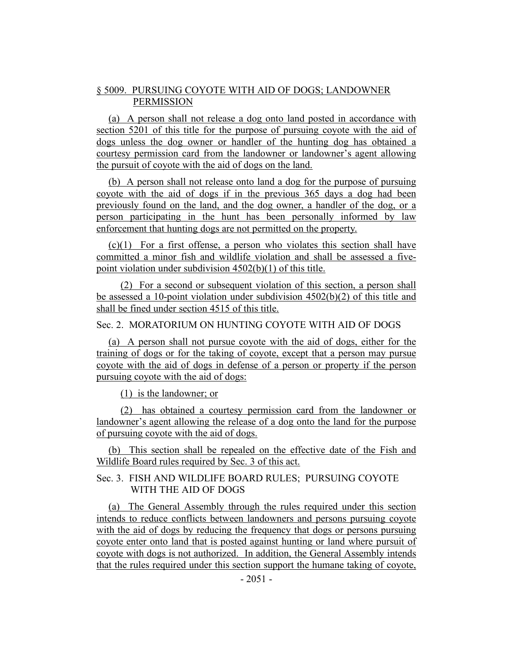# § 5009. PURSUING COYOTE WITH AID OF DOGS; LANDOWNER PERMISSION

(a) A person shall not release a dog onto land posted in accordance with section 5201 of this title for the purpose of pursuing coyote with the aid of dogs unless the dog owner or handler of the hunting dog has obtained a courtesy permission card from the landowner or landowner's agent allowing the pursuit of coyote with the aid of dogs on the land.

(b) A person shall not release onto land a dog for the purpose of pursuing coyote with the aid of dogs if in the previous 365 days a dog had been previously found on the land, and the dog owner, a handler of the dog, or a person participating in the hunt has been personally informed by law enforcement that hunting dogs are not permitted on the property.

 $(c)(1)$  For a first offense, a person who violates this section shall have committed a minor fish and wildlife violation and shall be assessed a fivepoint violation under subdivision 4502(b)(1) of this title.

(2) For a second or subsequent violation of this section, a person shall be assessed a 10-point violation under subdivision  $4502(b)(2)$  of this title and shall be fined under section 4515 of this title.

## Sec. 2. MORATORIUM ON HUNTING COYOTE WITH AID OF DOGS

(a) A person shall not pursue coyote with the aid of dogs, either for the training of dogs or for the taking of coyote, except that a person may pursue coyote with the aid of dogs in defense of a person or property if the person pursuing coyote with the aid of dogs:

(1) is the landowner; or

(2) has obtained a courtesy permission card from the landowner or landowner's agent allowing the release of a dog onto the land for the purpose of pursuing coyote with the aid of dogs.

(b) This section shall be repealed on the effective date of the Fish and Wildlife Board rules required by Sec. 3 of this act.

# Sec. 3. FISH AND WILDLIFE BOARD RULES; PURSUING COYOTE WITH THE AID OF DOGS

(a) The General Assembly through the rules required under this section intends to reduce conflicts between landowners and persons pursuing coyote with the aid of dogs by reducing the frequency that dogs or persons pursuing coyote enter onto land that is posted against hunting or land where pursuit of coyote with dogs is not authorized. In addition, the General Assembly intends that the rules required under this section support the humane taking of coyote,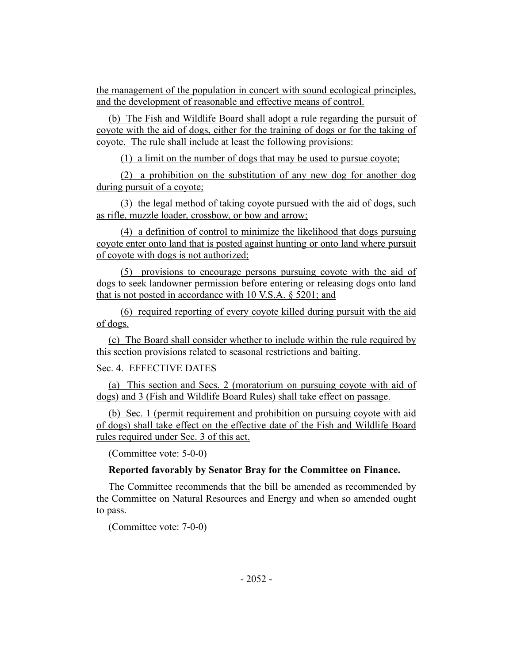the management of the population in concert with sound ecological principles, and the development of reasonable and effective means of control.

(b) The Fish and Wildlife Board shall adopt a rule regarding the pursuit of coyote with the aid of dogs, either for the training of dogs or for the taking of coyote. The rule shall include at least the following provisions:

(1) a limit on the number of dogs that may be used to pursue coyote;

(2) a prohibition on the substitution of any new dog for another dog during pursuit of a coyote;

(3) the legal method of taking coyote pursued with the aid of dogs, such as rifle, muzzle loader, crossbow, or bow and arrow;

(4) a definition of control to minimize the likelihood that dogs pursuing coyote enter onto land that is posted against hunting or onto land where pursuit of coyote with dogs is not authorized;

(5) provisions to encourage persons pursuing coyote with the aid of dogs to seek landowner permission before entering or releasing dogs onto land that is not posted in accordance with 10 V.S.A. § 5201; and

(6) required reporting of every coyote killed during pursuit with the aid of dogs.

(c) The Board shall consider whether to include within the rule required by this section provisions related to seasonal restrictions and baiting.

Sec. 4. EFFECTIVE DATES

(a) This section and Secs. 2 (moratorium on pursuing coyote with aid of dogs) and 3 (Fish and Wildlife Board Rules) shall take effect on passage.

(b) Sec. 1 (permit requirement and prohibition on pursuing coyote with aid of dogs) shall take effect on the effective date of the Fish and Wildlife Board rules required under Sec. 3 of this act.

(Committee vote: 5-0-0)

# **Reported favorably by Senator Bray for the Committee on Finance.**

The Committee recommends that the bill be amended as recommended by the Committee on Natural Resources and Energy and when so amended ought to pass.

(Committee vote: 7-0-0)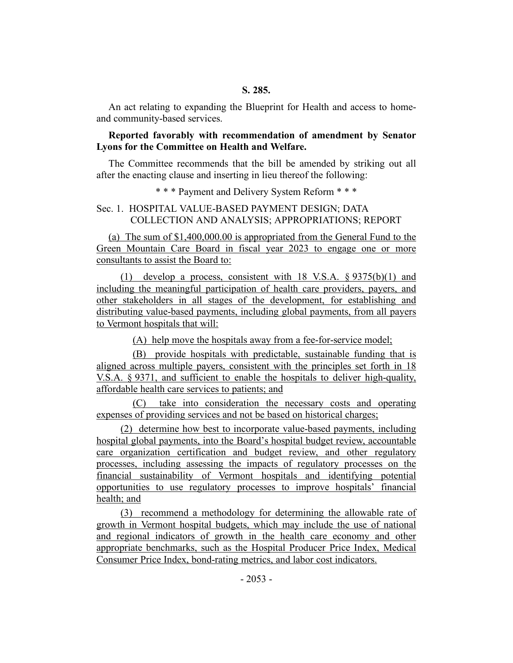An act relating to expanding the Blueprint for Health and access to homeand community-based services.

# **Reported favorably with recommendation of amendment by Senator Lyons for the Committee on Health and Welfare.**

The Committee recommends that the bill be amended by striking out all after the enacting clause and inserting in lieu thereof the following:

\* \* \* Payment and Delivery System Reform \* \* \*

# Sec. 1. HOSPITAL VALUE-BASED PAYMENT DESIGN; DATA COLLECTION AND ANALYSIS; APPROPRIATIONS; REPORT

(a) The sum of \$1,400,000.00 is appropriated from the General Fund to the Green Mountain Care Board in fiscal year 2023 to engage one or more consultants to assist the Board to:

(1) develop a process, consistent with 18 V.S.A. § 9375(b)(1) and including the meaningful participation of health care providers, payers, and other stakeholders in all stages of the development, for establishing and distributing value-based payments, including global payments, from all payers to Vermont hospitals that will:

(A) help move the hospitals away from a fee-for-service model;

(B) provide hospitals with predictable, sustainable funding that is aligned across multiple payers, consistent with the principles set forth in 18 V.S.A. § 9371, and sufficient to enable the hospitals to deliver high-quality, affordable health care services to patients; and

(C) take into consideration the necessary costs and operating expenses of providing services and not be based on historical charges;

(2) determine how best to incorporate value-based payments, including hospital global payments, into the Board's hospital budget review, accountable care organization certification and budget review, and other regulatory processes, including assessing the impacts of regulatory processes on the financial sustainability of Vermont hospitals and identifying potential opportunities to use regulatory processes to improve hospitals' financial health; and

(3) recommend a methodology for determining the allowable rate of growth in Vermont hospital budgets, which may include the use of national and regional indicators of growth in the health care economy and other appropriate benchmarks, such as the Hospital Producer Price Index, Medical Consumer Price Index, bond-rating metrics, and labor cost indicators.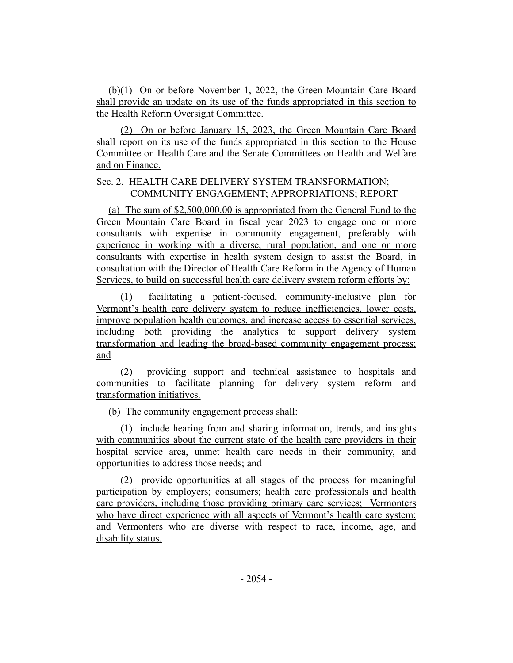(b)(1) On or before November 1, 2022, the Green Mountain Care Board shall provide an update on its use of the funds appropriated in this section to the Health Reform Oversight Committee.

(2) On or before January 15, 2023, the Green Mountain Care Board shall report on its use of the funds appropriated in this section to the House Committee on Health Care and the Senate Committees on Health and Welfare and on Finance.

# Sec. 2. HEALTH CARE DELIVERY SYSTEM TRANSFORMATION; COMMUNITY ENGAGEMENT; APPROPRIATIONS; REPORT

(a) The sum of \$2,500,000.00 is appropriated from the General Fund to the Green Mountain Care Board in fiscal year 2023 to engage one or more consultants with expertise in community engagement, preferably with experience in working with a diverse, rural population, and one or more consultants with expertise in health system design to assist the Board, in consultation with the Director of Health Care Reform in the Agency of Human Services, to build on successful health care delivery system reform efforts by:

(1) facilitating a patient-focused, community-inclusive plan for Vermont's health care delivery system to reduce inefficiencies, lower costs, improve population health outcomes, and increase access to essential services, including both providing the analytics to support delivery system transformation and leading the broad-based community engagement process; and

(2) providing support and technical assistance to hospitals and communities to facilitate planning for delivery system reform and transformation initiatives.

(b) The community engagement process shall:

(1) include hearing from and sharing information, trends, and insights with communities about the current state of the health care providers in their hospital service area, unmet health care needs in their community, and opportunities to address those needs; and

(2) provide opportunities at all stages of the process for meaningful participation by employers; consumers; health care professionals and health care providers, including those providing primary care services; Vermonters who have direct experience with all aspects of Vermont's health care system; and Vermonters who are diverse with respect to race, income, age, and disability status.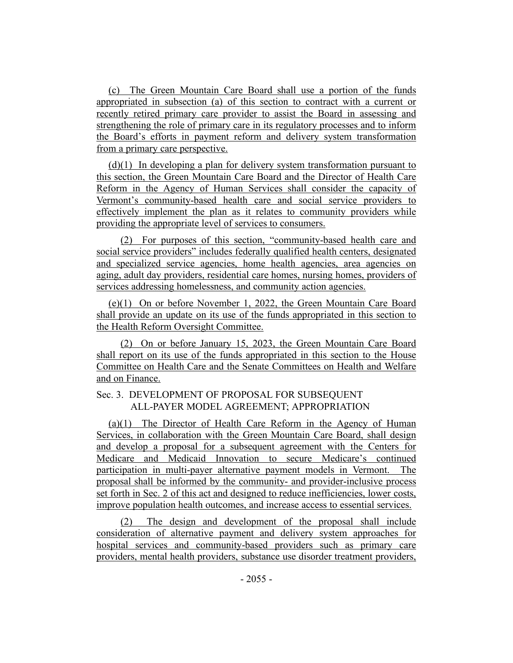(c) The Green Mountain Care Board shall use a portion of the funds appropriated in subsection (a) of this section to contract with a current or recently retired primary care provider to assist the Board in assessing and strengthening the role of primary care in its regulatory processes and to inform the Board's efforts in payment reform and delivery system transformation from a primary care perspective.

(d)(1) In developing a plan for delivery system transformation pursuant to this section, the Green Mountain Care Board and the Director of Health Care Reform in the Agency of Human Services shall consider the capacity of Vermont's community-based health care and social service providers to effectively implement the plan as it relates to community providers while providing the appropriate level of services to consumers.

(2) For purposes of this section, "community-based health care and social service providers" includes federally qualified health centers, designated and specialized service agencies, home health agencies, area agencies on aging, adult day providers, residential care homes, nursing homes, providers of services addressing homelessness, and community action agencies.

(e)(1) On or before November 1, 2022, the Green Mountain Care Board shall provide an update on its use of the funds appropriated in this section to the Health Reform Oversight Committee.

(2) On or before January 15, 2023, the Green Mountain Care Board shall report on its use of the funds appropriated in this section to the House Committee on Health Care and the Senate Committees on Health and Welfare and on Finance.

# Sec. 3. DEVELOPMENT OF PROPOSAL FOR SUBSEQUENT ALL-PAYER MODEL AGREEMENT; APPROPRIATION

(a)(1) The Director of Health Care Reform in the Agency of Human Services, in collaboration with the Green Mountain Care Board, shall design and develop a proposal for a subsequent agreement with the Centers for Medicare and Medicaid Innovation to secure Medicare's continued participation in multi-payer alternative payment models in Vermont. The proposal shall be informed by the community- and provider-inclusive process set forth in Sec. 2 of this act and designed to reduce inefficiencies, lower costs, improve population health outcomes, and increase access to essential services.

(2) The design and development of the proposal shall include consideration of alternative payment and delivery system approaches for hospital services and community-based providers such as primary care providers, mental health providers, substance use disorder treatment providers,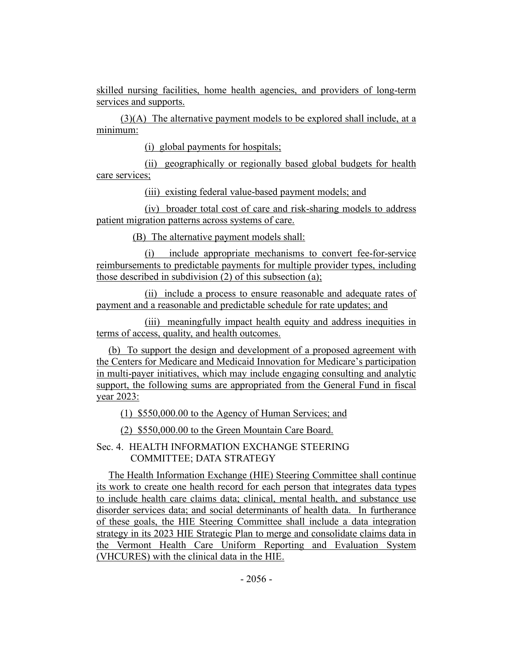skilled nursing facilities, home health agencies, and providers of long-term services and supports.

(3)(A) The alternative payment models to be explored shall include, at a minimum:

(i) global payments for hospitals;

(ii) geographically or regionally based global budgets for health care services;

(iii) existing federal value-based payment models; and

(iv) broader total cost of care and risk-sharing models to address patient migration patterns across systems of care.

(B) The alternative payment models shall:

(i) include appropriate mechanisms to convert fee-for-service reimbursements to predictable payments for multiple provider types, including those described in subdivision (2) of this subsection (a);

(ii) include a process to ensure reasonable and adequate rates of payment and a reasonable and predictable schedule for rate updates; and

(iii) meaningfully impact health equity and address inequities in terms of access, quality, and health outcomes.

(b) To support the design and development of a proposed agreement with the Centers for Medicare and Medicaid Innovation for Medicare's participation in multi-payer initiatives, which may include engaging consulting and analytic support, the following sums are appropriated from the General Fund in fiscal year 2023:

(1) \$550,000.00 to the Agency of Human Services; and

(2) \$550,000.00 to the Green Mountain Care Board.

Sec. 4. HEALTH INFORMATION EXCHANGE STEERING COMMITTEE; DATA STRATEGY

The Health Information Exchange (HIE) Steering Committee shall continue its work to create one health record for each person that integrates data types to include health care claims data; clinical, mental health, and substance use disorder services data; and social determinants of health data. In furtherance of these goals, the HIE Steering Committee shall include a data integration strategy in its 2023 HIE Strategic Plan to merge and consolidate claims data in the Vermont Health Care Uniform Reporting and Evaluation System (VHCURES) with the clinical data in the HIE.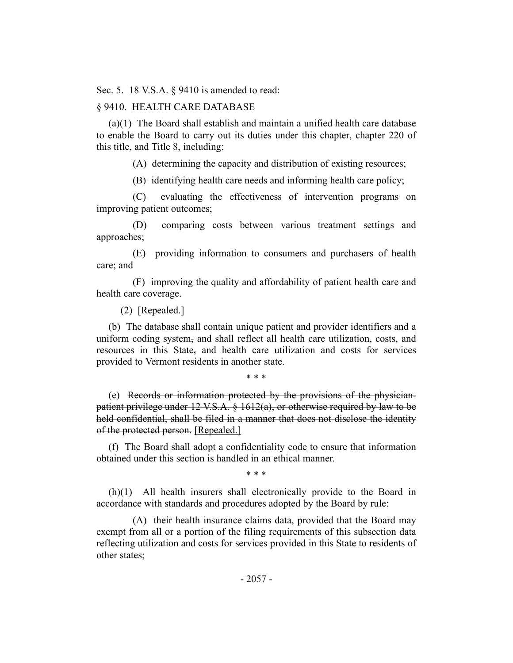Sec. 5. 18 V.S.A. § 9410 is amended to read:

### § 9410. HEALTH CARE DATABASE

(a)(1) The Board shall establish and maintain a unified health care database to enable the Board to carry out its duties under this chapter, chapter 220 of this title, and Title 8, including:

(A) determining the capacity and distribution of existing resources;

(B) identifying health care needs and informing health care policy;

(C) evaluating the effectiveness of intervention programs on improving patient outcomes;

(D) comparing costs between various treatment settings and approaches;

(E) providing information to consumers and purchasers of health care; and

(F) improving the quality and affordability of patient health care and health care coverage.

(2) [Repealed.]

(b) The database shall contain unique patient and provider identifiers and a uniform coding system, and shall reflect all health care utilization, costs, and resources in this State, and health care utilization and costs for services provided to Vermont residents in another state.

\* \* \*

(e) Records or information protected by the provisions of the physicianpatient privilege under 12 V.S.A. § 1612(a), or otherwise required by law to be held confidential, shall be filed in a manner that does not disclose the identity of the protected person. [Repealed.]

(f) The Board shall adopt a confidentiality code to ensure that information obtained under this section is handled in an ethical manner.

\* \* \*

(h)(1) All health insurers shall electronically provide to the Board in accordance with standards and procedures adopted by the Board by rule:

(A) their health insurance claims data, provided that the Board may exempt from all or a portion of the filing requirements of this subsection data reflecting utilization and costs for services provided in this State to residents of other states;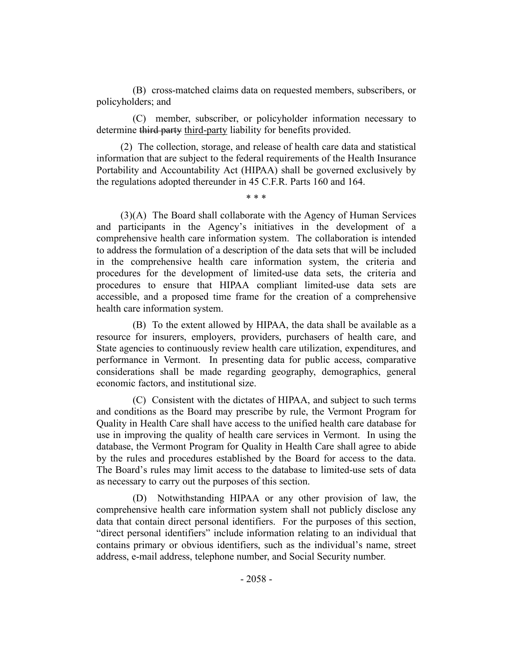(B) cross-matched claims data on requested members, subscribers, or policyholders; and

(C) member, subscriber, or policyholder information necessary to determine third party third-party liability for benefits provided.

(2) The collection, storage, and release of health care data and statistical information that are subject to the federal requirements of the Health Insurance Portability and Accountability Act (HIPAA) shall be governed exclusively by the regulations adopted thereunder in 45 C.F.R. Parts 160 and 164.

\* \* \*

(3)(A) The Board shall collaborate with the Agency of Human Services and participants in the Agency's initiatives in the development of a comprehensive health care information system. The collaboration is intended to address the formulation of a description of the data sets that will be included in the comprehensive health care information system, the criteria and procedures for the development of limited-use data sets, the criteria and procedures to ensure that HIPAA compliant limited-use data sets are accessible, and a proposed time frame for the creation of a comprehensive health care information system.

(B) To the extent allowed by HIPAA, the data shall be available as a resource for insurers, employers, providers, purchasers of health care, and State agencies to continuously review health care utilization, expenditures, and performance in Vermont. In presenting data for public access, comparative considerations shall be made regarding geography, demographics, general economic factors, and institutional size.

(C) Consistent with the dictates of HIPAA, and subject to such terms and conditions as the Board may prescribe by rule, the Vermont Program for Quality in Health Care shall have access to the unified health care database for use in improving the quality of health care services in Vermont. In using the database, the Vermont Program for Quality in Health Care shall agree to abide by the rules and procedures established by the Board for access to the data. The Board's rules may limit access to the database to limited-use sets of data as necessary to carry out the purposes of this section.

(D) Notwithstanding HIPAA or any other provision of law, the comprehensive health care information system shall not publicly disclose any data that contain direct personal identifiers. For the purposes of this section, "direct personal identifiers" include information relating to an individual that contains primary or obvious identifiers, such as the individual's name, street address, e-mail address, telephone number, and Social Security number.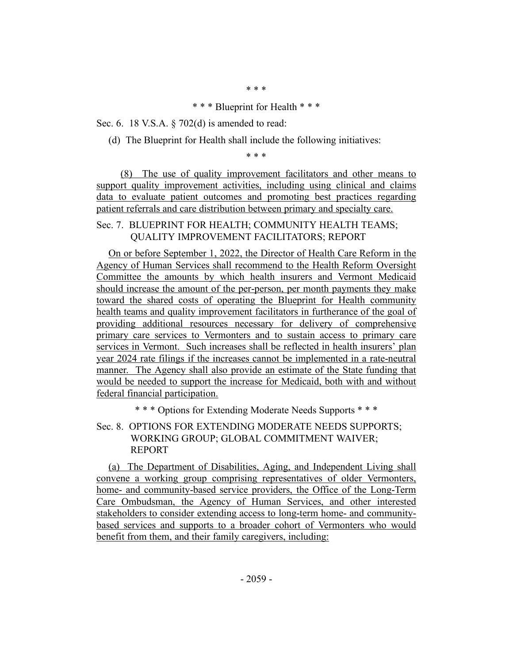\* \* \*

#### \* \* \* Blueprint for Health \* \* \*

Sec. 6. 18 V.S.A. § 702(d) is amended to read:

(d) The Blueprint for Health shall include the following initiatives:

\* \* \*

(8) The use of quality improvement facilitators and other means to support quality improvement activities, including using clinical and claims data to evaluate patient outcomes and promoting best practices regarding patient referrals and care distribution between primary and specialty care.

Sec. 7. BLUEPRINT FOR HEALTH; COMMUNITY HEALTH TEAMS; QUALITY IMPROVEMENT FACILITATORS; REPORT

On or before September 1, 2022, the Director of Health Care Reform in the Agency of Human Services shall recommend to the Health Reform Oversight Committee the amounts by which health insurers and Vermont Medicaid should increase the amount of the per-person, per month payments they make toward the shared costs of operating the Blueprint for Health community health teams and quality improvement facilitators in furtherance of the goal of providing additional resources necessary for delivery of comprehensive primary care services to Vermonters and to sustain access to primary care services in Vermont. Such increases shall be reflected in health insurers' plan year 2024 rate filings if the increases cannot be implemented in a rate-neutral manner. The Agency shall also provide an estimate of the State funding that would be needed to support the increase for Medicaid, both with and without federal financial participation.

\* \* \* Options for Extending Moderate Needs Supports \* \* \*

Sec. 8. OPTIONS FOR EXTENDING MODERATE NEEDS SUPPORTS; WORKING GROUP; GLOBAL COMMITMENT WAIVER; REPORT

(a) The Department of Disabilities, Aging, and Independent Living shall convene a working group comprising representatives of older Vermonters, home- and community-based service providers, the Office of the Long-Term Care Ombudsman, the Agency of Human Services, and other interested stakeholders to consider extending access to long-term home- and communitybased services and supports to a broader cohort of Vermonters who would benefit from them, and their family caregivers, including: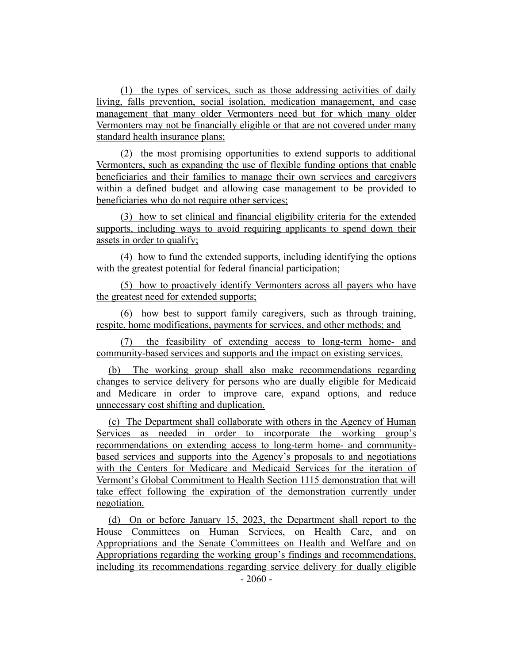(1) the types of services, such as those addressing activities of daily living, falls prevention, social isolation, medication management, and case management that many older Vermonters need but for which many older Vermonters may not be financially eligible or that are not covered under many standard health insurance plans;

(2) the most promising opportunities to extend supports to additional Vermonters, such as expanding the use of flexible funding options that enable beneficiaries and their families to manage their own services and caregivers within a defined budget and allowing case management to be provided to beneficiaries who do not require other services;

(3) how to set clinical and financial eligibility criteria for the extended supports, including ways to avoid requiring applicants to spend down their assets in order to qualify;

(4) how to fund the extended supports, including identifying the options with the greatest potential for federal financial participation;

(5) how to proactively identify Vermonters across all payers who have the greatest need for extended supports;

(6) how best to support family caregivers, such as through training, respite, home modifications, payments for services, and other methods; and

(7) the feasibility of extending access to long-term home- and community-based services and supports and the impact on existing services.

(b) The working group shall also make recommendations regarding changes to service delivery for persons who are dually eligible for Medicaid and Medicare in order to improve care, expand options, and reduce unnecessary cost shifting and duplication.

(c) The Department shall collaborate with others in the Agency of Human Services as needed in order to incorporate the working group's recommendations on extending access to long-term home- and communitybased services and supports into the Agency's proposals to and negotiations with the Centers for Medicare and Medicaid Services for the iteration of Vermont's Global Commitment to Health Section 1115 demonstration that will take effect following the expiration of the demonstration currently under negotiation.

(d) On or before January 15, 2023, the Department shall report to the House Committees on Human Services, on Health Care, and on Appropriations and the Senate Committees on Health and Welfare and on Appropriations regarding the working group's findings and recommendations, including its recommendations regarding service delivery for dually eligible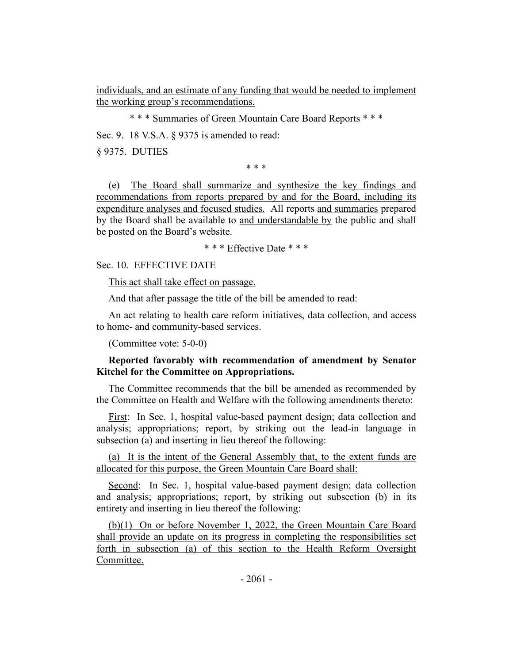individuals, and an estimate of any funding that would be needed to implement the working group's recommendations.

\* \* \* Summaries of Green Mountain Care Board Reports \* \* \*

Sec. 9. 18 V.S.A. § 9375 is amended to read:

§ 9375. DUTIES

\* \* \*

(e) The Board shall summarize and synthesize the key findings and recommendations from reports prepared by and for the Board, including its expenditure analyses and focused studies. All reports and summaries prepared by the Board shall be available to and understandable by the public and shall be posted on the Board's website.

\* \* \* Effective Date \* \* \*

Sec. 10. EFFECTIVE DATE

This act shall take effect on passage.

And that after passage the title of the bill be amended to read:

An act relating to health care reform initiatives, data collection, and access to home- and community-based services.

(Committee vote: 5-0-0)

## **Reported favorably with recommendation of amendment by Senator Kitchel for the Committee on Appropriations.**

The Committee recommends that the bill be amended as recommended by the Committee on Health and Welfare with the following amendments thereto:

First: In Sec. 1, hospital value-based payment design; data collection and analysis; appropriations; report, by striking out the lead-in language in subsection (a) and inserting in lieu thereof the following:

(a) It is the intent of the General Assembly that, to the extent funds are allocated for this purpose, the Green Mountain Care Board shall:

Second: In Sec. 1, hospital value-based payment design; data collection and analysis; appropriations; report, by striking out subsection (b) in its entirety and inserting in lieu thereof the following:

(b)(1) On or before November 1, 2022, the Green Mountain Care Board shall provide an update on its progress in completing the responsibilities set forth in subsection (a) of this section to the Health Reform Oversight Committee.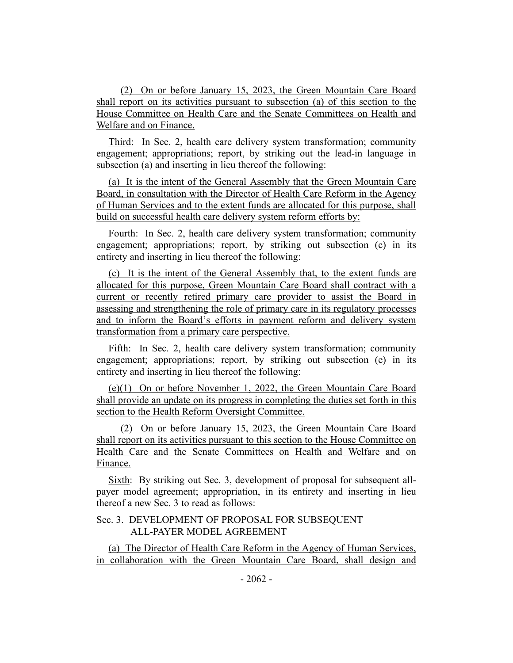(2) On or before January 15, 2023, the Green Mountain Care Board shall report on its activities pursuant to subsection (a) of this section to the House Committee on Health Care and the Senate Committees on Health and Welfare and on Finance.

Third: In Sec. 2, health care delivery system transformation; community engagement; appropriations; report, by striking out the lead-in language in subsection (a) and inserting in lieu thereof the following:

(a) It is the intent of the General Assembly that the Green Mountain Care Board, in consultation with the Director of Health Care Reform in the Agency of Human Services and to the extent funds are allocated for this purpose, shall build on successful health care delivery system reform efforts by:

Fourth: In Sec. 2, health care delivery system transformation; community engagement; appropriations; report, by striking out subsection (c) in its entirety and inserting in lieu thereof the following:

(c) It is the intent of the General Assembly that, to the extent funds are allocated for this purpose, Green Mountain Care Board shall contract with a current or recently retired primary care provider to assist the Board in assessing and strengthening the role of primary care in its regulatory processes and to inform the Board's efforts in payment reform and delivery system transformation from a primary care perspective.

Fifth: In Sec. 2, health care delivery system transformation; community engagement; appropriations; report, by striking out subsection (e) in its entirety and inserting in lieu thereof the following:

(e)(1) On or before November 1, 2022, the Green Mountain Care Board shall provide an update on its progress in completing the duties set forth in this section to the Health Reform Oversight Committee.

(2) On or before January 15, 2023, the Green Mountain Care Board shall report on its activities pursuant to this section to the House Committee on Health Care and the Senate Committees on Health and Welfare and on Finance.

Sixth: By striking out Sec. 3, development of proposal for subsequent allpayer model agreement; appropriation, in its entirety and inserting in lieu thereof a new Sec. 3 to read as follows:

# Sec. 3. DEVELOPMENT OF PROPOSAL FOR SUBSEQUENT ALL-PAYER MODEL AGREEMENT

(a) The Director of Health Care Reform in the Agency of Human Services, in collaboration with the Green Mountain Care Board, shall design and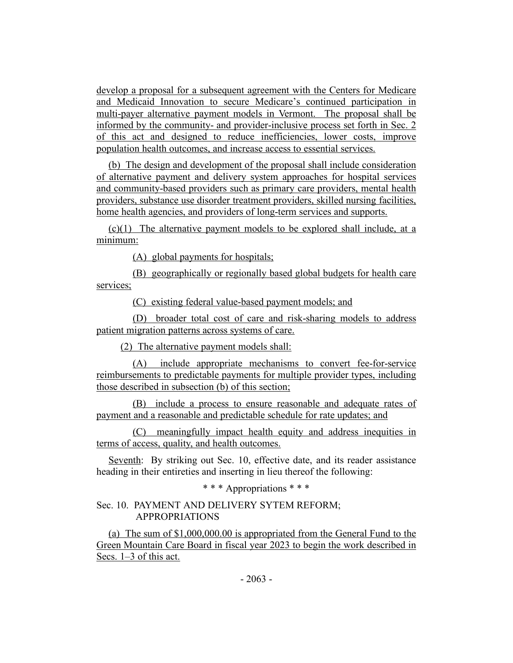develop a proposal for a subsequent agreement with the Centers for Medicare and Medicaid Innovation to secure Medicare's continued participation in multi-payer alternative payment models in Vermont. The proposal shall be informed by the community- and provider-inclusive process set forth in Sec. 2 of this act and designed to reduce inefficiencies, lower costs, improve population health outcomes, and increase access to essential services.

(b) The design and development of the proposal shall include consideration of alternative payment and delivery system approaches for hospital services and community-based providers such as primary care providers, mental health providers, substance use disorder treatment providers, skilled nursing facilities, home health agencies, and providers of long-term services and supports.

(c)(1) The alternative payment models to be explored shall include, at a minimum:

(A) global payments for hospitals;

(B) geographically or regionally based global budgets for health care services;

(C) existing federal value-based payment models; and

(D) broader total cost of care and risk-sharing models to address patient migration patterns across systems of care.

(2) The alternative payment models shall:

(A) include appropriate mechanisms to convert fee-for-service reimbursements to predictable payments for multiple provider types, including those described in subsection (b) of this section;

(B) include a process to ensure reasonable and adequate rates of payment and a reasonable and predictable schedule for rate updates; and

(C) meaningfully impact health equity and address inequities in terms of access, quality, and health outcomes.

Seventh: By striking out Sec. 10, effective date, and its reader assistance heading in their entireties and inserting in lieu thereof the following:

\* \* \* Appropriations \* \* \*

# Sec. 10. PAYMENT AND DELIVERY SYTEM REFORM; APPROPRIATIONS

(a) The sum of \$1,000,000.00 is appropriated from the General Fund to the Green Mountain Care Board in fiscal year 2023 to begin the work described in Secs. 1–3 of this act.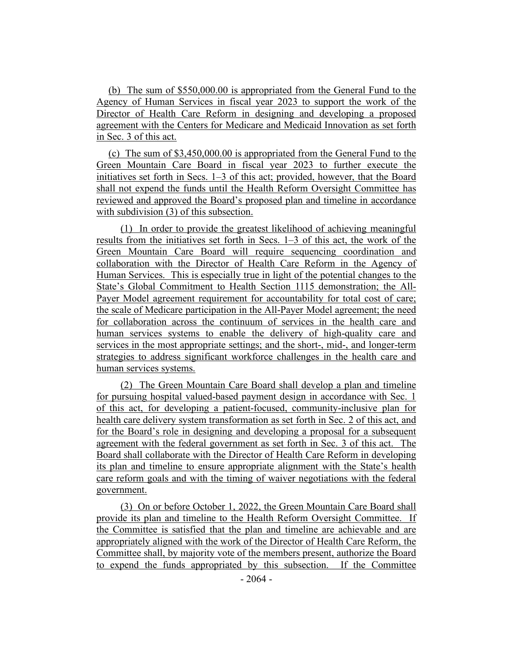(b) The sum of \$550,000.00 is appropriated from the General Fund to the Agency of Human Services in fiscal year 2023 to support the work of the Director of Health Care Reform in designing and developing a proposed agreement with the Centers for Medicare and Medicaid Innovation as set forth in Sec. 3 of this act.

(c) The sum of \$3,450,000.00 is appropriated from the General Fund to the Green Mountain Care Board in fiscal year 2023 to further execute the initiatives set forth in Secs. 1–3 of this act; provided, however, that the Board shall not expend the funds until the Health Reform Oversight Committee has reviewed and approved the Board's proposed plan and timeline in accordance with subdivision (3) of this subsection.

(1) In order to provide the greatest likelihood of achieving meaningful results from the initiatives set forth in Secs. 1–3 of this act, the work of the Green Mountain Care Board will require sequencing coordination and collaboration with the Director of Health Care Reform in the Agency of Human Services. This is especially true in light of the potential changes to the State's Global Commitment to Health Section 1115 demonstration; the All-Payer Model agreement requirement for accountability for total cost of care; the scale of Medicare participation in the All-Payer Model agreement; the need for collaboration across the continuum of services in the health care and human services systems to enable the delivery of high-quality care and services in the most appropriate settings; and the short-, mid-, and longer-term strategies to address significant workforce challenges in the health care and human services systems.

(2) The Green Mountain Care Board shall develop a plan and timeline for pursuing hospital valued-based payment design in accordance with Sec. 1 of this act, for developing a patient-focused, community-inclusive plan for health care delivery system transformation as set forth in Sec. 2 of this act, and for the Board's role in designing and developing a proposal for a subsequent agreement with the federal government as set forth in Sec. 3 of this act. The Board shall collaborate with the Director of Health Care Reform in developing its plan and timeline to ensure appropriate alignment with the State's health care reform goals and with the timing of waiver negotiations with the federal government.

(3) On or before October 1, 2022, the Green Mountain Care Board shall provide its plan and timeline to the Health Reform Oversight Committee. If the Committee is satisfied that the plan and timeline are achievable and are appropriately aligned with the work of the Director of Health Care Reform, the Committee shall, by majority vote of the members present, authorize the Board to expend the funds appropriated by this subsection. If the Committee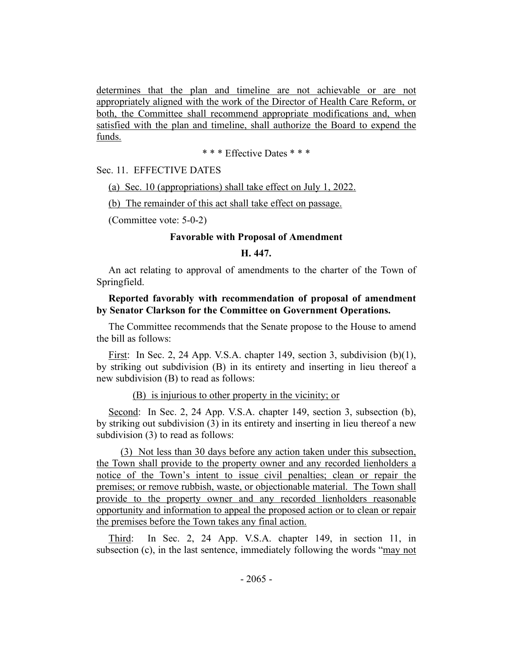determines that the plan and timeline are not achievable or are not appropriately aligned with the work of the Director of Health Care Reform, or both, the Committee shall recommend appropriate modifications and, when satisfied with the plan and timeline, shall authorize the Board to expend the funds.

\* \* \* Effective Dates \* \* \*

Sec. 11. EFFECTIVE DATES

(a) Sec. 10 (appropriations) shall take effect on July 1, 2022.

(b) The remainder of this act shall take effect on passage.

(Committee vote: 5-0-2)

### **Favorable with Proposal of Amendment**

# **H. 447.**

An act relating to approval of amendments to the charter of the Town of Springfield.

## **Reported favorably with recommendation of proposal of amendment by Senator Clarkson for the Committee on Government Operations.**

The Committee recommends that the Senate propose to the House to amend the bill as follows:

First: In Sec. 2, 24 App. V.S.A. chapter 149, section 3, subdivision (b)(1), by striking out subdivision (B) in its entirety and inserting in lieu thereof a new subdivision (B) to read as follows:

#### (B) is injurious to other property in the vicinity; or

Second: In Sec. 2, 24 App. V.S.A. chapter 149, section 3, subsection (b), by striking out subdivision (3) in its entirety and inserting in lieu thereof a new subdivision (3) to read as follows:

(3) Not less than 30 days before any action taken under this subsection, the Town shall provide to the property owner and any recorded lienholders a notice of the Town's intent to issue civil penalties; clean or repair the premises; or remove rubbish, waste, or objectionable material. The Town shall provide to the property owner and any recorded lienholders reasonable opportunity and information to appeal the proposed action or to clean or repair the premises before the Town takes any final action.

Third: In Sec. 2, 24 App. V.S.A. chapter 149, in section 11, in subsection (c), in the last sentence, immediately following the words "may not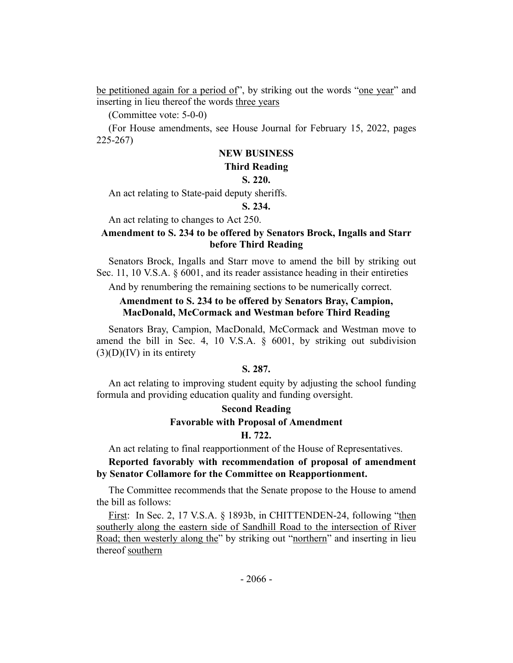be petitioned again for a period of", by striking out the words "one year" and inserting in lieu thereof the words three years

(Committee vote: 5-0-0)

(For House amendments, see House Journal for February 15, 2022, pages 225-267)

## **NEW BUSINESS**

### **Third Reading**

#### **S. 220.**

An act relating to State-paid deputy sheriffs.

## **S. 234.**

An act relating to changes to Act 250.

## **Amendment to S. 234 to be offered by Senators Brock, Ingalls and Starr before Third Reading**

Senators Brock, Ingalls and Starr move to amend the bill by striking out Sec. 11, 10 V.S.A. § 6001, and its reader assistance heading in their entireties

And by renumbering the remaining sections to be numerically correct.

# **Amendment to S. 234 to be offered by Senators Bray, Campion, MacDonald, McCormack and Westman before Third Reading**

Senators Bray, Campion, MacDonald, McCormack and Westman move to amend the bill in Sec. 4, 10 V.S.A. § 6001, by striking out subdivision  $(3)(D)(IV)$  in its entirety

## **S. 287.**

An act relating to improving student equity by adjusting the school funding formula and providing education quality and funding oversight.

# **Second Reading Favorable with Proposal of Amendment H. 722.**

An act relating to final reapportionment of the House of Representatives.

## **Reported favorably with recommendation of proposal of amendment by Senator Collamore for the Committee on Reapportionment.**

The Committee recommends that the Senate propose to the House to amend the bill as follows:

First: In Sec. 2, 17 V.S.A. § 1893b, in CHITTENDEN-24, following "then southerly along the eastern side of Sandhill Road to the intersection of River Road; then westerly along the" by striking out "northern" and inserting in lieu thereof southern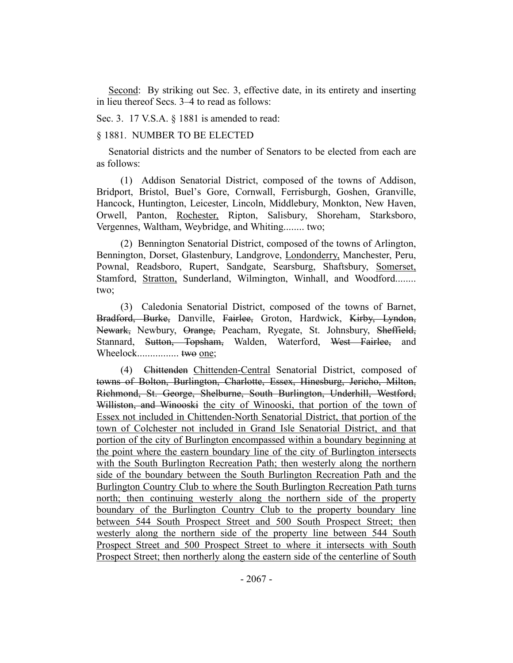Second: By striking out Sec. 3, effective date, in its entirety and inserting in lieu thereof Secs. 3–4 to read as follows:

Sec. 3. 17 V.S.A. § 1881 is amended to read:

#### § 1881. NUMBER TO BE ELECTED

Senatorial districts and the number of Senators to be elected from each are as follows:

(1) Addison Senatorial District, composed of the towns of Addison, Bridport, Bristol, Buel's Gore, Cornwall, Ferrisburgh, Goshen, Granville, Hancock, Huntington, Leicester, Lincoln, Middlebury, Monkton, New Haven, Orwell, Panton, Rochester, Ripton, Salisbury, Shoreham, Starksboro, Vergennes, Waltham, Weybridge, and Whiting........ two;

(2) Bennington Senatorial District, composed of the towns of Arlington, Bennington, Dorset, Glastenbury, Landgrove, Londonderry, Manchester, Peru, Pownal, Readsboro, Rupert, Sandgate, Searsburg, Shaftsbury, Somerset, Stamford, Stratton, Sunderland, Wilmington, Winhall, and Woodford........ two;

(3) Caledonia Senatorial District, composed of the towns of Barnet, Bradford, Burke, Danville, Fairlee, Groton, Hardwick, Kirby, Lyndon, Newark, Newbury, Orange, Peacham, Ryegate, St. Johnsbury, Sheffield, Stannard, Sutton, Topsham, Walden, Waterford, West Fairlee, and Wheelock................ two one;

(4) Chittenden Chittenden-Central Senatorial District, composed of towns of Bolton, Burlington, Charlotte, Essex, Hinesburg, Jericho, Milton, Richmond, St. George, Shelburne, South Burlington, Underhill, Westford, Williston, and Winooski the city of Winooski, that portion of the town of Essex not included in Chittenden-North Senatorial District, that portion of the town of Colchester not included in Grand Isle Senatorial District, and that portion of the city of Burlington encompassed within a boundary beginning at the point where the eastern boundary line of the city of Burlington intersects with the South Burlington Recreation Path; then westerly along the northern side of the boundary between the South Burlington Recreation Path and the Burlington Country Club to where the South Burlington Recreation Path turns north; then continuing westerly along the northern side of the property boundary of the Burlington Country Club to the property boundary line between 544 South Prospect Street and 500 South Prospect Street; then westerly along the northern side of the property line between 544 South Prospect Street and 500 Prospect Street to where it intersects with South Prospect Street; then northerly along the eastern side of the centerline of South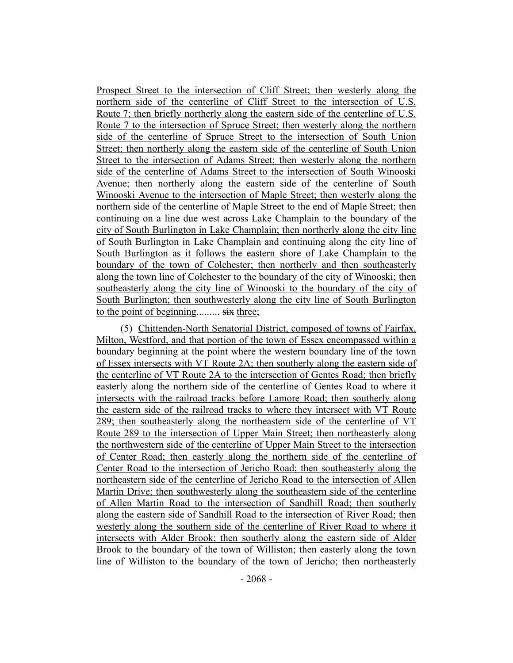Prospect Street to the intersection of Cliff Street; then westerly along the northern side of the centerline of Cliff Street to the intersection of U.S. Route 7; then briefly northerly along the eastern side of the centerline of U.S. Route 7 to the intersection of Spruce Street; then westerly along the northern side of the centerline of Spruce Street to the intersection of South Union Street; then northerly along the eastern side of the centerline of South Union Street to the intersection of Adams Street; then westerly along the northern side of the centerline of Adams Street to the intersection of South Winooski Avenue; then northerly along the eastern side of the centerline of South Winooski Avenue to the intersection of Maple Street; then westerly along the northern side of the centerline of Maple Street to the end of Maple Street; then continuing on a line due west across Lake Champlain to the boundary of the city of South Burlington in Lake Champlain; then northerly along the city line of South Burlington in Lake Champlain and continuing along the city line of South Burlington as it follows the eastern shore of Lake Champlain to the boundary of the town of Colchester; then northerly and then southeasterly along the town line of Colchester to the boundary of the city of Winooski; then southeasterly along the city line of Winooski to the boundary of the city of South Burlington; then southwesterly along the city line of South Burlington to the point of beginning......... six three;

(5) Chittenden-North Senatorial District, composed of towns of Fairfax, Milton, Westford, and that portion of the town of Essex encompassed within a boundary beginning at the point where the western boundary line of the town of Essex intersects with VT Route 2A; then southerly along the eastern side of the centerline of VT Route 2A to the intersection of Gentes Road; then briefly easterly along the northern side of the centerline of Gentes Road to where it intersects with the railroad tracks before Lamore Road; then southerly along the eastern side of the railroad tracks to where they intersect with VT Route 289; then southeasterly along the northeastern side of the centerline of VT Route 289 to the intersection of Upper Main Street; then northeasterly along the northwestern side of the centerline of Upper Main Street to the intersection of Center Road; then easterly along the northern side of the centerline of Center Road to the intersection of Jericho Road; then southeasterly along the northeastern side of the centerline of Jericho Road to the intersection of Allen Martin Drive; then southwesterly along the southeastern side of the centerline of Allen Martin Road to the intersection of Sandhill Road; then southerly along the eastern side of Sandhill Road to the intersection of River Road; then westerly along the southern side of the centerline of River Road to where it intersects with Alder Brook; then southerly along the eastern side of Alder Brook to the boundary of the town of Williston; then easterly along the town line of Williston to the boundary of the town of Jericho; then northeasterly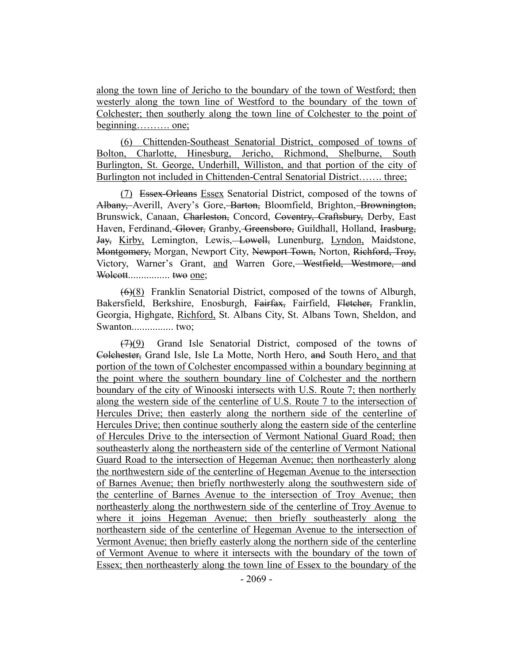along the town line of Jericho to the boundary of the town of Westford; then westerly along the town line of Westford to the boundary of the town of Colchester; then southerly along the town line of Colchester to the point of beginning………. one;

(6) Chittenden-Southeast Senatorial District, composed of towns of Bolton, Charlotte, Hinesburg, Jericho, Richmond, Shelburne, South Burlington, St. George, Underhill, Williston, and that portion of the city of Burlington not included in Chittenden-Central Senatorial District……. three;

(7) Essex-Orleans Essex Senatorial District, composed of the towns of Albany, Averill, Avery's Gore, Barton, Bloomfield, Brighton, Brownington, Brunswick, Canaan, Charleston, Concord, Coventry, Craftsbury, Derby, East Haven, Ferdinand, Glover, Granby, Greensboro, Guildhall, Holland, Irasburg, Jay, Kirby, Lemington, Lewis, Lowell, Lunenburg, Lyndon, Maidstone, Montgomery, Morgan, Newport City, Newport Town, Norton, Richford, Troy, Victory, Warner's Grant, and Warren Gore, Westfield, Westmore, and Wolcott................ two one;

(6)(8) Franklin Senatorial District, composed of the towns of Alburgh, Bakersfield, Berkshire, Enosburgh, Fairfax, Fairfield, Fletcher, Franklin, Georgia, Highgate, Richford, St. Albans City, St. Albans Town, Sheldon, and Swanton................ two;

(7)(9) Grand Isle Senatorial District, composed of the towns of Colchester, Grand Isle, Isle La Motte, North Hero, and South Hero, and that portion of the town of Colchester encompassed within a boundary beginning at the point where the southern boundary line of Colchester and the northern boundary of the city of Winooski intersects with U.S. Route 7; then northerly along the western side of the centerline of U.S. Route 7 to the intersection of Hercules Drive; then easterly along the northern side of the centerline of Hercules Drive; then continue southerly along the eastern side of the centerline of Hercules Drive to the intersection of Vermont National Guard Road; then southeasterly along the northeastern side of the centerline of Vermont National Guard Road to the intersection of Hegeman Avenue; then northeasterly along the northwestern side of the centerline of Hegeman Avenue to the intersection of Barnes Avenue; then briefly northwesterly along the southwestern side of the centerline of Barnes Avenue to the intersection of Troy Avenue; then northeasterly along the northwestern side of the centerline of Troy Avenue to where it joins Hegeman Avenue; then briefly southeasterly along the northeastern side of the centerline of Hegeman Avenue to the intersection of Vermont Avenue; then briefly easterly along the northern side of the centerline of Vermont Avenue to where it intersects with the boundary of the town of Essex; then northeasterly along the town line of Essex to the boundary of the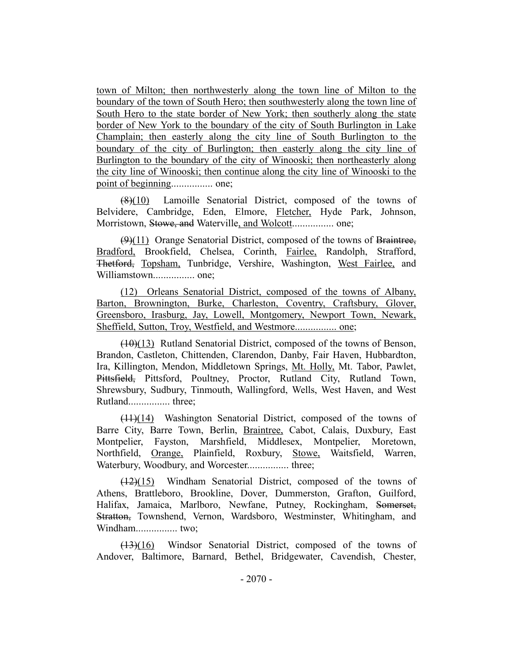town of Milton; then northwesterly along the town line of Milton to the boundary of the town of South Hero; then southwesterly along the town line of South Hero to the state border of New York; then southerly along the state border of New York to the boundary of the city of South Burlington in Lake Champlain; then easterly along the city line of South Burlington to the boundary of the city of Burlington; then easterly along the city line of Burlington to the boundary of the city of Winooski; then northeasterly along the city line of Winooski; then continue along the city line of Winooski to the point of beginning................ one;

(8)(10) Lamoille Senatorial District, composed of the towns of Belvidere, Cambridge, Eden, Elmore, Fletcher, Hyde Park, Johnson, Morristown, Stowe, and Waterville, and Wolcott................ one;

 $(9)(11)$  Orange Senatorial District, composed of the towns of Braintree, Bradford, Brookfield, Chelsea, Corinth, Fairlee, Randolph, Strafford, Thetford, Topsham, Tunbridge, Vershire, Washington, West Fairlee, and Williamstown................ one;

(12) Orleans Senatorial District, composed of the towns of Albany, Barton, Brownington, Burke, Charleston, Coventry, Craftsbury, Glover, Greensboro, Irasburg, Jay, Lowell, Montgomery, Newport Town, Newark, Sheffield, Sutton, Troy, Westfield, and Westmore................ one;

 $(10)(13)$  Rutland Senatorial District, composed of the towns of Benson, Brandon, Castleton, Chittenden, Clarendon, Danby, Fair Haven, Hubbardton, Ira, Killington, Mendon, Middletown Springs, Mt. Holly, Mt. Tabor, Pawlet, Pittsfield, Pittsford, Poultney, Proctor, Rutland City, Rutland Town, Shrewsbury, Sudbury, Tinmouth, Wallingford, Wells, West Haven, and West Rutland................ three;

(11)(14) Washington Senatorial District, composed of the towns of Barre City, Barre Town, Berlin, Braintree, Cabot, Calais, Duxbury, East Montpelier, Fayston, Marshfield, Middlesex, Montpelier, Moretown, Northfield, Orange, Plainfield, Roxbury, Stowe, Waitsfield, Warren, Waterbury, Woodbury, and Worcester................ three;

(12)(15) Windham Senatorial District, composed of the towns of Athens, Brattleboro, Brookline, Dover, Dummerston, Grafton, Guilford, Halifax, Jamaica, Marlboro, Newfane, Putney, Rockingham, Somerset, Stratton, Townshend, Vernon, Wardsboro, Westminster, Whitingham, and Windham................ two;

(13)(16) Windsor Senatorial District, composed of the towns of Andover, Baltimore, Barnard, Bethel, Bridgewater, Cavendish, Chester,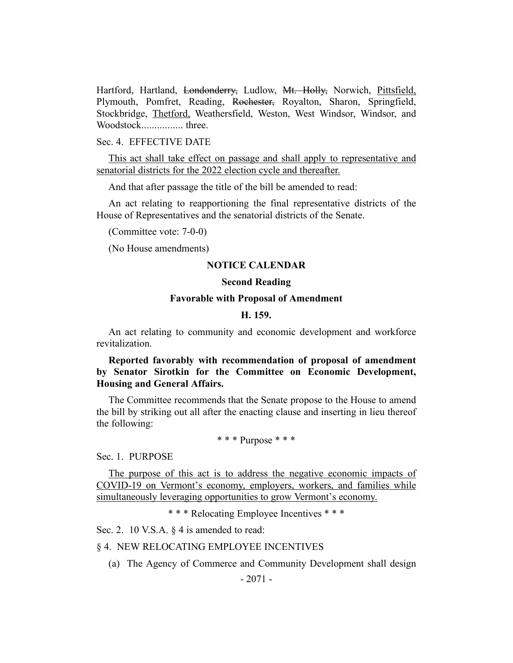Hartford, Hartland, Londonderry, Ludlow, Mt. Holly, Norwich, Pittsfield, Plymouth, Pomfret, Reading, Rochester, Royalton, Sharon, Springfield, Stockbridge, Thetford, Weathersfield, Weston, West Windsor, Windsor, and Woodstock................ three.

### Sec. 4. EFFECTIVE DATE

This act shall take effect on passage and shall apply to representative and senatorial districts for the 2022 election cycle and thereafter.

And that after passage the title of the bill be amended to read:

An act relating to reapportioning the final representative districts of the House of Representatives and the senatorial districts of the Senate.

(Committee vote: 7-0-0)

(No House amendments)

### **NOTICE CALENDAR**

### **Second Reading**

### **Favorable with Proposal of Amendment**

### **H. 159.**

An act relating to community and economic development and workforce revitalization.

# **Reported favorably with recommendation of proposal of amendment by Senator Sirotkin for the Committee on Economic Development, Housing and General Affairs.**

The Committee recommends that the Senate propose to the House to amend the bill by striking out all after the enacting clause and inserting in lieu thereof the following:

\* \* \* Purpose \* \* \*

Sec. 1. PURPOSE

The purpose of this act is to address the negative economic impacts of COVID-19 on Vermont's economy, employers, workers, and families while simultaneously leveraging opportunities to grow Vermont's economy.

\* \* \* Relocating Employee Incentives \* \* \*

Sec. 2. 10 V.S.A. § 4 is amended to read:

### § 4. NEW RELOCATING EMPLOYEE INCENTIVES

(a) The Agency of Commerce and Community Development shall design

- 2071 -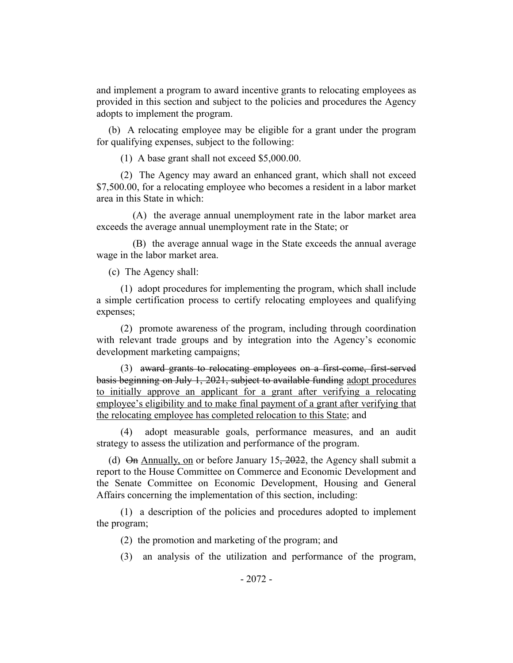and implement a program to award incentive grants to relocating employees as provided in this section and subject to the policies and procedures the Agency adopts to implement the program.

(b) A relocating employee may be eligible for a grant under the program for qualifying expenses, subject to the following:

(1) A base grant shall not exceed \$5,000.00.

(2) The Agency may award an enhanced grant, which shall not exceed \$7,500.00, for a relocating employee who becomes a resident in a labor market area in this State in which:

(A) the average annual unemployment rate in the labor market area exceeds the average annual unemployment rate in the State; or

(B) the average annual wage in the State exceeds the annual average wage in the labor market area.

(c) The Agency shall:

(1) adopt procedures for implementing the program, which shall include a simple certification process to certify relocating employees and qualifying expenses;

(2) promote awareness of the program, including through coordination with relevant trade groups and by integration into the Agency's economic development marketing campaigns;

(3) award grants to relocating employees on a first-come, first-served basis beginning on July 1, 2021, subject to available funding adopt procedures to initially approve an applicant for a grant after verifying a relocating employee's eligibility and to make final payment of a grant after verifying that the relocating employee has completed relocation to this State; and

(4) adopt measurable goals, performance measures, and an audit strategy to assess the utilization and performance of the program.

(d)  $\Theta$ n Annually, on or before January 15, 2022, the Agency shall submit a report to the House Committee on Commerce and Economic Development and the Senate Committee on Economic Development, Housing and General Affairs concerning the implementation of this section, including:

(1) a description of the policies and procedures adopted to implement the program;

(2) the promotion and marketing of the program; and

(3) an analysis of the utilization and performance of the program,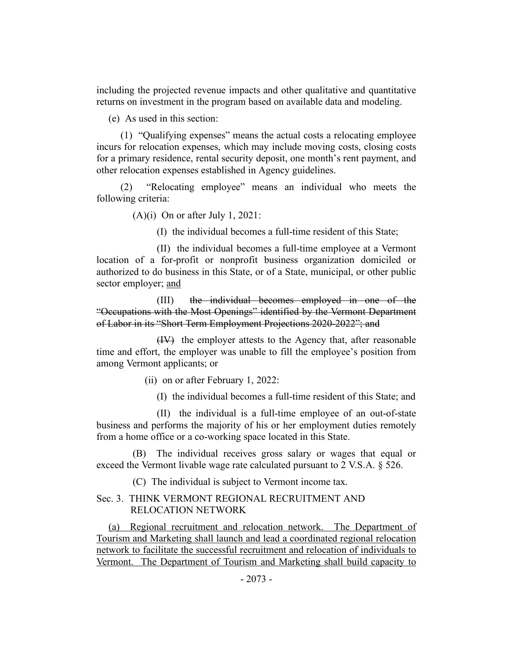including the projected revenue impacts and other qualitative and quantitative returns on investment in the program based on available data and modeling.

(e) As used in this section:

(1) "Qualifying expenses" means the actual costs a relocating employee incurs for relocation expenses, which may include moving costs, closing costs for a primary residence, rental security deposit, one month's rent payment, and other relocation expenses established in Agency guidelines.

(2) "Relocating employee" means an individual who meets the following criteria:

(A)(i) On or after July 1, 2021:

(I) the individual becomes a full-time resident of this State;

(II) the individual becomes a full-time employee at a Vermont location of a for-profit or nonprofit business organization domiciled or authorized to do business in this State, or of a State, municipal, or other public sector employer; and

(III) the individual becomes employed in one of the "Occupations with the Most Openings" identified by the Vermont Department of Labor in its "Short Term Employment Projections 2020-2022"; and

(IV) the employer attests to the Agency that, after reasonable time and effort, the employer was unable to fill the employee's position from among Vermont applicants; or

(ii) on or after February 1, 2022:

(I) the individual becomes a full-time resident of this State; and

(II) the individual is a full-time employee of an out-of-state business and performs the majority of his or her employment duties remotely from a home office or a co-working space located in this State.

(B) The individual receives gross salary or wages that equal or exceed the Vermont livable wage rate calculated pursuant to 2 V.S.A. § 526.

(C) The individual is subject to Vermont income tax.

# Sec. 3. THINK VERMONT REGIONAL RECRUITMENT AND RELOCATION NETWORK

(a) Regional recruitment and relocation network. The Department of Tourism and Marketing shall launch and lead a coordinated regional relocation network to facilitate the successful recruitment and relocation of individuals to Vermont. The Department of Tourism and Marketing shall build capacity to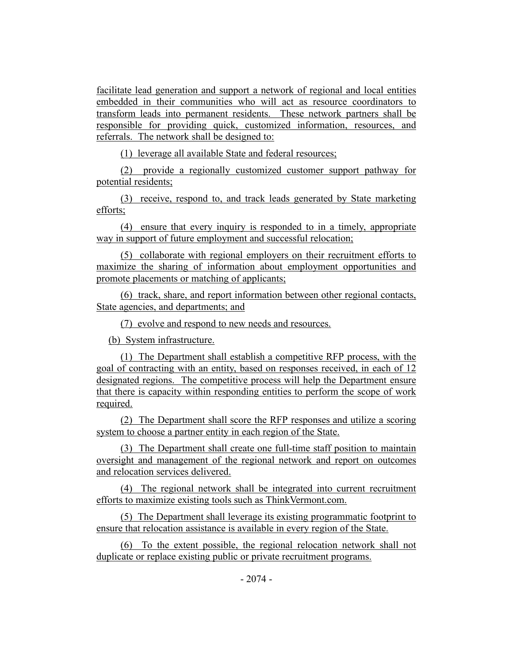facilitate lead generation and support a network of regional and local entities embedded in their communities who will act as resource coordinators to transform leads into permanent residents. These network partners shall be responsible for providing quick, customized information, resources, and referrals. The network shall be designed to:

(1) leverage all available State and federal resources;

(2) provide a regionally customized customer support pathway for potential residents;

(3) receive, respond to, and track leads generated by State marketing efforts;

(4) ensure that every inquiry is responded to in a timely, appropriate way in support of future employment and successful relocation;

(5) collaborate with regional employers on their recruitment efforts to maximize the sharing of information about employment opportunities and promote placements or matching of applicants;

(6) track, share, and report information between other regional contacts, State agencies, and departments; and

(7) evolve and respond to new needs and resources.

(b) System infrastructure.

(1) The Department shall establish a competitive RFP process, with the goal of contracting with an entity, based on responses received, in each of 12 designated regions. The competitive process will help the Department ensure that there is capacity within responding entities to perform the scope of work required.

(2) The Department shall score the RFP responses and utilize a scoring system to choose a partner entity in each region of the State.

(3) The Department shall create one full-time staff position to maintain oversight and management of the regional network and report on outcomes and relocation services delivered.

(4) The regional network shall be integrated into current recruitment efforts to maximize existing tools such as ThinkVermont.com.

(5) The Department shall leverage its existing programmatic footprint to ensure that relocation assistance is available in every region of the State.

(6) To the extent possible, the regional relocation network shall not duplicate or replace existing public or private recruitment programs.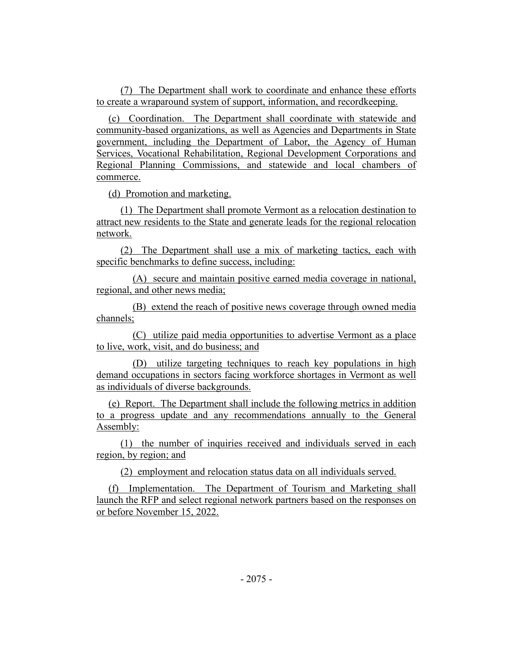(7) The Department shall work to coordinate and enhance these efforts to create a wraparound system of support, information, and recordkeeping.

(c) Coordination. The Department shall coordinate with statewide and community-based organizations, as well as Agencies and Departments in State government, including the Department of Labor, the Agency of Human Services, Vocational Rehabilitation, Regional Development Corporations and Regional Planning Commissions, and statewide and local chambers of commerce.

(d) Promotion and marketing.

(1) The Department shall promote Vermont as a relocation destination to attract new residents to the State and generate leads for the regional relocation network.

(2) The Department shall use a mix of marketing tactics, each with specific benchmarks to define success, including:

(A) secure and maintain positive earned media coverage in national, regional, and other news media;

(B) extend the reach of positive news coverage through owned media channels;

(C) utilize paid media opportunities to advertise Vermont as a place to live, work, visit, and do business; and

(D) utilize targeting techniques to reach key populations in high demand occupations in sectors facing workforce shortages in Vermont as well as individuals of diverse backgrounds.

(e) Report. The Department shall include the following metrics in addition to a progress update and any recommendations annually to the General Assembly:

(1) the number of inquiries received and individuals served in each region, by region; and

(2) employment and relocation status data on all individuals served.

(f) Implementation. The Department of Tourism and Marketing shall launch the RFP and select regional network partners based on the responses on or before November 15, 2022.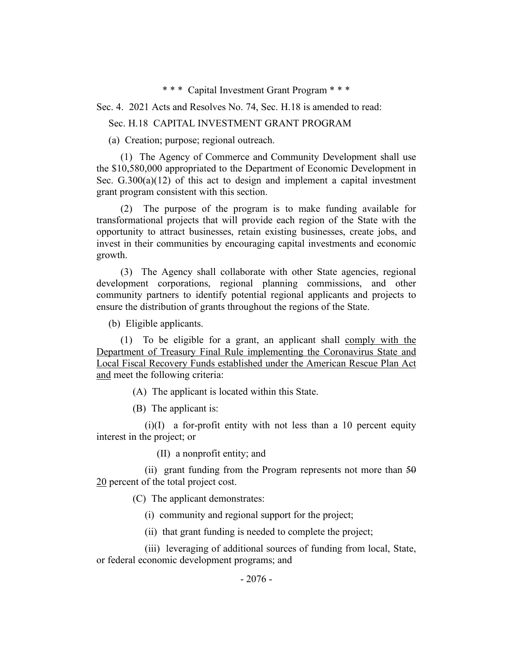\* \* \* Capital Investment Grant Program \* \* \*

Sec. 4. 2021 Acts and Resolves No. 74, Sec. H.18 is amended to read:

### Sec. H.18 CAPITAL INVESTMENT GRANT PROGRAM

(a) Creation; purpose; regional outreach.

(1) The Agency of Commerce and Community Development shall use the \$10,580,000 appropriated to the Department of Economic Development in Sec.  $G.300(a)(12)$  of this act to design and implement a capital investment grant program consistent with this section.

(2) The purpose of the program is to make funding available for transformational projects that will provide each region of the State with the opportunity to attract businesses, retain existing businesses, create jobs, and invest in their communities by encouraging capital investments and economic growth.

(3) The Agency shall collaborate with other State agencies, regional development corporations, regional planning commissions, and other community partners to identify potential regional applicants and projects to ensure the distribution of grants throughout the regions of the State.

(b) Eligible applicants.

(1) To be eligible for a grant, an applicant shall comply with the Department of Treasury Final Rule implementing the Coronavirus State and Local Fiscal Recovery Funds established under the American Rescue Plan Act and meet the following criteria:

(A) The applicant is located within this State.

(B) The applicant is:

 $(i)(I)$  a for-profit entity with not less than a 10 percent equity interest in the project; or

(II) a nonprofit entity; and

(ii) grant funding from the Program represents not more than  $50$ 20 percent of the total project cost.

(C) The applicant demonstrates:

(i) community and regional support for the project;

(ii) that grant funding is needed to complete the project;

(iii) leveraging of additional sources of funding from local, State, or federal economic development programs; and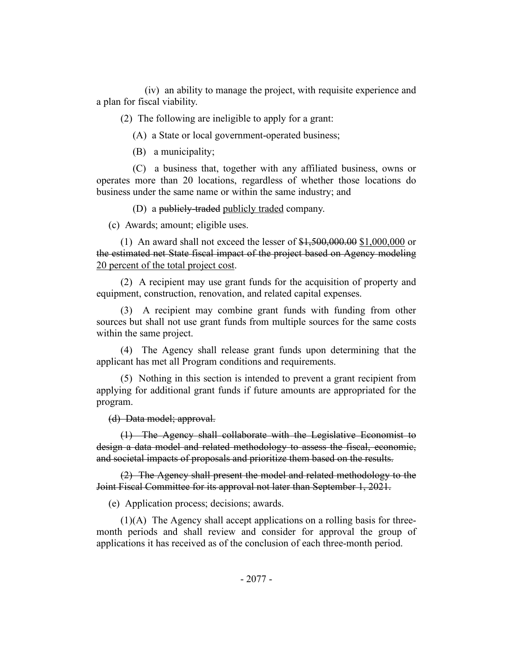(iv) an ability to manage the project, with requisite experience and a plan for fiscal viability.

(2) The following are ineligible to apply for a grant:

(A) a State or local government-operated business;

(B) a municipality;

(C) a business that, together with any affiliated business, owns or operates more than 20 locations, regardless of whether those locations do business under the same name or within the same industry; and

(D) a publicly-traded publicly traded company.

(c) Awards; amount; eligible uses.

(1) An award shall not exceed the lesser of \$1,500,000.00 \$1,000,000 or the estimated net State fiscal impact of the project based on Agency modeling 20 percent of the total project cost.

(2) A recipient may use grant funds for the acquisition of property and equipment, construction, renovation, and related capital expenses.

(3) A recipient may combine grant funds with funding from other sources but shall not use grant funds from multiple sources for the same costs within the same project.

(4) The Agency shall release grant funds upon determining that the applicant has met all Program conditions and requirements.

(5) Nothing in this section is intended to prevent a grant recipient from applying for additional grant funds if future amounts are appropriated for the program.

(d) Data model; approval.

(1) The Agency shall collaborate with the Legislative Economist to design a data model and related methodology to assess the fiscal, economic, and societal impacts of proposals and prioritize them based on the results.

(2) The Agency shall present the model and related methodology to the Joint Fiscal Committee for its approval not later than September 1, 2021.

(e) Application process; decisions; awards.

(1)(A) The Agency shall accept applications on a rolling basis for threemonth periods and shall review and consider for approval the group of applications it has received as of the conclusion of each three-month period.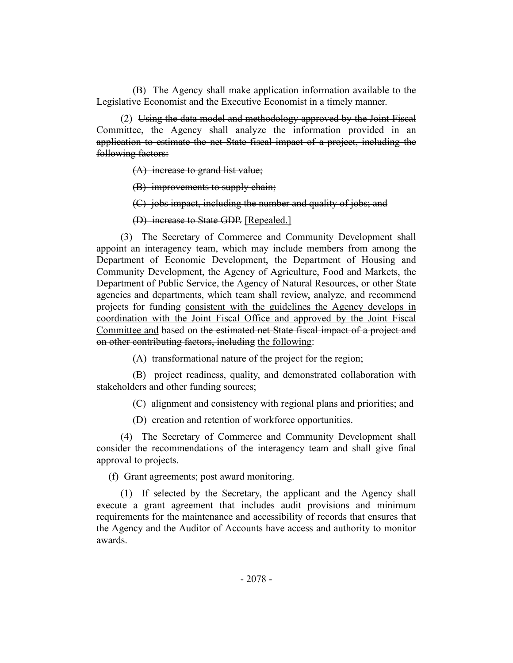(B) The Agency shall make application information available to the Legislative Economist and the Executive Economist in a timely manner.

(2) Using the data model and methodology approved by the Joint Fiscal Committee, the Agency shall analyze the information provided in an application to estimate the net State fiscal impact of a project, including the following factors:

(A) increase to grand list value;

(B) improvements to supply chain;

(C) jobs impact, including the number and quality of jobs; and

(D) increase to State GDP. [Repealed.]

(3) The Secretary of Commerce and Community Development shall appoint an interagency team, which may include members from among the Department of Economic Development, the Department of Housing and Community Development, the Agency of Agriculture, Food and Markets, the Department of Public Service, the Agency of Natural Resources, or other State agencies and departments, which team shall review, analyze, and recommend projects for funding consistent with the guidelines the Agency develops in coordination with the Joint Fiscal Office and approved by the Joint Fiscal Committee and based on the estimated net State fiscal impact of a project and on other contributing factors, including the following:

(A) transformational nature of the project for the region;

(B) project readiness, quality, and demonstrated collaboration with stakeholders and other funding sources;

(C) alignment and consistency with regional plans and priorities; and

(D) creation and retention of workforce opportunities.

(4) The Secretary of Commerce and Community Development shall consider the recommendations of the interagency team and shall give final approval to projects.

(f) Grant agreements; post award monitoring.

(1) If selected by the Secretary, the applicant and the Agency shall execute a grant agreement that includes audit provisions and minimum requirements for the maintenance and accessibility of records that ensures that the Agency and the Auditor of Accounts have access and authority to monitor awards.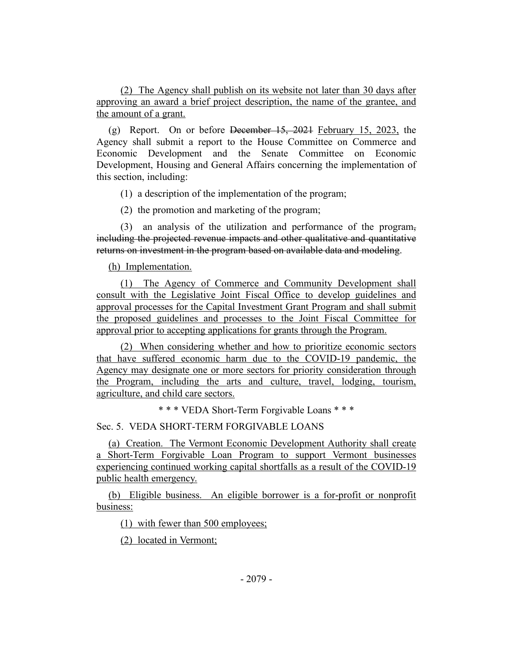(2) The Agency shall publish on its website not later than 30 days after approving an award a brief project description, the name of the grantee, and the amount of a grant.

(g) Report. On or before December 15, 2021 February 15, 2023, the Agency shall submit a report to the House Committee on Commerce and Economic Development and the Senate Committee on Economic Development, Housing and General Affairs concerning the implementation of this section, including:

(1) a description of the implementation of the program;

(2) the promotion and marketing of the program;

(3) an analysis of the utilization and performance of the program, including the projected revenue impacts and other qualitative and quantitative returns on investment in the program based on available data and modeling.

(h) Implementation.

(1) The Agency of Commerce and Community Development shall consult with the Legislative Joint Fiscal Office to develop guidelines and approval processes for the Capital Investment Grant Program and shall submit the proposed guidelines and processes to the Joint Fiscal Committee for approval prior to accepting applications for grants through the Program.

(2) When considering whether and how to prioritize economic sectors that have suffered economic harm due to the COVID-19 pandemic, the Agency may designate one or more sectors for priority consideration through the Program, including the arts and culture, travel, lodging, tourism, agriculture, and child care sectors.

\* \* \* VEDA Short-Term Forgivable Loans \* \* \*

Sec. 5. VEDA SHORT-TERM FORGIVABLE LOANS

(a) Creation. The Vermont Economic Development Authority shall create a Short-Term Forgivable Loan Program to support Vermont businesses experiencing continued working capital shortfalls as a result of the COVID-19 public health emergency.

(b) Eligible business. An eligible borrower is a for-profit or nonprofit business:

(1) with fewer than 500 employees;

(2) located in Vermont;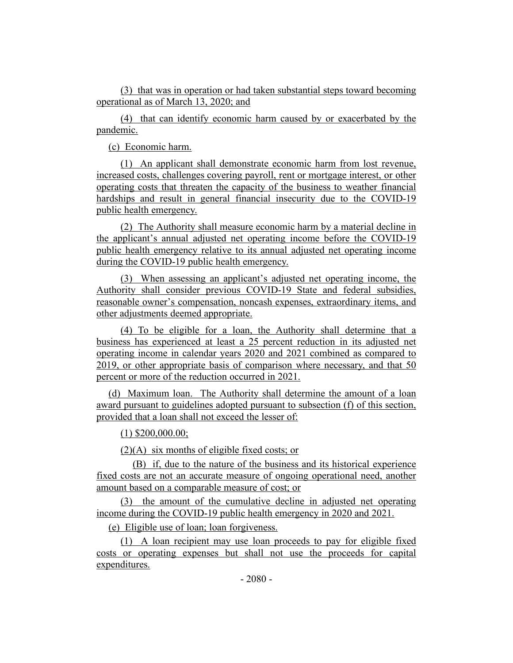(3) that was in operation or had taken substantial steps toward becoming operational as of March 13, 2020; and

(4) that can identify economic harm caused by or exacerbated by the pandemic.

(c) Economic harm.

(1) An applicant shall demonstrate economic harm from lost revenue, increased costs, challenges covering payroll, rent or mortgage interest, or other operating costs that threaten the capacity of the business to weather financial hardships and result in general financial insecurity due to the COVID-19 public health emergency.

(2) The Authority shall measure economic harm by a material decline in the applicant's annual adjusted net operating income before the COVID-19 public health emergency relative to its annual adjusted net operating income during the COVID-19 public health emergency.

(3) When assessing an applicant's adjusted net operating income, the Authority shall consider previous COVID-19 State and federal subsidies, reasonable owner's compensation, noncash expenses, extraordinary items, and other adjustments deemed appropriate.

(4) To be eligible for a loan, the Authority shall determine that a business has experienced at least a 25 percent reduction in its adjusted net operating income in calendar years 2020 and 2021 combined as compared to 2019, or other appropriate basis of comparison where necessary, and that 50 percent or more of the reduction occurred in 2021.

(d) Maximum loan. The Authority shall determine the amount of a loan award pursuant to guidelines adopted pursuant to subsection (f) of this section, provided that a loan shall not exceed the lesser of:

(1) \$200,000.00;

(2)(A) six months of eligible fixed costs; or

(B) if, due to the nature of the business and its historical experience fixed costs are not an accurate measure of ongoing operational need, another amount based on a comparable measure of cost; or

(3) the amount of the cumulative decline in adjusted net operating income during the COVID-19 public health emergency in 2020 and 2021.

(e) Eligible use of loan; loan forgiveness.

(1) A loan recipient may use loan proceeds to pay for eligible fixed costs or operating expenses but shall not use the proceeds for capital expenditures.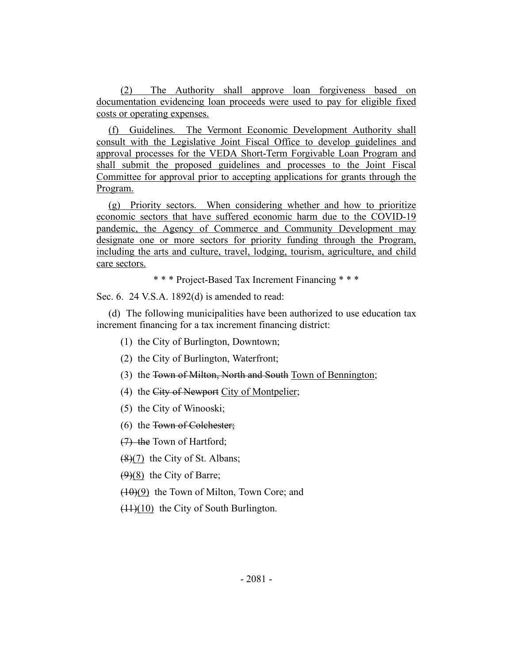(2) The Authority shall approve loan forgiveness based on documentation evidencing loan proceeds were used to pay for eligible fixed costs or operating expenses.

(f) Guidelines. The Vermont Economic Development Authority shall consult with the Legislative Joint Fiscal Office to develop guidelines and approval processes for the VEDA Short-Term Forgivable Loan Program and shall submit the proposed guidelines and processes to the Joint Fiscal Committee for approval prior to accepting applications for grants through the Program.

(g) Priority sectors. When considering whether and how to prioritize economic sectors that have suffered economic harm due to the COVID-19 pandemic, the Agency of Commerce and Community Development may designate one or more sectors for priority funding through the Program, including the arts and culture, travel, lodging, tourism, agriculture, and child care sectors.

\* \* \* Project-Based Tax Increment Financing \* \* \*

Sec. 6. 24 V.S.A. 1892(d) is amended to read:

(d) The following municipalities have been authorized to use education tax increment financing for a tax increment financing district:

- (1) the City of Burlington, Downtown;
- (2) the City of Burlington, Waterfront;
- (3) the Town of Milton, North and South Town of Bennington;
- (4) the City of Newport City of Montpelier;
- (5) the City of Winooski;
- (6) the Town of Colchester;

(7) the Town of Hartford;

 $(8)(7)$  the City of St. Albans;

 $(9)(8)$  the City of Barre;

(10)(9) the Town of Milton, Town Core; and

 $(11)(10)$  the City of South Burlington.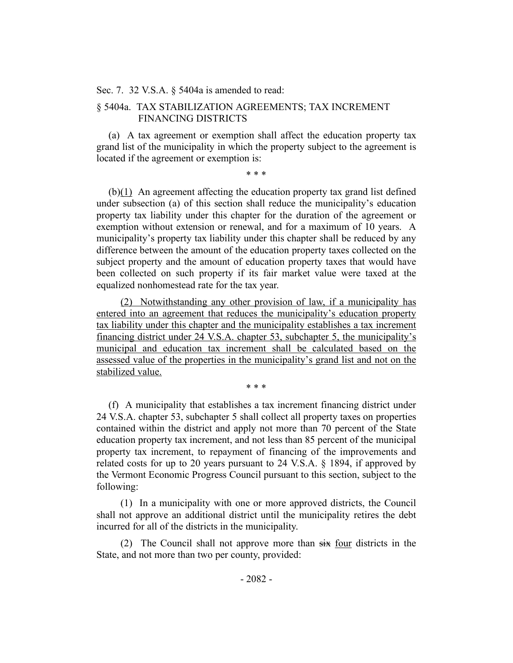#### Sec. 7. 32 V.S.A. § 5404a is amended to read:

# § 5404a. TAX STABILIZATION AGREEMENTS; TAX INCREMENT FINANCING DISTRICTS

(a) A tax agreement or exemption shall affect the education property tax grand list of the municipality in which the property subject to the agreement is located if the agreement or exemption is:

\* \* \*

(b)(1) An agreement affecting the education property tax grand list defined under subsection (a) of this section shall reduce the municipality's education property tax liability under this chapter for the duration of the agreement or exemption without extension or renewal, and for a maximum of 10 years. A municipality's property tax liability under this chapter shall be reduced by any difference between the amount of the education property taxes collected on the subject property and the amount of education property taxes that would have been collected on such property if its fair market value were taxed at the equalized nonhomestead rate for the tax year.

(2) Notwithstanding any other provision of law, if a municipality has entered into an agreement that reduces the municipality's education property tax liability under this chapter and the municipality establishes a tax increment financing district under 24 V.S.A. chapter 53, subchapter 5, the municipality's municipal and education tax increment shall be calculated based on the assessed value of the properties in the municipality's grand list and not on the stabilized value.

\* \* \* (f) A municipality that establishes a tax increment financing district under 24 V.S.A. chapter 53, subchapter 5 shall collect all property taxes on properties contained within the district and apply not more than 70 percent of the State education property tax increment, and not less than 85 percent of the municipal

property tax increment, to repayment of financing of the improvements and related costs for up to 20 years pursuant to 24 V.S.A. § 1894, if approved by the Vermont Economic Progress Council pursuant to this section, subject to the following:

(1) In a municipality with one or more approved districts, the Council shall not approve an additional district until the municipality retires the debt incurred for all of the districts in the municipality.

(2) The Council shall not approve more than six four districts in the State, and not more than two per county, provided: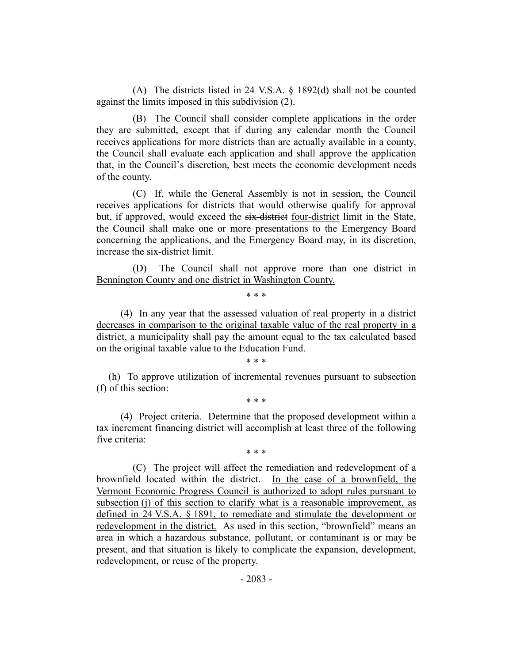(A) The districts listed in 24 V.S.A. § 1892(d) shall not be counted against the limits imposed in this subdivision (2).

(B) The Council shall consider complete applications in the order they are submitted, except that if during any calendar month the Council receives applications for more districts than are actually available in a county, the Council shall evaluate each application and shall approve the application that, in the Council's discretion, best meets the economic development needs of the county.

(C) If, while the General Assembly is not in session, the Council receives applications for districts that would otherwise qualify for approval but, if approved, would exceed the six-district four-district limit in the State, the Council shall make one or more presentations to the Emergency Board concerning the applications, and the Emergency Board may, in its discretion, increase the six-district limit.

(D) The Council shall not approve more than one district in Bennington County and one district in Washington County.

\* \* \*

(4) In any year that the assessed valuation of real property in a district decreases in comparison to the original taxable value of the real property in a district, a municipality shall pay the amount equal to the tax calculated based on the original taxable value to the Education Fund.

# \* \* \*

(h) To approve utilization of incremental revenues pursuant to subsection (f) of this section:

\* \* \*

(4) Project criteria. Determine that the proposed development within a tax increment financing district will accomplish at least three of the following five criteria:

\* \* \*

(C) The project will affect the remediation and redevelopment of a brownfield located within the district. In the case of a brownfield, the Vermont Economic Progress Council is authorized to adopt rules pursuant to subsection (j) of this section to clarify what is a reasonable improvement, as defined in 24 V.S.A. § 1891, to remediate and stimulate the development or redevelopment in the district. As used in this section, "brownfield" means an area in which a hazardous substance, pollutant, or contaminant is or may be present, and that situation is likely to complicate the expansion, development, redevelopment, or reuse of the property.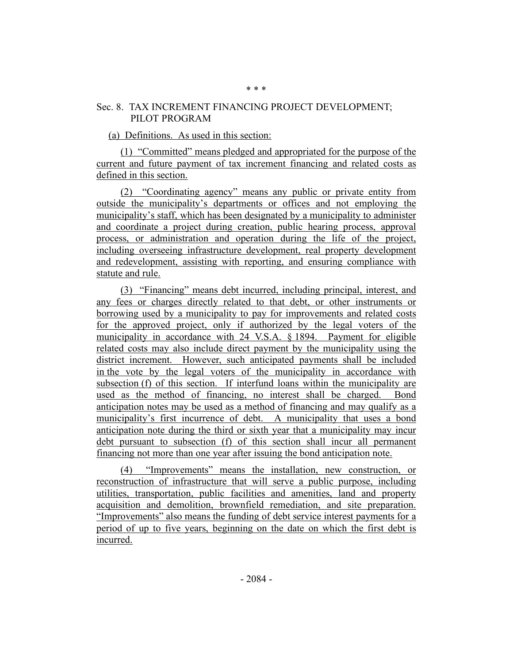# Sec. 8. TAX INCREMENT FINANCING PROJECT DEVELOPMENT; PILOT PROGRAM

## (a) Definitions. As used in this section:

(1) "Committed" means pledged and appropriated for the purpose of the current and future payment of tax increment financing and related costs as defined in this section.

(2) "Coordinating agency" means any public or private entity from outside the municipality's departments or offices and not employing the municipality's staff, which has been designated by a municipality to administer and coordinate a project during creation, public hearing process, approval process, or administration and operation during the life of the project, including overseeing infrastructure development, real property development and redevelopment, assisting with reporting, and ensuring compliance with statute and rule.

(3) "Financing" means debt incurred, including principal, interest, and any fees or charges directly related to that debt, or other instruments or borrowing used by a municipality to pay for improvements and related costs for the approved project, only if authorized by the legal voters of the municipality in accordance with 24 V.S.A. § 1894. Payment for eligible related costs may also include direct payment by the municipality using the district increment. However, such anticipated payments shall be included in the vote by the legal voters of the municipality in accordance with subsection (f) of this section. If interfund loans within the municipality are used as the method of financing, no interest shall be charged. Bond anticipation notes may be used as a method of financing and may qualify as a municipality's first incurrence of debt. A municipality that uses a bond anticipation note during the third or sixth year that a municipality may incur debt pursuant to subsection (f) of this section shall incur all permanent financing not more than one year after issuing the bond anticipation note.

(4) "Improvements" means the installation, new construction, or reconstruction of infrastructure that will serve a public purpose, including utilities, transportation, public facilities and amenities, land and property acquisition and demolition, brownfield remediation, and site preparation. "Improvements" also means the funding of debt service interest payments for a period of up to five years, beginning on the date on which the first debt is incurred.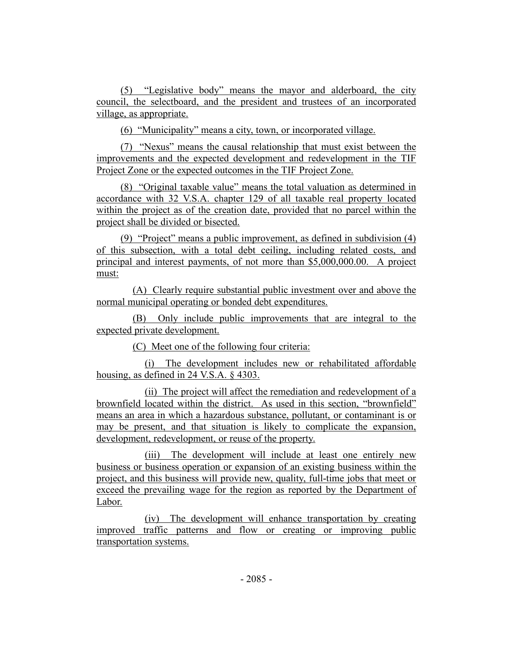(5) "Legislative body" means the mayor and alderboard, the city council, the selectboard, and the president and trustees of an incorporated village, as appropriate.

(6) "Municipality" means a city, town, or incorporated village.

(7) "Nexus" means the causal relationship that must exist between the improvements and the expected development and redevelopment in the TIF Project Zone or the expected outcomes in the TIF Project Zone.

(8) "Original taxable value" means the total valuation as determined in accordance with 32 V.S.A. chapter 129 of all taxable real property located within the project as of the creation date, provided that no parcel within the project shall be divided or bisected.

(9) "Project" means a public improvement, as defined in subdivision (4) of this subsection, with a total debt ceiling, including related costs, and principal and interest payments, of not more than \$5,000,000.00. A project must:

(A) Clearly require substantial public investment over and above the normal municipal operating or bonded debt expenditures.

(B) Only include public improvements that are integral to the expected private development.

(C) Meet one of the following four criteria:

(i) The development includes new or rehabilitated affordable housing, as defined in 24 V.S.A. § 4303.

(ii) The project will affect the remediation and redevelopment of a brownfield located within the district. As used in this section, "brownfield" means an area in which a hazardous substance, pollutant, or contaminant is or may be present, and that situation is likely to complicate the expansion, development, redevelopment, or reuse of the property.

(iii) The development will include at least one entirely new business or business operation or expansion of an existing business within the project, and this business will provide new, quality, full-time jobs that meet or exceed the prevailing wage for the region as reported by the Department of Labor.

(iv) The development will enhance transportation by creating improved traffic patterns and flow or creating or improving public transportation systems.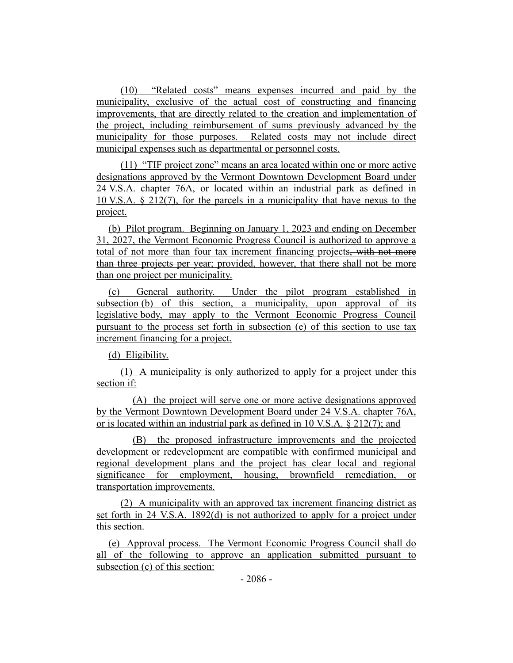(10) "Related costs" means expenses incurred and paid by the municipality, exclusive of the actual cost of constructing and financing improvements, that are directly related to the creation and implementation of the project, including reimbursement of sums previously advanced by the municipality for those purposes. Related costs may not include direct municipal expenses such as departmental or personnel costs.

(11) "TIF project zone" means an area located within one or more active designations approved by the Vermont Downtown Development Board under 24 V.S.A. chapter 76A, or located within an industrial park as defined in 10 V.S.A. § 212(7), for the parcels in a municipality that have nexus to the project.

(b) Pilot program. Beginning on January 1, 2023 and ending on December 31, 2027, the Vermont Economic Progress Council is authorized to approve a total of not more than four tax increment financing projects, with not more than three projects per year; provided, however, that there shall not be more than one project per municipality.

(c) General authority. Under the pilot program established in subsection (b) of this section, a municipality, upon approval of its legislative body, may apply to the Vermont Economic Progress Council pursuant to the process set forth in subsection (e) of this section to use tax increment financing for a project.

(d) Eligibility.

(1) A municipality is only authorized to apply for a project under this section if:

(A) the project will serve one or more active designations approved by the Vermont Downtown Development Board under 24 V.S.A. chapter 76A, or is located within an industrial park as defined in 10 V.S.A. § 212(7); and

(B) the proposed infrastructure improvements and the projected development or redevelopment are compatible with confirmed municipal and regional development plans and the project has clear local and regional significance for employment, housing, brownfield remediation, or transportation improvements.

(2) A municipality with an approved tax increment financing district as set forth in 24 V.S.A. 1892(d) is not authorized to apply for a project under this section.

(e) Approval process. The Vermont Economic Progress Council shall do all of the following to approve an application submitted pursuant to subsection (c) of this section: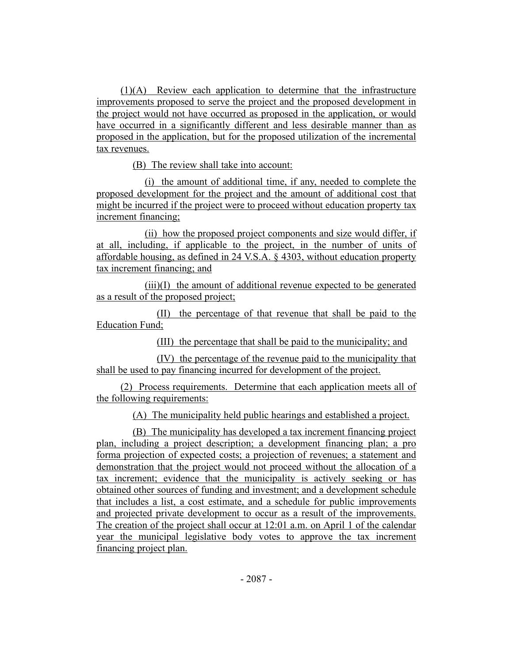(1)(A) Review each application to determine that the infrastructure improvements proposed to serve the project and the proposed development in the project would not have occurred as proposed in the application, or would have occurred in a significantly different and less desirable manner than as proposed in the application, but for the proposed utilization of the incremental tax revenues.

(B) The review shall take into account:

(i) the amount of additional time, if any, needed to complete the proposed development for the project and the amount of additional cost that might be incurred if the project were to proceed without education property tax increment financing;

(ii) how the proposed project components and size would differ, if at all, including, if applicable to the project, in the number of units of affordable housing, as defined in 24 V.S.A. § 4303, without education property tax increment financing; and

(iii)(I) the amount of additional revenue expected to be generated as a result of the proposed project;

(II) the percentage of that revenue that shall be paid to the Education Fund;

(III) the percentage that shall be paid to the municipality; and

(IV) the percentage of the revenue paid to the municipality that shall be used to pay financing incurred for development of the project.

(2) Process requirements. Determine that each application meets all of the following requirements:

(A) The municipality held public hearings and established a project.

(B) The municipality has developed a tax increment financing project plan, including a project description; a development financing plan; a pro forma projection of expected costs; a projection of revenues; a statement and demonstration that the project would not proceed without the allocation of a tax increment; evidence that the municipality is actively seeking or has obtained other sources of funding and investment; and a development schedule that includes a list, a cost estimate, and a schedule for public improvements and projected private development to occur as a result of the improvements. The creation of the project shall occur at 12:01 a.m. on April 1 of the calendar year the municipal legislative body votes to approve the tax increment financing project plan.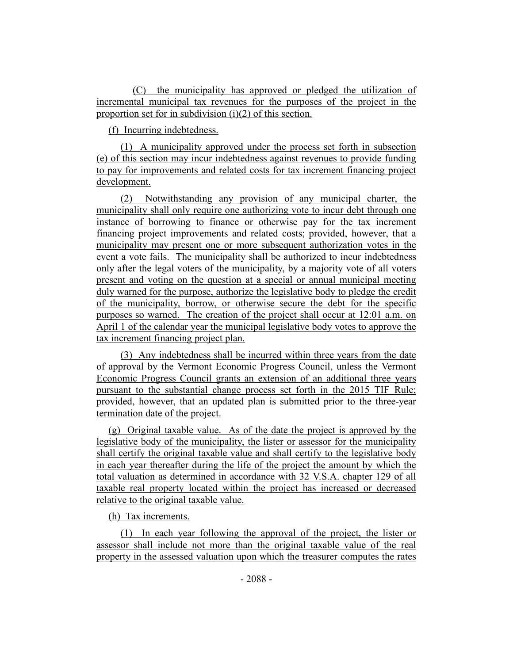(C) the municipality has approved or pledged the utilization of incremental municipal tax revenues for the purposes of the project in the proportion set for in subdivision (i)(2) of this section.

(f) Incurring indebtedness.

(1) A municipality approved under the process set forth in subsection (e) of this section may incur indebtedness against revenues to provide funding to pay for improvements and related costs for tax increment financing project development.

(2) Notwithstanding any provision of any municipal charter, the municipality shall only require one authorizing vote to incur debt through one instance of borrowing to finance or otherwise pay for the tax increment financing project improvements and related costs; provided, however, that a municipality may present one or more subsequent authorization votes in the event a vote fails. The municipality shall be authorized to incur indebtedness only after the legal voters of the municipality, by a majority vote of all voters present and voting on the question at a special or annual municipal meeting duly warned for the purpose, authorize the legislative body to pledge the credit of the municipality, borrow, or otherwise secure the debt for the specific purposes so warned. The creation of the project shall occur at 12:01 a.m. on April 1 of the calendar year the municipal legislative body votes to approve the tax increment financing project plan.

(3) Any indebtedness shall be incurred within three years from the date of approval by the Vermont Economic Progress Council, unless the Vermont Economic Progress Council grants an extension of an additional three years pursuant to the substantial change process set forth in the 2015 TIF Rule; provided, however, that an updated plan is submitted prior to the three-year termination date of the project.

(g) Original taxable value. As of the date the project is approved by the legislative body of the municipality, the lister or assessor for the municipality shall certify the original taxable value and shall certify to the legislative body in each year thereafter during the life of the project the amount by which the total valuation as determined in accordance with 32 V.S.A. chapter 129 of all taxable real property located within the project has increased or decreased relative to the original taxable value.

(h) Tax increments.

(1) In each year following the approval of the project, the lister or assessor shall include not more than the original taxable value of the real property in the assessed valuation upon which the treasurer computes the rates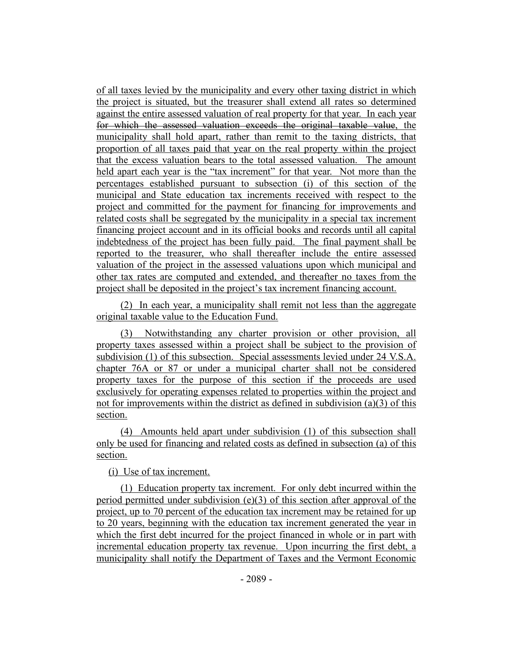of all taxes levied by the municipality and every other taxing district in which the project is situated, but the treasurer shall extend all rates so determined against the entire assessed valuation of real property for that year. In each year for which the assessed valuation exceeds the original taxable value, the municipality shall hold apart, rather than remit to the taxing districts, that proportion of all taxes paid that year on the real property within the project that the excess valuation bears to the total assessed valuation. The amount held apart each year is the "tax increment" for that year. Not more than the percentages established pursuant to subsection (i) of this section of the municipal and State education tax increments received with respect to the project and committed for the payment for financing for improvements and related costs shall be segregated by the municipality in a special tax increment financing project account and in its official books and records until all capital indebtedness of the project has been fully paid. The final payment shall be reported to the treasurer, who shall thereafter include the entire assessed valuation of the project in the assessed valuations upon which municipal and other tax rates are computed and extended, and thereafter no taxes from the project shall be deposited in the project's tax increment financing account.

(2) In each year, a municipality shall remit not less than the aggregate original taxable value to the Education Fund.

(3) Notwithstanding any charter provision or other provision, all property taxes assessed within a project shall be subject to the provision of subdivision (1) of this subsection. Special assessments levied under 24 V.S.A. chapter 76A or 87 or under a municipal charter shall not be considered property taxes for the purpose of this section if the proceeds are used exclusively for operating expenses related to properties within the project and not for improvements within the district as defined in subdivision (a)(3) of this section.

(4) Amounts held apart under subdivision (1) of this subsection shall only be used for financing and related costs as defined in subsection (a) of this section.

(i) Use of tax increment.

(1) Education property tax increment. For only debt incurred within the period permitted under subdivision (e)(3) of this section after approval of the project, up to 70 percent of the education tax increment may be retained for up to 20 years, beginning with the education tax increment generated the year in which the first debt incurred for the project financed in whole or in part with incremental education property tax revenue. Upon incurring the first debt, a municipality shall notify the Department of Taxes and the Vermont Economic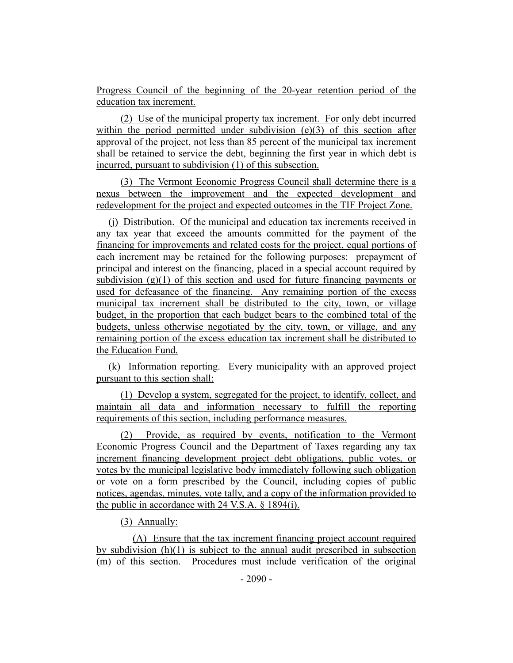Progress Council of the beginning of the 20-year retention period of the education tax increment.

(2) Use of the municipal property tax increment. For only debt incurred within the period permitted under subdivision  $(e)(3)$  of this section after approval of the project, not less than 85 percent of the municipal tax increment shall be retained to service the debt, beginning the first year in which debt is incurred, pursuant to subdivision (1) of this subsection.

(3) The Vermont Economic Progress Council shall determine there is a nexus between the improvement and the expected development and redevelopment for the project and expected outcomes in the TIF Project Zone.

(j) Distribution. Of the municipal and education tax increments received in any tax year that exceed the amounts committed for the payment of the financing for improvements and related costs for the project, equal portions of each increment may be retained for the following purposes: prepayment of principal and interest on the financing, placed in a special account required by subdivision  $(g)(1)$  of this section and used for future financing payments or used for defeasance of the financing. Any remaining portion of the excess municipal tax increment shall be distributed to the city, town, or village budget, in the proportion that each budget bears to the combined total of the budgets, unless otherwise negotiated by the city, town, or village, and any remaining portion of the excess education tax increment shall be distributed to the Education Fund.

(k) Information reporting. Every municipality with an approved project pursuant to this section shall:

(1) Develop a system, segregated for the project, to identify, collect, and maintain all data and information necessary to fulfill the reporting requirements of this section, including performance measures.

(2) Provide, as required by events, notification to the Vermont Economic Progress Council and the Department of Taxes regarding any tax increment financing development project debt obligations, public votes, or votes by the municipal legislative body immediately following such obligation or vote on a form prescribed by the Council, including copies of public notices, agendas, minutes, vote tally, and a copy of the information provided to the public in accordance with 24 V.S.A. § 1894(i).

(3) Annually:

(A) Ensure that the tax increment financing project account required by subdivision  $(h)(1)$  is subject to the annual audit prescribed in subsection (m) of this section. Procedures must include verification of the original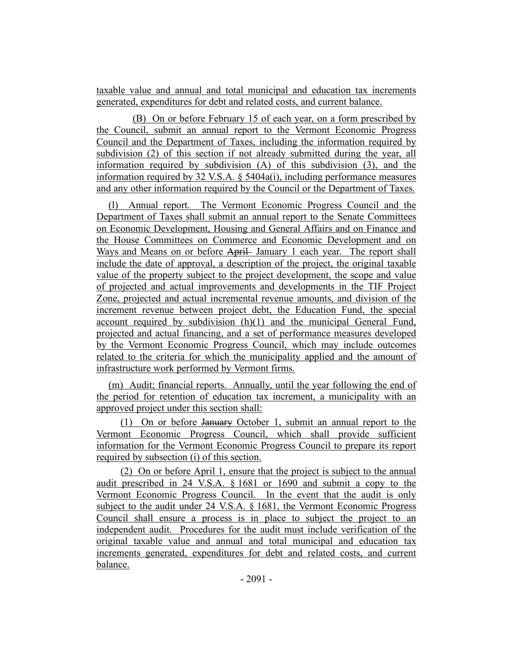taxable value and annual and total municipal and education tax increments generated, expenditures for debt and related costs, and current balance.

(B) On or before February 15 of each year, on a form prescribed by the Council, submit an annual report to the Vermont Economic Progress Council and the Department of Taxes, including the information required by subdivision (2) of this section if not already submitted during the year, all information required by subdivision (A) of this subdivision (3), and the information required by 32 V.S.A. § 5404a(i), including performance measures and any other information required by the Council or the Department of Taxes.

(l) Annual report. The Vermont Economic Progress Council and the Department of Taxes shall submit an annual report to the Senate Committees on Economic Development, Housing and General Affairs and on Finance and the House Committees on Commerce and Economic Development and on Ways and Means on or before April January 1 each year. The report shall include the date of approval, a description of the project, the original taxable value of the property subject to the project development, the scope and value of projected and actual improvements and developments in the TIF Project Zone, projected and actual incremental revenue amounts, and division of the increment revenue between project debt, the Education Fund, the special account required by subdivision  $(h)(1)$  and the municipal General Fund, projected and actual financing, and a set of performance measures developed by the Vermont Economic Progress Council, which may include outcomes related to the criteria for which the municipality applied and the amount of infrastructure work performed by Vermont firms.

(m) Audit; financial reports. Annually, until the year following the end of the period for retention of education tax increment, a municipality with an approved project under this section shall:

(1) On or before January October 1, submit an annual report to the Vermont Economic Progress Council, which shall provide sufficient information for the Vermont Economic Progress Council to prepare its report required by subsection (i) of this section.

(2) On or before April 1, ensure that the project is subject to the annual audit prescribed in 24 V.S.A. § 1681 or 1690 and submit a copy to the Vermont Economic Progress Council. In the event that the audit is only subject to the audit under 24 V.S.A. § 1681, the Vermont Economic Progress Council shall ensure a process is in place to subject the project to an independent audit. Procedures for the audit must include verification of the original taxable value and annual and total municipal and education tax increments generated, expenditures for debt and related costs, and current balance.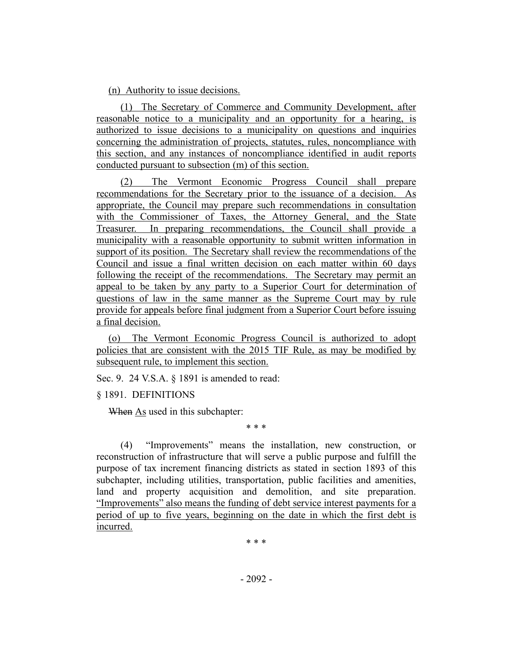(n) Authority to issue decisions.

(1) The Secretary of Commerce and Community Development, after reasonable notice to a municipality and an opportunity for a hearing, is authorized to issue decisions to a municipality on questions and inquiries concerning the administration of projects, statutes, rules, noncompliance with this section, and any instances of noncompliance identified in audit reports conducted pursuant to subsection (m) of this section.

(2) The Vermont Economic Progress Council shall prepare recommendations for the Secretary prior to the issuance of a decision. As appropriate, the Council may prepare such recommendations in consultation with the Commissioner of Taxes, the Attorney General, and the State Treasurer. In preparing recommendations, the Council shall provide a municipality with a reasonable opportunity to submit written information in support of its position. The Secretary shall review the recommendations of the Council and issue a final written decision on each matter within 60 days following the receipt of the recommendations. The Secretary may permit an appeal to be taken by any party to a Superior Court for determination of questions of law in the same manner as the Supreme Court may by rule provide for appeals before final judgment from a Superior Court before issuing a final decision.

(o) The Vermont Economic Progress Council is authorized to adopt policies that are consistent with the 2015 TIF Rule, as may be modified by subsequent rule, to implement this section.

Sec. 9. 24 V.S.A. § 1891 is amended to read:

§ 1891. DEFINITIONS

When As used in this subchapter:

(4) "Improvements" means the installation, new construction, or reconstruction of infrastructure that will serve a public purpose and fulfill the purpose of tax increment financing districts as stated in section 1893 of this subchapter, including utilities, transportation, public facilities and amenities, land and property acquisition and demolition, and site preparation. "Improvements" also means the funding of debt service interest payments for a period of up to five years, beginning on the date in which the first debt is incurred.

\* \* \*

\* \* \*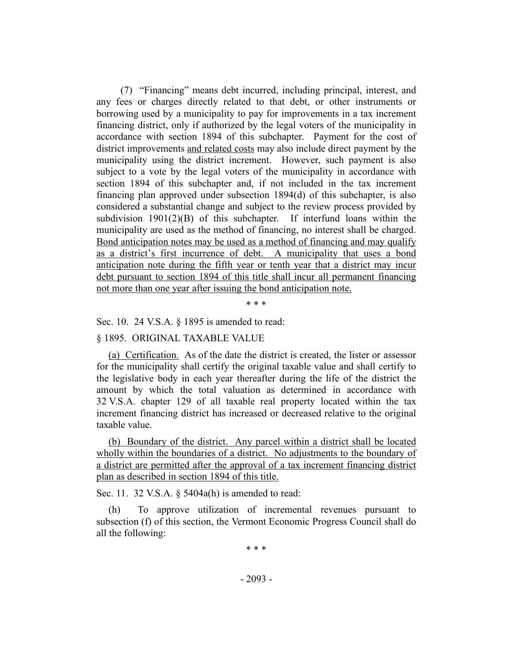(7) "Financing" means debt incurred, including principal, interest, and any fees or charges directly related to that debt, or other instruments or borrowing used by a municipality to pay for improvements in a tax increment financing district, only if authorized by the legal voters of the municipality in accordance with section 1894 of this subchapter. Payment for the cost of district improvements and related costs may also include direct payment by the municipality using the district increment. However, such payment is also subject to a vote by the legal voters of the municipality in accordance with section 1894 of this subchapter and, if not included in the tax increment financing plan approved under subsection 1894(d) of this subchapter, is also considered a substantial change and subject to the review process provided by subdivision  $1901(2)(B)$  of this subchapter. If interfund loans within the municipality are used as the method of financing, no interest shall be charged. Bond anticipation notes may be used as a method of financing and may qualify as a district's first incurrence of debt. A municipality that uses a bond anticipation note during the fifth year or tenth year that a district may incur debt pursuant to section 1894 of this title shall incur all permanent financing not more than one year after issuing the bond anticipation note.

\* \* \*

Sec. 10. 24 V.S.A. § 1895 is amended to read:

§ 1895. ORIGINAL TAXABLE VALUE

(a) Certification. As of the date the district is created, the lister or assessor for the municipality shall certify the original taxable value and shall certify to the legislative body in each year thereafter during the life of the district the amount by which the total valuation as determined in accordance with 32 V.S.A. chapter 129 of all taxable real property located within the tax increment financing district has increased or decreased relative to the original taxable value.

(b) Boundary of the district. Any parcel within a district shall be located wholly within the boundaries of a district. No adjustments to the boundary of a district are permitted after the approval of a tax increment financing district plan as described in section 1894 of this title.

Sec. 11. 32 V.S.A. § 5404a(h) is amended to read:

(h) To approve utilization of incremental revenues pursuant to subsection (f) of this section, the Vermont Economic Progress Council shall do all the following:

\* \* \*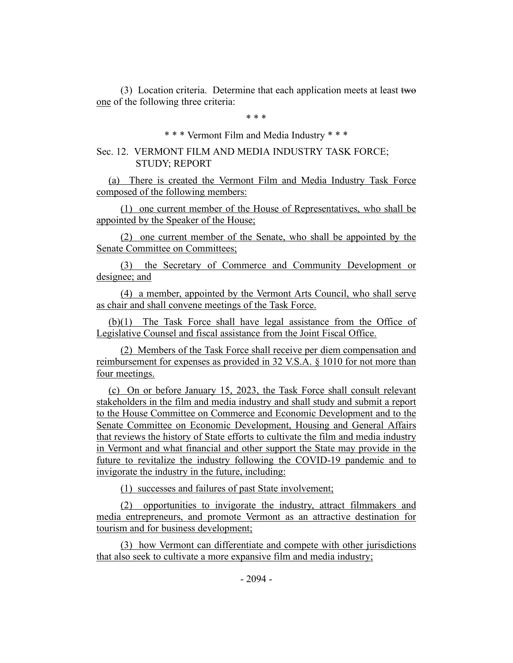(3) Location criteria. Determine that each application meets at least two one of the following three criteria:

\* \* \*

## \* \* \* Vermont Film and Media Industry \* \* \*

## Sec. 12. VERMONT FILM AND MEDIA INDUSTRY TASK FORCE; STUDY; REPORT

(a) There is created the Vermont Film and Media Industry Task Force composed of the following members:

(1) one current member of the House of Representatives, who shall be appointed by the Speaker of the House;

(2) one current member of the Senate, who shall be appointed by the Senate Committee on Committees;

(3) the Secretary of Commerce and Community Development or designee; and

(4) a member, appointed by the Vermont Arts Council, who shall serve as chair and shall convene meetings of the Task Force.

(b)(1) The Task Force shall have legal assistance from the Office of Legislative Counsel and fiscal assistance from the Joint Fiscal Office.

(2) Members of the Task Force shall receive per diem compensation and reimbursement for expenses as provided in 32 V.S.A. § 1010 for not more than four meetings.

(c) On or before January 15, 2023, the Task Force shall consult relevant stakeholders in the film and media industry and shall study and submit a report to the House Committee on Commerce and Economic Development and to the Senate Committee on Economic Development, Housing and General Affairs that reviews the history of State efforts to cultivate the film and media industry in Vermont and what financial and other support the State may provide in the future to revitalize the industry following the COVID-19 pandemic and to invigorate the industry in the future, including:

(1) successes and failures of past State involvement;

(2) opportunities to invigorate the industry, attract filmmakers and media entrepreneurs, and promote Vermont as an attractive destination for tourism and for business development;

(3) how Vermont can differentiate and compete with other jurisdictions that also seek to cultivate a more expansive film and media industry;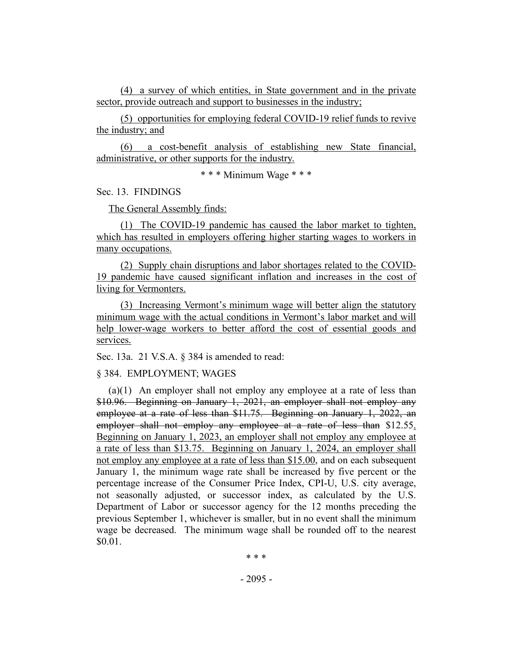(4) a survey of which entities, in State government and in the private sector, provide outreach and support to businesses in the industry;

(5) opportunities for employing federal COVID-19 relief funds to revive the industry; and

(6) a cost-benefit analysis of establishing new State financial, administrative, or other supports for the industry.

\* \* \* Minimum Wage \* \* \*

Sec. 13. FINDINGS

The General Assembly finds:

(1) The COVID-19 pandemic has caused the labor market to tighten, which has resulted in employers offering higher starting wages to workers in many occupations.

(2) Supply chain disruptions and labor shortages related to the COVID-19 pandemic have caused significant inflation and increases in the cost of living for Vermonters.

(3) Increasing Vermont's minimum wage will better align the statutory minimum wage with the actual conditions in Vermont's labor market and will help lower-wage workers to better afford the cost of essential goods and services.

Sec. 13a. 21 V.S.A. § 384 is amended to read:

§ 384. EMPLOYMENT; WAGES

 $(a)(1)$  An employer shall not employ any employee at a rate of less than \$10.96. Beginning on January 1, 2021, an employer shall not employ any employee at a rate of less than \$11.75. Beginning on January 1, 2022, an employer shall not employ any employee at a rate of less than \$12.55. Beginning on January 1, 2023, an employer shall not employ any employee at a rate of less than \$13.75. Beginning on January 1, 2024, an employer shall not employ any employee at a rate of less than \$15.00, and on each subsequent January 1, the minimum wage rate shall be increased by five percent or the percentage increase of the Consumer Price Index, CPI-U, U.S. city average, not seasonally adjusted, or successor index, as calculated by the U.S. Department of Labor or successor agency for the 12 months preceding the previous September 1, whichever is smaller, but in no event shall the minimum wage be decreased. The minimum wage shall be rounded off to the nearest \$0.01.

\* \* \*

- 2095 -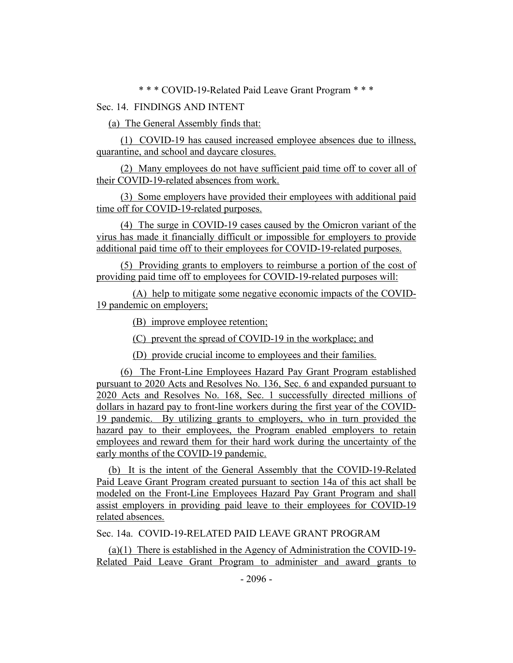\* \* \* COVID-19-Related Paid Leave Grant Program \* \* \*

# Sec. 14. FINDINGS AND INTENT

(a) The General Assembly finds that:

(1) COVID-19 has caused increased employee absences due to illness, quarantine, and school and daycare closures.

(2) Many employees do not have sufficient paid time off to cover all of their COVID-19-related absences from work.

(3) Some employers have provided their employees with additional paid time off for COVID-19-related purposes.

(4) The surge in COVID-19 cases caused by the Omicron variant of the virus has made it financially difficult or impossible for employers to provide additional paid time off to their employees for COVID-19-related purposes.

(5) Providing grants to employers to reimburse a portion of the cost of providing paid time off to employees for COVID-19-related purposes will:

(A) help to mitigate some negative economic impacts of the COVID-19 pandemic on employers;

(B) improve employee retention;

(C) prevent the spread of COVID-19 in the workplace; and

(D) provide crucial income to employees and their families.

(6) The Front-Line Employees Hazard Pay Grant Program established pursuant to 2020 Acts and Resolves No. 136, Sec. 6 and expanded pursuant to 2020 Acts and Resolves No. 168, Sec. 1 successfully directed millions of dollars in hazard pay to front-line workers during the first year of the COVID-19 pandemic. By utilizing grants to employers, who in turn provided the hazard pay to their employees, the Program enabled employers to retain employees and reward them for their hard work during the uncertainty of the early months of the COVID-19 pandemic.

(b) It is the intent of the General Assembly that the COVID-19-Related Paid Leave Grant Program created pursuant to section 14a of this act shall be modeled on the Front-Line Employees Hazard Pay Grant Program and shall assist employers in providing paid leave to their employees for COVID-19 related absences.

Sec. 14a. COVID-19-RELATED PAID LEAVE GRANT PROGRAM

(a)(1) There is established in the Agency of Administration the COVID-19- Related Paid Leave Grant Program to administer and award grants to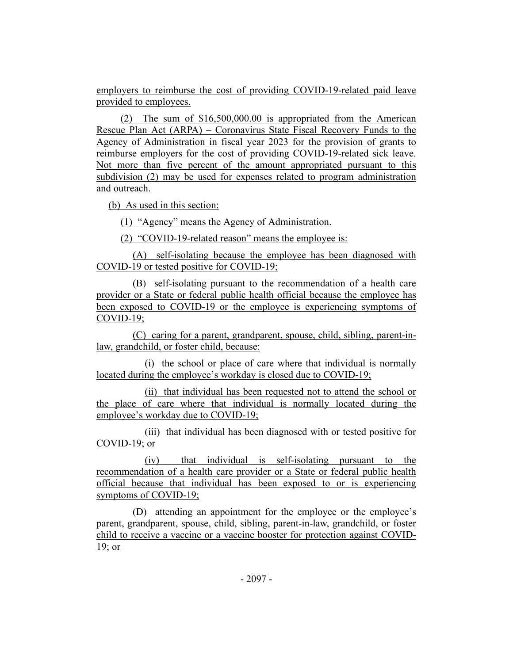employers to reimburse the cost of providing COVID-19-related paid leave provided to employees.

(2) The sum of \$16,500,000.00 is appropriated from the American Rescue Plan Act (ARPA) – Coronavirus State Fiscal Recovery Funds to the Agency of Administration in fiscal year 2023 for the provision of grants to reimburse employers for the cost of providing COVID-19-related sick leave. Not more than five percent of the amount appropriated pursuant to this subdivision (2) may be used for expenses related to program administration and outreach.

(b) As used in this section:

(1) "Agency" means the Agency of Administration.

(2) "COVID-19-related reason" means the employee is:

(A) self-isolating because the employee has been diagnosed with COVID-19 or tested positive for COVID-19;

(B) self-isolating pursuant to the recommendation of a health care provider or a State or federal public health official because the employee has been exposed to COVID-19 or the employee is experiencing symptoms of COVID-19;

(C) caring for a parent, grandparent, spouse, child, sibling, parent-inlaw, grandchild, or foster child, because:

(i) the school or place of care where that individual is normally located during the employee's workday is closed due to COVID-19;

(ii) that individual has been requested not to attend the school or the place of care where that individual is normally located during the employee's workday due to COVID-19;

(iii) that individual has been diagnosed with or tested positive for COVID-19; or

(iv) that individual is self-isolating pursuant to the recommendation of a health care provider or a State or federal public health official because that individual has been exposed to or is experiencing symptoms of COVID-19;

(D) attending an appointment for the employee or the employee's parent, grandparent, spouse, child, sibling, parent-in-law, grandchild, or foster child to receive a vaccine or a vaccine booster for protection against COVID-19; or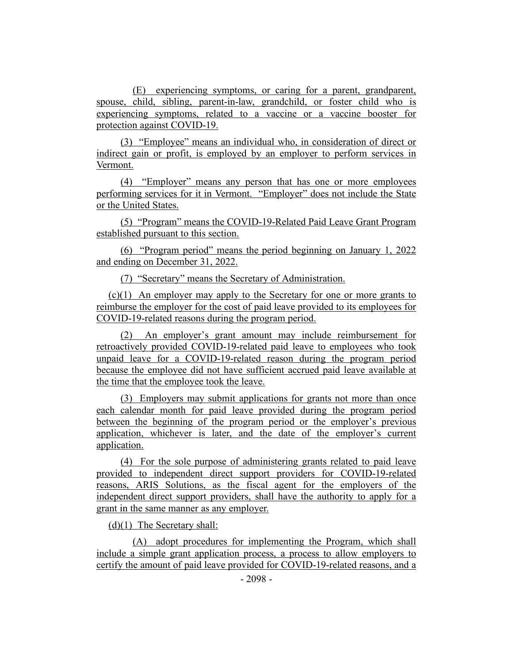(E) experiencing symptoms, or caring for a parent, grandparent, spouse, child, sibling, parent-in-law, grandchild, or foster child who is experiencing symptoms, related to a vaccine or a vaccine booster for protection against COVID-19.

(3) "Employee" means an individual who, in consideration of direct or indirect gain or profit, is employed by an employer to perform services in Vermont.

(4) "Employer" means any person that has one or more employees performing services for it in Vermont. "Employer" does not include the State or the United States.

(5) "Program" means the COVID-19-Related Paid Leave Grant Program established pursuant to this section.

(6) "Program period" means the period beginning on January 1, 2022 and ending on December 31, 2022.

(7) "Secretary" means the Secretary of Administration.

(c)(1) An employer may apply to the Secretary for one or more grants to reimburse the employer for the cost of paid leave provided to its employees for COVID-19-related reasons during the program period.

(2) An employer's grant amount may include reimbursement for retroactively provided COVID-19-related paid leave to employees who took unpaid leave for a COVID-19-related reason during the program period because the employee did not have sufficient accrued paid leave available at the time that the employee took the leave.

(3) Employers may submit applications for grants not more than once each calendar month for paid leave provided during the program period between the beginning of the program period or the employer's previous application, whichever is later, and the date of the employer's current application.

(4) For the sole purpose of administering grants related to paid leave provided to independent direct support providers for COVID-19-related reasons, ARIS Solutions, as the fiscal agent for the employers of the independent direct support providers, shall have the authority to apply for a grant in the same manner as any employer.

(d)(1) The Secretary shall:

(A) adopt procedures for implementing the Program, which shall include a simple grant application process, a process to allow employers to certify the amount of paid leave provided for COVID-19-related reasons, and a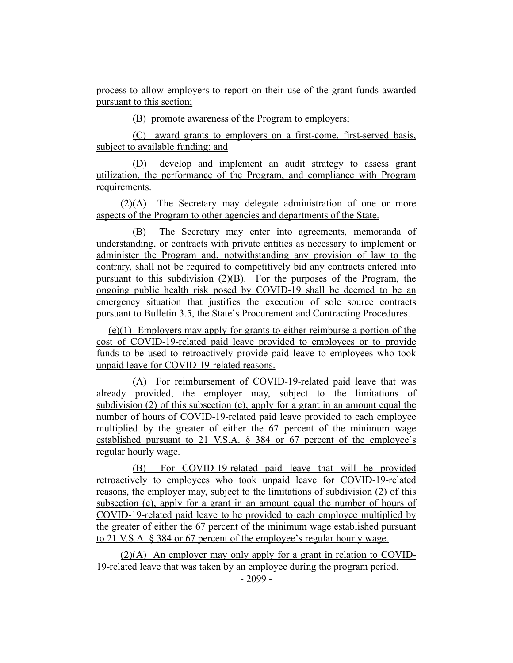process to allow employers to report on their use of the grant funds awarded pursuant to this section;

(B) promote awareness of the Program to employers;

(C) award grants to employers on a first-come, first-served basis, subject to available funding; and

(D) develop and implement an audit strategy to assess grant utilization, the performance of the Program, and compliance with Program requirements.

(2)(A) The Secretary may delegate administration of one or more aspects of the Program to other agencies and departments of the State.

(B) The Secretary may enter into agreements, memoranda of understanding, or contracts with private entities as necessary to implement or administer the Program and, notwithstanding any provision of law to the contrary, shall not be required to competitively bid any contracts entered into pursuant to this subdivision (2)(B). For the purposes of the Program, the ongoing public health risk posed by COVID-19 shall be deemed to be an emergency situation that justifies the execution of sole source contracts pursuant to Bulletin 3.5, the State's Procurement and Contracting Procedures.

(e)(1) Employers may apply for grants to either reimburse a portion of the cost of COVID-19-related paid leave provided to employees or to provide funds to be used to retroactively provide paid leave to employees who took unpaid leave for COVID-19-related reasons.

(A) For reimbursement of COVID-19-related paid leave that was already provided, the employer may, subject to the limitations of subdivision (2) of this subsection (e), apply for a grant in an amount equal the number of hours of COVID-19-related paid leave provided to each employee multiplied by the greater of either the 67 percent of the minimum wage established pursuant to 21 V.S.A. § 384 or 67 percent of the employee's regular hourly wage.

(B) For COVID-19-related paid leave that will be provided retroactively to employees who took unpaid leave for COVID-19-related reasons, the employer may, subject to the limitations of subdivision (2) of this subsection (e), apply for a grant in an amount equal the number of hours of COVID-19-related paid leave to be provided to each employee multiplied by the greater of either the 67 percent of the minimum wage established pursuant to 21 V.S.A. § 384 or 67 percent of the employee's regular hourly wage.

(2)(A) An employer may only apply for a grant in relation to COVID-19-related leave that was taken by an employee during the program period.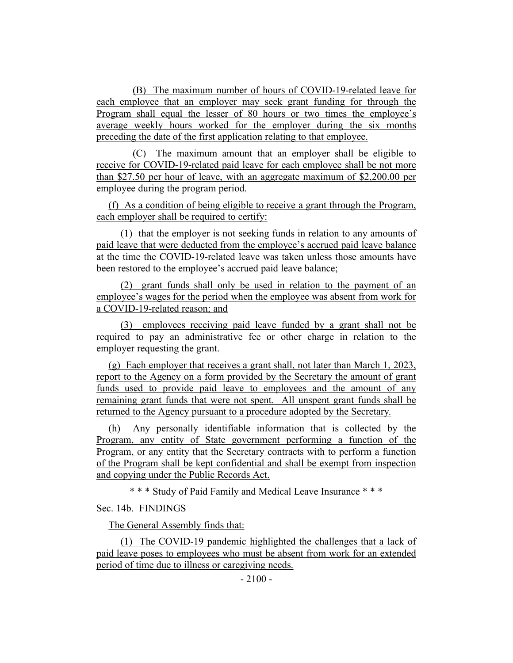(B) The maximum number of hours of COVID-19-related leave for each employee that an employer may seek grant funding for through the Program shall equal the lesser of 80 hours or two times the employee's average weekly hours worked for the employer during the six months preceding the date of the first application relating to that employee.

(C) The maximum amount that an employer shall be eligible to receive for COVID-19-related paid leave for each employee shall be not more than \$27.50 per hour of leave, with an aggregate maximum of \$2,200.00 per employee during the program period.

(f) As a condition of being eligible to receive a grant through the Program, each employer shall be required to certify:

(1) that the employer is not seeking funds in relation to any amounts of paid leave that were deducted from the employee's accrued paid leave balance at the time the COVID-19-related leave was taken unless those amounts have been restored to the employee's accrued paid leave balance;

(2) grant funds shall only be used in relation to the payment of an employee's wages for the period when the employee was absent from work for a COVID-19-related reason; and

(3) employees receiving paid leave funded by a grant shall not be required to pay an administrative fee or other charge in relation to the employer requesting the grant.

(g) Each employer that receives a grant shall, not later than March 1, 2023, report to the Agency on a form provided by the Secretary the amount of grant funds used to provide paid leave to employees and the amount of any remaining grant funds that were not spent. All unspent grant funds shall be returned to the Agency pursuant to a procedure adopted by the Secretary.

(h) Any personally identifiable information that is collected by the Program, any entity of State government performing a function of the Program, or any entity that the Secretary contracts with to perform a function of the Program shall be kept confidential and shall be exempt from inspection and copying under the Public Records Act.

\* \* \* Study of Paid Family and Medical Leave Insurance \* \* \*

Sec. 14b. FINDINGS

The General Assembly finds that:

(1) The COVID-19 pandemic highlighted the challenges that a lack of paid leave poses to employees who must be absent from work for an extended period of time due to illness or caregiving needs.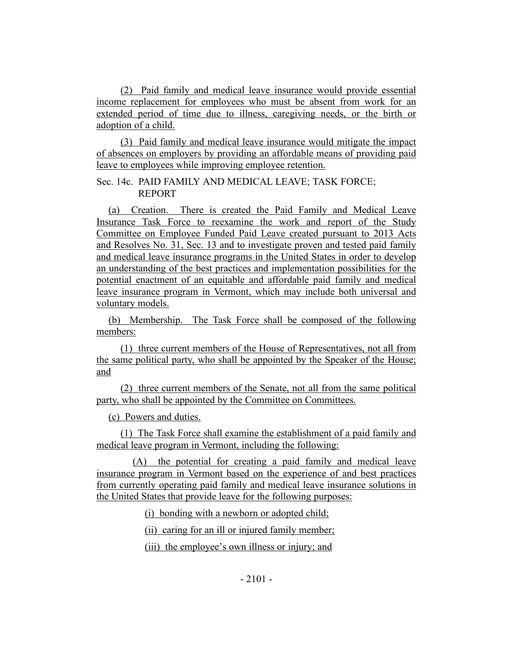(2) Paid family and medical leave insurance would provide essential income replacement for employees who must be absent from work for an extended period of time due to illness, caregiving needs, or the birth or adoption of a child.

(3) Paid family and medical leave insurance would mitigate the impact of absences on employers by providing an affordable means of providing paid leave to employees while improving employee retention.

Sec. 14c. PAID FAMILY AND MEDICAL LEAVE; TASK FORCE; REPORT

(a) Creation. There is created the Paid Family and Medical Leave Insurance Task Force to reexamine the work and report of the Study Committee on Employee Funded Paid Leave created pursuant to 2013 Acts and Resolves No. 31, Sec. 13 and to investigate proven and tested paid family and medical leave insurance programs in the United States in order to develop an understanding of the best practices and implementation possibilities for the potential enactment of an equitable and affordable paid family and medical leave insurance program in Vermont, which may include both universal and voluntary models.

(b) Membership. The Task Force shall be composed of the following members:

(1) three current members of the House of Representatives, not all from the same political party, who shall be appointed by the Speaker of the House; and

(2) three current members of the Senate, not all from the same political party, who shall be appointed by the Committee on Committees.

(c) Powers and duties.

(1) The Task Force shall examine the establishment of a paid family and medical leave program in Vermont, including the following:

(A) the potential for creating a paid family and medical leave insurance program in Vermont based on the experience of and best practices from currently operating paid family and medical leave insurance solutions in the United States that provide leave for the following purposes:

(i) bonding with a newborn or adopted child;

(ii) caring for an ill or injured family member;

(iii) the employee's own illness or injury; and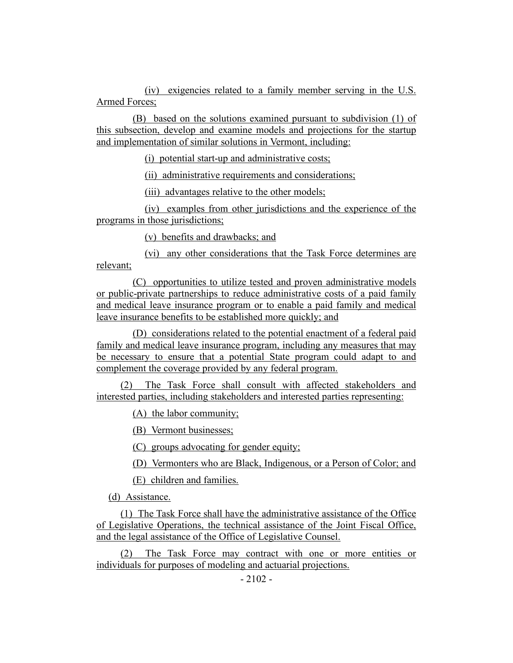(iv) exigencies related to a family member serving in the U.S. Armed Forces;

(B) based on the solutions examined pursuant to subdivision (1) of this subsection, develop and examine models and projections for the startup and implementation of similar solutions in Vermont, including:

(i) potential start-up and administrative costs;

(ii) administrative requirements and considerations;

(iii) advantages relative to the other models;

(iv) examples from other jurisdictions and the experience of the programs in those jurisdictions;

(v) benefits and drawbacks; and

(vi) any other considerations that the Task Force determines are relevant;

(C) opportunities to utilize tested and proven administrative models or public-private partnerships to reduce administrative costs of a paid family and medical leave insurance program or to enable a paid family and medical leave insurance benefits to be established more quickly; and

(D) considerations related to the potential enactment of a federal paid family and medical leave insurance program, including any measures that may be necessary to ensure that a potential State program could adapt to and complement the coverage provided by any federal program.

(2) The Task Force shall consult with affected stakeholders and interested parties, including stakeholders and interested parties representing:

(A) the labor community;

(B) Vermont businesses;

(C) groups advocating for gender equity;

(D) Vermonters who are Black, Indigenous, or a Person of Color; and

(E) children and families.

(d) Assistance.

(1) The Task Force shall have the administrative assistance of the Office of Legislative Operations, the technical assistance of the Joint Fiscal Office, and the legal assistance of the Office of Legislative Counsel.

(2) The Task Force may contract with one or more entities or individuals for purposes of modeling and actuarial projections.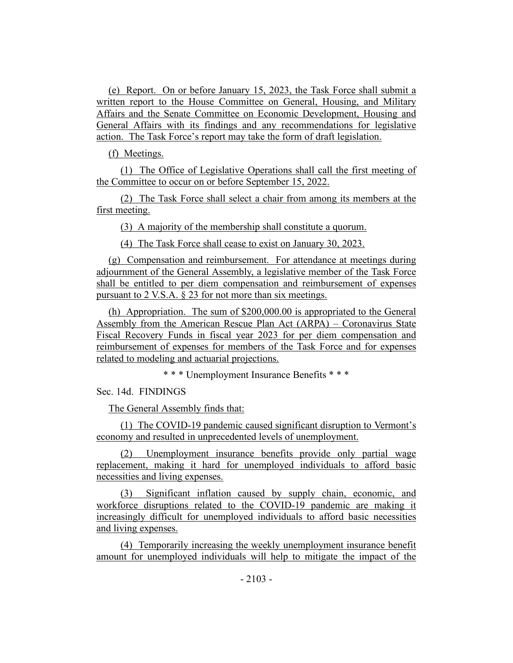(e) Report. On or before January 15, 2023, the Task Force shall submit a written report to the House Committee on General, Housing, and Military Affairs and the Senate Committee on Economic Development, Housing and General Affairs with its findings and any recommendations for legislative action. The Task Force's report may take the form of draft legislation.

(f) Meetings.

(1) The Office of Legislative Operations shall call the first meeting of the Committee to occur on or before September 15, 2022.

(2) The Task Force shall select a chair from among its members at the first meeting.

(3) A majority of the membership shall constitute a quorum.

(4) The Task Force shall cease to exist on January 30, 2023.

(g) Compensation and reimbursement. For attendance at meetings during adjournment of the General Assembly, a legislative member of the Task Force shall be entitled to per diem compensation and reimbursement of expenses pursuant to 2 V.S.A. § 23 for not more than six meetings.

(h) Appropriation. The sum of \$200,000.00 is appropriated to the General Assembly from the American Rescue Plan Act (ARPA) – Coronavirus State Fiscal Recovery Funds in fiscal year 2023 for per diem compensation and reimbursement of expenses for members of the Task Force and for expenses related to modeling and actuarial projections.

\* \* \* Unemployment Insurance Benefits \* \* \*

Sec. 14d. FINDINGS

The General Assembly finds that:

(1) The COVID-19 pandemic caused significant disruption to Vermont's economy and resulted in unprecedented levels of unemployment.

(2) Unemployment insurance benefits provide only partial wage replacement, making it hard for unemployed individuals to afford basic necessities and living expenses.

(3) Significant inflation caused by supply chain, economic, and workforce disruptions related to the COVID-19 pandemic are making it increasingly difficult for unemployed individuals to afford basic necessities and living expenses.

(4) Temporarily increasing the weekly unemployment insurance benefit amount for unemployed individuals will help to mitigate the impact of the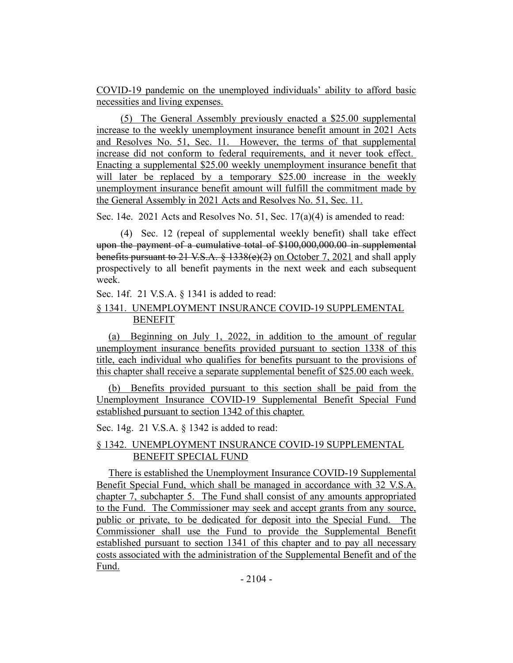COVID-19 pandemic on the unemployed individuals' ability to afford basic necessities and living expenses.

(5) The General Assembly previously enacted a \$25.00 supplemental increase to the weekly unemployment insurance benefit amount in 2021 Acts and Resolves No. 51, Sec. 11. However, the terms of that supplemental increase did not conform to federal requirements, and it never took effect. Enacting a supplemental \$25.00 weekly unemployment insurance benefit that will later be replaced by a temporary \$25.00 increase in the weekly unemployment insurance benefit amount will fulfill the commitment made by the General Assembly in 2021 Acts and Resolves No. 51, Sec. 11.

Sec. 14e. 2021 Acts and Resolves No. 51, Sec. 17(a)(4) is amended to read:

(4) Sec. 12 (repeal of supplemental weekly benefit) shall take effect upon the payment of a cumulative total of \$100,000,000.00 in supplemental benefits pursuant to 21 V.S.A. § 1338(e)(2) on October 7, 2021 and shall apply prospectively to all benefit payments in the next week and each subsequent week.

Sec. 14f. 21 V.S.A. § 1341 is added to read:

# § 1341. UNEMPLOYMENT INSURANCE COVID-19 SUPPLEMENTAL BENEFIT

(a) Beginning on July 1, 2022, in addition to the amount of regular unemployment insurance benefits provided pursuant to section 1338 of this title, each individual who qualifies for benefits pursuant to the provisions of this chapter shall receive a separate supplemental benefit of \$25.00 each week.

(b) Benefits provided pursuant to this section shall be paid from the Unemployment Insurance COVID-19 Supplemental Benefit Special Fund established pursuant to section 1342 of this chapter.

Sec. 14g. 21 V.S.A. § 1342 is added to read:

# § 1342. UNEMPLOYMENT INSURANCE COVID-19 SUPPLEMENTAL BENEFIT SPECIAL FUND

There is established the Unemployment Insurance COVID-19 Supplemental Benefit Special Fund, which shall be managed in accordance with 32 V.S.A. chapter 7, subchapter 5. The Fund shall consist of any amounts appropriated to the Fund. The Commissioner may seek and accept grants from any source, public or private, to be dedicated for deposit into the Special Fund. The Commissioner shall use the Fund to provide the Supplemental Benefit established pursuant to section 1341 of this chapter and to pay all necessary costs associated with the administration of the Supplemental Benefit and of the Fund.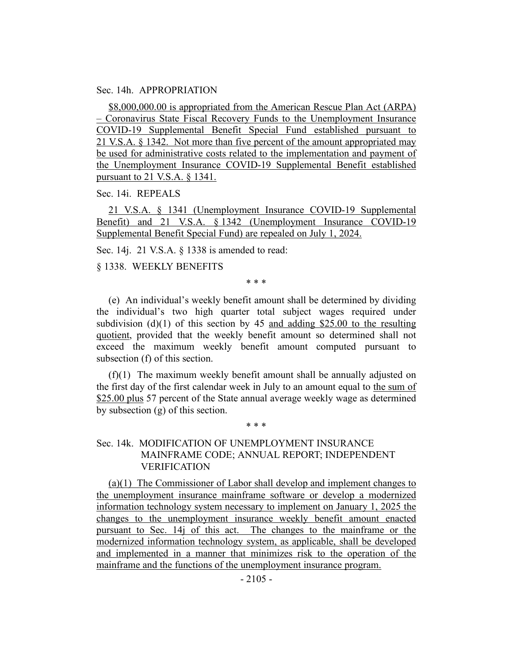#### Sec. 14h. APPROPRIATION

\$8,000,000.00 is appropriated from the American Rescue Plan Act (ARPA) – Coronavirus State Fiscal Recovery Funds to the Unemployment Insurance COVID-19 Supplemental Benefit Special Fund established pursuant to 21 V.S.A. § 1342. Not more than five percent of the amount appropriated may be used for administrative costs related to the implementation and payment of the Unemployment Insurance COVID-19 Supplemental Benefit established pursuant to 21 V.S.A. § 1341.

Sec. 14i. REPEALS

21 V.S.A. § 1341 (Unemployment Insurance COVID-19 Supplemental Benefit) and 21 V.S.A. § 1342 (Unemployment Insurance COVID-19 Supplemental Benefit Special Fund) are repealed on July 1, 2024.

Sec. 14j. 21 V.S.A. § 1338 is amended to read:

§ 1338. WEEKLY BENEFITS

\* \* \*

(e) An individual's weekly benefit amount shall be determined by dividing the individual's two high quarter total subject wages required under subdivision  $(d)(1)$  of this section by 45 and adding \$25.00 to the resulting quotient, provided that the weekly benefit amount so determined shall not exceed the maximum weekly benefit amount computed pursuant to subsection (f) of this section.

(f)(1) The maximum weekly benefit amount shall be annually adjusted on the first day of the first calendar week in July to an amount equal to the sum of \$25.00 plus 57 percent of the State annual average weekly wage as determined by subsection (g) of this section.

\* \* \*

## Sec. 14k. MODIFICATION OF UNEMPLOYMENT INSURANCE MAINFRAME CODE; ANNUAL REPORT; INDEPENDENT VERIFICATION

(a)(1) The Commissioner of Labor shall develop and implement changes to the unemployment insurance mainframe software or develop a modernized information technology system necessary to implement on January 1, 2025 the changes to the unemployment insurance weekly benefit amount enacted pursuant to Sec. 14j of this act. The changes to the mainframe or the modernized information technology system, as applicable, shall be developed and implemented in a manner that minimizes risk to the operation of the mainframe and the functions of the unemployment insurance program.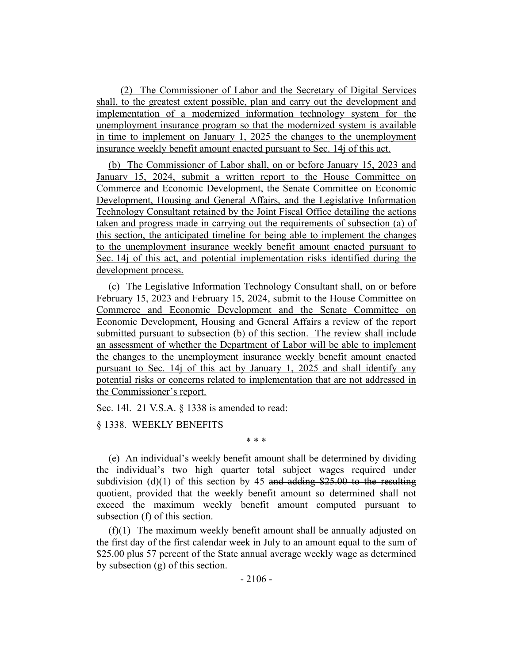(2) The Commissioner of Labor and the Secretary of Digital Services shall, to the greatest extent possible, plan and carry out the development and implementation of a modernized information technology system for the unemployment insurance program so that the modernized system is available in time to implement on January 1, 2025 the changes to the unemployment insurance weekly benefit amount enacted pursuant to Sec. 14j of this act.

(b) The Commissioner of Labor shall, on or before January 15, 2023 and January 15, 2024, submit a written report to the House Committee on Commerce and Economic Development, the Senate Committee on Economic Development, Housing and General Affairs, and the Legislative Information Technology Consultant retained by the Joint Fiscal Office detailing the actions taken and progress made in carrying out the requirements of subsection (a) of this section, the anticipated timeline for being able to implement the changes to the unemployment insurance weekly benefit amount enacted pursuant to Sec. 14j of this act, and potential implementation risks identified during the development process.

(c) The Legislative Information Technology Consultant shall, on or before February 15, 2023 and February 15, 2024, submit to the House Committee on Commerce and Economic Development and the Senate Committee on Economic Development, Housing and General Affairs a review of the report submitted pursuant to subsection (b) of this section. The review shall include an assessment of whether the Department of Labor will be able to implement the changes to the unemployment insurance weekly benefit amount enacted pursuant to Sec. 14j of this act by January 1, 2025 and shall identify any potential risks or concerns related to implementation that are not addressed in the Commissioner's report.

Sec. 14l. 21 V.S.A. § 1338 is amended to read:

§ 1338. WEEKLY BENEFITS

\* \* \*

(e) An individual's weekly benefit amount shall be determined by dividing the individual's two high quarter total subject wages required under subdivision (d)(1) of this section by 45 and adding  $$25.00$  to the resulting quotient, provided that the weekly benefit amount so determined shall not exceed the maximum weekly benefit amount computed pursuant to subsection (f) of this section.

(f)(1) The maximum weekly benefit amount shall be annually adjusted on the first day of the first calendar week in July to an amount equal to the sum of \$25.00 plus 57 percent of the State annual average weekly wage as determined by subsection (g) of this section.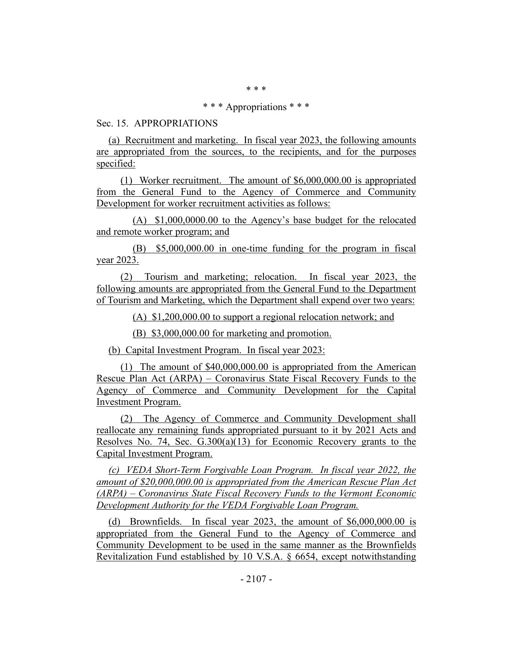\* \* \*

#### \* \* \* Appropriations \* \* \*

### Sec. 15. APPROPRIATIONS

(a) Recruitment and marketing. In fiscal year 2023, the following amounts are appropriated from the sources, to the recipients, and for the purposes specified:

(1) Worker recruitment. The amount of \$6,000,000.00 is appropriated from the General Fund to the Agency of Commerce and Community Development for worker recruitment activities as follows:

(A) \$1,000,0000.00 to the Agency's base budget for the relocated and remote worker program; and

(B) \$5,000,000.00 in one-time funding for the program in fiscal year 2023.

(2) Tourism and marketing; relocation. In fiscal year 2023, the following amounts are appropriated from the General Fund to the Department of Tourism and Marketing, which the Department shall expend over two years:

(A) \$1,200,000.00 to support a regional relocation network; and

(B) \$3,000,000.00 for marketing and promotion.

(b) Capital Investment Program. In fiscal year 2023:

(1) The amount of \$40,000,000.00 is appropriated from the American Rescue Plan Act (ARPA) – Coronavirus State Fiscal Recovery Funds to the Agency of Commerce and Community Development for the Capital Investment Program.

(2) The Agency of Commerce and Community Development shall reallocate any remaining funds appropriated pursuant to it by 2021 Acts and Resolves No. 74, Sec. G.300(a)(13) for Economic Recovery grants to the Capital Investment Program.

*(c) VEDA Short-Term Forgivable Loan Program. In fiscal year 2022, the amount of \$20,000,000.00 is appropriated from the American Rescue Plan Act (ARPA) – Coronavirus State Fiscal Recovery Funds to the Vermont Economic Development Authority for the VEDA Forgivable Loan Program.*

(d) Brownfields. In fiscal year 2023, the amount of \$6,000,000.00 is appropriated from the General Fund to the Agency of Commerce and Community Development to be used in the same manner as the Brownfields Revitalization Fund established by 10 V.S.A. § 6654, except notwithstanding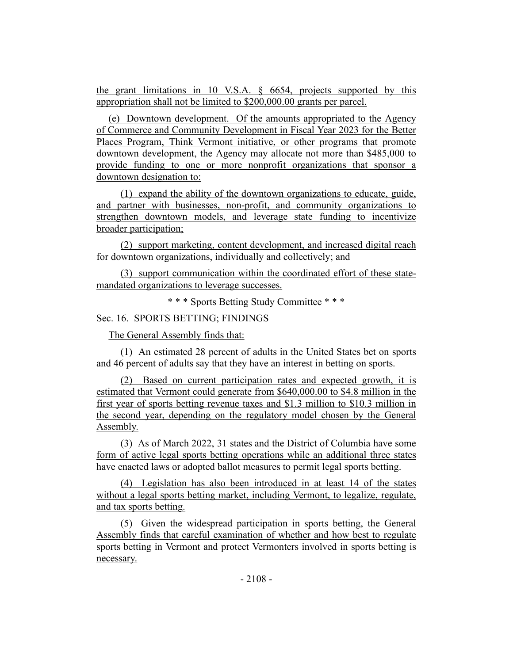the grant limitations in 10 V.S.A.  $\&$  6654, projects supported by this appropriation shall not be limited to \$200,000.00 grants per parcel.

(e) Downtown development. Of the amounts appropriated to the Agency of Commerce and Community Development in Fiscal Year 2023 for the Better Places Program, Think Vermont initiative, or other programs that promote downtown development, the Agency may allocate not more than \$485,000 to provide funding to one or more nonprofit organizations that sponsor a downtown designation to:

(1) expand the ability of the downtown organizations to educate, guide, and partner with businesses, non-profit, and community organizations to strengthen downtown models, and leverage state funding to incentivize broader participation;

(2) support marketing, content development, and increased digital reach for downtown organizations, individually and collectively; and

(3) support communication within the coordinated effort of these statemandated organizations to leverage successes.

\* \* \* Sports Betting Study Committee \* \* \*

Sec. 16. SPORTS BETTING; FINDINGS

The General Assembly finds that:

(1) An estimated 28 percent of adults in the United States bet on sports and 46 percent of adults say that they have an interest in betting on sports.

(2) Based on current participation rates and expected growth, it is estimated that Vermont could generate from \$640,000.00 to \$4.8 million in the first year of sports betting revenue taxes and \$1.3 million to \$10.3 million in the second year, depending on the regulatory model chosen by the General Assembly.

(3) As of March 2022, 31 states and the District of Columbia have some form of active legal sports betting operations while an additional three states have enacted laws or adopted ballot measures to permit legal sports betting.

(4) Legislation has also been introduced in at least 14 of the states without a legal sports betting market, including Vermont, to legalize, regulate, and tax sports betting.

(5) Given the widespread participation in sports betting, the General Assembly finds that careful examination of whether and how best to regulate sports betting in Vermont and protect Vermonters involved in sports betting is necessary.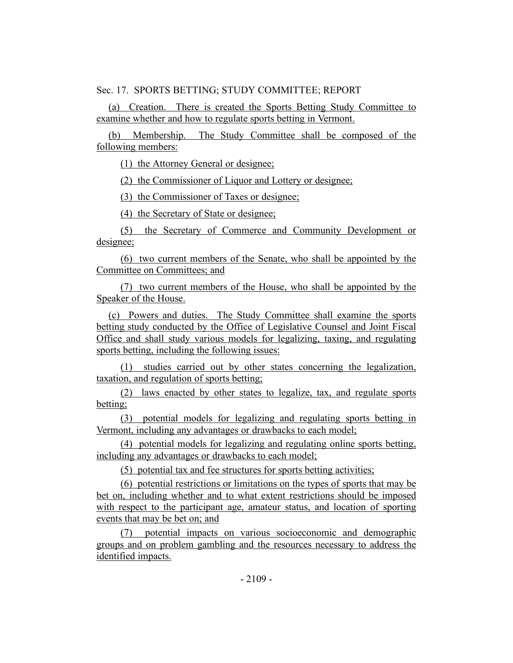Sec. 17. SPORTS BETTING; STUDY COMMITTEE; REPORT

(a) Creation. There is created the Sports Betting Study Committee to examine whether and how to regulate sports betting in Vermont.

(b) Membership. The Study Committee shall be composed of the following members:

(1) the Attorney General or designee;

(2) the Commissioner of Liquor and Lottery or designee;

(3) the Commissioner of Taxes or designee;

(4) the Secretary of State or designee;

(5) the Secretary of Commerce and Community Development or designee;

(6) two current members of the Senate, who shall be appointed by the Committee on Committees; and

(7) two current members of the House, who shall be appointed by the Speaker of the House.

(c) Powers and duties. The Study Committee shall examine the sports betting study conducted by the Office of Legislative Counsel and Joint Fiscal Office and shall study various models for legalizing, taxing, and regulating sports betting, including the following issues:

(1) studies carried out by other states concerning the legalization, taxation, and regulation of sports betting;

(2) laws enacted by other states to legalize, tax, and regulate sports betting;

(3) potential models for legalizing and regulating sports betting in Vermont, including any advantages or drawbacks to each model;

(4) potential models for legalizing and regulating online sports betting, including any advantages or drawbacks to each model;

(5) potential tax and fee structures for sports betting activities;

(6) potential restrictions or limitations on the types of sports that may be bet on, including whether and to what extent restrictions should be imposed with respect to the participant age, amateur status, and location of sporting events that may be bet on; and

(7) potential impacts on various socioeconomic and demographic groups and on problem gambling and the resources necessary to address the identified impacts.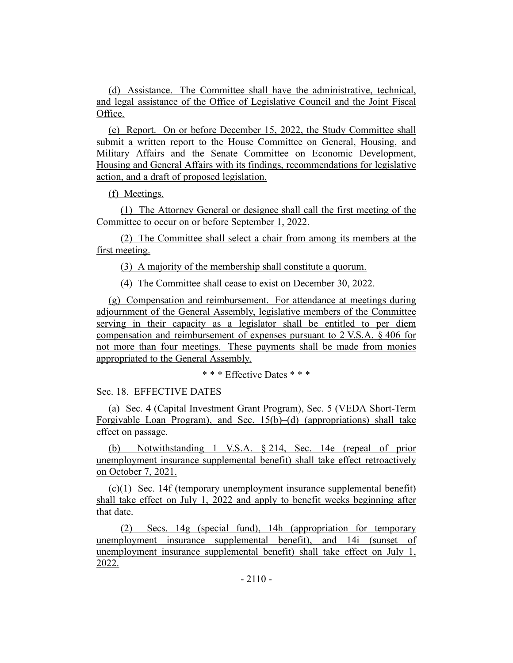(d) Assistance. The Committee shall have the administrative, technical, and legal assistance of the Office of Legislative Council and the Joint Fiscal Office.

(e) Report. On or before December 15, 2022, the Study Committee shall submit a written report to the House Committee on General, Housing, and Military Affairs and the Senate Committee on Economic Development, Housing and General Affairs with its findings, recommendations for legislative action, and a draft of proposed legislation.

(f) Meetings.

(1) The Attorney General or designee shall call the first meeting of the Committee to occur on or before September 1, 2022.

(2) The Committee shall select a chair from among its members at the first meeting.

(3) A majority of the membership shall constitute a quorum.

(4) The Committee shall cease to exist on December 30, 2022.

(g) Compensation and reimbursement. For attendance at meetings during adjournment of the General Assembly, legislative members of the Committee serving in their capacity as a legislator shall be entitled to per diem compensation and reimbursement of expenses pursuant to 2 V.S.A. § 406 for not more than four meetings. These payments shall be made from monies appropriated to the General Assembly.

\* \* \* Effective Dates \* \* \*

Sec. 18. EFFECTIVE DATES

(a) Sec. 4 (Capital Investment Grant Program), Sec. 5 (VEDA Short-Term Forgivable Loan Program), and Sec. 15(b)–(d) (appropriations) shall take effect on passage.

(b) Notwithstanding 1 V.S.A. § 214, Sec. 14e (repeal of prior unemployment insurance supplemental benefit) shall take effect retroactively on October 7, 2021.

 $(c)(1)$  Sec. 14f (temporary unemployment insurance supplemental benefit) shall take effect on July 1, 2022 and apply to benefit weeks beginning after that date.

(2) Secs. 14g (special fund), 14h (appropriation for temporary unemployment insurance supplemental benefit), and 14i (sunset of unemployment insurance supplemental benefit) shall take effect on July 1, 2022.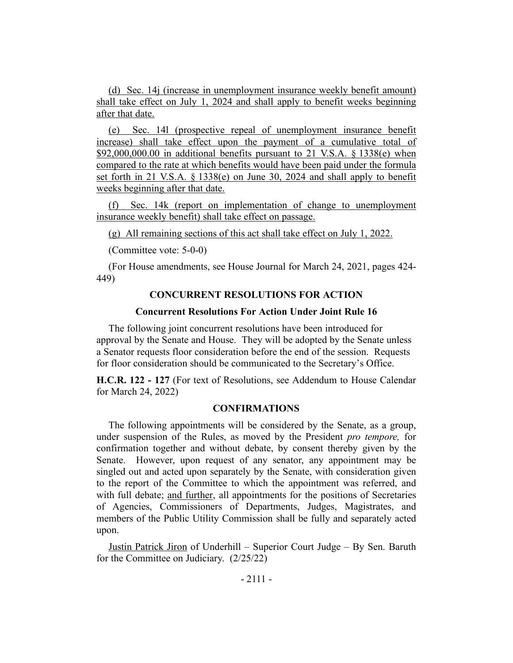(d) Sec. 14j (increase in unemployment insurance weekly benefit amount) shall take effect on July 1, 2024 and shall apply to benefit weeks beginning after that date.

(e) Sec. 14l (prospective repeal of unemployment insurance benefit increase) shall take effect upon the payment of a cumulative total of  $$92,000,000.00$  in additional benefits pursuant to 21 V.S.A.  $§$  1338(e) when compared to the rate at which benefits would have been paid under the formula set forth in 21 V.S.A. § 1338(e) on June 30, 2024 and shall apply to benefit weeks beginning after that date.

(f) Sec. 14k (report on implementation of change to unemployment insurance weekly benefit) shall take effect on passage.

(g) All remaining sections of this act shall take effect on July 1, 2022.

(Committee vote: 5-0-0)

(For House amendments, see House Journal for March 24, 2021, pages 424- 449)

## **CONCURRENT RESOLUTIONS FOR ACTION**

### **Concurrent Resolutions For Action Under Joint Rule 16**

The following joint concurrent resolutions have been introduced for approval by the Senate and House. They will be adopted by the Senate unless a Senator requests floor consideration before the end of the session. Requests for floor consideration should be communicated to the Secretary's Office.

**H.C.R. 122 - 127** (For text of Resolutions, see Addendum to House Calendar for March 24, 2022)

#### **CONFIRMATIONS**

The following appointments will be considered by the Senate, as a group, under suspension of the Rules, as moved by the President *pro tempore,* for confirmation together and without debate, by consent thereby given by the Senate. However, upon request of any senator, any appointment may be singled out and acted upon separately by the Senate, with consideration given to the report of the Committee to which the appointment was referred, and with full debate; and further, all appointments for the positions of Secretaries of Agencies, Commissioners of Departments, Judges, Magistrates, and members of the Public Utility Commission shall be fully and separately acted upon.

Justin Patrick Jiron of Underhill – Superior Court Judge – By Sen. Baruth for the Committee on Judiciary. (2/25/22)